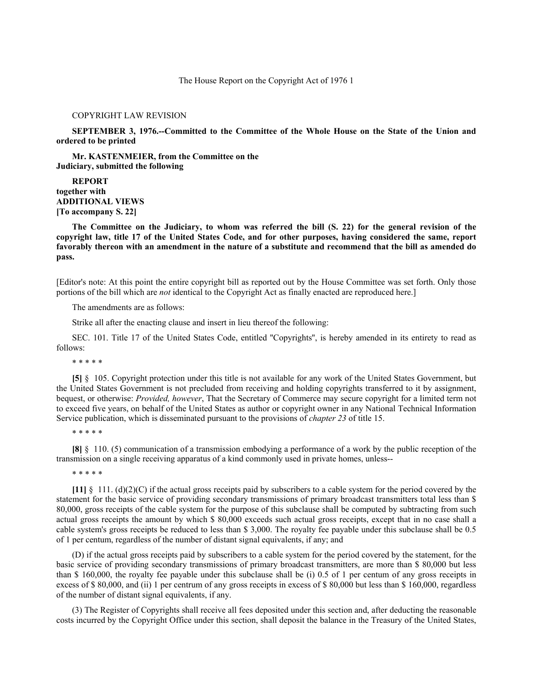#### The House Report on the Copyright Act of 1976 1

## COPYRIGHT LAW REVISION

**SEPTEMBER 3, 1976.--Committed to the Committee of the Whole House on the State of the Union and ordered to be printed**

**Mr. KASTENMEIER, from the Committee on the Judiciary, submitted the following**

**REPORT together with ADDITIONAL VIEWS [To accompany S. 22]**

**The Committee on the Judiciary, to whom was referred the bill (S. 22) for the general revision of the copyright law, title 17 of the United States Code, and for other purposes, having considered the same, report favorably thereon with an amendment in the nature of a substitute and recommend that the bill as amended do pass.**

[Editor's note: At this point the entire copyright bill as reported out by the House Committee was set forth. Only those portions of the bill which are *not* identical to the Copyright Act as finally enacted are reproduced here.]

The amendments are as follows:

Strike all after the enacting clause and insert in lieu thereof the following:

SEC. 101. Title 17 of the United States Code, entitled ''Copyrights'', is hereby amended in its entirety to read as follows:

\* \* \* \* \*

**[5]** § 105. Copyright protection under this title is not available for any work of the United States Government, but the United States Government is not precluded from receiving and holding copyrights transferred to it by assignment, bequest, or otherwise: *Provided, however*, That the Secretary of Commerce may secure copyright for a limited term not to exceed five years, on behalf of the United States as author or copyright owner in any National Technical Information Service publication, which is disseminated pursuant to the provisions of *chapter 23* of title 15.

\* \* \* \* \*

**[8]** § 110. (5) communication of a transmission embodying a performance of a work by the public reception of the transmission on a single receiving apparatus of a kind commonly used in private homes, unless--

\* \* \* \* \*

**[11]** § 111. (d)(2)(C) if the actual gross receipts paid by subscribers to a cable system for the period covered by the statement for the basic service of providing secondary transmissions of primary broadcast transmitters total less than \$ 80,000, gross receipts of the cable system for the purpose of this subclause shall be computed by subtracting from such actual gross receipts the amount by which \$ 80,000 exceeds such actual gross receipts, except that in no case shall a cable system's gross receipts be reduced to less than \$ 3,000. The royalty fee payable under this subclause shall be 0.5 of 1 per centum, regardless of the number of distant signal equivalents, if any; and

(D) if the actual gross receipts paid by subscribers to a cable system for the period covered by the statement, for the basic service of providing secondary transmissions of primary broadcast transmitters, are more than \$ 80,000 but less than \$ 160,000, the royalty fee payable under this subclause shall be (i) 0.5 of 1 per centum of any gross receipts in excess of \$ 80,000, and (ii) 1 per centrum of any gross receipts in excess of \$ 80,000 but less than \$ 160,000, regardless of the number of distant signal equivalents, if any.

(3) The Register of Copyrights shall receive all fees deposited under this section and, after deducting the reasonable costs incurred by the Copyright Office under this section, shall deposit the balance in the Treasury of the United States,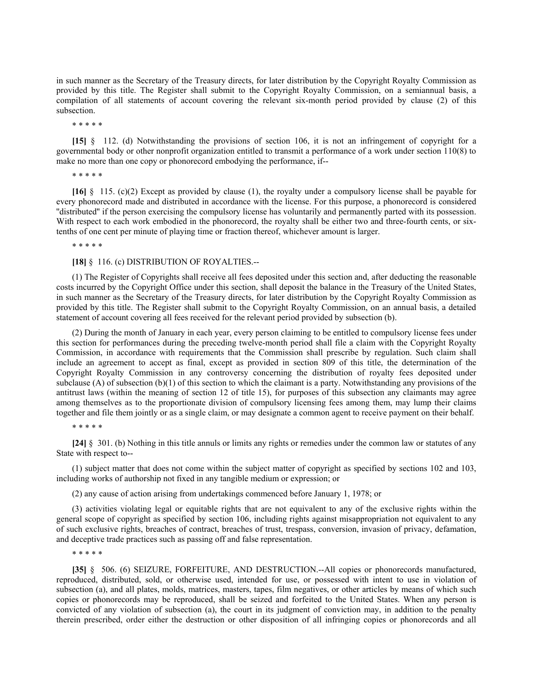in such manner as the Secretary of the Treasury directs, for later distribution by the Copyright Royalty Commission as provided by this title. The Register shall submit to the Copyright Royalty Commission, on a semiannual basis, a compilation of all statements of account covering the relevant six-month period provided by clause (2) of this subsection.

\* \* \* \* \*

**[15]** § 112. (d) Notwithstanding the provisions of section 106, it is not an infringement of copyright for a governmental body or other nonprofit organization entitled to transmit a performance of a work under section 110(8) to make no more than one copy or phonorecord embodying the performance, if--

\* \* \* \* \*

**[16]** § 115. (c)(2) Except as provided by clause (1), the royalty under a compulsory license shall be payable for every phonorecord made and distributed in accordance with the license. For this purpose, a phonorecord is considered ''distributed'' if the person exercising the compulsory license has voluntarily and permanently parted with its possession. With respect to each work embodied in the phonorecord, the royalty shall be either two and three-fourth cents, or sixtenths of one cent per minute of playing time or fraction thereof, whichever amount is larger.

\* \* \* \* \*

**[18]** § 116. (c) DISTRIBUTION OF ROYALTIES.--

(1) The Register of Copyrights shall receive all fees deposited under this section and, after deducting the reasonable costs incurred by the Copyright Office under this section, shall deposit the balance in the Treasury of the United States, in such manner as the Secretary of the Treasury directs, for later distribution by the Copyright Royalty Commission as provided by this title. The Register shall submit to the Copyright Royalty Commission, on an annual basis, a detailed statement of account covering all fees received for the relevant period provided by subsection (b).

(2) During the month of January in each year, every person claiming to be entitled to compulsory license fees under this section for performances during the preceding twelve-month period shall file a claim with the Copyright Royalty Commission, in accordance with requirements that the Commission shall prescribe by regulation. Such claim shall include an agreement to accept as final, except as provided in section 809 of this title, the determination of the Copyright Royalty Commission in any controversy concerning the distribution of royalty fees deposited under subclause (A) of subsection (b)(1) of this section to which the claimant is a party. Notwithstanding any provisions of the antitrust laws (within the meaning of section 12 of title 15), for purposes of this subsection any claimants may agree among themselves as to the proportionate division of compulsory licensing fees among them, may lump their claims together and file them jointly or as a single claim, or may designate a common agent to receive payment on their behalf.

\* \* \* \* \*

**[24]** § 301. (b) Nothing in this title annuls or limits any rights or remedies under the common law or statutes of any State with respect to--

(1) subject matter that does not come within the subject matter of copyright as specified by sections 102 and 103, including works of authorship not fixed in any tangible medium or expression; or

(2) any cause of action arising from undertakings commenced before January 1, 1978; or

(3) activities violating legal or equitable rights that are not equivalent to any of the exclusive rights within the general scope of copyright as specified by section 106, including rights against misappropriation not equivalent to any of such exclusive rights, breaches of contract, breaches of trust, trespass, conversion, invasion of privacy, defamation, and deceptive trade practices such as passing off and false representation.

\* \* \* \* \*

[35] § 506. (6) SEIZURE, FORFEITURE, AND DESTRUCTION.--All copies or phonorecords manufactured, reproduced, distributed, sold, or otherwise used, intended for use, or possessed with intent to use in violation of subsection (a), and all plates, molds, matrices, masters, tapes, film negatives, or other articles by means of which such copies or phonorecords may be reproduced, shall be seized and forfeited to the United States. When any person is convicted of any violation of subsection (a), the court in its judgment of conviction may, in addition to the penalty therein prescribed, order either the destruction or other disposition of all infringing copies or phonorecords and all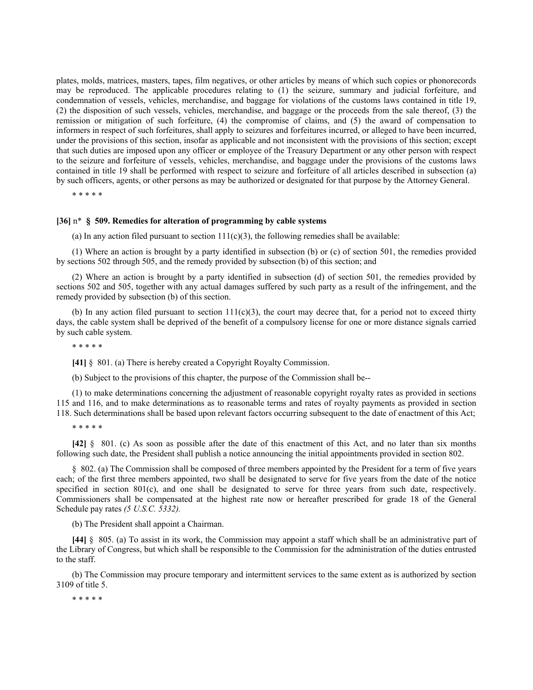plates, molds, matrices, masters, tapes, film negatives, or other articles by means of which such copies or phonorecords may be reproduced. The applicable procedures relating to (1) the seizure, summary and judicial forfeiture, and condemnation of vessels, vehicles, merchandise, and baggage for violations of the customs laws contained in title 19, (2) the disposition of such vessels, vehicles, merchandise, and baggage or the proceeds from the sale thereof, (3) the remission or mitigation of such forfeiture, (4) the compromise of claims, and (5) the award of compensation to informers in respect of such forfeitures, shall apply to seizures and forfeitures incurred, or alleged to have been incurred, under the provisions of this section, insofar as applicable and not inconsistent with the provisions of this section; except that such duties are imposed upon any officer or employee of the Treasury Department or any other person with respect to the seizure and forfeiture of vessels, vehicles, merchandise, and baggage under the provisions of the customs laws contained in title 19 shall be performed with respect to seizure and forfeiture of all articles described in subsection (a) by such officers, agents, or other persons as may be authorized or designated for that purpose by the Attorney General.

\* \* \* \* \*

## **[36]** n\* **§ 509. Remedies for alteration of programming by cable systems**

(a) In any action filed pursuant to section  $111(c)(3)$ , the following remedies shall be available:

(1) Where an action is brought by a party identified in subsection (b) or (c) of section 501, the remedies provided by sections 502 through 505, and the remedy provided by subsection (b) of this section; and

(2) Where an action is brought by a party identified in subsection (d) of section 501, the remedies provided by sections 502 and 505, together with any actual damages suffered by such party as a result of the infringement, and the remedy provided by subsection (b) of this section.

(b) In any action filed pursuant to section  $111(c)(3)$ , the court may decree that, for a period not to exceed thirty days, the cable system shall be deprived of the benefit of a compulsory license for one or more distance signals carried by such cable system.

\* \* \* \* \*

**[41]** § 801. (a) There is hereby created a Copyright Royalty Commission.

(b) Subject to the provisions of this chapter, the purpose of the Commission shall be--

(1) to make determinations concerning the adjustment of reasonable copyright royalty rates as provided in sections 115 and 116, and to make determinations as to reasonable terms and rates of royalty payments as provided in section 118. Such determinations shall be based upon relevant factors occurring subsequent to the date of enactment of this Act;

\* \* \* \* \*

**[42]** § 801. (c) As soon as possible after the date of this enactment of this Act, and no later than six months following such date, the President shall publish a notice announcing the initial appointments provided in section 802.

§ 802. (a) The Commission shall be composed of three members appointed by the President for a term of five years each; of the first three members appointed, two shall be designated to serve for five years from the date of the notice specified in section 801(c), and one shall be designated to serve for three years from such date, respectively. Commissioners shall be compensated at the highest rate now or hereafter prescribed for grade 18 of the General Schedule pay rates *(5 U.S.C. 5332).*

(b) The President shall appoint a Chairman.

**[44]** § 805. (a) To assist in its work, the Commission may appoint a staff which shall be an administrative part of the Library of Congress, but which shall be responsible to the Commission for the administration of the duties entrusted to the staff.

(b) The Commission may procure temporary and intermittent services to the same extent as is authorized by section 3109 of title 5.

\* \* \* \* \*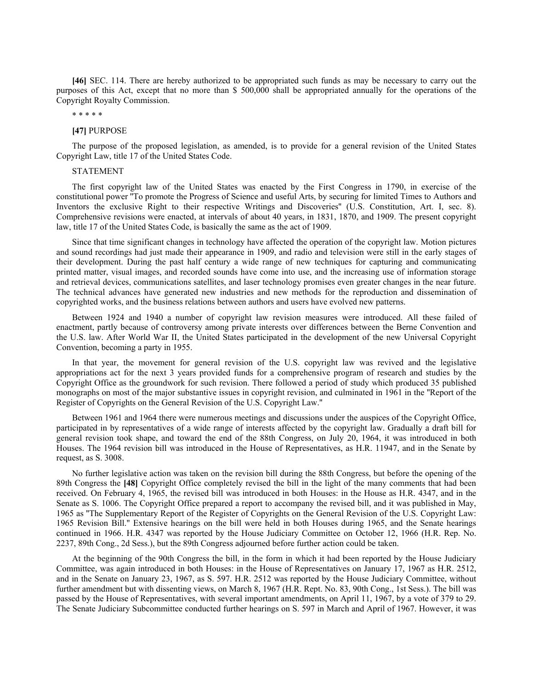**[46]** SEC. 114. There are hereby authorized to be appropriated such funds as may be necessary to carry out the purposes of this Act, except that no more than \$ 500,000 shall be appropriated annually for the operations of the Copyright Royalty Commission.

\* \* \* \* \*

#### **[47]** PURPOSE

The purpose of the proposed legislation, as amended, is to provide for a general revision of the United States Copyright Law, title 17 of the United States Code.

#### STATEMENT

The first copyright law of the United States was enacted by the First Congress in 1790, in exercise of the constitutional power ''To promote the Progress of Science and useful Arts, by securing for limited Times to Authors and Inventors the exclusive Right to their respective Writings and Discoveries'' (U.S. Constitution, Art. I, sec. 8). Comprehensive revisions were enacted, at intervals of about 40 years, in 1831, 1870, and 1909. The present copyright law, title 17 of the United States Code, is basically the same as the act of 1909.

Since that time significant changes in technology have affected the operation of the copyright law. Motion pictures and sound recordings had just made their appearance in 1909, and radio and television were still in the early stages of their development. During the past half century a wide range of new techniques for capturing and communicating printed matter, visual images, and recorded sounds have come into use, and the increasing use of information storage and retrieval devices, communications satellites, and laser technology promises even greater changes in the near future. The technical advances have generated new industries and new methods for the reproduction and dissemination of copyrighted works, and the business relations between authors and users have evolved new patterns.

Between 1924 and 1940 a number of copyright law revision measures were introduced. All these failed of enactment, partly because of controversy among private interests over differences between the Berne Convention and the U.S. law. After World War II, the United States participated in the development of the new Universal Copyright Convention, becoming a party in 1955.

In that year, the movement for general revision of the U.S. copyright law was revived and the legislative appropriations act for the next 3 years provided funds for a comprehensive program of research and studies by the Copyright Office as the groundwork for such revision. There followed a period of study which produced 35 published monographs on most of the major substantive issues in copyright revision, and culminated in 1961 in the ''Report of the Register of Copyrights on the General Revision of the U.S. Copyright Law.''

Between 1961 and 1964 there were numerous meetings and discussions under the auspices of the Copyright Office, participated in by representatives of a wide range of interests affected by the copyright law. Gradually a draft bill for general revision took shape, and toward the end of the 88th Congress, on July 20, 1964, it was introduced in both Houses. The 1964 revision bill was introduced in the House of Representatives, as H.R. 11947, and in the Senate by request, as S. 3008.

No further legislative action was taken on the revision bill during the 88th Congress, but before the opening of the 89th Congress the **[48]** Copyright Office completely revised the bill in the light of the many comments that had been received. On February 4, 1965, the revised bill was introduced in both Houses: in the House as H.R. 4347, and in the Senate as S. 1006. The Copyright Office prepared a report to accompany the revised bill, and it was published in May, 1965 as ''The Supplementary Report of the Register of Copyrights on the General Revision of the U.S. Copyright Law: 1965 Revision Bill.'' Extensive hearings on the bill were held in both Houses during 1965, and the Senate hearings continued in 1966. H.R. 4347 was reported by the House Judiciary Committee on October 12, 1966 (H.R. Rep. No. 2237, 89th Cong., 2d Sess.), but the 89th Congress adjourned before further action could be taken.

At the beginning of the 90th Congress the bill, in the form in which it had been reported by the House Judiciary Committee, was again introduced in both Houses: in the House of Representatives on January 17, 1967 as H.R. 2512, and in the Senate on January 23, 1967, as S. 597. H.R. 2512 was reported by the House Judiciary Committee, without further amendment but with dissenting views, on March 8, 1967 (H.R. Rept. No. 83, 90th Cong., 1st Sess.). The bill was passed by the House of Representatives, with several important amendments, on April 11, 1967, by a vote of 379 to 29. The Senate Judiciary Subcommittee conducted further hearings on S. 597 in March and April of 1967. However, it was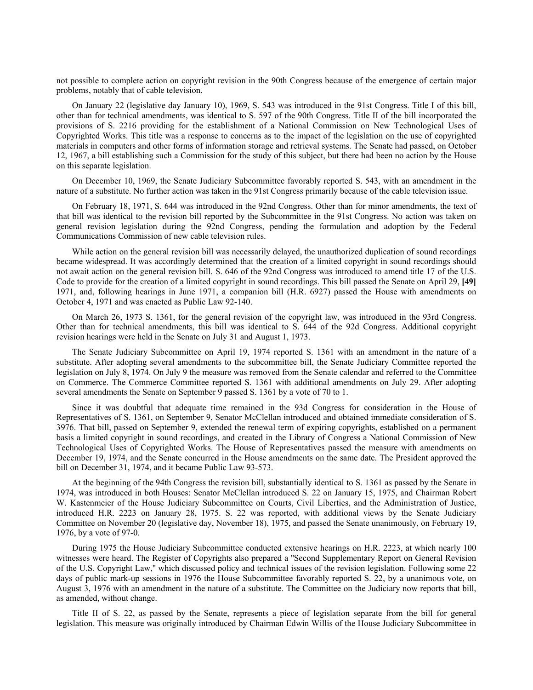not possible to complete action on copyright revision in the 90th Congress because of the emergence of certain major problems, notably that of cable television.

On January 22 (legislative day January 10), 1969, S. 543 was introduced in the 91st Congress. Title I of this bill, other than for technical amendments, was identical to S. 597 of the 90th Congress. Title II of the bill incorporated the provisions of S. 2216 providing for the establishment of a National Commission on New Technological Uses of Copyrighted Works. This title was a response to concerns as to the impact of the legislation on the use of copyrighted materials in computers and other forms of information storage and retrieval systems. The Senate had passed, on October 12, 1967, a bill establishing such a Commission for the study of this subject, but there had been no action by the House on this separate legislation.

On December 10, 1969, the Senate Judiciary Subcommittee favorably reported S. 543, with an amendment in the nature of a substitute. No further action was taken in the 91st Congress primarily because of the cable television issue.

On February 18, 1971, S. 644 was introduced in the 92nd Congress. Other than for minor amendments, the text of that bill was identical to the revision bill reported by the Subcommittee in the 91st Congress. No action was taken on general revision legislation during the 92nd Congress, pending the formulation and adoption by the Federal Communications Commission of new cable television rules.

While action on the general revision bill was necessarily delayed, the unauthorized duplication of sound recordings became widespread. It was accordingly determined that the creation of a limited copyright in sound recordings should not await action on the general revision bill. S. 646 of the 92nd Congress was introduced to amend title 17 of the U.S. Code to provide for the creation of a limited copyright in sound recordings. This bill passed the Senate on April 29, **[49]**  1971, and, following hearings in June 1971, a companion bill (H.R. 6927) passed the House with amendments on October 4, 1971 and was enacted as Public Law 92-140.

On March 26, 1973 S. 1361, for the general revision of the copyright law, was introduced in the 93rd Congress. Other than for technical amendments, this bill was identical to S. 644 of the 92d Congress. Additional copyright revision hearings were held in the Senate on July 31 and August 1, 1973.

The Senate Judiciary Subcommittee on April 19, 1974 reported S. 1361 with an amendment in the nature of a substitute. After adopting several amendments to the subcommittee bill, the Senate Judiciary Committee reported the legislation on July 8, 1974. On July 9 the measure was removed from the Senate calendar and referred to the Committee on Commerce. The Commerce Committee reported S. 1361 with additional amendments on July 29. After adopting several amendments the Senate on September 9 passed S. 1361 by a vote of 70 to 1.

Since it was doubtful that adequate time remained in the 93d Congress for consideration in the House of Representatives of S. 1361, on September 9, Senator McClellan introduced and obtained immediate consideration of S. 3976. That bill, passed on September 9, extended the renewal term of expiring copyrights, established on a permanent basis a limited copyright in sound recordings, and created in the Library of Congress a National Commission of New Technological Uses of Copyrighted Works. The House of Representatives passed the measure with amendments on December 19, 1974, and the Senate concurred in the House amendments on the same date. The President approved the bill on December 31, 1974, and it became Public Law 93-573.

At the beginning of the 94th Congress the revision bill, substantially identical to S. 1361 as passed by the Senate in 1974, was introduced in both Houses: Senator McClellan introduced S. 22 on January 15, 1975, and Chairman Robert W. Kastenmeier of the House Judiciary Subcommittee on Courts, Civil Liberties, and the Administration of Justice, introduced H.R. 2223 on January 28, 1975. S. 22 was reported, with additional views by the Senate Judiciary Committee on November 20 (legislative day, November 18), 1975, and passed the Senate unanimously, on February 19, 1976, by a vote of 97-0.

During 1975 the House Judiciary Subcommittee conducted extensive hearings on H.R. 2223, at which nearly 100 witnesses were heard. The Register of Copyrights also prepared a "Second Supplementary Report on General Revision of the U.S. Copyright Law,'' which discussed policy and technical issues of the revision legislation. Following some 22 days of public mark-up sessions in 1976 the House Subcommittee favorably reported S. 22, by a unanimous vote, on August 3, 1976 with an amendment in the nature of a substitute. The Committee on the Judiciary now reports that bill, as amended, without change.

Title II of S. 22, as passed by the Senate, represents a piece of legislation separate from the bill for general legislation. This measure was originally introduced by Chairman Edwin Willis of the House Judiciary Subcommittee in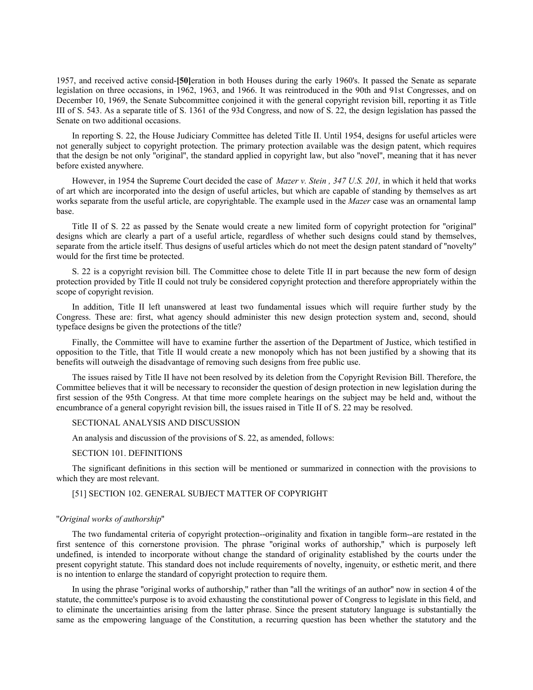1957, and received active consid-**[50]**eration in both Houses during the early 1960's. It passed the Senate as separate legislation on three occasions, in 1962, 1963, and 1966. It was reintroduced in the 90th and 91st Congresses, and on December 10, 1969, the Senate Subcommittee conjoined it with the general copyright revision bill, reporting it as Title III of S. 543. As a separate title of S. 1361 of the 93d Congress, and now of S. 22, the design legislation has passed the Senate on two additional occasions.

In reporting S. 22, the House Judiciary Committee has deleted Title II. Until 1954, designs for useful articles were not generally subject to copyright protection. The primary protection available was the design patent, which requires that the design be not only ''original'', the standard applied in copyright law, but also ''novel'', meaning that it has never before existed anywhere.

However, in 1954 the Supreme Court decided the case of *Mazer v. Stein , 347 U.S. 201,* in which it held that works of art which are incorporated into the design of useful articles, but which are capable of standing by themselves as art works separate from the useful article, are copyrightable. The example used in the *Mazer* case was an ornamental lamp base.

Title II of S. 22 as passed by the Senate would create a new limited form of copyright protection for ''original'' designs which are clearly a part of a useful article, regardless of whether such designs could stand by themselves, separate from the article itself. Thus designs of useful articles which do not meet the design patent standard of ''novelty'' would for the first time be protected.

S. 22 is a copyright revision bill. The Committee chose to delete Title II in part because the new form of design protection provided by Title II could not truly be considered copyright protection and therefore appropriately within the scope of copyright revision.

In addition, Title II left unanswered at least two fundamental issues which will require further study by the Congress. These are: first, what agency should administer this new design protection system and, second, should typeface designs be given the protections of the title?

Finally, the Committee will have to examine further the assertion of the Department of Justice, which testified in opposition to the Title, that Title II would create a new monopoly which has not been justified by a showing that its benefits will outweigh the disadvantage of removing such designs from free public use.

The issues raised by Title II have not been resolved by its deletion from the Copyright Revision Bill. Therefore, the Committee believes that it will be necessary to reconsider the question of design protection in new legislation during the first session of the 95th Congress. At that time more complete hearings on the subject may be held and, without the encumbrance of a general copyright revision bill, the issues raised in Title II of S. 22 may be resolved.

## SECTIONAL ANALYSIS AND DISCUSSION

An analysis and discussion of the provisions of S. 22, as amended, follows:

SECTION 101. DEFINITIONS

The significant definitions in this section will be mentioned or summarized in connection with the provisions to which they are most relevant.

# [51] SECTION 102. GENERAL SUBJECT MATTER OF COPYRIGHT

#### ''*Original works of authorship*''

The two fundamental criteria of copyright protection--originality and fixation in tangible form--are restated in the first sentence of this cornerstone provision. The phrase ''original works of authorship,'' which is purposely left undefined, is intended to incorporate without change the standard of originality established by the courts under the present copyright statute. This standard does not include requirements of novelty, ingenuity, or esthetic merit, and there is no intention to enlarge the standard of copyright protection to require them.

In using the phrase "original works of authorship," rather than "all the writings of an author" now in section 4 of the statute, the committee's purpose is to avoid exhausting the constitutional power of Congress to legislate in this field, and to eliminate the uncertainties arising from the latter phrase. Since the present statutory language is substantially the same as the empowering language of the Constitution, a recurring question has been whether the statutory and the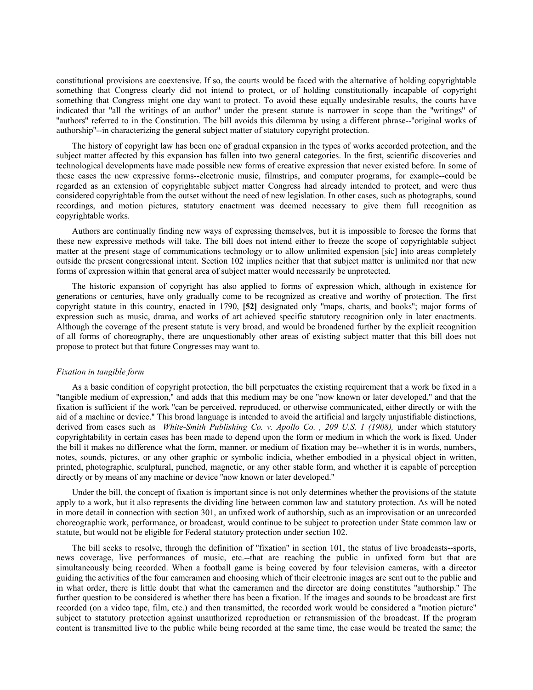constitutional provisions are coextensive. If so, the courts would be faced with the alternative of holding copyrightable something that Congress clearly did not intend to protect, or of holding constitutionally incapable of copyright something that Congress might one day want to protect. To avoid these equally undesirable results, the courts have indicated that ''all the writings of an author'' under the present statute is narrower in scope than the ''writings'' of ''authors'' referred to in the Constitution. The bill avoids this dilemma by using a different phrase--''original works of authorship''--in characterizing the general subject matter of statutory copyright protection.

The history of copyright law has been one of gradual expansion in the types of works accorded protection, and the subject matter affected by this expansion has fallen into two general categories. In the first, scientific discoveries and technological developments have made possible new forms of creative expression that never existed before. In some of these cases the new expressive forms--electronic music, filmstrips, and computer programs, for example--could be regarded as an extension of copyrightable subject matter Congress had already intended to protect, and were thus considered copyrightable from the outset without the need of new legislation. In other cases, such as photographs, sound recordings, and motion pictures, statutory enactment was deemed necessary to give them full recognition as copyrightable works.

Authors are continually finding new ways of expressing themselves, but it is impossible to foresee the forms that these new expressive methods will take. The bill does not intend either to freeze the scope of copyrightable subject matter at the present stage of communications technology or to allow unlimited expension [sic] into areas completely outside the present congressional intent. Section 102 implies neither that that subject matter is unlimited nor that new forms of expression within that general area of subject matter would necessarily be unprotected.

The historic expansion of copyright has also applied to forms of expression which, although in existence for generations or centuries, have only gradually come to be recognized as creative and worthy of protection. The first copyright statute in this country, enacted in 1790, **[52]** designated only ''maps, charts, and books''; major forms of expression such as music, drama, and works of art achieved specific statutory recognition only in later enactments. Although the coverage of the present statute is very broad, and would be broadened further by the explicit recognition of all forms of choreography, there are unquestionably other areas of existing subject matter that this bill does not propose to protect but that future Congresses may want to.

#### *Fixation in tangible form*

As a basic condition of copyright protection, the bill perpetuates the existing requirement that a work be fixed in a ''tangible medium of expression,'' and adds that this medium may be one ''now known or later developed,'' and that the fixation is sufficient if the work ''can be perceived, reproduced, or otherwise communicated, either directly or with the aid of a machine or device.'' This broad language is intended to avoid the artificial and largely unjustifiable distinctions, derived from cases such as *White-Smith Publishing Co. v. Apollo Co. , 209 U.S. 1 (1908),* under which statutory copyrightability in certain cases has been made to depend upon the form or medium in which the work is fixed. Under the bill it makes no difference what the form, manner, or medium of fixation may be--whether it is in words, numbers, notes, sounds, pictures, or any other graphic or symbolic indicia, whether embodied in a physical object in written, printed, photographic, sculptural, punched, magnetic, or any other stable form, and whether it is capable of perception directly or by means of any machine or device ''now known or later developed.''

Under the bill, the concept of fixation is important since is not only determines whether the provisions of the statute apply to a work, but it also represents the dividing line between common law and statutory protection. As will be noted in more detail in connection with section 301, an unfixed work of authorship, such as an improvisation or an unrecorded choreographic work, performance, or broadcast, would continue to be subject to protection under State common law or statute, but would not be eligible for Federal statutory protection under section 102.

The bill seeks to resolve, through the definition of ''fixation'' in section 101, the status of live broadcasts--sports, news coverage, live performances of music, etc.--that are reaching the public in unfixed form but that are simultaneously being recorded. When a football game is being covered by four television cameras, with a director guiding the activities of the four cameramen and choosing which of their electronic images are sent out to the public and in what order, there is little doubt that what the cameramen and the director are doing constitutes ''authorship.'' The further question to be considered is whether there has been a fixation. If the images and sounds to be broadcast are first recorded (on a video tape, film, etc.) and then transmitted, the recorded work would be considered a ''motion picture'' subject to statutory protection against unauthorized reproduction or retransmission of the broadcast. If the program content is transmitted live to the public while being recorded at the same time, the case would be treated the same; the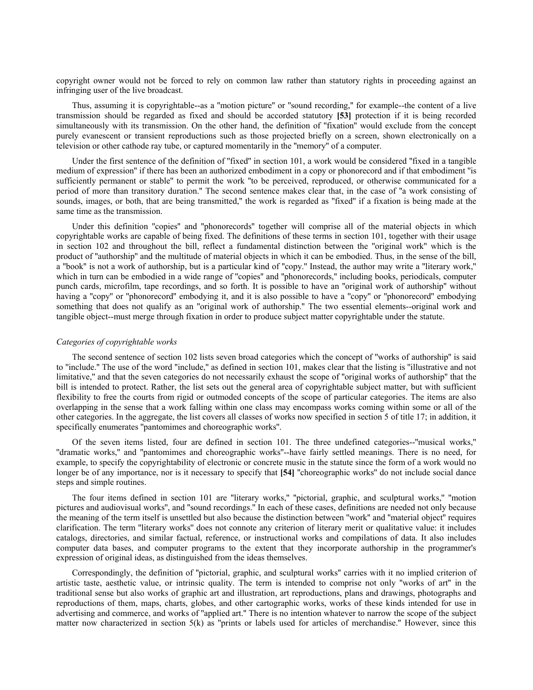copyright owner would not be forced to rely on common law rather than statutory rights in proceeding against an infringing user of the live broadcast.

Thus, assuming it is copyrightable--as a ''motion picture'' or ''sound recording,'' for example--the content of a live transmission should be regarded as fixed and should be accorded statutory **[53]** protection if it is being recorded simultaneously with its transmission. On the other hand, the definition of "fixation" would exclude from the concept purely evanescent or transient reproductions such as those projected briefly on a screen, shown electronically on a television or other cathode ray tube, or captured momentarily in the ''memory'' of a computer.

Under the first sentence of the definition of ''fixed'' in section 101, a work would be considered ''fixed in a tangible medium of expression'' if there has been an authorized embodiment in a copy or phonorecord and if that embodiment ''is sufficiently permanent or stable'' to permit the work ''to be perceived, reproduced, or otherwise communicated for a period of more than transitory duration.'' The second sentence makes clear that, in the case of ''a work consisting of sounds, images, or both, that are being transmitted," the work is regarded as "fixed" if a fixation is being made at the same time as the transmission.

Under this definition "copies" and "phonorecords" together will comprise all of the material objects in which copyrightable works are capable of being fixed. The definitions of these terms in section 101, together with their usage in section 102 and throughout the bill, reflect a fundamental distinction between the ''original work'' which is the product of ''authorship'' and the multitude of material objects in which it can be embodied. Thus, in the sense of the bill, a ''book'' is not a work of authorship, but is a particular kind of ''copy.'' Instead, the author may write a ''literary work,'' which in turn can be embodied in a wide range of ''copies'' and ''phonorecords,'' including books, periodicals, computer punch cards, microfilm, tape recordings, and so forth. It is possible to have an ''original work of authorship'' without having a "copy" or "phonorecord" embodying it, and it is also possible to have a "copy" or "phonorecord" embodying something that does not qualify as an "original work of authorship." The two essential elements--original work and tangible object--must merge through fixation in order to produce subject matter copyrightable under the statute.

## *Categories of copyrightable works*

The second sentence of section 102 lists seven broad categories which the concept of ''works of authorship'' is said to ''include.'' The use of the word ''include,'' as defined in section 101, makes clear that the listing is ''illustrative and not limitative,'' and that the seven categories do not necessarily exhaust the scope of ''original works of authorship'' that the bill is intended to protect. Rather, the list sets out the general area of copyrightable subject matter, but with sufficient flexibility to free the courts from rigid or outmoded concepts of the scope of particular categories. The items are also overlapping in the sense that a work falling within one class may encompass works coming within some or all of the other categories. In the aggregate, the list covers all classes of works now specified in section 5 of title 17; in addition, it specifically enumerates ''pantomimes and choreographic works''.

Of the seven items listed, four are defined in section 101. The three undefined categories--''musical works,'' ''dramatic works,'' and ''pantomimes and choreographic works''--have fairly settled meanings. There is no need, for example, to specify the copyrightability of electronic or concrete music in the statute since the form of a work would no longer be of any importance, nor is it necessary to specify that **[54]** ''choreographic works'' do not include social dance steps and simple routines.

The four items defined in section 101 are "literary works," "pictorial, graphic, and sculptural works," "motion pictures and audiovisual works'', and ''sound recordings.'' In each of these cases, definitions are needed not only because the meaning of the term itself is unsettled but also because the distinction between ''work'' and ''material object'' requires clarification. The term ''literary works'' does not connote any criterion of literary merit or qualitative value: it includes catalogs, directories, and similar factual, reference, or instructional works and compilations of data. It also includes computer data bases, and computer programs to the extent that they incorporate authorship in the programmer's expression of original ideas, as distinguished from the ideas themselves.

Correspondingly, the definition of ''pictorial, graphic, and sculptural works'' carries with it no implied criterion of artistic taste, aesthetic value, or intrinsic quality. The term is intended to comprise not only ''works of art'' in the traditional sense but also works of graphic art and illustration, art reproductions, plans and drawings, photographs and reproductions of them, maps, charts, globes, and other cartographic works, works of these kinds intended for use in advertising and commerce, and works of ''applied art.'' There is no intention whatever to narrow the scope of the subject matter now characterized in section 5(k) as ''prints or labels used for articles of merchandise.'' However, since this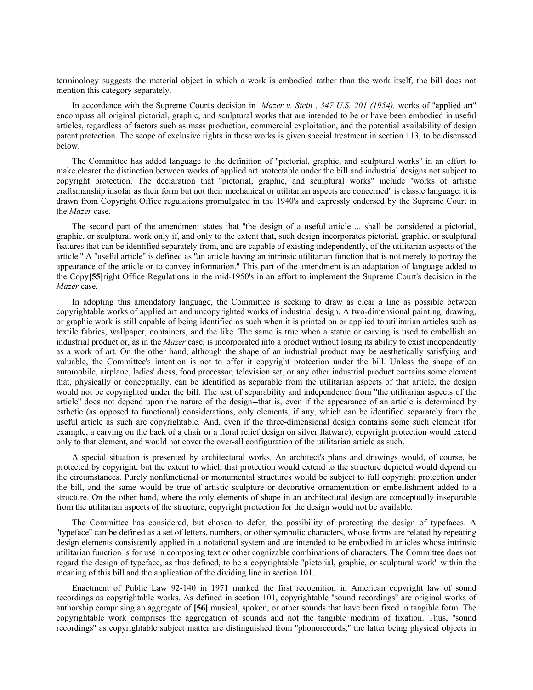terminology suggests the material object in which a work is embodied rather than the work itself, the bill does not mention this category separately.

In accordance with the Supreme Court's decision in *Mazer v. Stein , 347 U.S. 201 (1954),* works of ''applied art'' encompass all original pictorial, graphic, and sculptural works that are intended to be or have been embodied in useful articles, regardless of factors such as mass production, commercial exploitation, and the potential availability of design patent protection. The scope of exclusive rights in these works is given special treatment in section 113, to be discussed below.

The Committee has added language to the definition of ''pictorial, graphic, and sculptural works'' in an effort to make clearer the distinction between works of applied art protectable under the bill and industrial designs not subject to copyright protection. The declaration that ''pictorial, graphic, and sculptural works'' include ''works of artistic craftsmanship insofar as their form but not their mechanical or utilitarian aspects are concerned'' is classic language: it is drawn from Copyright Office regulations promulgated in the 1940's and expressly endorsed by the Supreme Court in the *Mazer* case.

The second part of the amendment states that ''the design of a useful article ... shall be considered a pictorial, graphic, or sculptural work only if, and only to the extent that, such design incorporates pictorial, graphic, or sculptural features that can be identified separately from, and are capable of existing independently, of the utilitarian aspects of the article.'' A ''useful article'' is defined as ''an article having an intrinsic utilitarian function that is not merely to portray the appearance of the article or to convey information.'' This part of the amendment is an adaptation of language added to the Copy**[55]**right Office Regulations in the mid-1950's in an effort to implement the Supreme Court's decision in the *Mazer* case.

In adopting this amendatory language, the Committee is seeking to draw as clear a line as possible between copyrightable works of applied art and uncopyrighted works of industrial design. A two-dimensional painting, drawing, or graphic work is still capable of being identified as such when it is printed on or applied to utilitarian articles such as textile fabrics, wallpaper, containers, and the like. The same is true when a statue or carving is used to embellish an industrial product or, as in the *Mazer* case, is incorporated into a product without losing its ability to exist independently as a work of art. On the other hand, although the shape of an industrial product may be aesthetically satisfying and valuable, the Committee's intention is not to offer it copyright protection under the bill. Unless the shape of an automobile, airplane, ladies' dress, food processor, television set, or any other industrial product contains some element that, physically or conceptually, can be identified as separable from the utilitarian aspects of that article, the design would not be copyrighted under the bill. The test of separability and independence from ''the utilitarian aspects of the article'' does not depend upon the nature of the design--that is, even if the appearance of an article is determined by esthetic (as opposed to functional) considerations, only elements, if any, which can be identified separately from the useful article as such are copyrightable. And, even if the three-dimensional design contains some such element (for example, a carving on the back of a chair or a floral relief design on silver flatware), copyright protection would extend only to that element, and would not cover the over-all configuration of the utilitarian article as such.

A special situation is presented by architectural works. An architect's plans and drawings would, of course, be protected by copyright, but the extent to which that protection would extend to the structure depicted would depend on the circumstances. Purely nonfunctional or monumental structures would be subject to full copyright protection under the bill, and the same would be true of artistic sculpture or decorative ornamentation or embellishment added to a structure. On the other hand, where the only elements of shape in an architectural design are conceptually inseparable from the utilitarian aspects of the structure, copyright protection for the design would not be available.

The Committee has considered, but chosen to defer, the possibility of protecting the design of typefaces. A ''typeface'' can be defined as a set of letters, numbers, or other symbolic characters, whose forms are related by repeating design elements consistently applied in a notational system and are intended to be embodied in articles whose intrinsic utilitarian function is for use in composing text or other cognizable combinations of characters. The Committee does not regard the design of typeface, as thus defined, to be a copyrightable ''pictorial, graphic, or sculptural work'' within the meaning of this bill and the application of the dividing line in section 101.

Enactment of Public Law 92-140 in 1971 marked the first recognition in American copyright law of sound recordings as copyrightable works. As defined in section 101, copyrightable ''sound recordings'' are original works of authorship comprising an aggregate of **[56]** musical, spoken, or other sounds that have been fixed in tangible form. The copyrightable work comprises the aggregation of sounds and not the tangible medium of fixation. Thus, ''sound recordings'' as copyrightable subject matter are distinguished from ''phonorecords,'' the latter being physical objects in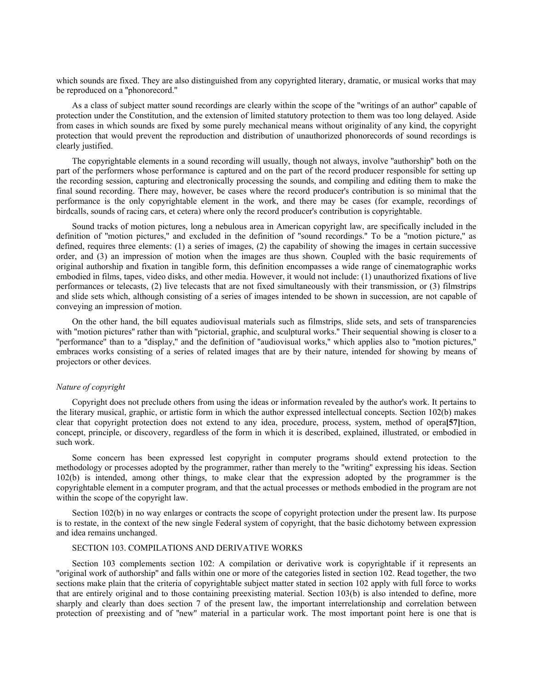which sounds are fixed. They are also distinguished from any copyrighted literary, dramatic, or musical works that may be reproduced on a ''phonorecord.''

As a class of subject matter sound recordings are clearly within the scope of the ''writings of an author'' capable of protection under the Constitution, and the extension of limited statutory protection to them was too long delayed. Aside from cases in which sounds are fixed by some purely mechanical means without originality of any kind, the copyright protection that would prevent the reproduction and distribution of unauthorized phonorecords of sound recordings is clearly justified.

The copyrightable elements in a sound recording will usually, though not always, involve ''authorship'' both on the part of the performers whose performance is captured and on the part of the record producer responsible for setting up the recording session, capturing and electronically processing the sounds, and compiling and editing them to make the final sound recording. There may, however, be cases where the record producer's contribution is so minimal that the performance is the only copyrightable element in the work, and there may be cases (for example, recordings of birdcalls, sounds of racing cars, et cetera) where only the record producer's contribution is copyrightable.

Sound tracks of motion pictures, long a nebulous area in American copyright law, are specifically included in the definition of ''motion pictures,'' and excluded in the definition of ''sound recordings.'' To be a ''motion picture,'' as defined, requires three elements: (1) a series of images, (2) the capability of showing the images in certain successive order, and (3) an impression of motion when the images are thus shown. Coupled with the basic requirements of original authorship and fixation in tangible form, this definition encompasses a wide range of cinematographic works embodied in films, tapes, video disks, and other media. However, it would not include: (1) unauthorized fixations of live performances or telecasts, (2) live telecasts that are not fixed simultaneously with their transmission, or (3) filmstrips and slide sets which, although consisting of a series of images intended to be shown in succession, are not capable of conveying an impression of motion.

On the other hand, the bill equates audiovisual materials such as filmstrips, slide sets, and sets of transparencies with ''motion pictures'' rather than with ''pictorial, graphic, and sculptural works.'' Their sequential showing is closer to a ''performance'' than to a ''display,'' and the definition of ''audiovisual works,'' which applies also to ''motion pictures,'' embraces works consisting of a series of related images that are by their nature, intended for showing by means of projectors or other devices.

## *Nature of copyright*

Copyright does not preclude others from using the ideas or information revealed by the author's work. It pertains to the literary musical, graphic, or artistic form in which the author expressed intellectual concepts. Section 102(b) makes clear that copyright protection does not extend to any idea, procedure, process, system, method of opera**[57]**tion, concept, principle, or discovery, regardless of the form in which it is described, explained, illustrated, or embodied in such work.

Some concern has been expressed lest copyright in computer programs should extend protection to the methodology or processes adopted by the programmer, rather than merely to the ''writing'' expressing his ideas. Section 102(b) is intended, among other things, to make clear that the expression adopted by the programmer is the copyrightable element in a computer program, and that the actual processes or methods embodied in the program are not within the scope of the copyright law.

Section 102(b) in no way enlarges or contracts the scope of copyright protection under the present law. Its purpose is to restate, in the context of the new single Federal system of copyright, that the basic dichotomy between expression and idea remains unchanged.

## SECTION 103. COMPILATIONS AND DERIVATIVE WORKS

Section 103 complements section 102: A compilation or derivative work is copyrightable if it represents an ''original work of authorship'' and falls within one or more of the categories listed in section 102. Read together, the two sections make plain that the criteria of copyrightable subject matter stated in section 102 apply with full force to works that are entirely original and to those containing preexisting material. Section 103(b) is also intended to define, more sharply and clearly than does section 7 of the present law, the important interrelationship and correlation between protection of preexisting and of ''new'' material in a particular work. The most important point here is one that is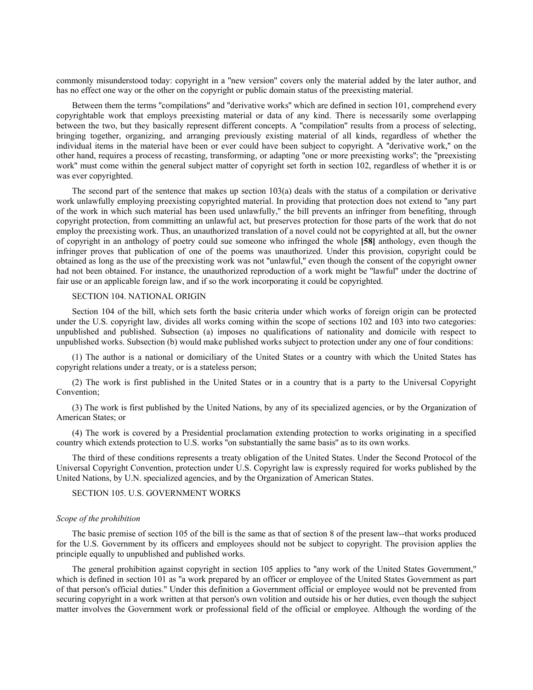commonly misunderstood today: copyright in a ''new version'' covers only the material added by the later author, and has no effect one way or the other on the copyright or public domain status of the preexisting material.

Between them the terms ''compilations'' and ''derivative works'' which are defined in section 101, comprehend every copyrightable work that employs preexisting material or data of any kind. There is necessarily some overlapping between the two, but they basically represent different concepts. A ''compilation'' results from a process of selecting, bringing together, organizing, and arranging previously existing material of all kinds, regardless of whether the individual items in the material have been or ever could have been subject to copyright. A ''derivative work,'' on the other hand, requires a process of recasting, transforming, or adapting ''one or more preexisting works''; the ''preexisting work'' must come within the general subject matter of copyright set forth in section 102, regardless of whether it is or was ever copyrighted.

The second part of the sentence that makes up section  $103(a)$  deals with the status of a compilation or derivative work unlawfully employing preexisting copyrighted material. In providing that protection does not extend to "any part of the work in which such material has been used unlawfully,'' the bill prevents an infringer from benefiting, through copyright protection, from committing an unlawful act, but preserves protection for those parts of the work that do not employ the preexisting work. Thus, an unauthorized translation of a novel could not be copyrighted at all, but the owner of copyright in an anthology of poetry could sue someone who infringed the whole **[58]** anthology, even though the infringer proves that publication of one of the poems was unauthorized. Under this provision, copyright could be obtained as long as the use of the preexisting work was not ''unlawful,'' even though the consent of the copyright owner had not been obtained. For instance, the unauthorized reproduction of a work might be ''lawful'' under the doctrine of fair use or an applicable foreign law, and if so the work incorporating it could be copyrighted.

## SECTION 104. NATIONAL ORIGIN

Section 104 of the bill, which sets forth the basic criteria under which works of foreign origin can be protected under the U.S. copyright law, divides all works coming within the scope of sections 102 and 103 into two categories: unpublished and published. Subsection (a) imposes no qualifications of nationality and domicile with respect to unpublished works. Subsection (b) would make published works subject to protection under any one of four conditions:

(1) The author is a national or domiciliary of the United States or a country with which the United States has copyright relations under a treaty, or is a stateless person;

(2) The work is first published in the United States or in a country that is a party to the Universal Copyright Convention;

(3) The work is first published by the United Nations, by any of its specialized agencies, or by the Organization of American States; or

(4) The work is covered by a Presidential proclamation extending protection to works originating in a specified country which extends protection to U.S. works ''on substantially the same basis'' as to its own works.

The third of these conditions represents a treaty obligation of the United States. Under the Second Protocol of the Universal Copyright Convention, protection under U.S. Copyright law is expressly required for works published by the United Nations, by U.N. specialized agencies, and by the Organization of American States.

## SECTION 105. U.S. GOVERNMENT WORKS

## *Scope of the prohibition*

The basic premise of section 105 of the bill is the same as that of section 8 of the present law--that works produced for the U.S. Government by its officers and employees should not be subject to copyright. The provision applies the principle equally to unpublished and published works.

The general prohibition against copyright in section 105 applies to ''any work of the United States Government,'' which is defined in section 101 as "a work prepared by an officer or employee of the United States Government as part of that person's official duties.'' Under this definition a Government official or employee would not be prevented from securing copyright in a work written at that person's own volition and outside his or her duties, even though the subject matter involves the Government work or professional field of the official or employee. Although the wording of the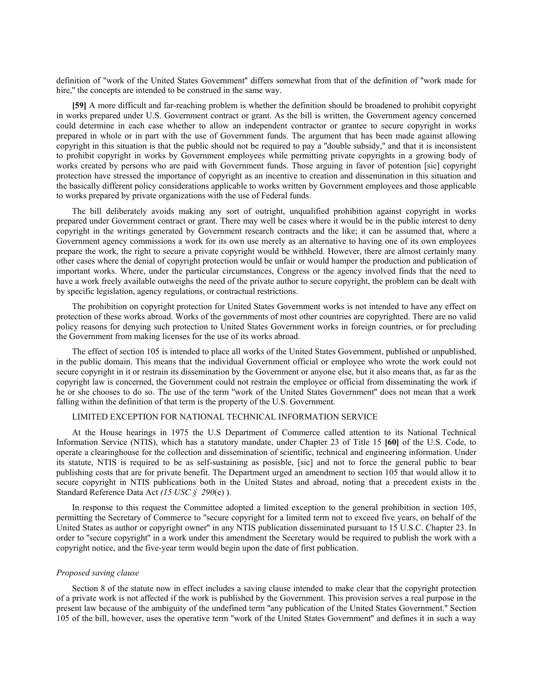definition of ''work of the United States Government'' differs somewhat from that of the definition of ''work made for hire," the concepts are intended to be construed in the same way.

**[59]** A more difficult and far-reaching problem is whether the definition should be broadened to prohibit copyright in works prepared under U.S. Government contract or grant. As the bill is written, the Government agency concerned could determine in each case whether to allow an independent contractor or grantee to secure copyright in works prepared in whole or in part with the use of Government funds. The argument that has been made against allowing copyright in this situation is that the public should not be required to pay a ''double subsidy,'' and that it is inconsistent to prohibit copyright in works by Government employees while permitting private copyrights in a growing body of works created by persons who are paid with Government funds. Those arguing in favor of potention [sic] copyright protection have stressed the importance of copyright as an incentive to creation and dissemination in this situation and the basically different policy considerations applicable to works written by Government employees and those applicable to works prepared by private organizations with the use of Federal funds.

The bill deliberately avoids making any sort of outright, unqualified prohibition against copyright in works prepared under Government contract or grant. There may well be cases where it would be in the public interest to deny copyright in the writings generated by Government research contracts and the like; it can be assumed that, where a Government agency commissions a work for its own use merely as an alternative to having one of its own employees prepare the work, the right to secure a private copyright would be withheld. However, there are almost certainly many other cases where the denial of copyright protection would be unfair or would hamper the production and publication of important works. Where, under the particular circumstances, Congress or the agency involved finds that the need to have a work freely available outweighs the need of the private author to secure copyright, the problem can be dealt with by specific legislation, agency regulations, or contractual restrictions.

The prohibition on copyright protection for United States Government works is not intended to have any effect on protection of these works abroad. Works of the governments of most other countries are copyrighted. There are no valid policy reasons for denying such protection to United States Government works in foreign countries, or for precluding the Government from making licenses for the use of its works abroad.

The effect of section 105 is intended to place all works of the United States Government, published or unpublished, in the public domain. This means that the individual Government official or employee who wrote the work could not secure copyright in it or restrain its dissemination by the Government or anyone else, but it also means that, as far as the copyright law is concerned, the Government could not restrain the employee or official from disseminating the work if he or she chooses to do so. The use of the term ''work of the United States Government'' does not mean that a work falling within the definition of that term is the property of the U.S. Government.

# LIMITED EXCEPTION FOR NATIONAL TECHNICAL INFORMATION SERVICE

At the House hearings in 1975 the U.S Department of Commerce called attention to its National Technical Information Service (NTIS), which has a statutory mandate, under Chapter 23 of Title 15 **[60]** of the U.S. Code, to operate a clearinghouse for the collection and dissemination of scientific, technical and engineering information. Under its statute, NTIS is required to be as self-sustaining as posisble, [sic] and not to force the general public to bear publishing costs that are for private benefit. The Department urged an amendment to section 105 that would allow it to secure copyright in NTIS publications both in the United States and abroad, noting that a precedent exists in the Standard Reference Data Act *(15 USC § 290*(e) ).

In response to this request the Committee adopted a limited exception to the general prohibition in section 105, permitting the Secretary of Commerce to ''secure copyright for a limited term not to exceed five years, on behalf of the United States as author or copyright owner'' in any NTIS publication disseminated pursuant to 15 U.S.C. Chapter 23. In order to ''secure copyright'' in a work under this amendment the Secretary would be required to publish the work with a copyright notice, and the five-year term would begin upon the date of first publication.

#### *Proposed saving clause*

Section 8 of the statute now in effect includes a saving clause intended to make clear that the copyright protection of a private work is not affected if the work is published by the Government. This provision serves a real purpose in the present law because of the ambiguity of the undefined term ''any publication of the United States Government.'' Section 105 of the bill, however, uses the operative term ''work of the United States Government'' and defines it in such a way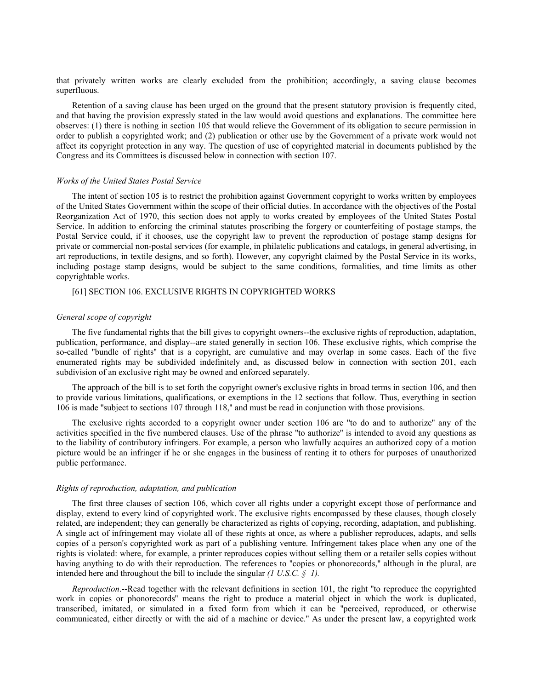that privately written works are clearly excluded from the prohibition; accordingly, a saving clause becomes superfluous.

Retention of a saving clause has been urged on the ground that the present statutory provision is frequently cited, and that having the provision expressly stated in the law would avoid questions and explanations. The committee here observes: (1) there is nothing in section 105 that would relieve the Government of its obligation to secure permission in order to publish a copyrighted work; and (2) publication or other use by the Government of a private work would not affect its copyright protection in any way. The question of use of copyrighted material in documents published by the Congress and its Committees is discussed below in connection with section 107.

#### *Works of the United States Postal Service*

The intent of section 105 is to restrict the prohibition against Government copyright to works written by employees of the United States Government within the scope of their official duties. In accordance with the objectives of the Postal Reorganization Act of 1970, this section does not apply to works created by employees of the United States Postal Service. In addition to enforcing the criminal statutes proscribing the forgery or counterfeiting of postage stamps, the Postal Service could, if it chooses, use the copyright law to prevent the reproduction of postage stamp designs for private or commercial non-postal services (for example, in philatelic publications and catalogs, in general advertising, in art reproductions, in textile designs, and so forth). However, any copyright claimed by the Postal Service in its works, including postage stamp designs, would be subject to the same conditions, formalities, and time limits as other copyrightable works.

## [61] SECTION 106. EXCLUSIVE RIGHTS IN COPYRIGHTED WORKS

## *General scope of copyright*

The five fundamental rights that the bill gives to copyright owners--the exclusive rights of reproduction, adaptation, publication, performance, and display--are stated generally in section 106. These exclusive rights, which comprise the so-called ''bundle of rights'' that is a copyright, are cumulative and may overlap in some cases. Each of the five enumerated rights may be subdivided indefinitely and, as discussed below in connection with section 201, each subdivision of an exclusive right may be owned and enforced separately.

The approach of the bill is to set forth the copyright owner's exclusive rights in broad terms in section 106, and then to provide various limitations, qualifications, or exemptions in the 12 sections that follow. Thus, everything in section 106 is made ''subject to sections 107 through 118,'' and must be read in conjunction with those provisions.

The exclusive rights accorded to a copyright owner under section 106 are ''to do and to authorize'' any of the activities specified in the five numbered clauses. Use of the phrase ''to authorize'' is intended to avoid any questions as to the liability of contributory infringers. For example, a person who lawfully acquires an authorized copy of a motion picture would be an infringer if he or she engages in the business of renting it to others for purposes of unauthorized public performance.

### *Rights of reproduction, adaptation, and publication*

The first three clauses of section 106, which cover all rights under a copyright except those of performance and display, extend to every kind of copyrighted work. The exclusive rights encompassed by these clauses, though closely related, are independent; they can generally be characterized as rights of copying, recording, adaptation, and publishing. A single act of infringement may violate all of these rights at once, as where a publisher reproduces, adapts, and sells copies of a person's copyrighted work as part of a publishing venture. Infringement takes place when any one of the rights is violated: where, for example, a printer reproduces copies without selling them or a retailer sells copies without having anything to do with their reproduction. The references to "copies or phonorecords," although in the plural, are intended here and throughout the bill to include the singular *(1 U.S.C. § 1).*

*Reproduction*.--Read together with the relevant definitions in section 101, the right ''to reproduce the copyrighted work in copies or phonorecords'' means the right to produce a material object in which the work is duplicated, transcribed, imitated, or simulated in a fixed form from which it can be ''perceived, reproduced, or otherwise communicated, either directly or with the aid of a machine or device.'' As under the present law, a copyrighted work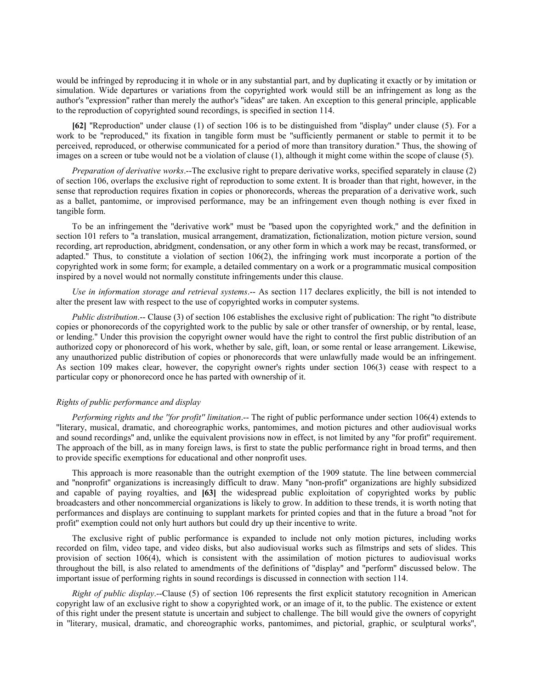would be infringed by reproducing it in whole or in any substantial part, and by duplicating it exactly or by imitation or simulation. Wide departures or variations from the copyrighted work would still be an infringement as long as the author's ''expression'' rather than merely the author's ''ideas'' are taken. An exception to this general principle, applicable to the reproduction of copyrighted sound recordings, is specified in section 114.

**[62]** ''Reproduction'' under clause (1) of section 106 is to be distinguished from ''display'' under clause (5). For a work to be ''reproduced,'' its fixation in tangible form must be ''sufficiently permanent or stable to permit it to be perceived, reproduced, or otherwise communicated for a period of more than transitory duration.'' Thus, the showing of images on a screen or tube would not be a violation of clause (1), although it might come within the scope of clause (5).

*Preparation of derivative works.*--The exclusive right to prepare derivative works, specified separately in clause (2) of section 106, overlaps the exclusive right of reproduction to some extent. It is broader than that right, however, in the sense that reproduction requires fixation in copies or phonorecords, whereas the preparation of a derivative work, such as a ballet, pantomime, or improvised performance, may be an infringement even though nothing is ever fixed in tangible form.

To be an infringement the ''derivative work'' must be ''based upon the copyrighted work,'' and the definition in section 101 refers to "a translation, musical arrangement, dramatization, fictionalization, motion picture version, sound recording, art reproduction, abridgment, condensation, or any other form in which a work may be recast, transformed, or adapted.'' Thus, to constitute a violation of section 106(2), the infringing work must incorporate a portion of the copyrighted work in some form; for example, a detailed commentary on a work or a programmatic musical composition inspired by a novel would not normally constitute infringements under this clause.

*Use in information storage and retrieval systems*.-- As section 117 declares explicitly, the bill is not intended to alter the present law with respect to the use of copyrighted works in computer systems.

*Public distribution*.-- Clause (3) of section 106 establishes the exclusive right of publication: The right "to distribute copies or phonorecords of the copyrighted work to the public by sale or other transfer of ownership, or by rental, lease, or lending.'' Under this provision the copyright owner would have the right to control the first public distribution of an authorized copy or phonorecord of his work, whether by sale, gift, loan, or some rental or lease arrangement. Likewise, any unauthorized public distribution of copies or phonorecords that were unlawfully made would be an infringement. As section 109 makes clear, however, the copyright owner's rights under section 106(3) cease with respect to a particular copy or phonorecord once he has parted with ownership of it.

## *Rights of public performance and display*

*Performing rights and the ''for profit'' limitation*.-- The right of public performance under section 106(4) extends to ''literary, musical, dramatic, and choreographic works, pantomimes, and motion pictures and other audiovisual works and sound recordings'' and, unlike the equivalent provisions now in effect, is not limited by any ''for profit'' requirement. The approach of the bill, as in many foreign laws, is first to state the public performance right in broad terms, and then to provide specific exemptions for educational and other nonprofit uses.

This approach is more reasonable than the outright exemption of the 1909 statute. The line between commercial and ''nonprofit'' organizations is increasingly difficult to draw. Many ''non-profit'' organizations are highly subsidized and capable of paying royalties, and **[63]** the widespread public exploitation of copyrighted works by public broadcasters and other noncommercial organizations is likely to grow. In addition to these trends, it is worth noting that performances and displays are continuing to supplant markets for printed copies and that in the future a broad ''not for profit'' exemption could not only hurt authors but could dry up their incentive to write.

The exclusive right of public performance is expanded to include not only motion pictures, including works recorded on film, video tape, and video disks, but also audiovisual works such as filmstrips and sets of slides. This provision of section 106(4), which is consistent with the assimilation of motion pictures to audiovisual works throughout the bill, is also related to amendments of the definitions of ''display'' and ''perform'' discussed below. The important issue of performing rights in sound recordings is discussed in connection with section 114.

*Right of public display*.--Clause (5) of section 106 represents the first explicit statutory recognition in American copyright law of an exclusive right to show a copyrighted work, or an image of it, to the public. The existence or extent of this right under the present statute is uncertain and subject to challenge. The bill would give the owners of copyright in ''literary, musical, dramatic, and choreographic works, pantomimes, and pictorial, graphic, or sculptural works'',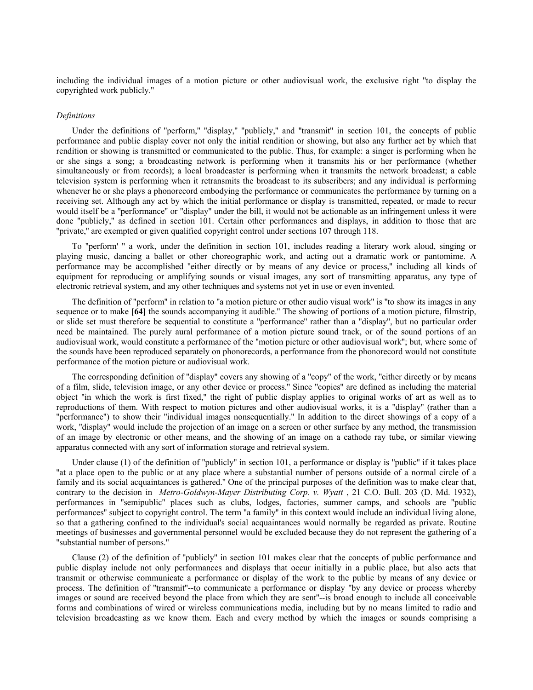including the individual images of a motion picture or other audiovisual work, the exclusive right ''to display the copyrighted work publicly.''

# *Definitions*

Under the definitions of "perform," "display," "publicly," and "transmit" in section 101, the concepts of public performance and public display cover not only the initial rendition or showing, but also any further act by which that rendition or showing is transmitted or communicated to the public. Thus, for example: a singer is performing when he or she sings a song; a broadcasting network is performing when it transmits his or her performance (whether simultaneously or from records); a local broadcaster is performing when it transmits the network broadcast; a cable television system is performing when it retransmits the broadcast to its subscribers; and any individual is performing whenever he or she plays a phonorecord embodying the performance or communicates the performance by turning on a receiving set. Although any act by which the initial performance or display is transmitted, repeated, or made to recur would itself be a ''performance'' or ''display'' under the bill, it would not be actionable as an infringement unless it were done ''publicly,'' as defined in section 101. Certain other performances and displays, in addition to those that are ''private,'' are exempted or given qualified copyright control under sections 107 through 118.

To "perform' " a work, under the definition in section 101, includes reading a literary work aloud, singing or playing music, dancing a ballet or other choreographic work, and acting out a dramatic work or pantomime. A performance may be accomplished ''either directly or by means of any device or process,'' including all kinds of equipment for reproducing or amplifying sounds or visual images, any sort of transmitting apparatus, any type of electronic retrieval system, and any other techniques and systems not yet in use or even invented.

The definition of "perform" in relation to "a motion picture or other audio visual work" is "to show its images in any sequence or to make **[64]** the sounds accompanying it audible.'' The showing of portions of a motion picture, filmstrip, or slide set must therefore be sequential to constitute a ''performance'' rather than a ''display'', but no particular order need be maintained. The purely aural performance of a motion picture sound track, or of the sound portions of an audiovisual work, would constitute a performance of the ''motion picture or other audiovisual work''; but, where some of the sounds have been reproduced separately on phonorecords, a performance from the phonorecord would not constitute performance of the motion picture or audiovisual work.

The corresponding definition of ''display'' covers any showing of a ''copy'' of the work, ''either directly or by means of a film, slide, television image, or any other device or process.'' Since ''copies'' are defined as including the material object ''in which the work is first fixed,'' the right of public display applies to original works of art as well as to reproductions of them. With respect to motion pictures and other audiovisual works, it is a ''display'' (rather than a ''performance'') to show their ''individual images nonsequentially.'' In addition to the direct showings of a copy of a work, "display" would include the projection of an image on a screen or other surface by any method, the transmission of an image by electronic or other means, and the showing of an image on a cathode ray tube, or similar viewing apparatus connected with any sort of information storage and retrieval system.

Under clause (1) of the definition of ''publicly'' in section 101, a performance or display is ''public'' if it takes place ''at a place open to the public or at any place where a substantial number of persons outside of a normal circle of a family and its social acquaintances is gathered." One of the principal purposes of the definition was to make clear that, contrary to the decision in *Metro-Goldwyn-Mayer Distributing Corp. v. Wyatt* , 21 C.O. Bull. 203 (D. Md. 1932), performances in ''semipublic'' places such as clubs, lodges, factories, summer camps, and schools are ''public performances" subject to copyright control. The term "a family" in this context would include an individual living alone, so that a gathering confined to the individual's social acquaintances would normally be regarded as private. Routine meetings of businesses and governmental personnel would be excluded because they do not represent the gathering of a ''substantial number of persons.''

Clause (2) of the definition of ''publicly'' in section 101 makes clear that the concepts of public performance and public display include not only performances and displays that occur initially in a public place, but also acts that transmit or otherwise communicate a performance or display of the work to the public by means of any device or process. The definition of ''transmit''--to communicate a performance or display ''by any device or process whereby images or sound are received beyond the place from which they are sent''--is broad enough to include all conceivable forms and combinations of wired or wireless communications media, including but by no means limited to radio and television broadcasting as we know them. Each and every method by which the images or sounds comprising a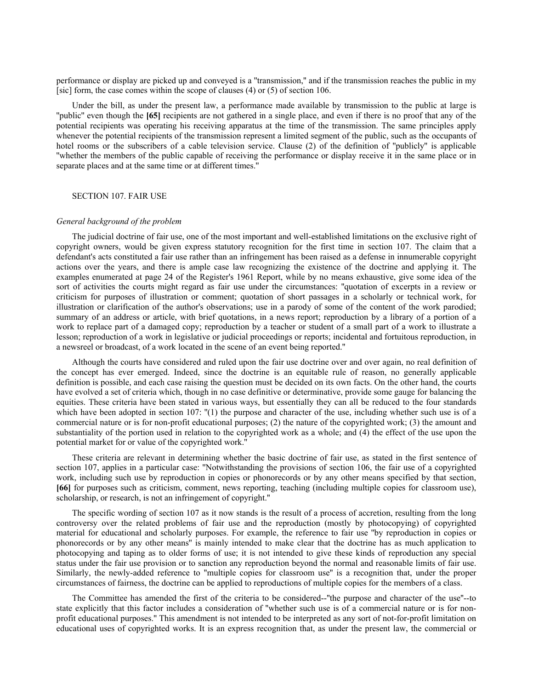performance or display are picked up and conveyed is a ''transmission,'' and if the transmission reaches the public in my [sic] form, the case comes within the scope of clauses  $(4)$  or  $(5)$  of section 106.

Under the bill, as under the present law, a performance made available by transmission to the public at large is ''public'' even though the **[65]** recipients are not gathered in a single place, and even if there is no proof that any of the potential recipients was operating his receiving apparatus at the time of the transmission. The same principles apply whenever the potential recipients of the transmission represent a limited segment of the public, such as the occupants of hotel rooms or the subscribers of a cable television service. Clause (2) of the definition of ''publicly'' is applicable ''whether the members of the public capable of receiving the performance or display receive it in the same place or in separate places and at the same time or at different times.''

# SECTION 107. FAIR USE

## *General background of the problem*

The judicial doctrine of fair use, one of the most important and well-established limitations on the exclusive right of copyright owners, would be given express statutory recognition for the first time in section 107. The claim that a defendant's acts constituted a fair use rather than an infringement has been raised as a defense in innumerable copyright actions over the years, and there is ample case law recognizing the existence of the doctrine and applying it. The examples enumerated at page 24 of the Register's 1961 Report, while by no means exhaustive, give some idea of the sort of activities the courts might regard as fair use under the circumstances: ''quotation of excerpts in a review or criticism for purposes of illustration or comment; quotation of short passages in a scholarly or technical work, for illustration or clarification of the author's observations; use in a parody of some of the content of the work parodied; summary of an address or article, with brief quotations, in a news report; reproduction by a library of a portion of a work to replace part of a damaged copy; reproduction by a teacher or student of a small part of a work to illustrate a lesson; reproduction of a work in legislative or judicial proceedings or reports; incidental and fortuitous reproduction, in a newsreel or broadcast, of a work located in the scene of an event being reported.''

Although the courts have considered and ruled upon the fair use doctrine over and over again, no real definition of the concept has ever emerged. Indeed, since the doctrine is an equitable rule of reason, no generally applicable definition is possible, and each case raising the question must be decided on its own facts. On the other hand, the courts have evolved a set of criteria which, though in no case definitive or determinative, provide some gauge for balancing the equities. These criteria have been stated in various ways, but essentially they can all be reduced to the four standards which have been adopted in section  $107$ : " $(1)$  the purpose and character of the use, including whether such use is of a commercial nature or is for non-profit educational purposes; (2) the nature of the copyrighted work; (3) the amount and substantiality of the portion used in relation to the copyrighted work as a whole; and (4) the effect of the use upon the potential market for or value of the copyrighted work.''

These criteria are relevant in determining whether the basic doctrine of fair use, as stated in the first sentence of section 107, applies in a particular case: ''Notwithstanding the provisions of section 106, the fair use of a copyrighted work, including such use by reproduction in copies or phonorecords or by any other means specified by that section, **[66]** for purposes such as criticism, comment, news reporting, teaching (including multiple copies for classroom use), scholarship, or research, is not an infringement of copyright.''

The specific wording of section 107 as it now stands is the result of a process of accretion, resulting from the long controversy over the related problems of fair use and the reproduction (mostly by photocopying) of copyrighted material for educational and scholarly purposes. For example, the reference to fair use ''by reproduction in copies or phonorecords or by any other means'' is mainly intended to make clear that the doctrine has as much application to photocopying and taping as to older forms of use; it is not intended to give these kinds of reproduction any special status under the fair use provision or to sanction any reproduction beyond the normal and reasonable limits of fair use. Similarly, the newly-added reference to ''multiple copies for classroom use'' is a recognition that, under the proper circumstances of fairness, the doctrine can be applied to reproductions of multiple copies for the members of a class.

The Committee has amended the first of the criteria to be considered--''the purpose and character of the use''--to state explicitly that this factor includes a consideration of ''whether such use is of a commercial nature or is for nonprofit educational purposes.'' This amendment is not intended to be interpreted as any sort of not-for-profit limitation on educational uses of copyrighted works. It is an express recognition that, as under the present law, the commercial or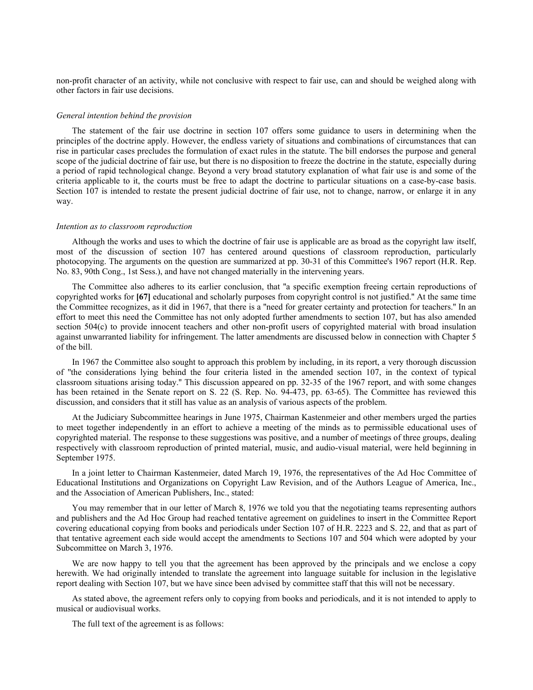non-profit character of an activity, while not conclusive with respect to fair use, can and should be weighed along with other factors in fair use decisions.

## *General intention behind the provision*

The statement of the fair use doctrine in section 107 offers some guidance to users in determining when the principles of the doctrine apply. However, the endless variety of situations and combinations of circumstances that can rise in particular cases precludes the formulation of exact rules in the statute. The bill endorses the purpose and general scope of the judicial doctrine of fair use, but there is no disposition to freeze the doctrine in the statute, especially during a period of rapid technological change. Beyond a very broad statutory explanation of what fair use is and some of the criteria applicable to it, the courts must be free to adapt the doctrine to particular situations on a case-by-case basis. Section 107 is intended to restate the present judicial doctrine of fair use, not to change, narrow, or enlarge it in any way.

#### *Intention as to classroom reproduction*

Although the works and uses to which the doctrine of fair use is applicable are as broad as the copyright law itself, most of the discussion of section 107 has centered around questions of classroom reproduction, particularly photocopying. The arguments on the question are summarized at pp. 30-31 of this Committee's 1967 report (H.R. Rep. No. 83, 90th Cong., 1st Sess.), and have not changed materially in the intervening years.

The Committee also adheres to its earlier conclusion, that "a specific exemption freeing certain reproductions of copyrighted works for **[67]** educational and scholarly purposes from copyright control is not justified.'' At the same time the Committee recognizes, as it did in 1967, that there is a ''need for greater certainty and protection for teachers.'' In an effort to meet this need the Committee has not only adopted further amendments to section 107, but has also amended section 504(c) to provide innocent teachers and other non-profit users of copyrighted material with broad insulation against unwarranted liability for infringement. The latter amendments are discussed below in connection with Chapter 5 of the bill.

In 1967 the Committee also sought to approach this problem by including, in its report, a very thorough discussion of ''the considerations lying behind the four criteria listed in the amended section 107, in the context of typical classroom situations arising today.'' This discussion appeared on pp. 32-35 of the 1967 report, and with some changes has been retained in the Senate report on S. 22 (S. Rep. No. 94-473, pp. 63-65). The Committee has reviewed this discussion, and considers that it still has value as an analysis of various aspects of the problem.

At the Judiciary Subcommittee hearings in June 1975, Chairman Kastenmeier and other members urged the parties to meet together independently in an effort to achieve a meeting of the minds as to permissible educational uses of copyrighted material. The response to these suggestions was positive, and a number of meetings of three groups, dealing respectively with classroom reproduction of printed material, music, and audio-visual material, were held beginning in September 1975.

In a joint letter to Chairman Kastenmeier, dated March 19, 1976, the representatives of the Ad Hoc Committee of Educational Institutions and Organizations on Copyright Law Revision, and of the Authors League of America, Inc., and the Association of American Publishers, Inc., stated:

You may remember that in our letter of March 8, 1976 we told you that the negotiating teams representing authors and publishers and the Ad Hoc Group had reached tentative agreement on guidelines to insert in the Committee Report covering educational copying from books and periodicals under Section 107 of H.R. 2223 and S. 22, and that as part of that tentative agreement each side would accept the amendments to Sections 107 and 504 which were adopted by your Subcommittee on March 3, 1976.

We are now happy to tell you that the agreement has been approved by the principals and we enclose a copy herewith. We had originally intended to translate the agreement into language suitable for inclusion in the legislative report dealing with Section 107, but we have since been advised by committee staff that this will not be necessary.

As stated above, the agreement refers only to copying from books and periodicals, and it is not intended to apply to musical or audiovisual works.

The full text of the agreement is as follows: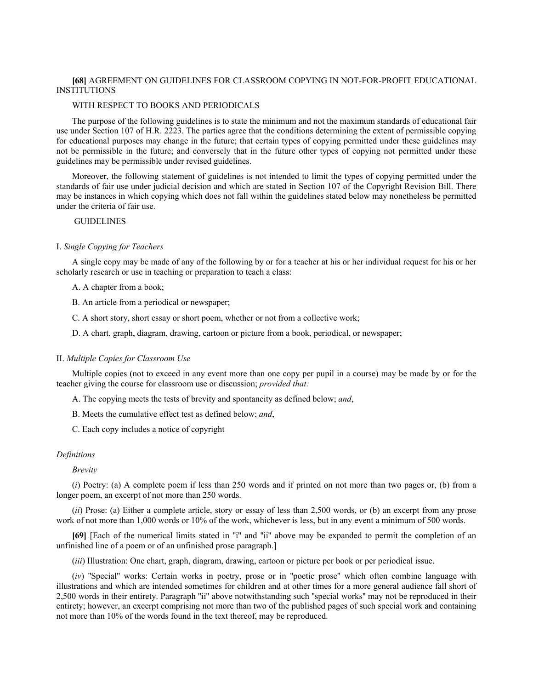## **[68]** AGREEMENT ON GUIDELINES FOR CLASSROOM COPYING IN NOT-FOR-PROFIT EDUCATIONAL INSTITUTIONS

## WITH RESPECT TO BOOKS AND PERIODICALS

The purpose of the following guidelines is to state the minimum and not the maximum standards of educational fair use under Section 107 of H.R. 2223. The parties agree that the conditions determining the extent of permissible copying for educational purposes may change in the future; that certain types of copying permitted under these guidelines may not be permissible in the future; and conversely that in the future other types of copying not permitted under these guidelines may be permissible under revised guidelines.

Moreover, the following statement of guidelines is not intended to limit the types of copying permitted under the standards of fair use under judicial decision and which are stated in Section 107 of the Copyright Revision Bill. There may be instances in which copying which does not fall within the guidelines stated below may nonetheless be permitted under the criteria of fair use.

# **GUIDELINES**

## I. *Single Copying for Teachers*

A single copy may be made of any of the following by or for a teacher at his or her individual request for his or her scholarly research or use in teaching or preparation to teach a class:

## A. A chapter from a book;

B. An article from a periodical or newspaper;

C. A short story, short essay or short poem, whether or not from a collective work;

D. A chart, graph, diagram, drawing, cartoon or picture from a book, periodical, or newspaper;

#### II. *Multiple Copies for Classroom Use*

Multiple copies (not to exceed in any event more than one copy per pupil in a course) may be made by or for the teacher giving the course for classroom use or discussion; *provided that:*

A. The copying meets the tests of brevity and spontaneity as defined below; *and*,

B. Meets the cumulative effect test as defined below; *and*,

C. Each copy includes a notice of copyright

#### *Definitions*

### *Brevity*

(*i*) Poetry: (a) A complete poem if less than 250 words and if printed on not more than two pages or, (b) from a longer poem, an excerpt of not more than 250 words.

(*ii*) Prose: (a) Either a complete article, story or essay of less than 2,500 words, or (b) an excerpt from any prose work of not more than 1,000 words or 10% of the work, whichever is less, but in any event a minimum of 500 words.

**[69]** [Each of the numerical limits stated in ''i'' and ''ii'' above may be expanded to permit the completion of an unfinished line of a poem or of an unfinished prose paragraph.]

(*iii*) Illustration: One chart, graph, diagram, drawing, cartoon or picture per book or per periodical issue.

(*iv*) ''Special'' works: Certain works in poetry, prose or in ''poetic prose'' which often combine language with illustrations and which are intended sometimes for children and at other times for a more general audience fall short of 2,500 words in their entirety. Paragraph ''ii'' above notwithstanding such ''special works'' may not be reproduced in their entirety; however, an excerpt comprising not more than two of the published pages of such special work and containing not more than 10% of the words found in the text thereof, may be reproduced.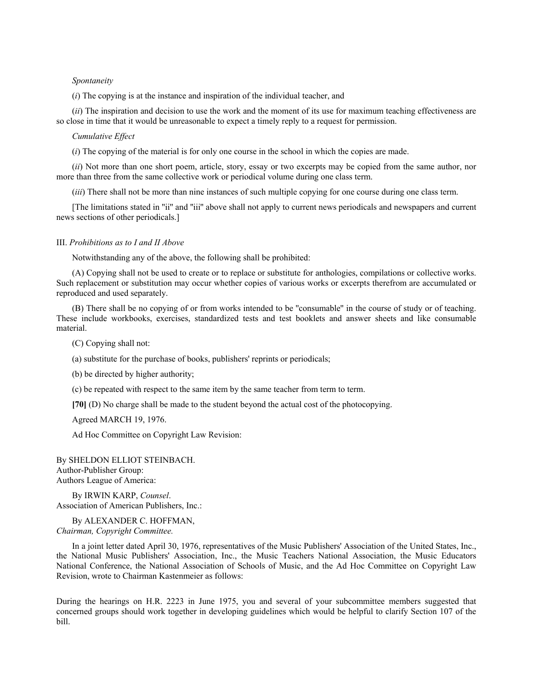## *Spontaneity*

(*i*) The copying is at the instance and inspiration of the individual teacher, and

(*ii*) The inspiration and decision to use the work and the moment of its use for maximum teaching effectiveness are so close in time that it would be unreasonable to expect a timely reply to a request for permission.

#### *Cumulative Effect*

(*i*) The copying of the material is for only one course in the school in which the copies are made.

(*ii*) Not more than one short poem, article, story, essay or two excerpts may be copied from the same author, nor more than three from the same collective work or periodical volume during one class term.

(*iii*) There shall not be more than nine instances of such multiple copying for one course during one class term.

[The limitations stated in ''ii'' and ''iii'' above shall not apply to current news periodicals and newspapers and current news sections of other periodicals.]

## III. *Prohibitions as to I and II Above*

Notwithstanding any of the above, the following shall be prohibited:

(A) Copying shall not be used to create or to replace or substitute for anthologies, compilations or collective works. Such replacement or substitution may occur whether copies of various works or excerpts therefrom are accumulated or reproduced and used separately.

(B) There shall be no copying of or from works intended to be ''consumable'' in the course of study or of teaching. These include workbooks, exercises, standardized tests and test booklets and answer sheets and like consumable material.

(C) Copying shall not:

(a) substitute for the purchase of books, publishers' reprints or periodicals;

(b) be directed by higher authority;

(c) be repeated with respect to the same item by the same teacher from term to term.

**[70]** (D) No charge shall be made to the student beyond the actual cost of the photocopying.

Agreed MARCH 19, 1976.

Ad Hoc Committee on Copyright Law Revision:

By SHELDON ELLIOT STEINBACH. Author-Publisher Group: Authors League of America:

By IRWIN KARP, *Counsel*. Association of American Publishers, Inc.:

By ALEXANDER C. HOFFMAN, *Chairman, Copyright Committee.*

In a joint letter dated April 30, 1976, representatives of the Music Publishers' Association of the United States, Inc., the National Music Publishers' Association, Inc., the Music Teachers National Association, the Music Educators National Conference, the National Association of Schools of Music, and the Ad Hoc Committee on Copyright Law Revision, wrote to Chairman Kastenmeier as follows:

During the hearings on H.R. 2223 in June 1975, you and several of your subcommittee members suggested that concerned groups should work together in developing guidelines which would be helpful to clarify Section 107 of the bill.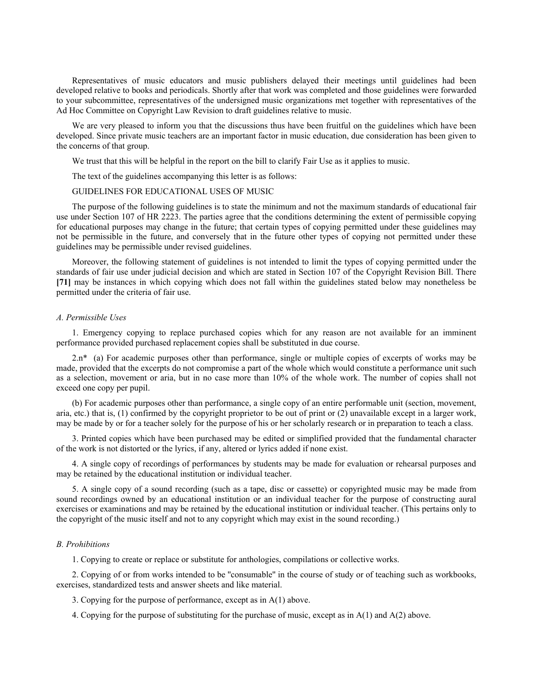Representatives of music educators and music publishers delayed their meetings until guidelines had been developed relative to books and periodicals. Shortly after that work was completed and those guidelines were forwarded to your subcommittee, representatives of the undersigned music organizations met together with representatives of the Ad Hoc Committee on Copyright Law Revision to draft guidelines relative to music.

We are very pleased to inform you that the discussions thus have been fruitful on the guidelines which have been developed. Since private music teachers are an important factor in music education, due consideration has been given to the concerns of that group.

We trust that this will be helpful in the report on the bill to clarify Fair Use as it applies to music.

The text of the guidelines accompanying this letter is as follows:

## GUIDELINES FOR EDUCATIONAL USES OF MUSIC

The purpose of the following guidelines is to state the minimum and not the maximum standards of educational fair use under Section 107 of HR 2223. The parties agree that the conditions determining the extent of permissible copying for educational purposes may change in the future; that certain types of copying permitted under these guidelines may not be permissible in the future, and conversely that in the future other types of copying not permitted under these guidelines may be permissible under revised guidelines.

Moreover, the following statement of guidelines is not intended to limit the types of copying permitted under the standards of fair use under judicial decision and which are stated in Section 107 of the Copyright Revision Bill. There **[71]** may be instances in which copying which does not fall within the guidelines stated below may nonetheless be permitted under the criteria of fair use.

#### *A. Permissible Uses*

1. Emergency copying to replace purchased copies which for any reason are not available for an imminent performance provided purchased replacement copies shall be substituted in due course.

2.n\* (a) For academic purposes other than performance, single or multiple copies of excerpts of works may be made, provided that the excerpts do not compromise a part of the whole which would constitute a performance unit such as a selection, movement or aria, but in no case more than 10% of the whole work. The number of copies shall not exceed one copy per pupil.

(b) For academic purposes other than performance, a single copy of an entire performable unit (section, movement, aria, etc.) that is, (1) confirmed by the copyright proprietor to be out of print or (2) unavailable except in a larger work, may be made by or for a teacher solely for the purpose of his or her scholarly research or in preparation to teach a class.

3. Printed copies which have been purchased may be edited or simplified provided that the fundamental character of the work is not distorted or the lyrics, if any, altered or lyrics added if none exist.

4. A single copy of recordings of performances by students may be made for evaluation or rehearsal purposes and may be retained by the educational institution or individual teacher.

5. A single copy of a sound recording (such as a tape, disc or cassette) or copyrighted music may be made from sound recordings owned by an educational institution or an individual teacher for the purpose of constructing aural exercises or examinations and may be retained by the educational institution or individual teacher. (This pertains only to the copyright of the music itself and not to any copyright which may exist in the sound recording.)

## *B. Prohibitions*

1. Copying to create or replace or substitute for anthologies, compilations or collective works.

2. Copying of or from works intended to be ''consumable'' in the course of study or of teaching such as workbooks, exercises, standardized tests and answer sheets and like material.

3. Copying for the purpose of performance, except as in A(1) above.

4. Copying for the purpose of substituting for the purchase of music, except as in A(1) and A(2) above.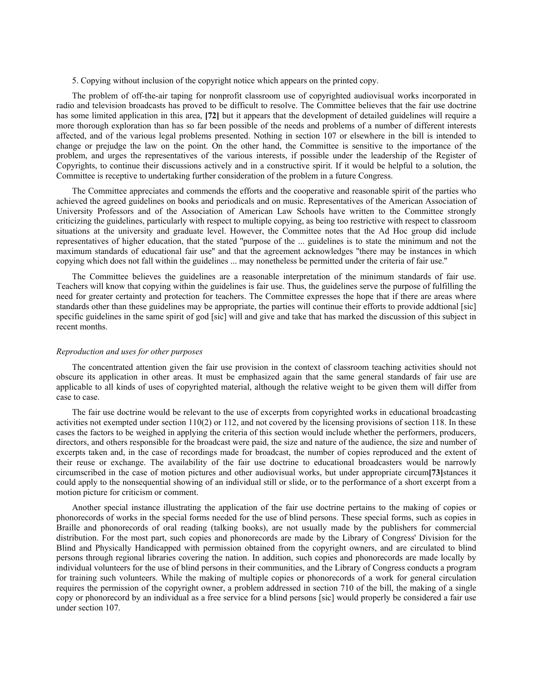5. Copying without inclusion of the copyright notice which appears on the printed copy.

The problem of off-the-air taping for nonprofit classroom use of copyrighted audiovisual works incorporated in radio and television broadcasts has proved to be difficult to resolve. The Committee believes that the fair use doctrine has some limited application in this area, **[72]** but it appears that the development of detailed guidelines will require a more thorough exploration than has so far been possible of the needs and problems of a number of different interests affected, and of the various legal problems presented. Nothing in section 107 or elsewhere in the bill is intended to change or prejudge the law on the point. On the other hand, the Committee is sensitive to the importance of the problem, and urges the representatives of the various interests, if possible under the leadership of the Register of Copyrights, to continue their discussions actively and in a constructive spirit. If it would be helpful to a solution, the Committee is receptive to undertaking further consideration of the problem in a future Congress.

The Committee appreciates and commends the efforts and the cooperative and reasonable spirit of the parties who achieved the agreed guidelines on books and periodicals and on music. Representatives of the American Association of University Professors and of the Association of American Law Schools have written to the Committee strongly criticizing the guidelines, particularly with respect to multiple copying, as being too restrictive with respect to classroom situations at the university and graduate level. However, the Committee notes that the Ad Hoc group did include representatives of higher education, that the stated ''purpose of the ... guidelines is to state the minimum and not the maximum standards of educational fair use'' and that the agreement acknowledges ''there may be instances in which copying which does not fall within the guidelines ... may nonetheless be permitted under the criteria of fair use.''

The Committee believes the guidelines are a reasonable interpretation of the minimum standards of fair use. Teachers will know that copying within the guidelines is fair use. Thus, the guidelines serve the purpose of fulfilling the need for greater certainty and protection for teachers. The Committee expresses the hope that if there are areas where standards other than these guidelines may be appropriate, the parties will continue their efforts to provide addtional [sic] specific guidelines in the same spirit of god [sic] will and give and take that has marked the discussion of this subject in recent months.

#### *Reproduction and uses for other purposes*

The concentrated attention given the fair use provision in the context of classroom teaching activities should not obscure its application in other areas. It must be emphasized again that the same general standards of fair use are applicable to all kinds of uses of copyrighted material, although the relative weight to be given them will differ from case to case.

The fair use doctrine would be relevant to the use of excerpts from copyrighted works in educational broadcasting activities not exempted under section  $110(2)$  or  $112$ , and not covered by the licensing provisions of section 118. In these cases the factors to be weighed in applying the criteria of this section would include whether the performers, producers, directors, and others responsible for the broadcast were paid, the size and nature of the audience, the size and number of excerpts taken and, in the case of recordings made for broadcast, the number of copies reproduced and the extent of their reuse or exchange. The availability of the fair use doctrine to educational broadcasters would be narrowly circumscribed in the case of motion pictures and other audiovisual works, but under appropriate circum**[73]**stances it could apply to the nonsequential showing of an individual still or slide, or to the performance of a short excerpt from a motion picture for criticism or comment.

Another special instance illustrating the application of the fair use doctrine pertains to the making of copies or phonorecords of works in the special forms needed for the use of blind persons. These special forms, such as copies in Braille and phonorecords of oral reading (talking books), are not usually made by the publishers for commercial distribution. For the most part, such copies and phonorecords are made by the Library of Congress' Division for the Blind and Physically Handicapped with permission obtained from the copyright owners, and are circulated to blind persons through regional libraries covering the nation. In addition, such copies and phonorecords are made locally by individual volunteers for the use of blind persons in their communities, and the Library of Congress conducts a program for training such volunteers. While the making of multiple copies or phonorecords of a work for general circulation requires the permission of the copyright owner, a problem addressed in section 710 of the bill, the making of a single copy or phonorecord by an individual as a free service for a blind persons [sic] would properly be considered a fair use under section 107.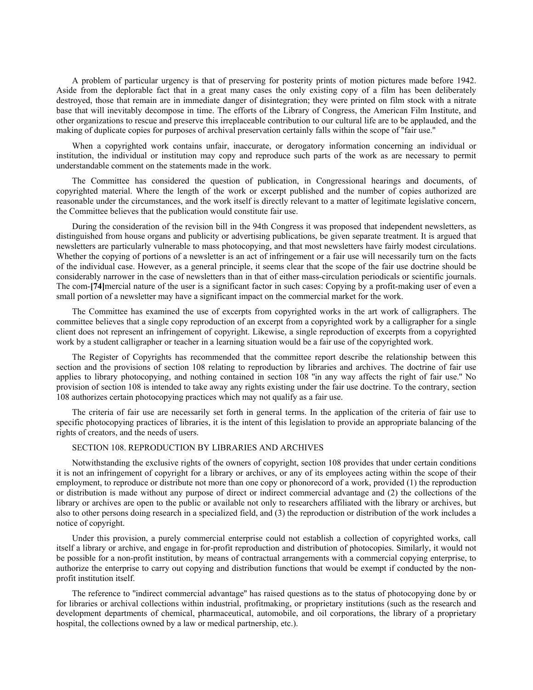A problem of particular urgency is that of preserving for posterity prints of motion pictures made before 1942. Aside from the deplorable fact that in a great many cases the only existing copy of a film has been deliberately destroyed, those that remain are in immediate danger of disintegration; they were printed on film stock with a nitrate base that will inevitably decompose in time. The efforts of the Library of Congress, the American Film Institute, and other organizations to rescue and preserve this irreplaceable contribution to our cultural life are to be applauded, and the making of duplicate copies for purposes of archival preservation certainly falls within the scope of ''fair use.''

When a copyrighted work contains unfair, inaccurate, or derogatory information concerning an individual or institution, the individual or institution may copy and reproduce such parts of the work as are necessary to permit understandable comment on the statements made in the work.

The Committee has considered the question of publication, in Congressional hearings and documents, of copyrighted material. Where the length of the work or excerpt published and the number of copies authorized are reasonable under the circumstances, and the work itself is directly relevant to a matter of legitimate legislative concern, the Committee believes that the publication would constitute fair use.

During the consideration of the revision bill in the 94th Congress it was proposed that independent newsletters, as distinguished from house organs and publicity or advertising publications, be given separate treatment. It is argued that newsletters are particularly vulnerable to mass photocopying, and that most newsletters have fairly modest circulations. Whether the copying of portions of a newsletter is an act of infringement or a fair use will necessarily turn on the facts of the individual case. However, as a general principle, it seems clear that the scope of the fair use doctrine should be considerably narrower in the case of newsletters than in that of either mass-circulation periodicals or scientific journals. The com-**[74]**mercial nature of the user is a significant factor in such cases: Copying by a profit-making user of even a small portion of a newsletter may have a significant impact on the commercial market for the work.

The Committee has examined the use of excerpts from copyrighted works in the art work of calligraphers. The committee believes that a single copy reproduction of an excerpt from a copyrighted work by a calligrapher for a single client does not represent an infringement of copyright. Likewise, a single reproduction of excerpts from a copyrighted work by a student calligrapher or teacher in a learning situation would be a fair use of the copyrighted work.

The Register of Copyrights has recommended that the committee report describe the relationship between this section and the provisions of section 108 relating to reproduction by libraries and archives. The doctrine of fair use applies to library photocopying, and nothing contained in section 108 ''in any way affects the right of fair use.'' No provision of section 108 is intended to take away any rights existing under the fair use doctrine. To the contrary, section 108 authorizes certain photocopying practices which may not qualify as a fair use.

The criteria of fair use are necessarily set forth in general terms. In the application of the criteria of fair use to specific photocopying practices of libraries, it is the intent of this legislation to provide an appropriate balancing of the rights of creators, and the needs of users.

# SECTION 108. REPRODUCTION BY LIBRARIES AND ARCHIVES

Notwithstanding the exclusive rights of the owners of copyright, section 108 provides that under certain conditions it is not an infringement of copyright for a library or archives, or any of its employees acting within the scope of their employment, to reproduce or distribute not more than one copy or phonorecord of a work, provided (1) the reproduction or distribution is made without any purpose of direct or indirect commercial advantage and (2) the collections of the library or archives are open to the public or available not only to researchers affiliated with the library or archives, but also to other persons doing research in a specialized field, and (3) the reproduction or distribution of the work includes a notice of copyright.

Under this provision, a purely commercial enterprise could not establish a collection of copyrighted works, call itself a library or archive, and engage in for-profit reproduction and distribution of photocopies. Similarly, it would not be possible for a non-profit institution, by means of contractual arrangements with a commercial copying enterprise, to authorize the enterprise to carry out copying and distribution functions that would be exempt if conducted by the nonprofit institution itself.

The reference to ''indirect commercial advantage'' has raised questions as to the status of photocopying done by or for libraries or archival collections within industrial, profitmaking, or proprietary institutions (such as the research and development departments of chemical, pharmaceutical, automobile, and oil corporations, the library of a proprietary hospital, the collections owned by a law or medical partnership, etc.).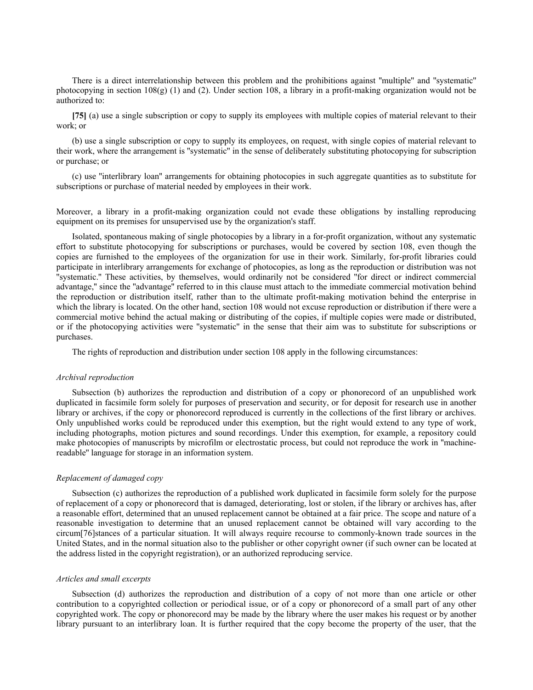There is a direct interrelationship between this problem and the prohibitions against ''multiple'' and ''systematic'' photocopying in section 108(g) (1) and (2). Under section 108, a library in a profit-making organization would not be authorized to:

**[75]** (a) use a single subscription or copy to supply its employees with multiple copies of material relevant to their work; or

(b) use a single subscription or copy to supply its employees, on request, with single copies of material relevant to their work, where the arrangement is ''systematic'' in the sense of deliberately substituting photocopying for subscription or purchase; or

(c) use ''interlibrary loan'' arrangements for obtaining photocopies in such aggregate quantities as to substitute for subscriptions or purchase of material needed by employees in their work.

Moreover, a library in a profit-making organization could not evade these obligations by installing reproducing equipment on its premises for unsupervised use by the organization's staff.

Isolated, spontaneous making of single photocopies by a library in a for-profit organization, without any systematic effort to substitute photocopying for subscriptions or purchases, would be covered by section 108, even though the copies are furnished to the employees of the organization for use in their work. Similarly, for-profit libraries could participate in interlibrary arrangements for exchange of photocopies, as long as the reproduction or distribution was not ''systematic.'' These activities, by themselves, would ordinarily not be considered ''for direct or indirect commercial advantage,'' since the ''advantage'' referred to in this clause must attach to the immediate commercial motivation behind the reproduction or distribution itself, rather than to the ultimate profit-making motivation behind the enterprise in which the library is located. On the other hand, section 108 would not excuse reproduction or distribution if there were a commercial motive behind the actual making or distributing of the copies, if multiple copies were made or distributed, or if the photocopying activities were ''systematic'' in the sense that their aim was to substitute for subscriptions or purchases.

The rights of reproduction and distribution under section 108 apply in the following circumstances:

### *Archival reproduction*

Subsection (b) authorizes the reproduction and distribution of a copy or phonorecord of an unpublished work duplicated in facsimile form solely for purposes of preservation and security, or for deposit for research use in another library or archives, if the copy or phonorecord reproduced is currently in the collections of the first library or archives. Only unpublished works could be reproduced under this exemption, but the right would extend to any type of work, including photographs, motion pictures and sound recordings. Under this exemption, for example, a repository could make photocopies of manuscripts by microfilm or electrostatic process, but could not reproduce the work in ''machinereadable'' language for storage in an information system.

## *Replacement of damaged copy*

Subsection (c) authorizes the reproduction of a published work duplicated in facsimile form solely for the purpose of replacement of a copy or phonorecord that is damaged, deteriorating, lost or stolen, if the library or archives has, after a reasonable effort, determined that an unused replacement cannot be obtained at a fair price. The scope and nature of a reasonable investigation to determine that an unused replacement cannot be obtained will vary according to the circum[76]stances of a particular situation. It will always require recourse to commonly-known trade sources in the United States, and in the normal situation also to the publisher or other copyright owner (if such owner can be located at the address listed in the copyright registration), or an authorized reproducing service.

## *Articles and small excerpts*

Subsection (d) authorizes the reproduction and distribution of a copy of not more than one article or other contribution to a copyrighted collection or periodical issue, or of a copy or phonorecord of a small part of any other copyrighted work. The copy or phonorecord may be made by the library where the user makes his request or by another library pursuant to an interlibrary loan. It is further required that the copy become the property of the user, that the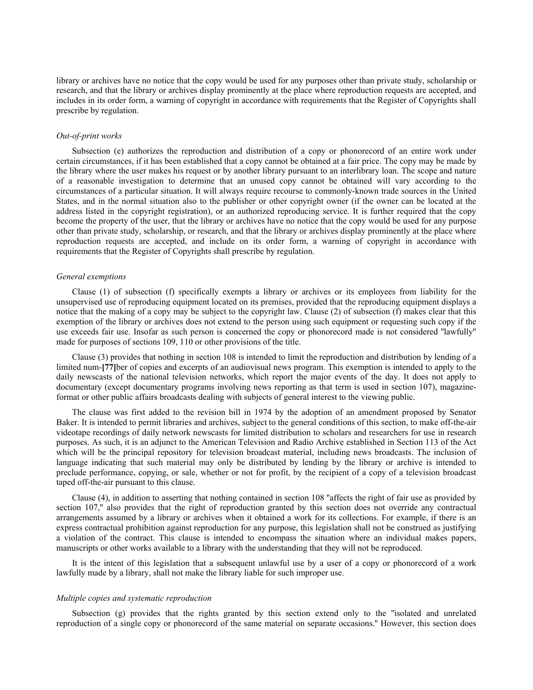library or archives have no notice that the copy would be used for any purposes other than private study, scholarship or research, and that the library or archives display prominently at the place where reproduction requests are accepted, and includes in its order form, a warning of copyright in accordance with requirements that the Register of Copyrights shall prescribe by regulation.

### *Out-of-print works*

Subsection (e) authorizes the reproduction and distribution of a copy or phonorecord of an entire work under certain circumstances, if it has been established that a copy cannot be obtained at a fair price. The copy may be made by the library where the user makes his request or by another library pursuant to an interlibrary loan. The scope and nature of a reasonable investigation to determine that an unused copy cannot be obtained will vary according to the circumstances of a particular situation. It will always require recourse to commonly-known trade sources in the United States, and in the normal situation also to the publisher or other copyright owner (if the owner can be located at the address listed in the copyright registration), or an authorized reproducing service. It is further required that the copy become the property of the user, that the library or archives have no notice that the copy would be used for any purpose other than private study, scholarship, or research, and that the library or archives display prominently at the place where reproduction requests are accepted, and include on its order form, a warning of copyright in accordance with requirements that the Register of Copyrights shall prescribe by regulation.

### *General exemptions*

Clause (1) of subsection (f) specifically exempts a library or archives or its employees from liability for the unsupervised use of reproducing equipment located on its premises, provided that the reproducing equipment displays a notice that the making of a copy may be subject to the copyright law. Clause (2) of subsection (f) makes clear that this exemption of the library or archives does not extend to the person using such equipment or requesting such copy if the use exceeds fair use. Insofar as such person is concerned the copy or phonorecord made is not considered ''lawfully'' made for purposes of sections 109, 110 or other provisions of the title.

Clause (3) provides that nothing in section 108 is intended to limit the reproduction and distribution by lending of a limited num-**[77]**ber of copies and excerpts of an audiovisual news program. This exemption is intended to apply to the daily newscasts of the national television networks, which report the major events of the day. It does not apply to documentary (except documentary programs involving news reporting as that term is used in section 107), magazineformat or other public affairs broadcasts dealing with subjects of general interest to the viewing public.

The clause was first added to the revision bill in 1974 by the adoption of an amendment proposed by Senator Baker. It is intended to permit libraries and archives, subject to the general conditions of this section, to make off-the-air videotape recordings of daily network newscasts for limited distribution to scholars and researchers for use in research purposes. As such, it is an adjunct to the American Television and Radio Archive established in Section 113 of the Act which will be the principal repository for television broadcast material, including news broadcasts. The inclusion of language indicating that such material may only be distributed by lending by the library or archive is intended to preclude performance, copying, or sale, whether or not for profit, by the recipient of a copy of a television broadcast taped off-the-air pursuant to this clause.

Clause (4), in addition to asserting that nothing contained in section 108 ''affects the right of fair use as provided by section 107," also provides that the right of reproduction granted by this section does not override any contractual arrangements assumed by a library or archives when it obtained a work for its collections. For example, if there is an express contractual prohibition against reproduction for any purpose, this legislation shall not be construed as justifying a violation of the contract. This clause is intended to encompass the situation where an individual makes papers, manuscripts or other works available to a library with the understanding that they will not be reproduced.

It is the intent of this legislation that a subsequent unlawful use by a user of a copy or phonorecord of a work lawfully made by a library, shall not make the library liable for such improper use.

## *Multiple copies and systematic reproduction*

Subsection (g) provides that the rights granted by this section extend only to the ''isolated and unrelated reproduction of a single copy or phonorecord of the same material on separate occasions.'' However, this section does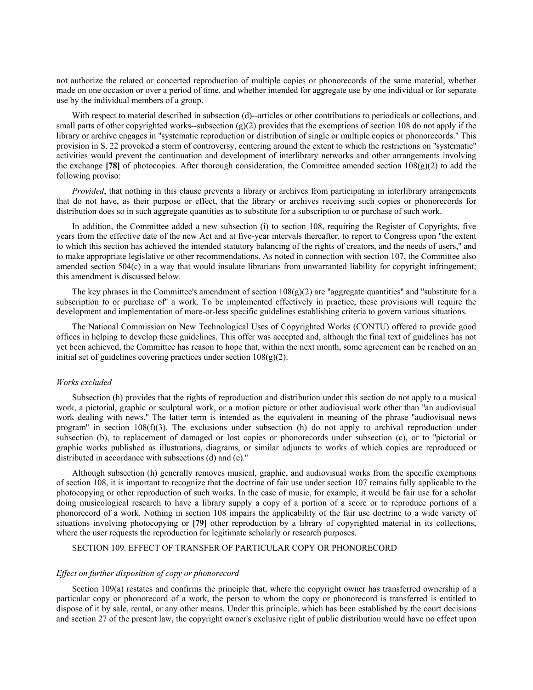not authorize the related or concerted reproduction of multiple copies or phonorecords of the same material, whether made on one occasion or over a period of time, and whether intended for aggregate use by one individual or for separate use by the individual members of a group.

With respect to material described in subsection (d)--articles or other contributions to periodicals or collections, and small parts of other copyrighted works--subsection  $(g)(2)$  provides that the exemptions of section 108 do not apply if the library or archive engages in ''systematic reproduction or distribution of single or multiple copies or phonorecords.'' This provision in S. 22 provoked a storm of controversy, centering around the extent to which the restrictions on ''systematic'' activities would prevent the continuation and development of interlibrary networks and other arrangements involving the exchange **[78]** of photocopies. After thorough consideration, the Committee amended section  $108(g)(2)$  to add the following proviso:

*Provided*, that nothing in this clause prevents a library or archives from participating in interlibrary arrangements that do not have, as their purpose or effect, that the library or archives receiving such copies or phonorecords for distribution does so in such aggregate quantities as to substitute for a subscription to or purchase of such work.

In addition, the Committee added a new subsection (i) to section 108, requiring the Register of Copyrights, five years from the effective date of the new Act and at five-year intervals thereafter, to report to Congress upon ''the extent to which this section has achieved the intended statutory balancing of the rights of creators, and the needs of users,'' and to make appropriate legislative or other recommendations. As noted in connection with section 107, the Committee also amended section 504(c) in a way that would insulate librarians from unwarranted liability for copyright infringement; this amendment is discussed below.

The key phrases in the Committee's amendment of section  $108(g)(2)$  are "aggregate quantities" and "substitute for a subscription to or purchase of'' a work. To be implemented effectively in practice, these provisions will require the development and implementation of more-or-less specific guidelines establishing criteria to govern various situations.

The National Commission on New Technological Uses of Copyrighted Works (CONTU) offered to provide good offices in helping to develop these guidelines. This offer was accepted and, although the final text of guidelines has not yet been achieved, the Committee has reason to hope that, within the next month, some agreement can be reached on an initial set of guidelines covering practices under section  $108(g)(2)$ .

#### *Works excluded*

Subsection (h) provides that the rights of reproduction and distribution under this section do not apply to a musical work, a pictorial, graphic or sculptural work, or a motion picture or other audiovisual work other than ''an audiovisual work dealing with news.'' The latter term is intended as the equivalent in meaning of the phrase ''audiovisual news program" in section  $108(f)(3)$ . The exclusions under subsection (h) do not apply to archival reproduction under subsection (b), to replacement of damaged or lost copies or phonorecords under subsection (c), or to "pictorial or graphic works published as illustrations, diagrams, or similar adjuncts to works of which copies are reproduced or distributed in accordance with subsections (d) and (e).''

Although subsection (h) generally removes musical, graphic, and audiovisual works from the specific exemptions of section 108, it is important to recognize that the doctrine of fair use under section 107 remains fully applicable to the photocopying or other reproduction of such works. In the case of music, for example, it would be fair use for a scholar doing musicological research to have a library supply a copy of a portion of a score or to reproduce portions of a phonorecord of a work. Nothing in section 108 impairs the applicability of the fair use doctrine to a wide variety of situations involving photocopying or **[79]** other reproduction by a library of copyrighted material in its collections, where the user requests the reproduction for legitimate scholarly or research purposes.

## SECTION 109. EFFECT OF TRANSFER OF PARTICULAR COPY OR PHONORECORD

#### *Effect on further disposition of copy or phonorecord*

Section 109(a) restates and confirms the principle that, where the copyright owner has transferred ownership of a particular copy or phonorecord of a work, the person to whom the copy or phonorecord is transferred is entitled to dispose of it by sale, rental, or any other means. Under this principle, which has been established by the court decisions and section 27 of the present law, the copyright owner's exclusive right of public distribution would have no effect upon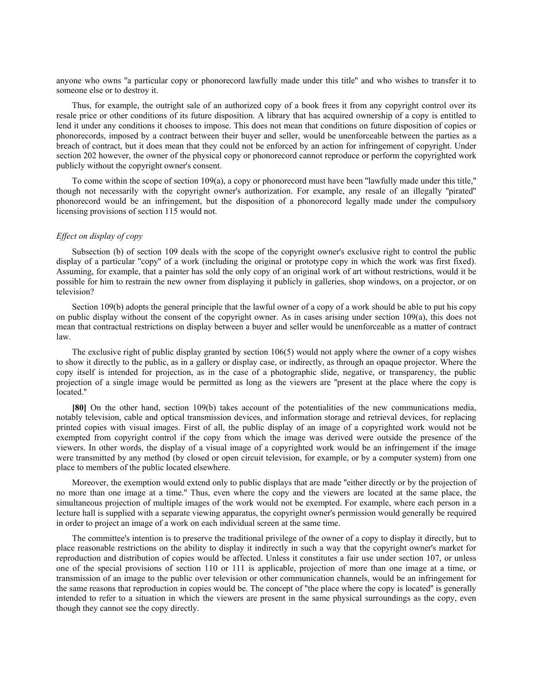anyone who owns ''a particular copy or phonorecord lawfully made under this title'' and who wishes to transfer it to someone else or to destroy it.

Thus, for example, the outright sale of an authorized copy of a book frees it from any copyright control over its resale price or other conditions of its future disposition. A library that has acquired ownership of a copy is entitled to lend it under any conditions it chooses to impose. This does not mean that conditions on future disposition of copies or phonorecords, imposed by a contract between their buyer and seller, would be unenforceable between the parties as a breach of contract, but it does mean that they could not be enforced by an action for infringement of copyright. Under section 202 however, the owner of the physical copy or phonorecord cannot reproduce or perform the copyrighted work publicly without the copyright owner's consent.

To come within the scope of section 109(a), a copy or phonorecord must have been ''lawfully made under this title,'' though not necessarily with the copyright owner's authorization. For example, any resale of an illegally ''pirated'' phonorecord would be an infringement, but the disposition of a phonorecord legally made under the compulsory licensing provisions of section 115 would not.

### *Effect on display of copy*

Subsection (b) of section 109 deals with the scope of the copyright owner's exclusive right to control the public display of a particular ''copy'' of a work (including the original or prototype copy in which the work was first fixed). Assuming, for example, that a painter has sold the only copy of an original work of art without restrictions, would it be possible for him to restrain the new owner from displaying it publicly in galleries, shop windows, on a projector, or on television?

Section 109(b) adopts the general principle that the lawful owner of a copy of a work should be able to put his copy on public display without the consent of the copyright owner. As in cases arising under section 109(a), this does not mean that contractual restrictions on display between a buyer and seller would be unenforceable as a matter of contract law.

The exclusive right of public display granted by section 106(5) would not apply where the owner of a copy wishes to show it directly to the public, as in a gallery or display case, or indirectly, as through an opaque projector. Where the copy itself is intended for projection, as in the case of a photographic slide, negative, or transparency, the public projection of a single image would be permitted as long as the viewers are ''present at the place where the copy is located.''

**[80]** On the other hand, section 109(b) takes account of the potentialities of the new communications media, notably television, cable and optical transmission devices, and information storage and retrieval devices, for replacing printed copies with visual images. First of all, the public display of an image of a copyrighted work would not be exempted from copyright control if the copy from which the image was derived were outside the presence of the viewers. In other words, the display of a visual image of a copyrighted work would be an infringement if the image were transmitted by any method (by closed or open circuit television, for example, or by a computer system) from one place to members of the public located elsewhere.

Moreover, the exemption would extend only to public displays that are made ''either directly or by the projection of no more than one image at a time.'' Thus, even where the copy and the viewers are located at the same place, the simultaneous projection of multiple images of the work would not be exempted. For example, where each person in a lecture hall is supplied with a separate viewing apparatus, the copyright owner's permission would generally be required in order to project an image of a work on each individual screen at the same time.

The committee's intention is to preserve the traditional privilege of the owner of a copy to display it directly, but to place reasonable restrictions on the ability to display it indirectly in such a way that the copyright owner's market for reproduction and distribution of copies would be affected. Unless it constitutes a fair use under section 107, or unless one of the special provisions of section 110 or 111 is applicable, projection of more than one image at a time, or transmission of an image to the public over television or other communication channels, would be an infringement for the same reasons that reproduction in copies would be. The concept of ''the place where the copy is located'' is generally intended to refer to a situation in which the viewers are present in the same physical surroundings as the copy, even though they cannot see the copy directly.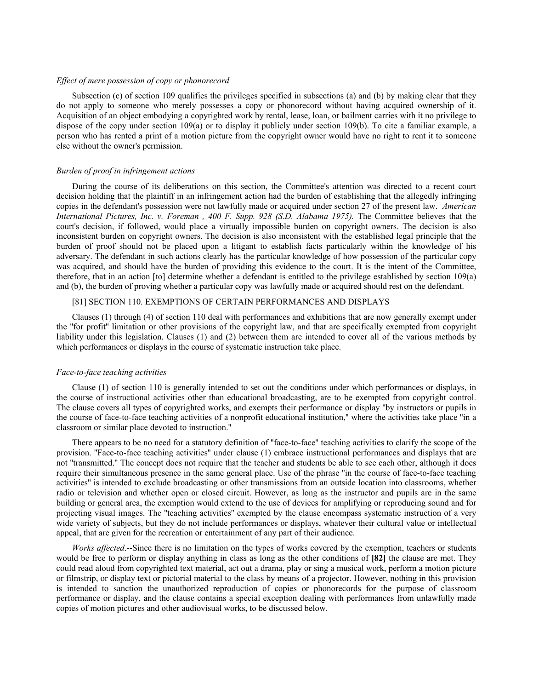## *Effect of mere possession of copy or phonorecord*

Subsection (c) of section 109 qualifies the privileges specified in subsections (a) and (b) by making clear that they do not apply to someone who merely possesses a copy or phonorecord without having acquired ownership of it. Acquisition of an object embodying a copyrighted work by rental, lease, loan, or bailment carries with it no privilege to dispose of the copy under section 109(a) or to display it publicly under section 109(b). To cite a familiar example, a person who has rented a print of a motion picture from the copyright owner would have no right to rent it to someone else without the owner's permission.

#### *Burden of proof in infringement actions*

During the course of its deliberations on this section, the Committee's attention was directed to a recent court decision holding that the plaintiff in an infringement action had the burden of establishing that the allegedly infringing copies in the defendant's possession were not lawfully made or acquired under section 27 of the present law. *American International Pictures, Inc. v. Foreman , 400 F. Supp. 928 (S.D. Alabama 1975).* The Committee believes that the court's decision, if followed, would place a virtually impossible burden on copyright owners. The decision is also inconsistent burden on copyright owners. The decision is also inconsistent with the established legal principle that the burden of proof should not be placed upon a litigant to establish facts particularly within the knowledge of his adversary. The defendant in such actions clearly has the particular knowledge of how possession of the particular copy was acquired, and should have the burden of providing this evidence to the court. It is the intent of the Committee, therefore, that in an action [to] determine whether a defendant is entitled to the privilege established by section 109(a) and (b), the burden of proving whether a particular copy was lawfully made or acquired should rest on the defendant.

# [81] SECTION 110. EXEMPTIONS OF CERTAIN PERFORMANCES AND DISPLAYS

Clauses (1) through (4) of section 110 deal with performances and exhibitions that are now generally exempt under the ''for profit'' limitation or other provisions of the copyright law, and that are specifically exempted from copyright liability under this legislation. Clauses (1) and (2) between them are intended to cover all of the various methods by which performances or displays in the course of systematic instruction take place.

### *Face-to-face teaching activities*

Clause (1) of section 110 is generally intended to set out the conditions under which performances or displays, in the course of instructional activities other than educational broadcasting, are to be exempted from copyright control. The clause covers all types of copyrighted works, and exempts their performance or display ''by instructors or pupils in the course of face-to-face teaching activities of a nonprofit educational institution,'' where the activities take place ''in a classroom or similar place devoted to instruction.''

There appears to be no need for a statutory definition of ''face-to-face'' teaching activities to clarify the scope of the provision. ''Face-to-face teaching activities'' under clause (1) embrace instructional performances and displays that are not ''transmitted.'' The concept does not require that the teacher and students be able to see each other, although it does require their simultaneous presence in the same general place. Use of the phrase ''in the course of face-to-face teaching activities'' is intended to exclude broadcasting or other transmissions from an outside location into classrooms, whether radio or television and whether open or closed circuit. However, as long as the instructor and pupils are in the same building or general area, the exemption would extend to the use of devices for amplifying or reproducing sound and for projecting visual images. The ''teaching activities'' exempted by the clause encompass systematic instruction of a very wide variety of subjects, but they do not include performances or displays, whatever their cultural value or intellectual appeal, that are given for the recreation or entertainment of any part of their audience.

*Works affected*.--Since there is no limitation on the types of works covered by the exemption, teachers or students would be free to perform or display anything in class as long as the other conditions of **[82]** the clause are met. They could read aloud from copyrighted text material, act out a drama, play or sing a musical work, perform a motion picture or filmstrip, or display text or pictorial material to the class by means of a projector. However, nothing in this provision is intended to sanction the unauthorized reproduction of copies or phonorecords for the purpose of classroom performance or display, and the clause contains a special exception dealing with performances from unlawfully made copies of motion pictures and other audiovisual works, to be discussed below.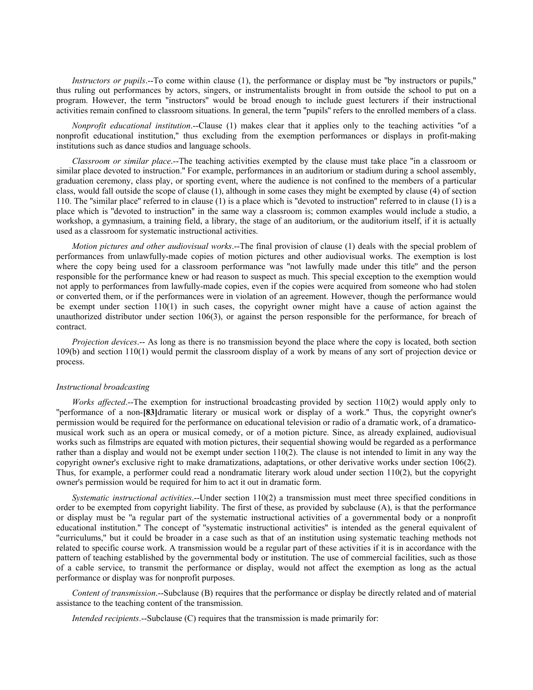*Instructors or pupils*.--To come within clause (1), the performance or display must be ''by instructors or pupils,'' thus ruling out performances by actors, singers, or instrumentalists brought in from outside the school to put on a program. However, the term ''instructors'' would be broad enough to include guest lecturers if their instructional activities remain confined to classroom situations. In general, the term ''pupils'' refers to the enrolled members of a class.

*Nonprofit educational institution*.--Clause (1) makes clear that it applies only to the teaching activities ''of a nonprofit educational institution,'' thus excluding from the exemption performances or displays in profit-making institutions such as dance studios and language schools.

*Classroom or similar place*.--The teaching activities exempted by the clause must take place ''in a classroom or similar place devoted to instruction." For example, performances in an auditorium or stadium during a school assembly, graduation ceremony, class play, or sporting event, where the audience is not confined to the members of a particular class, would fall outside the scope of clause (1), although in some cases they might be exempted by clause (4) of section 110. The ''similar place'' referred to in clause (1) is a place which is ''devoted to instruction'' referred to in clause (1) is a place which is ''devoted to instruction'' in the same way a classroom is; common examples would include a studio, a workshop, a gymnasium, a training field, a library, the stage of an auditorium, or the auditorium itself, if it is actually used as a classroom for systematic instructional activities.

*Motion pictures and other audiovisual works*.--The final provision of clause (1) deals with the special problem of performances from unlawfully-made copies of motion pictures and other audiovisual works. The exemption is lost where the copy being used for a classroom performance was ''not lawfully made under this title'' and the person responsible for the performance knew or had reason to suspect as much. This special exception to the exemption would not apply to performances from lawfully-made copies, even if the copies were acquired from someone who had stolen or converted them, or if the performances were in violation of an agreement. However, though the performance would be exempt under section 110(1) in such cases, the copyright owner might have a cause of action against the unauthorized distributor under section 106(3), or against the person responsible for the performance, for breach of contract.

*Projection devices*.-- As long as there is no transmission beyond the place where the copy is located, both section 109(b) and section 110(1) would permit the classroom display of a work by means of any sort of projection device or process.

## *Instructional broadcasting*

*Works affected*.--The exemption for instructional broadcasting provided by section 110(2) would apply only to ''performance of a non-**[83]**dramatic literary or musical work or display of a work.'' Thus, the copyright owner's permission would be required for the performance on educational television or radio of a dramatic work, of a dramaticomusical work such as an opera or musical comedy, or of a motion picture. Since, as already explained, audiovisual works such as filmstrips are equated with motion pictures, their sequential showing would be regarded as a performance rather than a display and would not be exempt under section 110(2). The clause is not intended to limit in any way the copyright owner's exclusive right to make dramatizations, adaptations, or other derivative works under section 106(2). Thus, for example, a performer could read a nondramatic literary work aloud under section 110(2), but the copyright owner's permission would be required for him to act it out in dramatic form.

*Systematic instructional activities*.--Under section 110(2) a transmission must meet three specified conditions in order to be exempted from copyright liability. The first of these, as provided by subclause (A), is that the performance or display must be ''a regular part of the systematic instructional activities of a governmental body or a nonprofit educational institution.'' The concept of ''systematic instructional activities'' is intended as the general equivalent of ''curriculums,'' but it could be broader in a case such as that of an institution using systematic teaching methods not related to specific course work. A transmission would be a regular part of these activities if it is in accordance with the pattern of teaching established by the governmental body or institution. The use of commercial facilities, such as those of a cable service, to transmit the performance or display, would not affect the exemption as long as the actual performance or display was for nonprofit purposes.

*Content of transmission*.--Subclause (B) requires that the performance or display be directly related and of material assistance to the teaching content of the transmission.

*Intended recipients*.--Subclause (C) requires that the transmission is made primarily for: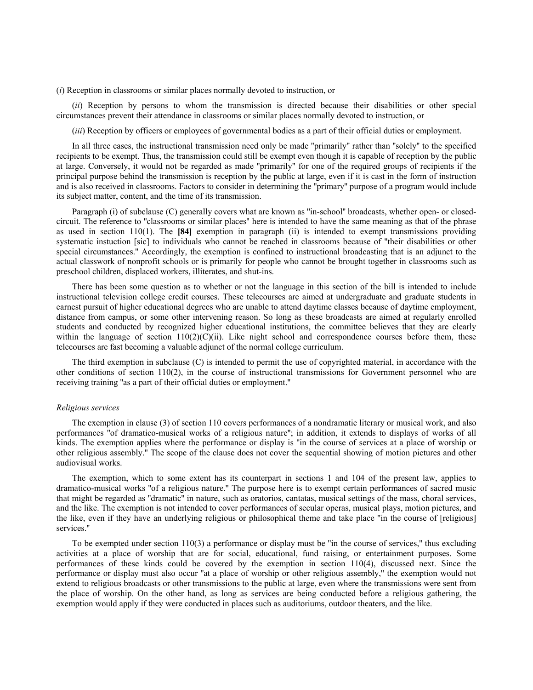(*i*) Reception in classrooms or similar places normally devoted to instruction, or

(*ii*) Reception by persons to whom the transmission is directed because their disabilities or other special circumstances prevent their attendance in classrooms or similar places normally devoted to instruction, or

(*iii*) Reception by officers or employees of governmental bodies as a part of their official duties or employment.

In all three cases, the instructional transmission need only be made ''primarily'' rather than ''solely'' to the specified recipients to be exempt. Thus, the transmission could still be exempt even though it is capable of reception by the public at large. Conversely, it would not be regarded as made ''primarily'' for one of the required groups of recipients if the principal purpose behind the transmission is reception by the public at large, even if it is cast in the form of instruction and is also received in classrooms. Factors to consider in determining the ''primary'' purpose of a program would include its subject matter, content, and the time of its transmission.

Paragraph (i) of subclause (C) generally covers what are known as "in-school" broadcasts, whether open- or closedcircuit. The reference to ''classrooms or similar places'' here is intended to have the same meaning as that of the phrase as used in section 110(1). The **[84]** exemption in paragraph (ii) is intended to exempt transmissions providing systematic instuction [sic] to individuals who cannot be reached in classrooms because of ''their disabilities or other special circumstances.'' Accordingly, the exemption is confined to instructional broadcasting that is an adjunct to the actual classwork of nonprofit schools or is primarily for people who cannot be brought together in classrooms such as preschool children, displaced workers, illiterates, and shut-ins.

There has been some question as to whether or not the language in this section of the bill is intended to include instructional television college credit courses. These telecourses are aimed at undergraduate and graduate students in earnest pursuit of higher educational degrees who are unable to attend daytime classes because of daytime employment, distance from campus, or some other intervening reason. So long as these broadcasts are aimed at regularly enrolled students and conducted by recognized higher educational institutions, the committee believes that they are clearly within the language of section  $110(2)(C)(ii)$ . Like night school and correspondence courses before them, these telecourses are fast becoming a valuable adjunct of the normal college curriculum.

The third exemption in subclause (C) is intended to permit the use of copyrighted material, in accordance with the other conditions of section 110(2), in the course of instructional transmissions for Government personnel who are receiving training ''as a part of their official duties or employment.''

## *Religious services*

The exemption in clause (3) of section 110 covers performances of a nondramatic literary or musical work, and also performances ''of dramatico-musical works of a religious nature''; in addition, it extends to displays of works of all kinds. The exemption applies where the performance or display is ''in the course of services at a place of worship or other religious assembly.'' The scope of the clause does not cover the sequential showing of motion pictures and other audiovisual works.

The exemption, which to some extent has its counterpart in sections 1 and 104 of the present law, applies to dramatico-musical works ''of a religious nature.'' The purpose here is to exempt certain performances of sacred music that might be regarded as ''dramatic'' in nature, such as oratorios, cantatas, musical settings of the mass, choral services, and the like. The exemption is not intended to cover performances of secular operas, musical plays, motion pictures, and the like, even if they have an underlying religious or philosophical theme and take place ''in the course of [religious] services.''

To be exempted under section 110(3) a performance or display must be ''in the course of services,'' thus excluding activities at a place of worship that are for social, educational, fund raising, or entertainment purposes. Some performances of these kinds could be covered by the exemption in section 110(4), discussed next. Since the performance or display must also occur ''at a place of worship or other religious assembly,'' the exemption would not extend to religious broadcasts or other transmissions to the public at large, even where the transmissions were sent from the place of worship. On the other hand, as long as services are being conducted before a religious gathering, the exemption would apply if they were conducted in places such as auditoriums, outdoor theaters, and the like.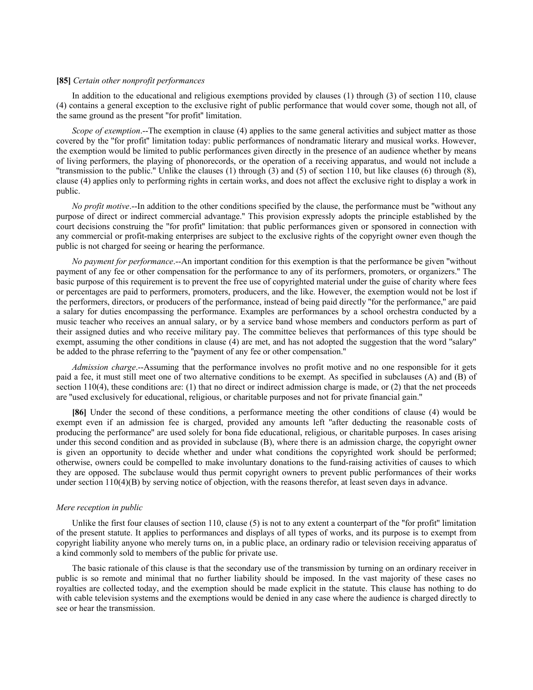## **[85]** *Certain other nonprofit performances*

In addition to the educational and religious exemptions provided by clauses (1) through (3) of section 110, clause (4) contains a general exception to the exclusive right of public performance that would cover some, though not all, of the same ground as the present ''for profit'' limitation.

*Scope of exemption*.--The exemption in clause (4) applies to the same general activities and subject matter as those covered by the ''for profit'' limitation today: public performances of nondramatic literary and musical works. However, the exemption would be limited to public performances given directly in the presence of an audience whether by means of living performers, the playing of phonorecords, or the operation of a receiving apparatus, and would not include a ''transmission to the public.'' Unlike the clauses (1) through (3) and (5) of section 110, but like clauses (6) through (8), clause (4) applies only to performing rights in certain works, and does not affect the exclusive right to display a work in public.

*No profit motive*.--In addition to the other conditions specified by the clause, the performance must be ''without any purpose of direct or indirect commercial advantage.'' This provision expressly adopts the principle established by the court decisions construing the ''for profit'' limitation: that public performances given or sponsored in connection with any commercial or profit-making enterprises are subject to the exclusive rights of the copyright owner even though the public is not charged for seeing or hearing the performance.

*No payment for performance*.--An important condition for this exemption is that the performance be given ''without payment of any fee or other compensation for the performance to any of its performers, promoters, or organizers.'' The basic purpose of this requirement is to prevent the free use of copyrighted material under the guise of charity where fees or percentages are paid to performers, promoters, producers, and the like. However, the exemption would not be lost if the performers, directors, or producers of the performance, instead of being paid directly ''for the performance,'' are paid a salary for duties encompassing the performance. Examples are performances by a school orchestra conducted by a music teacher who receives an annual salary, or by a service band whose members and conductors perform as part of their assigned duties and who receive military pay. The committee believes that performances of this type should be exempt, assuming the other conditions in clause (4) are met, and has not adopted the suggestion that the word ''salary'' be added to the phrase referring to the ''payment of any fee or other compensation.''

*Admission charge*.--Assuming that the performance involves no profit motive and no one responsible for it gets paid a fee, it must still meet one of two alternative conditions to be exempt. As specified in subclauses (A) and (B) of section 110(4), these conditions are: (1) that no direct or indirect admission charge is made, or (2) that the net proceeds are ''used exclusively for educational, religious, or charitable purposes and not for private financial gain.''

**[86]** Under the second of these conditions, a performance meeting the other conditions of clause (4) would be exempt even if an admission fee is charged, provided any amounts left ''after deducting the reasonable costs of producing the performance'' are used solely for bona fide educational, religious, or charitable purposes. In cases arising under this second condition and as provided in subclause (B), where there is an admission charge, the copyright owner is given an opportunity to decide whether and under what conditions the copyrighted work should be performed; otherwise, owners could be compelled to make involuntary donations to the fund-raising activities of causes to which they are opposed. The subclause would thus permit copyright owners to prevent public performances of their works under section 110(4)(B) by serving notice of objection, with the reasons therefor, at least seven days in advance.

#### *Mere reception in public*

Unlike the first four clauses of section 110, clause (5) is not to any extent a counterpart of the ''for profit'' limitation of the present statute. It applies to performances and displays of all types of works, and its purpose is to exempt from copyright liability anyone who merely turns on, in a public place, an ordinary radio or television receiving apparatus of a kind commonly sold to members of the public for private use.

The basic rationale of this clause is that the secondary use of the transmission by turning on an ordinary receiver in public is so remote and minimal that no further liability should be imposed. In the vast majority of these cases no royalties are collected today, and the exemption should be made explicit in the statute. This clause has nothing to do with cable television systems and the exemptions would be denied in any case where the audience is charged directly to see or hear the transmission.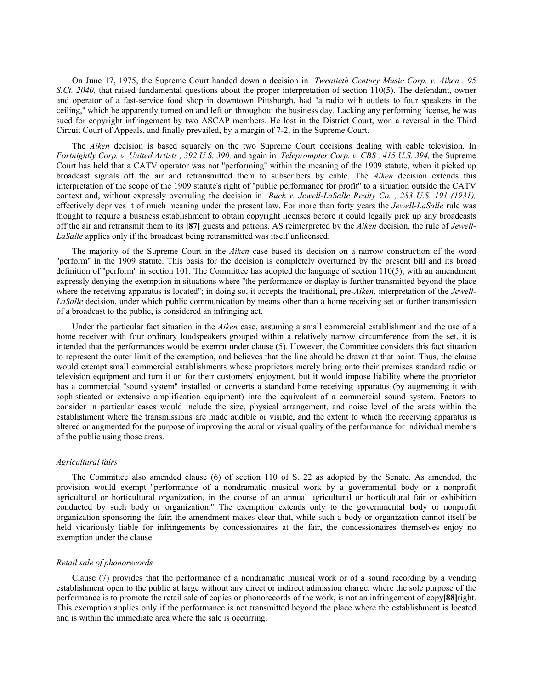On June 17, 1975, the Supreme Court handed down a decision in *Twentieth Century Music Corp. v. Aiken , 95 S.Ct. 2040,* that raised fundamental questions about the proper interpretation of section 110(5). The defendant, owner and operator of a fast-service food shop in downtown Pittsburgh, had ''a radio with outlets to four speakers in the ceiling,'' which he apparently turned on and left on throughout the business day. Lacking any performing license, he was sued for copyright infringement by two ASCAP members. He lost in the District Court, won a reversal in the Third Circuit Court of Appeals, and finally prevailed, by a margin of 7-2, in the Supreme Court.

The *Aiken* decision is based squarely on the two Supreme Court decisions dealing with cable television. In *Fortnightly Corp. v. United Artists , 392 U.S. 390,* and again in *Teleprompter Corp. v. CBS , 415 U.S. 394,* the Supreme Court has held that a CATV operator was not ''performing'' within the meaning of the 1909 statute, when it picked up broadcast signals off the air and retransmitted them to subscribers by cable. The *Aiken* decision extends this interpretation of the scope of the 1909 statute's right of ''public performance for profit'' to a situation outside the CATV context and, without expressly overruling the decision in *Buck v. Jewell-LaSalle Realty Co. , 283 U.S. 191 (1931),* effectively deprives it of much meaning under the present law. For more than forty years the *Jewell-LaSalle* rule was thought to require a business establishment to obtain copyright licenses before it could legally pick up any broadcasts off the air and retransmit them to its **[87]** guests and patrons. AS reinterpreted by the *Aiken* decision, the rule of *Jewell-LaSalle* applies only if the broadcast being retransmitted was itself unlicensed.

The majority of the Supreme Court in the *Aiken* case based its decision on a narrow construction of the word ''perform'' in the 1909 statute. This basis for the decision is completely overturned by the present bill and its broad definition of ''perform'' in section 101. The Committee has adopted the language of section 110(5), with an amendment expressly denying the exemption in situations where ''the performance or display is further transmitted beyond the place where the receiving apparatus is located''; in doing so, it accepts the traditional, pre-*Aiken*, interpretation of the *Jewell-LaSalle* decision, under which public communication by means other than a home receiving set or further transmission of a broadcast to the public, is considered an infringing act.

Under the particular fact situation in the *Aiken* case, assuming a small commercial establishment and the use of a home receiver with four ordinary loudspeakers grouped within a relatively narrow circumference from the set, it is intended that the performances would be exempt under clause (5). However, the Committee considers this fact situation to represent the outer limit of the exemption, and believes that the line should be drawn at that point. Thus, the clause would exempt small commercial establishments whose proprietors merely bring onto their premises standard radio or television equipment and turn it on for their customers' enjoyment, but it would impose liability where the proprietor has a commercial ''sound system'' installed or converts a standard home receiving apparatus (by augmenting it with sophisticated or extensive amplification equipment) into the equivalent of a commercial sound system. Factors to consider in particular cases would include the size, physical arrangement, and noise level of the areas within the establishment where the transmissions are made audible or visible, and the extent to which the receiving apparatus is altered or augmented for the purpose of improving the aural or visual quality of the performance for individual members of the public using those areas.

### *Agricultural fairs*

The Committee also amended clause (6) of section 110 of S. 22 as adopted by the Senate. As amended, the provision would exempt ''performance of a nondramatic musical work by a governmental body or a nonprofit agricultural or horticultural organization, in the course of an annual agricultural or horticultural fair or exhibition conducted by such body or organization.'' The exemption extends only to the governmental body or nonprofit organization sponsoring the fair; the amendment makes clear that, while such a body or organization cannot itself be held vicariously liable for infringements by concessionaires at the fair, the concessionaires themselves enjoy no exemption under the clause.

### *Retail sale of phonorecords*

Clause (7) provides that the performance of a nondramatic musical work or of a sound recording by a vending establishment open to the public at large without any direct or indirect admission charge, where the sole purpose of the performance is to promote the retail sale of copies or phonorecords of the work, is not an infringement of copy**[88]**right. This exemption applies only if the performance is not transmitted beyond the place where the establishment is located and is within the immediate area where the sale is occurring.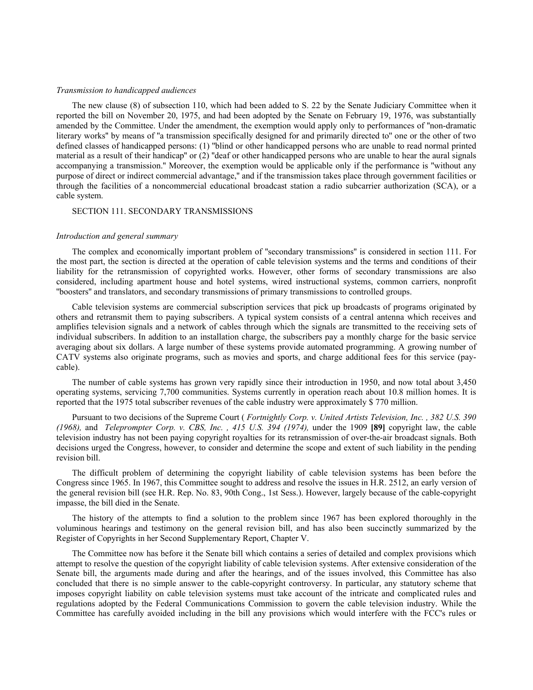### *Transmission to handicapped audiences*

The new clause (8) of subsection 110, which had been added to S. 22 by the Senate Judiciary Committee when it reported the bill on November 20, 1975, and had been adopted by the Senate on February 19, 1976, was substantially amended by the Committee. Under the amendment, the exemption would apply only to performances of ''non-dramatic literary works'' by means of ''a transmission specifically designed for and primarily directed to'' one or the other of two defined classes of handicapped persons: (1) ''blind or other handicapped persons who are unable to read normal printed material as a result of their handicap'' or (2) ''deaf or other handicapped persons who are unable to hear the aural signals accompanying a transmission.'' Moreover, the exemption would be applicable only if the performance is ''without any purpose of direct or indirect commercial advantage,'' and if the transmission takes place through government facilities or through the facilities of a noncommercial educational broadcast station a radio subcarrier authorization (SCA), or a cable system.

### SECTION 111. SECONDARY TRANSMISSIONS

#### *Introduction and general summary*

The complex and economically important problem of ''secondary transmissions'' is considered in section 111. For the most part, the section is directed at the operation of cable television systems and the terms and conditions of their liability for the retransmission of copyrighted works. However, other forms of secondary transmissions are also considered, including apartment house and hotel systems, wired instructional systems, common carriers, nonprofit ''boosters'' and translators, and secondary transmissions of primary transmissions to controlled groups.

Cable television systems are commercial subscription services that pick up broadcasts of programs originated by others and retransmit them to paying subscribers. A typical system consists of a central antenna which receives and amplifies television signals and a network of cables through which the signals are transmitted to the receiving sets of individual subscribers. In addition to an installation charge, the subscribers pay a monthly charge for the basic service averaging about six dollars. A large number of these systems provide automated programming. A growing number of CATV systems also originate programs, such as movies and sports, and charge additional fees for this service (paycable).

The number of cable systems has grown very rapidly since their introduction in 1950, and now total about 3,450 operating systems, servicing 7,700 communities. Systems currently in operation reach about 10.8 million homes. It is reported that the 1975 total subscriber revenues of the cable industry were approximately \$ 770 million.

Pursuant to two decisions of the Supreme Court ( *Fortnightly Corp. v. United Artists Television, Inc. , 382 U.S. 390 (1968),* and *Teleprompter Corp. v. CBS, Inc. , 415 U.S. 394 (1974),* under the 1909 **[89]** copyright law, the cable television industry has not been paying copyright royalties for its retransmission of over-the-air broadcast signals. Both decisions urged the Congress, however, to consider and determine the scope and extent of such liability in the pending revision bill.

The difficult problem of determining the copyright liability of cable television systems has been before the Congress since 1965. In 1967, this Committee sought to address and resolve the issues in H.R. 2512, an early version of the general revision bill (see H.R. Rep. No. 83, 90th Cong., 1st Sess.). However, largely because of the cable-copyright impasse, the bill died in the Senate.

The history of the attempts to find a solution to the problem since 1967 has been explored thoroughly in the voluminous hearings and testimony on the general revision bill, and has also been succinctly summarized by the Register of Copyrights in her Second Supplementary Report, Chapter V.

The Committee now has before it the Senate bill which contains a series of detailed and complex provisions which attempt to resolve the question of the copyright liability of cable television systems. After extensive consideration of the Senate bill, the arguments made during and after the hearings, and of the issues involved, this Committee has also concluded that there is no simple answer to the cable-copyright controversy. In particular, any statutory scheme that imposes copyright liability on cable television systems must take account of the intricate and complicated rules and regulations adopted by the Federal Communications Commission to govern the cable television industry. While the Committee has carefully avoided including in the bill any provisions which would interfere with the FCC's rules or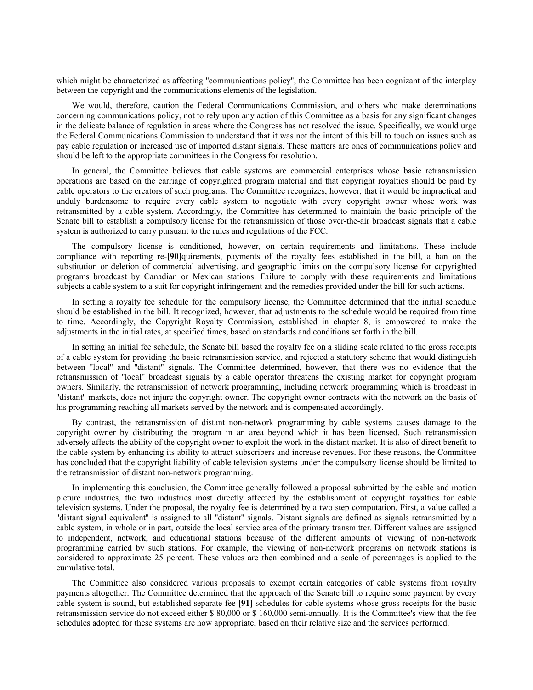which might be characterized as affecting ''communications policy'', the Committee has been cognizant of the interplay between the copyright and the communications elements of the legislation.

We would, therefore, caution the Federal Communications Commission, and others who make determinations concerning communications policy, not to rely upon any action of this Committee as a basis for any significant changes in the delicate balance of regulation in areas where the Congress has not resolved the issue. Specifically, we would urge the Federal Communications Commission to understand that it was not the intent of this bill to touch on issues such as pay cable regulation or increased use of imported distant signals. These matters are ones of communications policy and should be left to the appropriate committees in the Congress for resolution.

In general, the Committee believes that cable systems are commercial enterprises whose basic retransmission operations are based on the carriage of copyrighted program material and that copyright royalties should be paid by cable operators to the creators of such programs. The Committee recognizes, however, that it would be impractical and unduly burdensome to require every cable system to negotiate with every copyright owner whose work was retransmitted by a cable system. Accordingly, the Committee has determined to maintain the basic principle of the Senate bill to establish a compulsory license for the retransmission of those over-the-air broadcast signals that a cable system is authorized to carry pursuant to the rules and regulations of the FCC.

The compulsory license is conditioned, however, on certain requirements and limitations. These include compliance with reporting re-**[90]**quirements, payments of the royalty fees established in the bill, a ban on the substitution or deletion of commercial advertising, and geographic limits on the compulsory license for copyrighted programs broadcast by Canadian or Mexican stations. Failure to comply with these requirements and limitations subjects a cable system to a suit for copyright infringement and the remedies provided under the bill for such actions.

In setting a royalty fee schedule for the compulsory license, the Committee determined that the initial schedule should be established in the bill. It recognized, however, that adjustments to the schedule would be required from time to time. Accordingly, the Copyright Royalty Commission, established in chapter 8, is empowered to make the adjustments in the initial rates, at specified times, based on standards and conditions set forth in the bill.

In setting an initial fee schedule, the Senate bill based the royalty fee on a sliding scale related to the gross receipts of a cable system for providing the basic retransmission service, and rejected a statutory scheme that would distinguish between ''local'' and ''distant'' signals. The Committee determined, however, that there was no evidence that the retransmission of ''local'' broadcast signals by a cable operator threatens the existing market for copyright program owners. Similarly, the retransmission of network programming, including network programming which is broadcast in ''distant'' markets, does not injure the copyright owner. The copyright owner contracts with the network on the basis of his programming reaching all markets served by the network and is compensated accordingly.

By contrast, the retransmission of distant non-network programming by cable systems causes damage to the copyright owner by distributing the program in an area beyond which it has been licensed. Such retransmission adversely affects the ability of the copyright owner to exploit the work in the distant market. It is also of direct benefit to the cable system by enhancing its ability to attract subscribers and increase revenues. For these reasons, the Committee has concluded that the copyright liability of cable television systems under the compulsory license should be limited to the retransmission of distant non-network programming.

In implementing this conclusion, the Committee generally followed a proposal submitted by the cable and motion picture industries, the two industries most directly affected by the establishment of copyright royalties for cable television systems. Under the proposal, the royalty fee is determined by a two step computation. First, a value called a ''distant signal equivalent'' is assigned to all ''distant'' signals. Distant signals are defined as signals retransmitted by a cable system, in whole or in part, outside the local service area of the primary transmitter. Different values are assigned to independent, network, and educational stations because of the different amounts of viewing of non-network programming carried by such stations. For example, the viewing of non-network programs on network stations is considered to approximate 25 percent. These values are then combined and a scale of percentages is applied to the cumulative total.

The Committee also considered various proposals to exempt certain categories of cable systems from royalty payments altogether. The Committee determined that the approach of the Senate bill to require some payment by every cable system is sound, but established separate fee **[91]** schedules for cable systems whose gross receipts for the basic retransmission service do not exceed either \$ 80,000 or \$ 160,000 semi-annually. It is the Committee's view that the fee schedules adopted for these systems are now appropriate, based on their relative size and the services performed.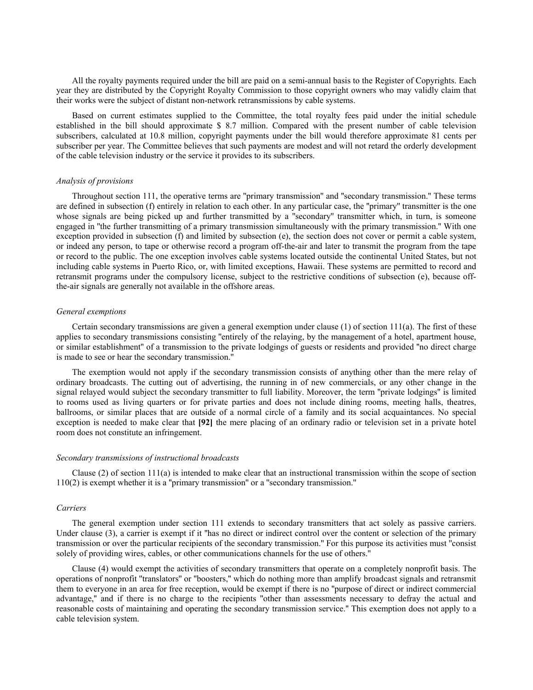All the royalty payments required under the bill are paid on a semi-annual basis to the Register of Copyrights. Each year they are distributed by the Copyright Royalty Commission to those copyright owners who may validly claim that their works were the subject of distant non-network retransmissions by cable systems.

Based on current estimates supplied to the Committee, the total royalty fees paid under the initial schedule established in the bill should approximate \$ 8.7 million. Compared with the present number of cable television subscribers, calculated at 10.8 million, copyright payments under the bill would therefore approximate 81 cents per subscriber per year. The Committee believes that such payments are modest and will not retard the orderly development of the cable television industry or the service it provides to its subscribers.

### *Analysis of provisions*

Throughout section 111, the operative terms are ''primary transmission'' and ''secondary transmission.'' These terms are defined in subsection (f) entirely in relation to each other. In any particular case, the ''primary'' transmitter is the one whose signals are being picked up and further transmitted by a "secondary" transmitter which, in turn, is someone engaged in ''the further transmitting of a primary transmission simultaneously with the primary transmission.'' With one exception provided in subsection (f) and limited by subsection (e), the section does not cover or permit a cable system, or indeed any person, to tape or otherwise record a program off-the-air and later to transmit the program from the tape or record to the public. The one exception involves cable systems located outside the continental United States, but not including cable systems in Puerto Rico, or, with limited exceptions, Hawaii. These systems are permitted to record and retransmit programs under the compulsory license, subject to the restrictive conditions of subsection (e), because offthe-air signals are generally not available in the offshore areas.

### *General exemptions*

Certain secondary transmissions are given a general exemption under clause (1) of section 111(a). The first of these applies to secondary transmissions consisting ''entirely of the relaying, by the management of a hotel, apartment house, or similar establishment'' of a transmission to the private lodgings of guests or residents and provided ''no direct charge is made to see or hear the secondary transmission.''

The exemption would not apply if the secondary transmission consists of anything other than the mere relay of ordinary broadcasts. The cutting out of advertising, the running in of new commercials, or any other change in the signal relayed would subject the secondary transmitter to full liability. Moreover, the term ''private lodgings'' is limited to rooms used as living quarters or for private parties and does not include dining rooms, meeting halls, theatres, ballrooms, or similar places that are outside of a normal circle of a family and its social acquaintances. No special exception is needed to make clear that **[92]** the mere placing of an ordinary radio or television set in a private hotel room does not constitute an infringement.

#### *Secondary transmissions of instructional broadcasts*

Clause  $(2)$  of section 111 $(a)$  is intended to make clear that an instructional transmission within the scope of section 110(2) is exempt whether it is a ''primary transmission'' or a ''secondary transmission.''

### *Carriers*

The general exemption under section 111 extends to secondary transmitters that act solely as passive carriers. Under clause (3), a carrier is exempt if it ''has no direct or indirect control over the content or selection of the primary transmission or over the particular recipients of the secondary transmission.'' For this purpose its activities must ''consist solely of providing wires, cables, or other communications channels for the use of others.''

Clause (4) would exempt the activities of secondary transmitters that operate on a completely nonprofit basis. The operations of nonprofit ''translators'' or ''boosters,'' which do nothing more than amplify broadcast signals and retransmit them to everyone in an area for free reception, would be exempt if there is no ''purpose of direct or indirect commercial advantage,'' and if there is no charge to the recipients ''other than assessments necessary to defray the actual and reasonable costs of maintaining and operating the secondary transmission service.'' This exemption does not apply to a cable television system.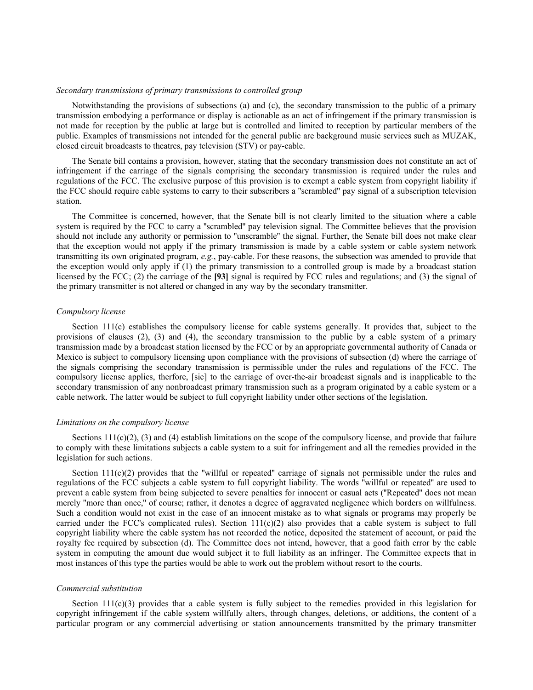### *Secondary transmissions of primary transmissions to controlled group*

Notwithstanding the provisions of subsections (a) and (c), the secondary transmission to the public of a primary transmission embodying a performance or display is actionable as an act of infringement if the primary transmission is not made for reception by the public at large but is controlled and limited to reception by particular members of the public. Examples of transmissions not intended for the general public are background music services such as MUZAK, closed circuit broadcasts to theatres, pay television (STV) or pay-cable.

The Senate bill contains a provision, however, stating that the secondary transmission does not constitute an act of infringement if the carriage of the signals comprising the secondary transmission is required under the rules and regulations of the FCC. The exclusive purpose of this provision is to exempt a cable system from copyright liability if the FCC should require cable systems to carry to their subscribers a ''scrambled'' pay signal of a subscription television station.

The Committee is concerned, however, that the Senate bill is not clearly limited to the situation where a cable system is required by the FCC to carry a "scrambled" pay television signal. The Committee believes that the provision should not include any authority or permission to ''unscramble'' the signal. Further, the Senate bill does not make clear that the exception would not apply if the primary transmission is made by a cable system or cable system network transmitting its own originated program, *e.g.*, pay-cable. For these reasons, the subsection was amended to provide that the exception would only apply if (1) the primary transmission to a controlled group is made by a broadcast station licensed by the FCC; (2) the carriage of the **[93]** signal is required by FCC rules and regulations; and (3) the signal of the primary transmitter is not altered or changed in any way by the secondary transmitter.

### *Compulsory license*

Section 111(c) establishes the compulsory license for cable systems generally. It provides that, subject to the provisions of clauses (2), (3) and (4), the secondary transmission to the public by a cable system of a primary transmission made by a broadcast station licensed by the FCC or by an appropriate governmental authority of Canada or Mexico is subject to compulsory licensing upon compliance with the provisions of subsection (d) where the carriage of the signals comprising the secondary transmission is permissible under the rules and regulations of the FCC. The compulsory license applies, therfore, [sic] to the carriage of over-the-air broadcast signals and is inapplicable to the secondary transmission of any nonbroadcast primary transmission such as a program originated by a cable system or a cable network. The latter would be subject to full copyright liability under other sections of the legislation.

### *Limitations on the compulsory license*

Sections  $111(c)(2)$ , (3) and (4) establish limitations on the scope of the compulsory license, and provide that failure to comply with these limitations subjects a cable system to a suit for infringement and all the remedies provided in the legislation for such actions.

Section 111(c)(2) provides that the "willful or repeated" carriage of signals not permissible under the rules and regulations of the FCC subjects a cable system to full copyright liability. The words ''willful or repeated'' are used to prevent a cable system from being subjected to severe penalties for innocent or casual acts (''Repeated'' does not mean merely "more than once," of course; rather, it denotes a degree of aggravated negligence which borders on willfulness. Such a condition would not exist in the case of an innocent mistake as to what signals or programs may properly be carried under the FCC's complicated rules). Section  $111(c)(2)$  also provides that a cable system is subject to full copyright liability where the cable system has not recorded the notice, deposited the statement of account, or paid the royalty fee required by subsection (d). The Committee does not intend, however, that a good faith error by the cable system in computing the amount due would subject it to full liability as an infringer. The Committee expects that in most instances of this type the parties would be able to work out the problem without resort to the courts.

### *Commercial substitution*

Section  $111(c)(3)$  provides that a cable system is fully subject to the remedies provided in this legislation for copyright infringement if the cable system willfully alters, through changes, deletions, or additions, the content of a particular program or any commercial advertising or station announcements transmitted by the primary transmitter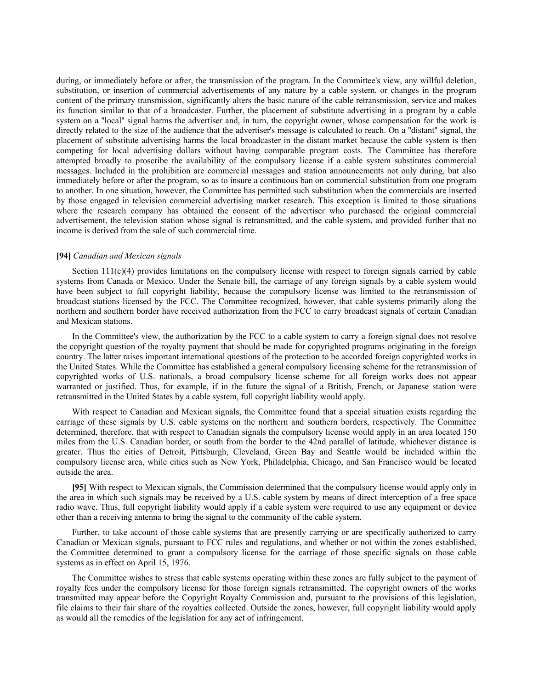during, or immediately before or after, the transmission of the program. In the Committee's view, any willful deletion, substitution, or insertion of commercial advertisements of any nature by a cable system, or changes in the program content of the primary transmission, significantly alters the basic nature of the cable retransmission, service and makes its function similar to that of a broadcaster. Further, the placement of substitute advertising in a program by a cable system on a ''local'' signal harms the advertiser and, in turn, the copyright owner, whose compensation for the work is directly related to the size of the audience that the advertiser's message is calculated to reach. On a ''distant'' signal, the placement of substitute advertising harms the local broadcaster in the distant market because the cable system is then competing for local advertising dollars without having comparable program costs. The Committee has therefore attempted broadly to proscribe the availability of the compulsory license if a cable system substitutes commercial messages. Included in the prohibition are commercial messages and station announcements not only during, but also immediately before or after the program, so as to insure a continuous ban on commercial substitution from one program to another. In one situation, however, the Committee has permitted such substitution when the commercials are inserted by those engaged in television commercial advertising market research. This exception is limited to those situations where the research company has obtained the consent of the advertiser who purchased the original commercial advertisement, the television station whose signal is retransmitted, and the cable system, and provided further that no income is derived from the sale of such commercial time.

## **[94]** *Canadian and Mexican signals*

Section 111(c)(4) provides limitations on the compulsory license with respect to foreign signals carried by cable systems from Canada or Mexico. Under the Senate bill, the carriage of any foreign signals by a cable system would have been subject to full copyright liability, because the compulsory license was limited to the retransmission of broadcast stations licensed by the FCC. The Committee recognized, however, that cable systems primarily along the northern and southern border have received authorization from the FCC to carry broadcast signals of certain Canadian and Mexican stations.

In the Committee's view, the authorization by the FCC to a cable system to carry a foreign signal does not resolve the copyright question of the royalty payment that should be made for copyrighted programs originating in the foreign country. The latter raises important international questions of the protection to be accorded foreign copyrighted works in the United States. While the Committee has established a general compulsory licensing scheme for the retransmission of copyrighted works of U.S. nationals, a broad compulsory license scheme for all foreign works does not appear warranted or justified. Thus, for example, if in the future the signal of a British, French, or Japanese station were retransmitted in the United States by a cable system, full copyright liability would apply.

With respect to Canadian and Mexican signals, the Committee found that a special situation exists regarding the carriage of these signals by U.S. cable systems on the northern and southern borders, respectively. The Committee determined, therefore, that with respect to Canadian signals the compulsory license would apply in an area located 150 miles from the U.S. Canadian border, or south from the border to the 42nd parallel of latitude, whichever distance is greater. Thus the cities of Detroit, Pittsburgh, Cleveland, Green Bay and Seattle would be included within the compulsory license area, while cities such as New York, Philadelphia, Chicago, and San Francisco would be located outside the area.

**[95]** With respect to Mexican signals, the Commission determined that the compulsory license would apply only in the area in which such signals may be received by a U.S. cable system by means of direct interception of a free space radio wave. Thus, full copyright liability would apply if a cable system were required to use any equipment or device other than a receiving antenna to bring the signal to the community of the cable system.

Further, to take account of those cable systems that are presently carrying or are specifically authorized to carry Canadian or Mexican signals, pursuant to FCC rules and regulations, and whether or not within the zones established, the Committee determined to grant a compulsory license for the carriage of those specific signals on those cable systems as in effect on April 15, 1976.

The Committee wishes to stress that cable systems operating within these zones are fully subject to the payment of royalty fees under the compulsory license for those foreign signals retransmitted. The copyright owners of the works transmitted may appear before the Copyright Royalty Commission and, pursuant to the provisions of this legislation, file claims to their fair share of the royalties collected. Outside the zones, however, full copyright liability would apply as would all the remedies of the legislation for any act of infringement.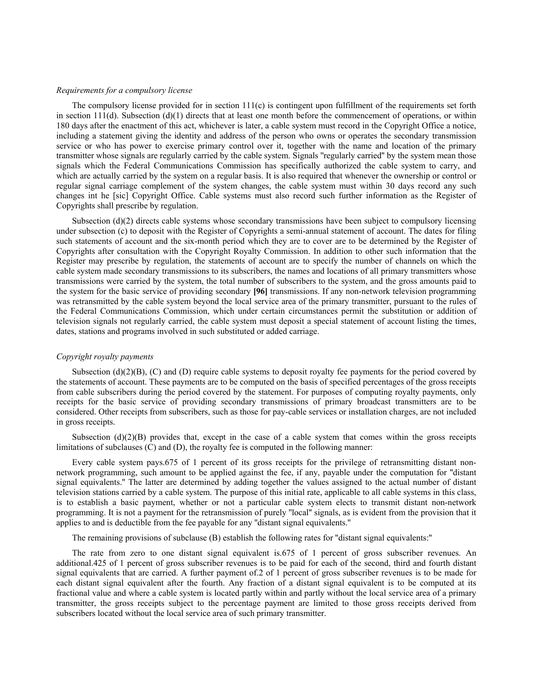## *Requirements for a compulsory license*

The compulsory license provided for in section  $111(c)$  is contingent upon fulfillment of the requirements set forth in section 111(d). Subsection (d)(1) directs that at least one month before the commencement of operations, or within 180 days after the enactment of this act, whichever is later, a cable system must record in the Copyright Office a notice, including a statement giving the identity and address of the person who owns or operates the secondary transmission service or who has power to exercise primary control over it, together with the name and location of the primary transmitter whose signals are regularly carried by the cable system. Signals ''regularly carried'' by the system mean those signals which the Federal Communications Commission has specifically authorized the cable system to carry, and which are actually carried by the system on a regular basis. It is also required that whenever the ownership or control or regular signal carriage complement of the system changes, the cable system must within 30 days record any such changes int he [sic] Copyright Office. Cable systems must also record such further information as the Register of Copyrights shall prescribe by regulation.

Subsection (d)(2) directs cable systems whose secondary transmissions have been subject to compulsory licensing under subsection (c) to deposit with the Register of Copyrights a semi-annual statement of account. The dates for filing such statements of account and the six-month period which they are to cover are to be determined by the Register of Copyrights after consultation with the Copyright Royalty Commission. In addition to other such information that the Register may prescribe by regulation, the statements of account are to specify the number of channels on which the cable system made secondary transmissions to its subscribers, the names and locations of all primary transmitters whose transmissions were carried by the system, the total number of subscribers to the system, and the gross amounts paid to the system for the basic service of providing secondary **[96]** transmissions. If any non-network television programming was retransmitted by the cable system beyond the local service area of the primary transmitter, pursuant to the rules of the Federal Communications Commission, which under certain circumstances permit the substitution or addition of television signals not regularly carried, the cable system must deposit a special statement of account listing the times, dates, stations and programs involved in such substituted or added carriage.

## *Copyright royalty payments*

Subsection  $(d)(2)(B)$ ,  $(C)$  and  $(D)$  require cable systems to deposit royalty fee payments for the period covered by the statements of account. These payments are to be computed on the basis of specified percentages of the gross receipts from cable subscribers during the period covered by the statement. For purposes of computing royalty payments, only receipts for the basic service of providing secondary transmissions of primary broadcast transmitters are to be considered. Other receipts from subscribers, such as those for pay-cable services or installation charges, are not included in gross receipts.

Subsection  $(d)(2)(B)$  provides that, except in the case of a cable system that comes within the gross receipts limitations of subclauses (C) and (D), the royalty fee is computed in the following manner:

Every cable system pays.675 of 1 percent of its gross receipts for the privilege of retransmitting distant nonnetwork programming, such amount to be applied against the fee, if any, payable under the computation for ''distant signal equivalents.'' The latter are determined by adding together the values assigned to the actual number of distant television stations carried by a cable system. The purpose of this initial rate, applicable to all cable systems in this class, is to establish a basic payment, whether or not a particular cable system elects to transmit distant non-network programming. It is not a payment for the retransmission of purely ''local'' signals, as is evident from the provision that it applies to and is deductible from the fee payable for any ''distant signal equivalents.''

The remaining provisions of subclause (B) establish the following rates for ''distant signal equivalents:''

The rate from zero to one distant signal equivalent is.675 of 1 percent of gross subscriber revenues. An additional.425 of 1 percent of gross subscriber revenues is to be paid for each of the second, third and fourth distant signal equivalents that are carried. A further payment of.2 of 1 percent of gross subscriber revenues is to be made for each distant signal equivalent after the fourth. Any fraction of a distant signal equivalent is to be computed at its fractional value and where a cable system is located partly within and partly without the local service area of a primary transmitter, the gross receipts subject to the percentage payment are limited to those gross receipts derived from subscribers located without the local service area of such primary transmitter.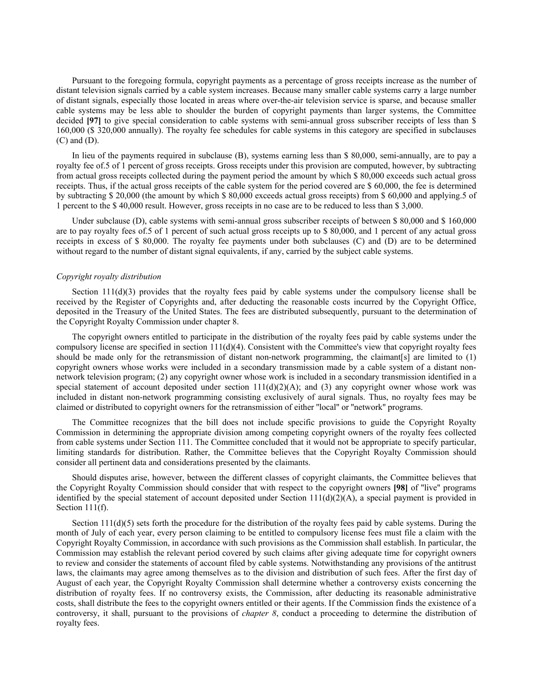Pursuant to the foregoing formula, copyright payments as a percentage of gross receipts increase as the number of distant television signals carried by a cable system increases. Because many smaller cable systems carry a large number of distant signals, especially those located in areas where over-the-air television service is sparse, and because smaller cable systems may be less able to shoulder the burden of copyright payments than larger systems, the Committee decided **[97]** to give special consideration to cable systems with semi-annual gross subscriber receipts of less than \$ 160,000 (\$ 320,000 annually). The royalty fee schedules for cable systems in this category are specified in subclauses (C) and (D).

In lieu of the payments required in subclause (B), systems earning less than \$ 80,000, semi-annually, are to pay a royalty fee of.5 of 1 percent of gross receipts. Gross receipts under this provision are computed, however, by subtracting from actual gross receipts collected during the payment period the amount by which \$ 80,000 exceeds such actual gross receipts. Thus, if the actual gross receipts of the cable system for the period covered are \$ 60,000, the fee is determined by subtracting \$ 20,000 (the amount by which \$ 80,000 exceeds actual gross receipts) from \$ 60,000 and applying.5 of 1 percent to the \$ 40,000 result. However, gross receipts in no case are to be reduced to less than \$ 3,000.

Under subclause (D), cable systems with semi-annual gross subscriber receipts of between \$ 80,000 and \$ 160,000 are to pay royalty fees of.5 of 1 percent of such actual gross receipts up to \$ 80,000, and 1 percent of any actual gross receipts in excess of \$ 80,000. The royalty fee payments under both subclauses (C) and (D) are to be determined without regard to the number of distant signal equivalents, if any, carried by the subject cable systems.

### *Copyright royalty distribution*

Section 111(d)(3) provides that the royalty fees paid by cable systems under the compulsory license shall be received by the Register of Copyrights and, after deducting the reasonable costs incurred by the Copyright Office, deposited in the Treasury of the United States. The fees are distributed subsequently, pursuant to the determination of the Copyright Royalty Commission under chapter 8.

The copyright owners entitled to participate in the distribution of the royalty fees paid by cable systems under the compulsory license are specified in section  $11(1)(4)$ . Consistent with the Committee's view that copyright royalty fees should be made only for the retransmission of distant non-network programming, the claimant[s] are limited to (1) copyright owners whose works were included in a secondary transmission made by a cable system of a distant nonnetwork television program; (2) any copyright owner whose work is included in a secondary transmission identified in a special statement of account deposited under section  $111(d)(2)(A)$ ; and (3) any copyright owner whose work was included in distant non-network programming consisting exclusively of aural signals. Thus, no royalty fees may be claimed or distributed to copyright owners for the retransmission of either ''local'' or ''network'' programs.

The Committee recognizes that the bill does not include specific provisions to guide the Copyright Royalty Commission in determining the appropriate division among competing copyright owners of the royalty fees collected from cable systems under Section 111. The Committee concluded that it would not be appropriate to specify particular, limiting standards for distribution. Rather, the Committee believes that the Copyright Royalty Commission should consider all pertinent data and considerations presented by the claimants.

Should disputes arise, however, between the different classes of copyright claimants, the Committee believes that the Copyright Royalty Commission should consider that with respect to the copyright owners **[98]** of ''live'' programs identified by the special statement of account deposited under Section  $111(d)(2)(A)$ , a special payment is provided in Section 111(f).

Section 111(d)(5) sets forth the procedure for the distribution of the royalty fees paid by cable systems. During the month of July of each year, every person claiming to be entitled to compulsory license fees must file a claim with the Copyright Royalty Commission, in accordance with such provisions as the Commission shall establish. In particular, the Commission may establish the relevant period covered by such claims after giving adequate time for copyright owners to review and consider the statements of account filed by cable systems. Notwithstanding any provisions of the antitrust laws, the claimants may agree among themselves as to the division and distribution of such fees. After the first day of August of each year, the Copyright Royalty Commission shall determine whether a controversy exists concerning the distribution of royalty fees. If no controversy exists, the Commission, after deducting its reasonable administrative costs, shall distribute the fees to the copyright owners entitled or their agents. If the Commission finds the existence of a controversy, it shall, pursuant to the provisions of *chapter 8*, conduct a proceeding to determine the distribution of royalty fees.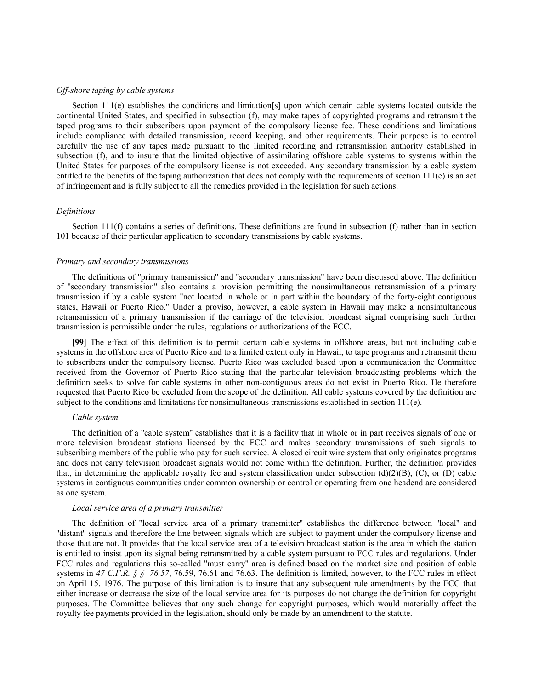### *Off-shore taping by cable systems*

Section 111(e) establishes the conditions and limitation[s] upon which certain cable systems located outside the continental United States, and specified in subsection (f), may make tapes of copyrighted programs and retransmit the taped programs to their subscribers upon payment of the compulsory license fee. These conditions and limitations include compliance with detailed transmission, record keeping, and other requirements. Their purpose is to control carefully the use of any tapes made pursuant to the limited recording and retransmission authority established in subsection (f), and to insure that the limited objective of assimilating offshore cable systems to systems within the United States for purposes of the compulsory license is not exceeded. Any secondary transmission by a cable system entitled to the benefits of the taping authorization that does not comply with the requirements of section  $111(e)$  is an act of infringement and is fully subject to all the remedies provided in the legislation for such actions.

### *Definitions*

Section 111(f) contains a series of definitions. These definitions are found in subsection (f) rather than in section 101 because of their particular application to secondary transmissions by cable systems.

#### *Primary and secondary transmissions*

The definitions of ''primary transmission'' and ''secondary transmission'' have been discussed above. The definition of ''secondary transmission'' also contains a provision permitting the nonsimultaneous retransmission of a primary transmission if by a cable system ''not located in whole or in part within the boundary of the forty-eight contiguous states, Hawaii or Puerto Rico.'' Under a proviso, however, a cable system in Hawaii may make a nonsimultaneous retransmission of a primary transmission if the carriage of the television broadcast signal comprising such further transmission is permissible under the rules, regulations or authorizations of the FCC.

**[99]** The effect of this definition is to permit certain cable systems in offshore areas, but not including cable systems in the offshore area of Puerto Rico and to a limited extent only in Hawaii, to tape programs and retransmit them to subscribers under the compulsory license. Puerto Rico was excluded based upon a communication the Committee received from the Governor of Puerto Rico stating that the particular television broadcasting problems which the definition seeks to solve for cable systems in other non-contiguous areas do not exist in Puerto Rico. He therefore requested that Puerto Rico be excluded from the scope of the definition. All cable systems covered by the definition are subject to the conditions and limitations for nonsimultaneous transmissions established in section 111(e).

## *Cable system*

The definition of a ''cable system'' establishes that it is a facility that in whole or in part receives signals of one or more television broadcast stations licensed by the FCC and makes secondary transmissions of such signals to subscribing members of the public who pay for such service. A closed circuit wire system that only originates programs and does not carry television broadcast signals would not come within the definition. Further, the definition provides that, in determining the applicable royalty fee and system classification under subsection  $(d)(2)(B)$ ,  $(C)$ , or  $(D)$  cable systems in contiguous communities under common ownership or control or operating from one headend are considered as one system.

### *Local service area of a primary transmitter*

The definition of ''local service area of a primary transmitter'' establishes the difference between ''local'' and ''distant'' signals and therefore the line between signals which are subject to payment under the compulsory license and those that are not. It provides that the local service area of a television broadcast station is the area in which the station is entitled to insist upon its signal being retransmitted by a cable system pursuant to FCC rules and regulations. Under FCC rules and regulations this so-called ''must carry'' area is defined based on the market size and position of cable systems in *47 C.F.R. § § 76.57*, 76.59, 76.61 and 76.63. The definition is limited, however, to the FCC rules in effect on April 15, 1976. The purpose of this limitation is to insure that any subsequent rule amendments by the FCC that either increase or decrease the size of the local service area for its purposes do not change the definition for copyright purposes. The Committee believes that any such change for copyright purposes, which would materially affect the royalty fee payments provided in the legislation, should only be made by an amendment to the statute.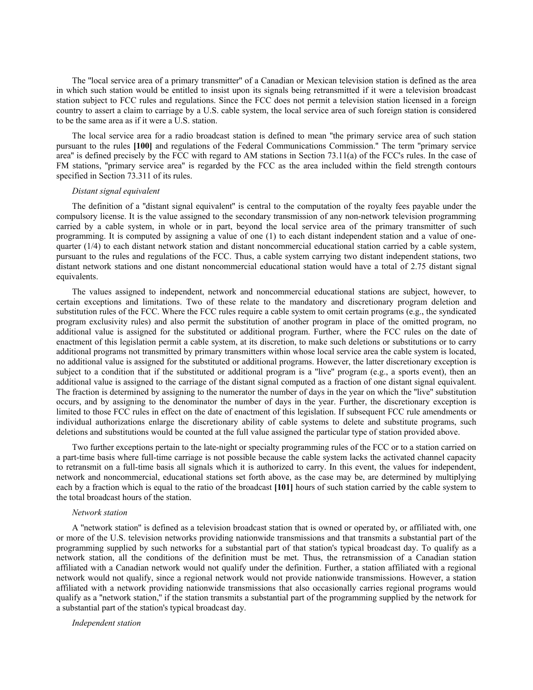The ''local service area of a primary transmitter'' of a Canadian or Mexican television station is defined as the area in which such station would be entitled to insist upon its signals being retransmitted if it were a television broadcast station subject to FCC rules and regulations. Since the FCC does not permit a television station licensed in a foreign country to assert a claim to carriage by a U.S. cable system, the local service area of such foreign station is considered to be the same area as if it were a U.S. station.

The local service area for a radio broadcast station is defined to mean ''the primary service area of such station pursuant to the rules **[100]** and regulations of the Federal Communications Commission.'' The term ''primary service area'' is defined precisely by the FCC with regard to AM stations in Section 73.11(a) of the FCC's rules. In the case of FM stations, "primary service area" is regarded by the FCC as the area included within the field strength contours specified in Section 73.311 of its rules.

# *Distant signal equivalent*

The definition of a ''distant signal equivalent'' is central to the computation of the royalty fees payable under the compulsory license. It is the value assigned to the secondary transmission of any non-network television programming carried by a cable system, in whole or in part, beyond the local service area of the primary transmitter of such programming. It is computed by assigning a value of one (1) to each distant independent station and a value of onequarter (1/4) to each distant network station and distant noncommercial educational station carried by a cable system, pursuant to the rules and regulations of the FCC. Thus, a cable system carrying two distant independent stations, two distant network stations and one distant noncommercial educational station would have a total of 2.75 distant signal equivalents.

The values assigned to independent, network and noncommercial educational stations are subject, however, to certain exceptions and limitations. Two of these relate to the mandatory and discretionary program deletion and substitution rules of the FCC. Where the FCC rules require a cable system to omit certain programs (e.g., the syndicated program exclusivity rules) and also permit the substitution of another program in place of the omitted program, no additional value is assigned for the substituted or additional program. Further, where the FCC rules on the date of enactment of this legislation permit a cable system, at its discretion, to make such deletions or substitutions or to carry additional programs not transmitted by primary transmitters within whose local service area the cable system is located, no additional value is assigned for the substituted or additional programs. However, the latter discretionary exception is subject to a condition that if the substituted or additional program is a "live" program (e.g., a sports event), then an additional value is assigned to the carriage of the distant signal computed as a fraction of one distant signal equivalent. The fraction is determined by assigning to the numerator the number of days in the year on which the ''live'' substitution occurs, and by assigning to the denominator the number of days in the year. Further, the discretionary exception is limited to those FCC rules in effect on the date of enactment of this legislation. If subsequent FCC rule amendments or individual authorizations enlarge the discretionary ability of cable systems to delete and substitute programs, such deletions and substitutions would be counted at the full value assigned the particular type of station provided above.

Two further exceptions pertain to the late-night or specialty programming rules of the FCC or to a station carried on a part-time basis where full-time carriage is not possible because the cable system lacks the activated channel capacity to retransmit on a full-time basis all signals which it is authorized to carry. In this event, the values for independent, network and noncommercial, educational stations set forth above, as the case may be, are determined by multiplying each by a fraction which is equal to the ratio of the broadcast **[101]** hours of such station carried by the cable system to the total broadcast hours of the station.

#### *Network station*

A ''network station'' is defined as a television broadcast station that is owned or operated by, or affiliated with, one or more of the U.S. television networks providing nationwide transmissions and that transmits a substantial part of the programming supplied by such networks for a substantial part of that station's typical broadcast day. To qualify as a network station, all the conditions of the definition must be met. Thus, the retransmission of a Canadian station affiliated with a Canadian network would not qualify under the definition. Further, a station affiliated with a regional network would not qualify, since a regional network would not provide nationwide transmissions. However, a station affiliated with a network providing nationwide transmissions that also occasionally carries regional programs would qualify as a ''network station,'' if the station transmits a substantial part of the programming supplied by the network for a substantial part of the station's typical broadcast day.

## *Independent station*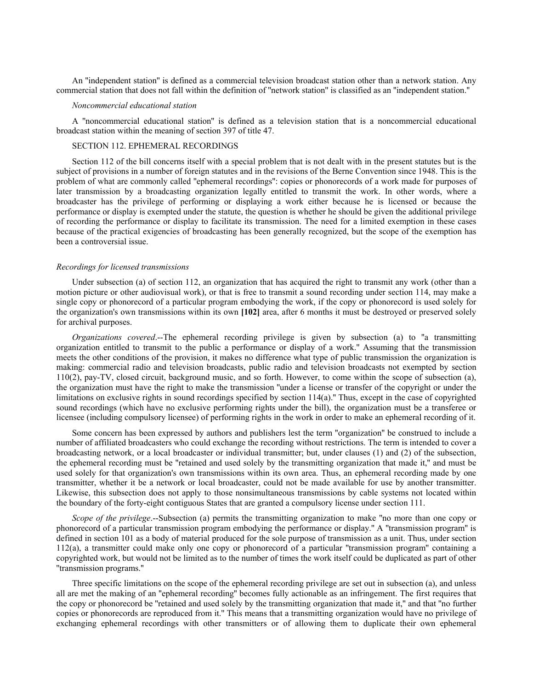An ''independent station'' is defined as a commercial television broadcast station other than a network station. Any commercial station that does not fall within the definition of ''network station'' is classified as an ''independent station.''

# *Noncommercial educational station*

A ''noncommercial educational station'' is defined as a television station that is a noncommercial educational broadcast station within the meaning of section 397 of title 47.

# SECTION 112. EPHEMERAL RECORDINGS

Section 112 of the bill concerns itself with a special problem that is not dealt with in the present statutes but is the subject of provisions in a number of foreign statutes and in the revisions of the Berne Convention since 1948. This is the problem of what are commonly called ''ephemeral recordings'': copies or phonorecords of a work made for purposes of later transmission by a broadcasting organization legally entitled to transmit the work. In other words, where a broadcaster has the privilege of performing or displaying a work either because he is licensed or because the performance or display is exempted under the statute, the question is whether he should be given the additional privilege of recording the performance or display to facilitate its transmission. The need for a limited exemption in these cases because of the practical exigencies of broadcasting has been generally recognized, but the scope of the exemption has been a controversial issue.

### *Recordings for licensed transmissions*

Under subsection (a) of section 112, an organization that has acquired the right to transmit any work (other than a motion picture or other audiovisual work), or that is free to transmit a sound recording under section 114, may make a single copy or phonorecord of a particular program embodying the work, if the copy or phonorecord is used solely for the organization's own transmissions within its own **[102]** area, after 6 months it must be destroyed or preserved solely for archival purposes.

*Organizations covered*.--The ephemeral recording privilege is given by subsection (a) to ''a transmitting organization entitled to transmit to the public a performance or display of a work.'' Assuming that the transmission meets the other conditions of the provision, it makes no difference what type of public transmission the organization is making: commercial radio and television broadcasts, public radio and television broadcasts not exempted by section 110(2), pay-TV, closed circuit, background music, and so forth. However, to come within the scope of subsection (a), the organization must have the right to make the transmission ''under a license or transfer of the copyright or under the limitations on exclusive rights in sound recordings specified by section 114(a).'' Thus, except in the case of copyrighted sound recordings (which have no exclusive performing rights under the bill), the organization must be a transferee or licensee (including compulsory licensee) of performing rights in the work in order to make an ephemeral recording of it.

Some concern has been expressed by authors and publishers lest the term ''organization'' be construed to include a number of affiliated broadcasters who could exchange the recording without restrictions. The term is intended to cover a broadcasting network, or a local broadcaster or individual transmitter; but, under clauses (1) and (2) of the subsection, the ephemeral recording must be ''retained and used solely by the transmitting organization that made it,'' and must be used solely for that organization's own transmissions within its own area. Thus, an ephemeral recording made by one transmitter, whether it be a network or local broadcaster, could not be made available for use by another transmitter. Likewise, this subsection does not apply to those nonsimultaneous transmissions by cable systems not located within the boundary of the forty-eight contiguous States that are granted a compulsory license under section 111.

*Scope of the privilege*.--Subsection (a) permits the transmitting organization to make ''no more than one copy or phonorecord of a particular transmission program embodying the performance or display.'' A ''transmission program'' is defined in section 101 as a body of material produced for the sole purpose of transmission as a unit. Thus, under section 112(a), a transmitter could make only one copy or phonorecord of a particular ''transmission program'' containing a copyrighted work, but would not be limited as to the number of times the work itself could be duplicated as part of other ''transmission programs.''

Three specific limitations on the scope of the ephemeral recording privilege are set out in subsection (a), and unless all are met the making of an ''ephemeral recording'' becomes fully actionable as an infringement. The first requires that the copy or phonorecord be ''retained and used solely by the transmitting organization that made it,'' and that ''no further copies or phonorecords are reproduced from it.'' This means that a transmitting organization would have no privilege of exchanging ephemeral recordings with other transmitters or of allowing them to duplicate their own ephemeral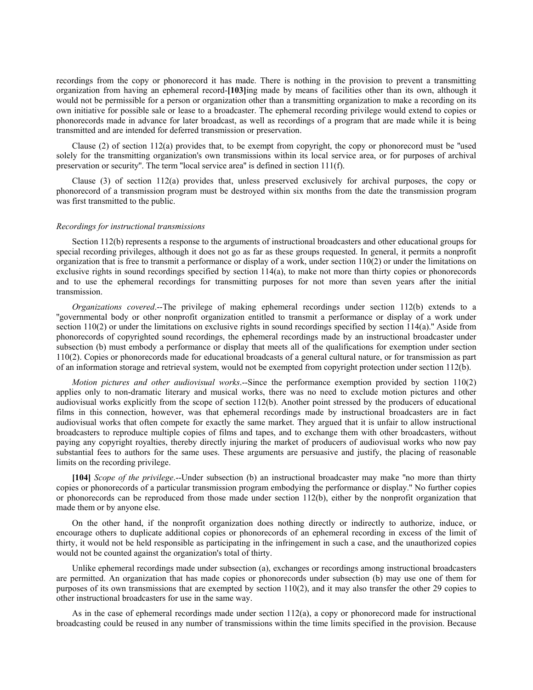recordings from the copy or phonorecord it has made. There is nothing in the provision to prevent a transmitting organization from having an ephemeral record-**[103]**ing made by means of facilities other than its own, although it would not be permissible for a person or organization other than a transmitting organization to make a recording on its own initiative for possible sale or lease to a broadcaster. The ephemeral recording privilege would extend to copies or phonorecords made in advance for later broadcast, as well as recordings of a program that are made while it is being transmitted and are intended for deferred transmission or preservation.

Clause (2) of section 112(a) provides that, to be exempt from copyright, the copy or phonorecord must be ''used solely for the transmitting organization's own transmissions within its local service area, or for purposes of archival preservation or security''. The term ''local service area'' is defined in section 111(f).

Clause (3) of section 112(a) provides that, unless preserved exclusively for archival purposes, the copy or phonorecord of a transmission program must be destroyed within six months from the date the transmission program was first transmitted to the public.

#### *Recordings for instructional transmissions*

Section 112(b) represents a response to the arguments of instructional broadcasters and other educational groups for special recording privileges, although it does not go as far as these groups requested. In general, it permits a nonprofit organization that is free to transmit a performance or display of a work, under section  $110(2)$  or under the limitations on exclusive rights in sound recordings specified by section 114(a), to make not more than thirty copies or phonorecords and to use the ephemeral recordings for transmitting purposes for not more than seven years after the initial transmission.

*Organizations covered*.--The privilege of making ephemeral recordings under section 112(b) extends to a ''governmental body or other nonprofit organization entitled to transmit a performance or display of a work under section 110(2) or under the limitations on exclusive rights in sound recordings specified by section 114(a)." Aside from phonorecords of copyrighted sound recordings, the ephemeral recordings made by an instructional broadcaster under subsection (b) must embody a performance or display that meets all of the qualifications for exemption under section 110(2). Copies or phonorecords made for educational broadcasts of a general cultural nature, or for transmission as part of an information storage and retrieval system, would not be exempted from copyright protection under section 112(b).

*Motion pictures and other audiovisual works*.--Since the performance exemption provided by section 110(2) applies only to non-dramatic literary and musical works, there was no need to exclude motion pictures and other audiovisual works explicitly from the scope of section 112(b). Another point stressed by the producers of educational films in this connection, however, was that ephemeral recordings made by instructional broadcasters are in fact audiovisual works that often compete for exactly the same market. They argued that it is unfair to allow instructional broadcasters to reproduce multiple copies of films and tapes, and to exchange them with other broadcasters, without paying any copyright royalties, thereby directly injuring the market of producers of audiovisual works who now pay substantial fees to authors for the same uses. These arguments are persuasive and justify, the placing of reasonable limits on the recording privilege.

**[104]** *Scope of the privilege*.--Under subsection (b) an instructional broadcaster may make ''no more than thirty copies or phonorecords of a particular transmission program embodying the performance or display.'' No further copies or phonorecords can be reproduced from those made under section 112(b), either by the nonprofit organization that made them or by anyone else.

On the other hand, if the nonprofit organization does nothing directly or indirectly to authorize, induce, or encourage others to duplicate additional copies or phonorecords of an ephemeral recording in excess of the limit of thirty, it would not be held responsible as participating in the infringement in such a case, and the unauthorized copies would not be counted against the organization's total of thirty.

Unlike ephemeral recordings made under subsection (a), exchanges or recordings among instructional broadcasters are permitted. An organization that has made copies or phonorecords under subsection (b) may use one of them for purposes of its own transmissions that are exempted by section  $110(2)$ , and it may also transfer the other 29 copies to other instructional broadcasters for use in the same way.

As in the case of ephemeral recordings made under section  $112(a)$ , a copy or phonorecord made for instructional broadcasting could be reused in any number of transmissions within the time limits specified in the provision. Because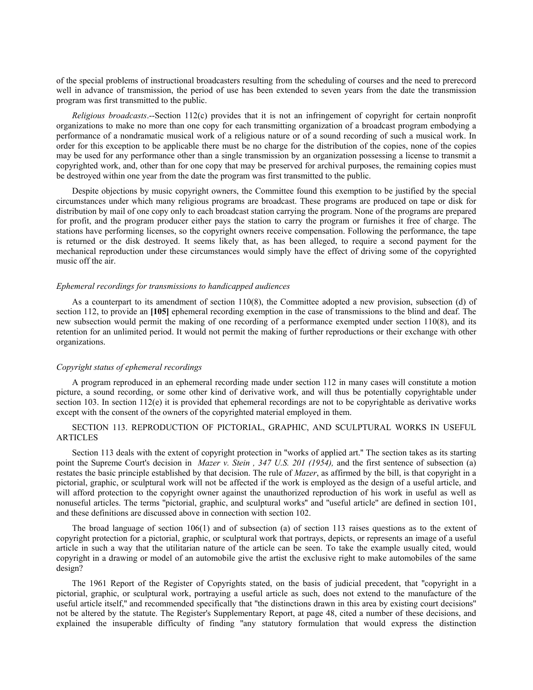of the special problems of instructional broadcasters resulting from the scheduling of courses and the need to prerecord well in advance of transmission, the period of use has been extended to seven years from the date the transmission program was first transmitted to the public.

*Religious broadcasts*.--Section 112(c) provides that it is not an infringement of copyright for certain nonprofit organizations to make no more than one copy for each transmitting organization of a broadcast program embodying a performance of a nondramatic musical work of a religious nature or of a sound recording of such a musical work. In order for this exception to be applicable there must be no charge for the distribution of the copies, none of the copies may be used for any performance other than a single transmission by an organization possessing a license to transmit a copyrighted work, and, other than for one copy that may be preserved for archival purposes, the remaining copies must be destroyed within one year from the date the program was first transmitted to the public.

Despite objections by music copyright owners, the Committee found this exemption to be justified by the special circumstances under which many religious programs are broadcast. These programs are produced on tape or disk for distribution by mail of one copy only to each broadcast station carrying the program. None of the programs are prepared for profit, and the program producer either pays the station to carry the program or furnishes it free of charge. The stations have performing licenses, so the copyright owners receive compensation. Following the performance, the tape is returned or the disk destroyed. It seems likely that, as has been alleged, to require a second payment for the mechanical reproduction under these circumstances would simply have the effect of driving some of the copyrighted music off the air.

## *Ephemeral recordings for transmissions to handicapped audiences*

As a counterpart to its amendment of section 110(8), the Committee adopted a new provision, subsection (d) of section 112, to provide an **[105]** ephemeral recording exemption in the case of transmissions to the blind and deaf. The new subsection would permit the making of one recording of a performance exempted under section 110(8), and its retention for an unlimited period. It would not permit the making of further reproductions or their exchange with other organizations.

#### *Copyright status of ephemeral recordings*

A program reproduced in an ephemeral recording made under section 112 in many cases will constitute a motion picture, a sound recording, or some other kind of derivative work, and will thus be potentially copyrightable under section 103. In section 112(e) it is provided that ephemeral recordings are not to be copyrightable as derivative works except with the consent of the owners of the copyrighted material employed in them.

# SECTION 113. REPRODUCTION OF PICTORIAL, GRAPHIC, AND SCULPTURAL WORKS IN USEFUL ARTICLES

Section 113 deals with the extent of copyright protection in ''works of applied art.'' The section takes as its starting point the Supreme Court's decision in *Mazer v. Stein , 347 U.S. 201 (1954)*, and the first sentence of subsection (a) restates the basic principle established by that decision. The rule of *Mazer*, as affirmed by the bill, is that copyright in a pictorial, graphic, or sculptural work will not be affected if the work is employed as the design of a useful article, and will afford protection to the copyright owner against the unauthorized reproduction of his work in useful as well as nonuseful articles. The terms ''pictorial, graphic, and sculptural works'' and ''useful article'' are defined in section 101, and these definitions are discussed above in connection with section 102.

The broad language of section 106(1) and of subsection (a) of section 113 raises questions as to the extent of copyright protection for a pictorial, graphic, or sculptural work that portrays, depicts, or represents an image of a useful article in such a way that the utilitarian nature of the article can be seen. To take the example usually cited, would copyright in a drawing or model of an automobile give the artist the exclusive right to make automobiles of the same design?

The 1961 Report of the Register of Copyrights stated, on the basis of judicial precedent, that ''copyright in a pictorial, graphic, or sculptural work, portraying a useful article as such, does not extend to the manufacture of the useful article itself,'' and recommended specifically that ''the distinctions drawn in this area by existing court decisions'' not be altered by the statute. The Register's Supplementary Report, at page 48, cited a number of these decisions, and explained the insuperable difficulty of finding ''any statutory formulation that would express the distinction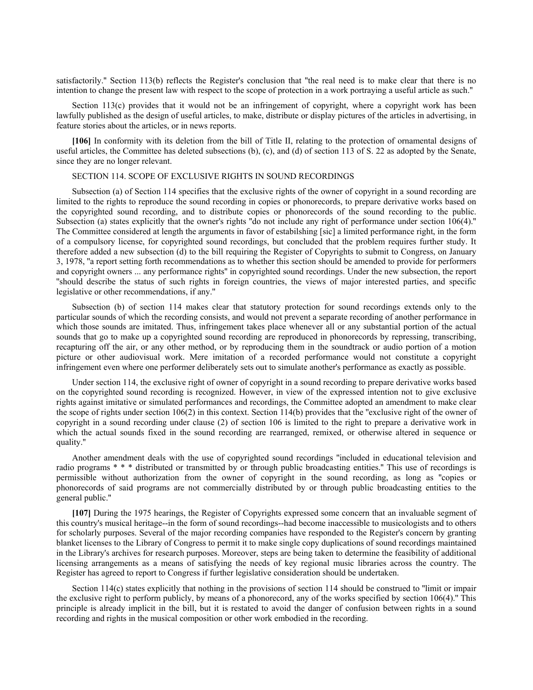satisfactorily.'' Section 113(b) reflects the Register's conclusion that ''the real need is to make clear that there is no intention to change the present law with respect to the scope of protection in a work portraying a useful article as such.''

Section 113(c) provides that it would not be an infringement of copyright, where a copyright work has been lawfully published as the design of useful articles, to make, distribute or display pictures of the articles in advertising, in feature stories about the articles, or in news reports.

**[106]** In conformity with its deletion from the bill of Title II, relating to the protection of ornamental designs of useful articles, the Committee has deleted subsections (b), (c), and (d) of section 113 of S. 22 as adopted by the Senate, since they are no longer relevant.

# SECTION 114. SCOPE OF EXCLUSIVE RIGHTS IN SOUND RECORDINGS

Subsection (a) of Section 114 specifies that the exclusive rights of the owner of copyright in a sound recording are limited to the rights to reproduce the sound recording in copies or phonorecords, to prepare derivative works based on the copyrighted sound recording, and to distribute copies or phonorecords of the sound recording to the public. Subsection (a) states explicitly that the owner's rights ''do not include any right of performance under section 106(4).'' The Committee considered at length the arguments in favor of estabilshing [sic] a limited performance right, in the form of a compulsory license, for copyrighted sound recordings, but concluded that the problem requires further study. It therefore added a new subsection (d) to the bill requiring the Register of Copyrights to submit to Congress, on January 3, 1978, ''a report setting forth recommendations as to whether this section should be amended to provide for performers and copyright owners ... any performance rights'' in copyrighted sound recordings. Under the new subsection, the report ''should describe the status of such rights in foreign countries, the views of major interested parties, and specific legislative or other recommendations, if any.''

Subsection (b) of section 114 makes clear that statutory protection for sound recordings extends only to the particular sounds of which the recording consists, and would not prevent a separate recording of another performance in which those sounds are imitated. Thus, infringement takes place whenever all or any substantial portion of the actual sounds that go to make up a copyrighted sound recording are reproduced in phonorecords by repressing, transcribing, recapturing off the air, or any other method, or by reproducing them in the soundtrack or audio portion of a motion picture or other audiovisual work. Mere imitation of a recorded performance would not constitute a copyright infringement even where one performer deliberately sets out to simulate another's performance as exactly as possible.

Under section 114, the exclusive right of owner of copyright in a sound recording to prepare derivative works based on the copyrighted sound recording is recognized. However, in view of the expressed intention not to give exclusive rights against imitative or simulated performances and recordings, the Committee adopted an amendment to make clear the scope of rights under section 106(2) in this context. Section 114(b) provides that the ''exclusive right of the owner of copyright in a sound recording under clause (2) of section 106 is limited to the right to prepare a derivative work in which the actual sounds fixed in the sound recording are rearranged, remixed, or otherwise altered in sequence or quality.''

Another amendment deals with the use of copyrighted sound recordings ''included in educational television and radio programs \* \* \* distributed or transmitted by or through public broadcasting entities." This use of recordings is permissible without authorization from the owner of copyright in the sound recording, as long as ''copies or phonorecords of said programs are not commercially distributed by or through public broadcasting entities to the general public.''

**[107]** During the 1975 hearings, the Register of Copyrights expressed some concern that an invaluable segment of this country's musical heritage--in the form of sound recordings--had become inaccessible to musicologists and to others for scholarly purposes. Several of the major recording companies have responded to the Register's concern by granting blanket licenses to the Library of Congress to permit it to make single copy duplications of sound recordings maintained in the Library's archives for research purposes. Moreover, steps are being taken to determine the feasibility of additional licensing arrangements as a means of satisfying the needs of key regional music libraries across the country. The Register has agreed to report to Congress if further legislative consideration should be undertaken.

Section 114(c) states explicitly that nothing in the provisions of section 114 should be construed to ''limit or impair the exclusive right to perform publicly, by means of a phonorecord, any of the works specified by section 106(4).'' This principle is already implicit in the bill, but it is restated to avoid the danger of confusion between rights in a sound recording and rights in the musical composition or other work embodied in the recording.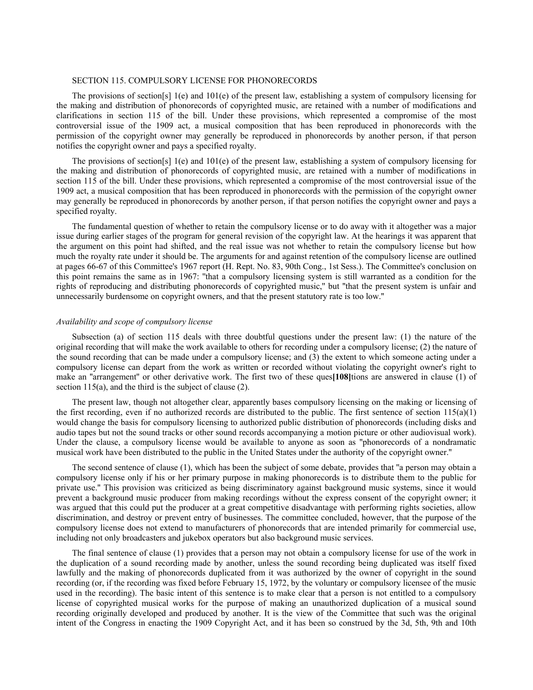## SECTION 115. COMPULSORY LICENSE FOR PHONORECORDS

The provisions of section[s] 1(e) and 101(e) of the present law, establishing a system of compulsory licensing for the making and distribution of phonorecords of copyrighted music, are retained with a number of modifications and clarifications in section 115 of the bill. Under these provisions, which represented a compromise of the most controversial issue of the 1909 act, a musical composition that has been reproduced in phonorecords with the permission of the copyright owner may generally be reproduced in phonorecords by another person, if that person notifies the copyright owner and pays a specified royalty.

The provisions of section[s]  $1(e)$  and  $101(e)$  of the present law, establishing a system of compulsory licensing for the making and distribution of phonorecords of copyrighted music, are retained with a number of modifications in section 115 of the bill. Under these provisions, which represented a compromise of the most controversial issue of the 1909 act, a musical composition that has been reproduced in phonorecords with the permission of the copyright owner may generally be reproduced in phonorecords by another person, if that person notifies the copyright owner and pays a specified royalty.

The fundamental question of whether to retain the compulsory license or to do away with it altogether was a major issue during earlier stages of the program for general revision of the copyright law. At the hearings it was apparent that the argument on this point had shifted, and the real issue was not whether to retain the compulsory license but how much the royalty rate under it should be. The arguments for and against retention of the compulsory license are outlined at pages 66-67 of this Committee's 1967 report (H. Rept. No. 83, 90th Cong., 1st Sess.). The Committee's conclusion on this point remains the same as in 1967: ''that a compulsory licensing system is still warranted as a condition for the rights of reproducing and distributing phonorecords of copyrighted music,'' but ''that the present system is unfair and unnecessarily burdensome on copyright owners, and that the present statutory rate is too low.''

## *Availability and scope of compulsory license*

Subsection (a) of section 115 deals with three doubtful questions under the present law: (1) the nature of the original recording that will make the work available to others for recording under a compulsory license; (2) the nature of the sound recording that can be made under a compulsory license; and (3) the extent to which someone acting under a compulsory license can depart from the work as written or recorded without violating the copyright owner's right to make an ''arrangement'' or other derivative work. The first two of these ques**[108]**tions are answered in clause (1) of section 115(a), and the third is the subject of clause (2).

The present law, though not altogether clear, apparently bases compulsory licensing on the making or licensing of the first recording, even if no authorized records are distributed to the public. The first sentence of section  $115(a)(1)$ would change the basis for compulsory licensing to authorized public distribution of phonorecords (including disks and audio tapes but not the sound tracks or other sound records accompanying a motion picture or other audiovisual work). Under the clause, a compulsory license would be available to anyone as soon as ''phonorecords of a nondramatic musical work have been distributed to the public in the United States under the authority of the copyright owner.''

The second sentence of clause (1), which has been the subject of some debate, provides that ''a person may obtain a compulsory license only if his or her primary purpose in making phonorecords is to distribute them to the public for private use.'' This provision was criticized as being discriminatory against background music systems, since it would prevent a background music producer from making recordings without the express consent of the copyright owner; it was argued that this could put the producer at a great competitive disadvantage with performing rights societies, allow discrimination, and destroy or prevent entry of businesses. The committee concluded, however, that the purpose of the compulsory license does not extend to manufacturers of phonorecords that are intended primarily for commercial use, including not only broadcasters and jukebox operators but also background music services.

The final sentence of clause (1) provides that a person may not obtain a compulsory license for use of the work in the duplication of a sound recording made by another, unless the sound recording being duplicated was itself fixed lawfully and the making of phonorecords duplicated from it was authorized by the owner of copyright in the sound recording (or, if the recording was fixed before February 15, 1972, by the voluntary or compulsory licensee of the music used in the recording). The basic intent of this sentence is to make clear that a person is not entitled to a compulsory license of copyrighted musical works for the purpose of making an unauthorized duplication of a musical sound recording originally developed and produced by another. It is the view of the Committee that such was the original intent of the Congress in enacting the 1909 Copyright Act, and it has been so construed by the 3d, 5th, 9th and 10th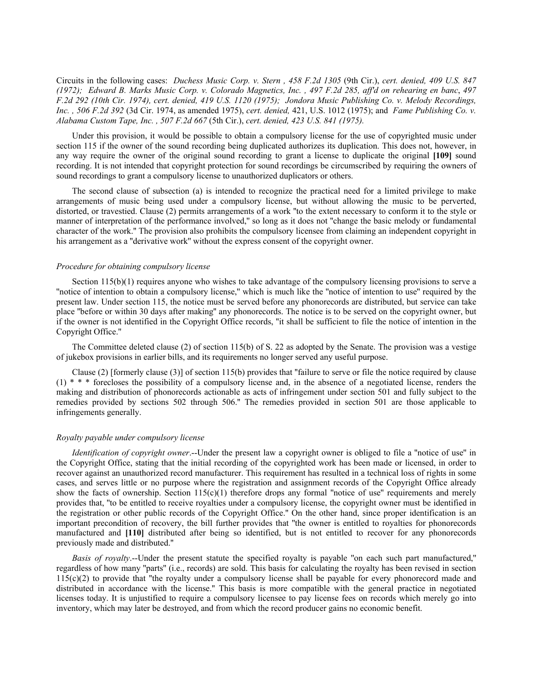Circuits in the following cases: *Duchess Music Corp. v. Stern , 458 F.2d 1305* (9th Cir.), *cert. denied, 409 U.S. 847 (1972); Edward B. Marks Music Corp. v. Colorado Magnetics, Inc. , 497 F.2d 285, aff'd on rehearing en banc*, *497 F.2d 292 (10th Cir. 1974), cert. denied, 419 U.S. 1120 (1975); Jondora Music Publishing Co. v. Melody Recordings, Inc. , 506 F.2d 392* (3d Cir. 1974, as amended 1975), *cert. denied,* 421, U.S. 1012 (1975); and *Fame Publishing Co. v. Alabama Custom Tape, Inc. , 507 F.2d 667* (5th Cir.), *cert. denied, 423 U.S. 841 (1975).*

Under this provision, it would be possible to obtain a compulsory license for the use of copyrighted music under section 115 if the owner of the sound recording being duplicated authorizes its duplication. This does not, however, in any way require the owner of the original sound recording to grant a license to duplicate the original **[109]** sound recording. It is not intended that copyright protection for sound recordings be circumscribed by requiring the owners of sound recordings to grant a compulsory license to unauthorized duplicators or others.

The second clause of subsection (a) is intended to recognize the practical need for a limited privilege to make arrangements of music being used under a compulsory license, but without allowing the music to be perverted, distorted, or travestied. Clause (2) permits arrangements of a work ''to the extent necessary to conform it to the style or manner of interpretation of the performance involved,'' so long as it does not ''change the basic melody or fundamental character of the work.'' The provision also prohibits the compulsory licensee from claiming an independent copyright in his arrangement as a ''derivative work'' without the express consent of the copyright owner.

## *Procedure for obtaining compulsory license*

Section 115(b)(1) requires anyone who wishes to take advantage of the compulsory licensing provisions to serve a ''notice of intention to obtain a compulsory license,'' which is much like the ''notice of intention to use'' required by the present law. Under section 115, the notice must be served before any phonorecords are distributed, but service can take place ''before or within 30 days after making'' any phonorecords. The notice is to be served on the copyright owner, but if the owner is not identified in the Copyright Office records, ''it shall be sufficient to file the notice of intention in the Copyright Office.''

The Committee deleted clause (2) of section 115(b) of S. 22 as adopted by the Senate. The provision was a vestige of jukebox provisions in earlier bills, and its requirements no longer served any useful purpose.

Clause (2) [formerly clause (3)] of section 115(b) provides that ''failure to serve or file the notice required by clause  $(1)$  \* \* \* forecloses the possibility of a compulsory license and, in the absence of a negotiated license, renders the making and distribution of phonorecords actionable as acts of infringement under section 501 and fully subject to the remedies provided by sections 502 through 506.'' The remedies provided in section 501 are those applicable to infringements generally.

### *Royalty payable under compulsory license*

*Identification of copyright owner*.--Under the present law a copyright owner is obliged to file a ''notice of use'' in the Copyright Office, stating that the initial recording of the copyrighted work has been made or licensed, in order to recover against an unauthorized record manufacturer. This requirement has resulted in a technical loss of rights in some cases, and serves little or no purpose where the registration and assignment records of the Copyright Office already show the facts of ownership. Section  $115(c)(1)$  therefore drops any formal "notice of use" requirements and merely provides that, ''to be entitled to receive royalties under a compulsory license, the copyright owner must be identified in the registration or other public records of the Copyright Office.'' On the other hand, since proper identification is an important precondition of recovery, the bill further provides that ''the owner is entitled to royalties for phonorecords manufactured and **[110]** distributed after being so identified, but is not entitled to recover for any phonorecords previously made and distributed.''

*Basis of royalty*.--Under the present statute the specified royalty is payable ''on each such part manufactured,'' regardless of how many ''parts'' (i.e., records) are sold. This basis for calculating the royalty has been revised in section 115(c)(2) to provide that ''the royalty under a compulsory license shall be payable for every phonorecord made and distributed in accordance with the license.'' This basis is more compatible with the general practice in negotiated licenses today. It is unjustified to require a compulsory licensee to pay license fees on records which merely go into inventory, which may later be destroyed, and from which the record producer gains no economic benefit.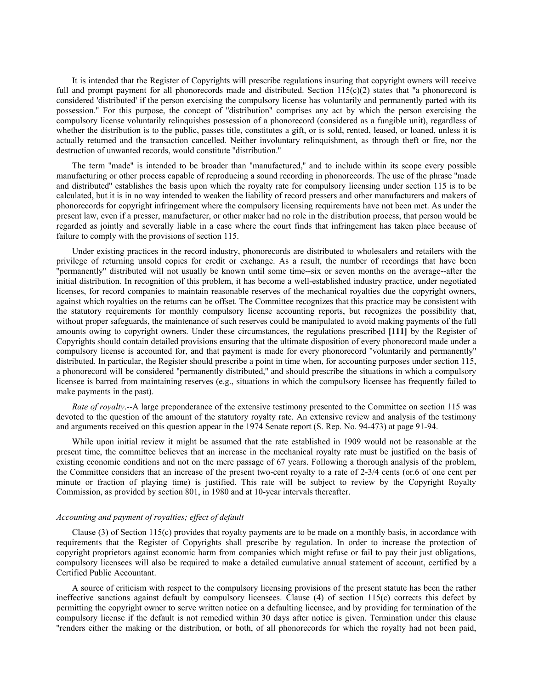It is intended that the Register of Copyrights will prescribe regulations insuring that copyright owners will receive full and prompt payment for all phonorecords made and distributed. Section  $115(c)(2)$  states that "a phonorecord is considered 'distributed' if the person exercising the compulsory license has voluntarily and permanently parted with its possession.'' For this purpose, the concept of ''distribution'' comprises any act by which the person exercising the compulsory license voluntarily relinquishes possession of a phonorecord (considered as a fungible unit), regardless of whether the distribution is to the public, passes title, constitutes a gift, or is sold, rented, leased, or loaned, unless it is actually returned and the transaction cancelled. Neither involuntary relinquishment, as through theft or fire, nor the destruction of unwanted records, would constitute ''distribution.''

The term ''made'' is intended to be broader than ''manufactured,'' and to include within its scope every possible manufacturing or other process capable of reproducing a sound recording in phonorecords. The use of the phrase ''made and distributed'' establishes the basis upon which the royalty rate for compulsory licensing under section 115 is to be calculated, but it is in no way intended to weaken the liability of record pressers and other manufacturers and makers of phonorecords for copyright infringement where the compulsory licensing requirements have not been met. As under the present law, even if a presser, manufacturer, or other maker had no role in the distribution process, that person would be regarded as jointly and severally liable in a case where the court finds that infringement has taken place because of failure to comply with the provisions of section 115.

Under existing practices in the record industry, phonorecords are distributed to wholesalers and retailers with the privilege of returning unsold copies for credit or exchange. As a result, the number of recordings that have been ''permanently'' distributed will not usually be known until some time--six or seven months on the average--after the initial distribution. In recognition of this problem, it has become a well-established industry practice, under negotiated licenses, for record companies to maintain reasonable reserves of the mechanical royalties due the copyright owners, against which royalties on the returns can be offset. The Committee recognizes that this practice may be consistent with the statutory requirements for monthly compulsory license accounting reports, but recognizes the possibility that, without proper safeguards, the maintenance of such reserves could be manipulated to avoid making payments of the full amounts owing to copyright owners. Under these circumstances, the regulations prescribed **[111]** by the Register of Copyrights should contain detailed provisions ensuring that the ultimate disposition of every phonorecord made under a compulsory license is accounted for, and that payment is made for every phonorecord ''voluntarily and permanently'' distributed. In particular, the Register should prescribe a point in time when, for accounting purposes under section 115, a phonorecord will be considered ''permanently distributed,'' and should prescribe the situations in which a compulsory licensee is barred from maintaining reserves (e.g., situations in which the compulsory licensee has frequently failed to make payments in the past).

*Rate of royalty*.--A large preponderance of the extensive testimony presented to the Committee on section 115 was devoted to the question of the amount of the statutory royalty rate. An extensive review and analysis of the testimony and arguments received on this question appear in the 1974 Senate report (S. Rep. No. 94-473) at page 91-94.

While upon initial review it might be assumed that the rate established in 1909 would not be reasonable at the present time, the committee believes that an increase in the mechanical royalty rate must be justified on the basis of existing economic conditions and not on the mere passage of 67 years. Following a thorough analysis of the problem, the Committee considers that an increase of the present two-cent royalty to a rate of 2-3/4 cents (or.6 of one cent per minute or fraction of playing time) is justified. This rate will be subject to review by the Copyright Royalty Commission, as provided by section 801, in 1980 and at 10-year intervals thereafter.

# *Accounting and payment of royalties; effect of default*

Clause (3) of Section 115(c) provides that royalty payments are to be made on a monthly basis, in accordance with requirements that the Register of Copyrights shall prescribe by regulation. In order to increase the protection of copyright proprietors against economic harm from companies which might refuse or fail to pay their just obligations, compulsory licensees will also be required to make a detailed cumulative annual statement of account, certified by a Certified Public Accountant.

A source of criticism with respect to the compulsory licensing provisions of the present statute has been the rather ineffective sanctions against default by compulsory licensees. Clause (4) of section 115(c) corrects this defect by permitting the copyright owner to serve written notice on a defaulting licensee, and by providing for termination of the compulsory license if the default is not remedied within 30 days after notice is given. Termination under this clause ''renders either the making or the distribution, or both, of all phonorecords for which the royalty had not been paid,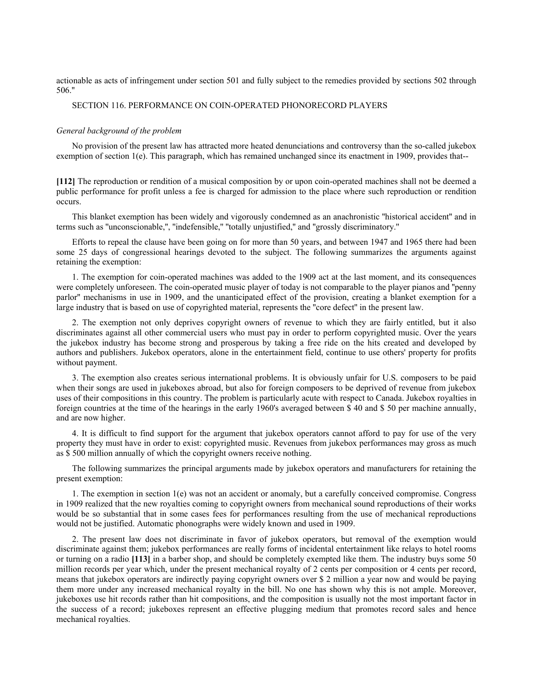actionable as acts of infringement under section 501 and fully subject to the remedies provided by sections 502 through 506.''

## SECTION 116. PERFORMANCE ON COIN-OPERATED PHONORECORD PLAYERS

#### *General background of the problem*

No provision of the present law has attracted more heated denunciations and controversy than the so-called jukebox exemption of section 1(e). This paragraph, which has remained unchanged since its enactment in 1909, provides that--

**[112]** The reproduction or rendition of a musical composition by or upon coin-operated machines shall not be deemed a public performance for profit unless a fee is charged for admission to the place where such reproduction or rendition occurs.

This blanket exemption has been widely and vigorously condemned as an anachronistic ''historical accident'' and in terms such as ''unconscionable,'', ''indefensible,'' ''totally unjustified,'' and ''grossly discriminatory.''

Efforts to repeal the clause have been going on for more than 50 years, and between 1947 and 1965 there had been some 25 days of congressional hearings devoted to the subject. The following summarizes the arguments against retaining the exemption:

1. The exemption for coin-operated machines was added to the 1909 act at the last moment, and its consequences were completely unforeseen. The coin-operated music player of today is not comparable to the player pianos and ''penny parlor'' mechanisms in use in 1909, and the unanticipated effect of the provision, creating a blanket exemption for a large industry that is based on use of copyrighted material, represents the ''core defect'' in the present law.

2. The exemption not only deprives copyright owners of revenue to which they are fairly entitled, but it also discriminates against all other commercial users who must pay in order to perform copyrighted music. Over the years the jukebox industry has become strong and prosperous by taking a free ride on the hits created and developed by authors and publishers. Jukebox operators, alone in the entertainment field, continue to use others' property for profits without payment.

3. The exemption also creates serious international problems. It is obviously unfair for U.S. composers to be paid when their songs are used in jukeboxes abroad, but also for foreign composers to be deprived of revenue from jukebox uses of their compositions in this country. The problem is particularly acute with respect to Canada. Jukebox royalties in foreign countries at the time of the hearings in the early 1960's averaged between \$ 40 and \$ 50 per machine annually, and are now higher.

4. It is difficult to find support for the argument that jukebox operators cannot afford to pay for use of the very property they must have in order to exist: copyrighted music. Revenues from jukebox performances may gross as much as \$ 500 million annually of which the copyright owners receive nothing.

The following summarizes the principal arguments made by jukebox operators and manufacturers for retaining the present exemption:

1. The exemption in section 1(e) was not an accident or anomaly, but a carefully conceived compromise. Congress in 1909 realized that the new royalties coming to copyright owners from mechanical sound reproductions of their works would be so substantial that in some cases fees for performances resulting from the use of mechanical reproductions would not be justified. Automatic phonographs were widely known and used in 1909.

2. The present law does not discriminate in favor of jukebox operators, but removal of the exemption would discriminate against them; jukebox performances are really forms of incidental entertainment like relays to hotel rooms or turning on a radio **[113]** in a barber shop, and should be completely exempted like them. The industry buys some 50 million records per year which, under the present mechanical royalty of 2 cents per composition or 4 cents per record, means that jukebox operators are indirectly paying copyright owners over \$ 2 million a year now and would be paying them more under any increased mechanical royalty in the bill. No one has shown why this is not ample. Moreover, jukeboxes use hit records rather than hit compositions, and the composition is usually not the most important factor in the success of a record; jukeboxes represent an effective plugging medium that promotes record sales and hence mechanical royalties.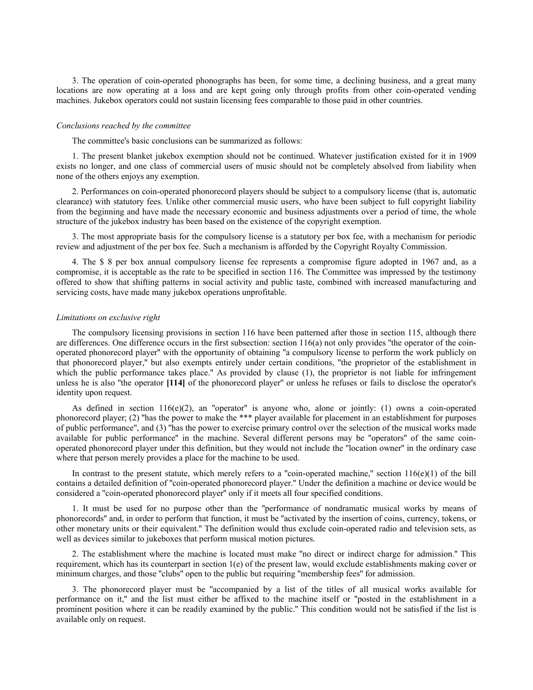3. The operation of coin-operated phonographs has been, for some time, a declining business, and a great many locations are now operating at a loss and are kept going only through profits from other coin-operated vending machines. Jukebox operators could not sustain licensing fees comparable to those paid in other countries.

#### *Conclusions reached by the committee*

The committee's basic conclusions can be summarized as follows:

1. The present blanket jukebox exemption should not be continued. Whatever justification existed for it in 1909 exists no longer, and one class of commercial users of music should not be completely absolved from liability when none of the others enjoys any exemption.

2. Performances on coin-operated phonorecord players should be subject to a compulsory license (that is, automatic clearance) with statutory fees. Unlike other commercial music users, who have been subject to full copyright liability from the beginning and have made the necessary economic and business adjustments over a period of time, the whole structure of the jukebox industry has been based on the existence of the copyright exemption.

3. The most appropriate basis for the compulsory license is a statutory per box fee, with a mechanism for periodic review and adjustment of the per box fee. Such a mechanism is afforded by the Copyright Royalty Commission.

4. The \$ 8 per box annual compulsory license fee represents a compromise figure adopted in 1967 and, as a compromise, it is acceptable as the rate to be specified in section 116. The Committee was impressed by the testimony offered to show that shifting patterns in social activity and public taste, combined with increased manufacturing and servicing costs, have made many jukebox operations unprofitable.

## *Limitations on exclusive right*

The compulsory licensing provisions in section 116 have been patterned after those in section 115, although there are differences. One difference occurs in the first subsection: section 116(a) not only provides ''the operator of the coinoperated phonorecord player'' with the opportunity of obtaining ''a compulsory license to perform the work publicly on that phonorecord player,'' but also exempts entirely under certain conditions, ''the proprietor of the establishment in which the public performance takes place." As provided by clause (1), the proprietor is not liable for infringement unless he is also ''the operator **[114]** of the phonorecord player'' or unless he refuses or fails to disclose the operator's identity upon request.

As defined in section  $116(e)(2)$ , an "operator" is anyone who, alone or jointly: (1) owns a coin-operated phonorecord player; (2) ''has the power to make the \*\*\* player available for placement in an establishment for purposes of public performance'', and (3) ''has the power to exercise primary control over the selection of the musical works made available for public performance'' in the machine. Several different persons may be ''operators'' of the same coinoperated phonorecord player under this definition, but they would not include the ''location owner'' in the ordinary case where that person merely provides a place for the machine to be used.

In contrast to the present statute, which merely refers to a "coin-operated machine," section  $116(e)(1)$  of the bill contains a detailed definition of ''coin-operated phonorecord player.'' Under the definition a machine or device would be considered a ''coin-operated phonorecord player'' only if it meets all four specified conditions.

1. It must be used for no purpose other than the ''performance of nondramatic musical works by means of phonorecords'' and, in order to perform that function, it must be ''activated by the insertion of coins, currency, tokens, or other monetary units or their equivalent.'' The definition would thus exclude coin-operated radio and television sets, as well as devices similar to jukeboxes that perform musical motion pictures.

2. The establishment where the machine is located must make ''no direct or indirect charge for admission.'' This requirement, which has its counterpart in section 1(e) of the present law, would exclude establishments making cover or minimum charges, and those ''clubs'' open to the public but requiring ''membership fees'' for admission.

3. The phonorecord player must be ''accompanied by a list of the titles of all musical works available for performance on it,'' and the list must either be affixed to the machine itself or ''posted in the establishment in a prominent position where it can be readily examined by the public.'' This condition would not be satisfied if the list is available only on request.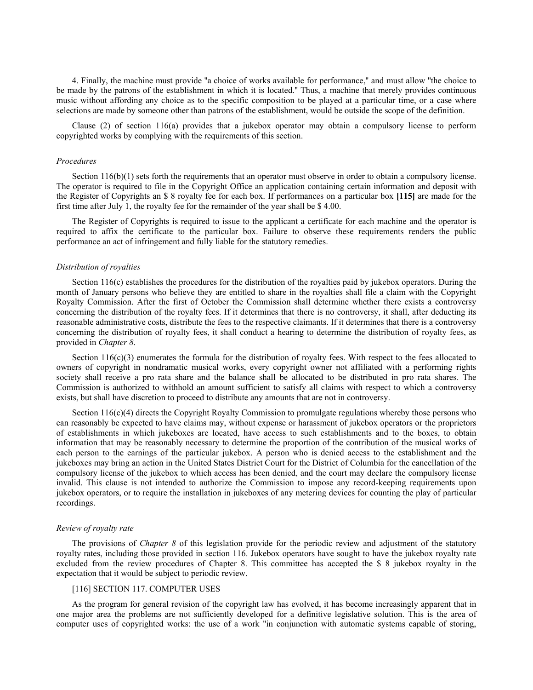4. Finally, the machine must provide ''a choice of works available for performance,'' and must allow ''the choice to be made by the patrons of the establishment in which it is located.'' Thus, a machine that merely provides continuous music without affording any choice as to the specific composition to be played at a particular time, or a case where selections are made by someone other than patrons of the establishment, would be outside the scope of the definition.

Clause (2) of section 116(a) provides that a jukebox operator may obtain a compulsory license to perform copyrighted works by complying with the requirements of this section.

#### *Procedures*

Section 116(b)(1) sets forth the requirements that an operator must observe in order to obtain a compulsory license. The operator is required to file in the Copyright Office an application containing certain information and deposit with the Register of Copyrights an \$ 8 royalty fee for each box. If performances on a particular box **[115]** are made for the first time after July 1, the royalty fee for the remainder of the year shall be \$ 4.00.

The Register of Copyrights is required to issue to the applicant a certificate for each machine and the operator is required to affix the certificate to the particular box. Failure to observe these requirements renders the public performance an act of infringement and fully liable for the statutory remedies.

#### *Distribution of royalties*

Section 116(c) establishes the procedures for the distribution of the royalties paid by jukebox operators. During the month of January persons who believe they are entitled to share in the royalties shall file a claim with the Copyright Royalty Commission. After the first of October the Commission shall determine whether there exists a controversy concerning the distribution of the royalty fees. If it determines that there is no controversy, it shall, after deducting its reasonable administrative costs, distribute the fees to the respective claimants. If it determines that there is a controversy concerning the distribution of royalty fees, it shall conduct a hearing to determine the distribution of royalty fees, as provided in *Chapter 8*.

Section  $116(c)(3)$  enumerates the formula for the distribution of royalty fees. With respect to the fees allocated to owners of copyright in nondramatic musical works, every copyright owner not affiliated with a performing rights society shall receive a pro rata share and the balance shall be allocated to be distributed in pro rata shares. The Commission is authorized to withhold an amount sufficient to satisfy all claims with respect to which a controversy exists, but shall have discretion to proceed to distribute any amounts that are not in controversy.

Section 116(c)(4) directs the Copyright Royalty Commission to promulgate regulations whereby those persons who can reasonably be expected to have claims may, without expense or harassment of jukebox operators or the proprietors of establishments in which jukeboxes are located, have access to such establishments and to the boxes, to obtain information that may be reasonably necessary to determine the proportion of the contribution of the musical works of each person to the earnings of the particular jukebox. A person who is denied access to the establishment and the jukeboxes may bring an action in the United States District Court for the District of Columbia for the cancellation of the compulsory license of the jukebox to which access has been denied, and the court may declare the compulsory license invalid. This clause is not intended to authorize the Commission to impose any record-keeping requirements upon jukebox operators, or to require the installation in jukeboxes of any metering devices for counting the play of particular recordings.

#### *Review of royalty rate*

The provisions of *Chapter 8* of this legislation provide for the periodic review and adjustment of the statutory royalty rates, including those provided in section 116. Jukebox operators have sought to have the jukebox royalty rate excluded from the review procedures of Chapter 8. This committee has accepted the \$ 8 jukebox royalty in the expectation that it would be subject to periodic review.

# [116] SECTION 117. COMPUTER USES

As the program for general revision of the copyright law has evolved, it has become increasingly apparent that in one major area the problems are not sufficiently developed for a definitive legislative solution. This is the area of computer uses of copyrighted works: the use of a work ''in conjunction with automatic systems capable of storing,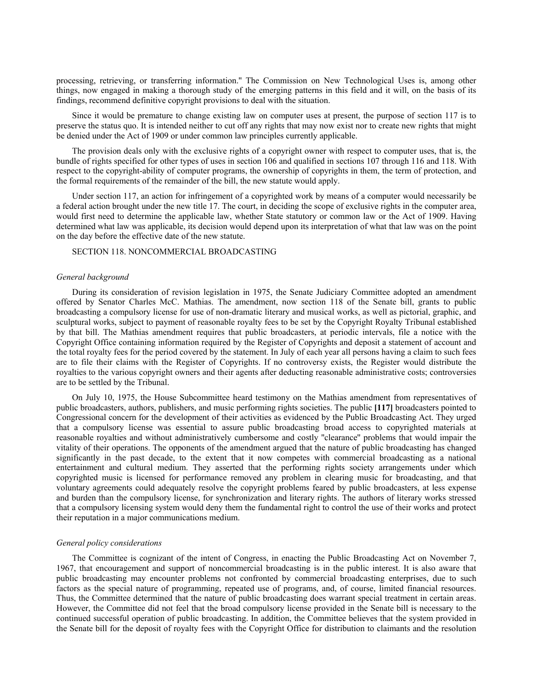processing, retrieving, or transferring information.'' The Commission on New Technological Uses is, among other things, now engaged in making a thorough study of the emerging patterns in this field and it will, on the basis of its findings, recommend definitive copyright provisions to deal with the situation.

Since it would be premature to change existing law on computer uses at present, the purpose of section 117 is to preserve the status quo. It is intended neither to cut off any rights that may now exist nor to create new rights that might be denied under the Act of 1909 or under common law principles currently applicable.

The provision deals only with the exclusive rights of a copyright owner with respect to computer uses, that is, the bundle of rights specified for other types of uses in section 106 and qualified in sections 107 through 116 and 118. With respect to the copyright-ability of computer programs, the ownership of copyrights in them, the term of protection, and the formal requirements of the remainder of the bill, the new statute would apply.

Under section 117, an action for infringement of a copyrighted work by means of a computer would necessarily be a federal action brought under the new title 17. The court, in deciding the scope of exclusive rights in the computer area, would first need to determine the applicable law, whether State statutory or common law or the Act of 1909. Having determined what law was applicable, its decision would depend upon its interpretation of what that law was on the point on the day before the effective date of the new statute.

# SECTION 118. NONCOMMERCIAL BROADCASTING

### *General background*

During its consideration of revision legislation in 1975, the Senate Judiciary Committee adopted an amendment offered by Senator Charles McC. Mathias. The amendment, now section 118 of the Senate bill, grants to public broadcasting a compulsory license for use of non-dramatic literary and musical works, as well as pictorial, graphic, and sculptural works, subject to payment of reasonable royalty fees to be set by the Copyright Royalty Tribunal established by that bill. The Mathias amendment requires that public broadcasters, at periodic intervals, file a notice with the Copyright Office containing information required by the Register of Copyrights and deposit a statement of account and the total royalty fees for the period covered by the statement. In July of each year all persons having a claim to such fees are to file their claims with the Register of Copyrights. If no controversy exists, the Register would distribute the royalties to the various copyright owners and their agents after deducting reasonable administrative costs; controversies are to be settled by the Tribunal.

On July 10, 1975, the House Subcommittee heard testimony on the Mathias amendment from representatives of public broadcasters, authors, publishers, and music performing rights societies. The public **[117]** broadcasters pointed to Congressional concern for the development of their activities as evidenced by the Public Broadcasting Act. They urged that a compulsory license was essential to assure public broadcasting broad access to copyrighted materials at reasonable royalties and without administratively cumbersome and costly ''clearance'' problems that would impair the vitality of their operations. The opponents of the amendment argued that the nature of public broadcasting has changed significantly in the past decade, to the extent that it now competes with commercial broadcasting as a national entertainment and cultural medium. They asserted that the performing rights society arrangements under which copyrighted music is licensed for performance removed any problem in clearing music for broadcasting, and that voluntary agreements could adequately resolve the copyright problems feared by public broadcasters, at less expense and burden than the compulsory license, for synchronization and literary rights. The authors of literary works stressed that a compulsory licensing system would deny them the fundamental right to control the use of their works and protect their reputation in a major communications medium.

### *General policy considerations*

The Committee is cognizant of the intent of Congress, in enacting the Public Broadcasting Act on November 7, 1967, that encouragement and support of noncommercial broadcasting is in the public interest. It is also aware that public broadcasting may encounter problems not confronted by commercial broadcasting enterprises, due to such factors as the special nature of programming, repeated use of programs, and, of course, limited financial resources. Thus, the Committee determined that the nature of public broadcasting does warrant special treatment in certain areas. However, the Committee did not feel that the broad compulsory license provided in the Senate bill is necessary to the continued successful operation of public broadcasting. In addition, the Committee believes that the system provided in the Senate bill for the deposit of royalty fees with the Copyright Office for distribution to claimants and the resolution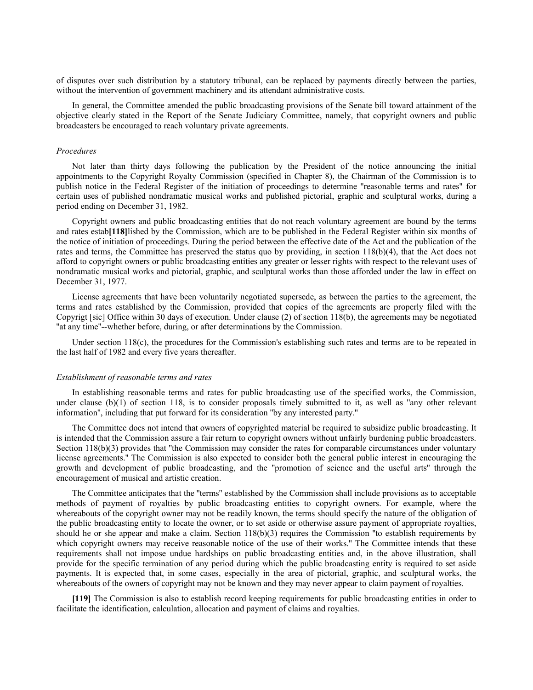of disputes over such distribution by a statutory tribunal, can be replaced by payments directly between the parties, without the intervention of government machinery and its attendant administrative costs.

In general, the Committee amended the public broadcasting provisions of the Senate bill toward attainment of the objective clearly stated in the Report of the Senate Judiciary Committee, namely, that copyright owners and public broadcasters be encouraged to reach voluntary private agreements.

#### *Procedures*

Not later than thirty days following the publication by the President of the notice announcing the initial appointments to the Copyright Royalty Commission (specified in Chapter 8), the Chairman of the Commission is to publish notice in the Federal Register of the initiation of proceedings to determine ''reasonable terms and rates'' for certain uses of published nondramatic musical works and published pictorial, graphic and sculptural works, during a period ending on December 31, 1982.

Copyright owners and public broadcasting entities that do not reach voluntary agreement are bound by the terms and rates estab**[118]**lished by the Commission, which are to be published in the Federal Register within six months of the notice of initiation of proceedings. During the period between the effective date of the Act and the publication of the rates and terms, the Committee has preserved the status quo by providing, in section 118(b)(4), that the Act does not afford to copyright owners or public broadcasting entities any greater or lesser rights with respect to the relevant uses of nondramatic musical works and pictorial, graphic, and sculptural works than those afforded under the law in effect on December 31, 1977.

License agreements that have been voluntarily negotiated supersede, as between the parties to the agreement, the terms and rates established by the Commission, provided that copies of the agreements are properly filed with the Copyrigt [sic] Office within 30 days of execution. Under clause (2) of section 118(b), the agreements may be negotiated "at any time"--whether before, during, or after determinations by the Commission.

Under section 118(c), the procedures for the Commission's establishing such rates and terms are to be repeated in the last half of 1982 and every five years thereafter.

#### *Establishment of reasonable terms and rates*

In establishing reasonable terms and rates for public broadcasting use of the specified works, the Commission, under clause  $(b)(1)$  of section 118, is to consider proposals timely submitted to it, as well as "any other relevant" information'', including that put forward for its consideration ''by any interested party.''

The Committee does not intend that owners of copyrighted material be required to subsidize public broadcasting. It is intended that the Commission assure a fair return to copyright owners without unfairly burdening public broadcasters. Section 118(b)(3) provides that "the Commission may consider the rates for comparable circumstances under voluntary license agreements.'' The Commission is also expected to consider both the general public interest in encouraging the growth and development of public broadcasting, and the ''promotion of science and the useful arts'' through the encouragement of musical and artistic creation.

The Committee anticipates that the ''terms'' established by the Commission shall include provisions as to acceptable methods of payment of royalties by public broadcasting entities to copyright owners. For example, where the whereabouts of the copyright owner may not be readily known, the terms should specify the nature of the obligation of the public broadcasting entity to locate the owner, or to set aside or otherwise assure payment of appropriate royalties, should he or she appear and make a claim. Section 118(b)(3) requires the Commission ''to establish requirements by which copyright owners may receive reasonable notice of the use of their works." The Committee intends that these requirements shall not impose undue hardships on public broadcasting entities and, in the above illustration, shall provide for the specific termination of any period during which the public broadcasting entity is required to set aside payments. It is expected that, in some cases, especially in the area of pictorial, graphic, and sculptural works, the whereabouts of the owners of copyright may not be known and they may never appear to claim payment of royalties.

**[119]** The Commission is also to establish record keeping requirements for public broadcasting entities in order to facilitate the identification, calculation, allocation and payment of claims and royalties.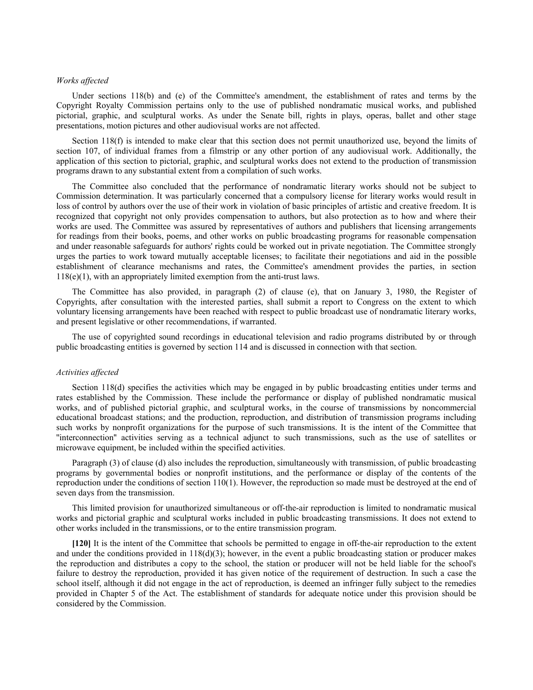## *Works affected*

Under sections 118(b) and (e) of the Committee's amendment, the establishment of rates and terms by the Copyright Royalty Commission pertains only to the use of published nondramatic musical works, and published pictorial, graphic, and sculptural works. As under the Senate bill, rights in plays, operas, ballet and other stage presentations, motion pictures and other audiovisual works are not affected.

Section 118(f) is intended to make clear that this section does not permit unauthorized use, beyond the limits of section 107, of individual frames from a filmstrip or any other portion of any audiovisual work. Additionally, the application of this section to pictorial, graphic, and sculptural works does not extend to the production of transmission programs drawn to any substantial extent from a compilation of such works.

The Committee also concluded that the performance of nondramatic literary works should not be subject to Commission determination. It was particularly concerned that a compulsory license for literary works would result in loss of control by authors over the use of their work in violation of basic principles of artistic and creative freedom. It is recognized that copyright not only provides compensation to authors, but also protection as to how and where their works are used. The Committee was assured by representatives of authors and publishers that licensing arrangements for readings from their books, poems, and other works on public broadcasting programs for reasonable compensation and under reasonable safeguards for authors' rights could be worked out in private negotiation. The Committee strongly urges the parties to work toward mutually acceptable licenses; to facilitate their negotiations and aid in the possible establishment of clearance mechanisms and rates, the Committee's amendment provides the parties, in section 118(e)(1), with an appropriately limited exemption from the anti-trust laws.

The Committee has also provided, in paragraph (2) of clause (e), that on January 3, 1980, the Register of Copyrights, after consultation with the interested parties, shall submit a report to Congress on the extent to which voluntary licensing arrangements have been reached with respect to public broadcast use of nondramatic literary works, and present legislative or other recommendations, if warranted.

The use of copyrighted sound recordings in educational television and radio programs distributed by or through public broadcasting entities is governed by section 114 and is discussed in connection with that section.

### *Activities affected*

Section 118(d) specifies the activities which may be engaged in by public broadcasting entities under terms and rates established by the Commission. These include the performance or display of published nondramatic musical works, and of published pictorial graphic, and sculptural works, in the course of transmissions by noncommercial educational broadcast stations; and the production, reproduction, and distribution of transmission programs including such works by nonprofit organizations for the purpose of such transmissions. It is the intent of the Committee that ''interconnection'' activities serving as a technical adjunct to such transmissions, such as the use of satellites or microwave equipment, be included within the specified activities.

Paragraph (3) of clause (d) also includes the reproduction, simultaneously with transmission, of public broadcasting programs by governmental bodies or nonprofit institutions, and the performance or display of the contents of the reproduction under the conditions of section 110(1). However, the reproduction so made must be destroyed at the end of seven days from the transmission.

This limited provision for unauthorized simultaneous or off-the-air reproduction is limited to nondramatic musical works and pictorial graphic and sculptural works included in public broadcasting transmissions. It does not extend to other works included in the transmissions, or to the entire transmission program.

**[120]** It is the intent of the Committee that schools be permitted to engage in off-the-air reproduction to the extent and under the conditions provided in  $118(d)(3)$ ; however, in the event a public broadcasting station or producer makes the reproduction and distributes a copy to the school, the station or producer will not be held liable for the school's failure to destroy the reproduction, provided it has given notice of the requirement of destruction. In such a case the school itself, although it did not engage in the act of reproduction, is deemed an infringer fully subject to the remedies provided in Chapter 5 of the Act. The establishment of standards for adequate notice under this provision should be considered by the Commission.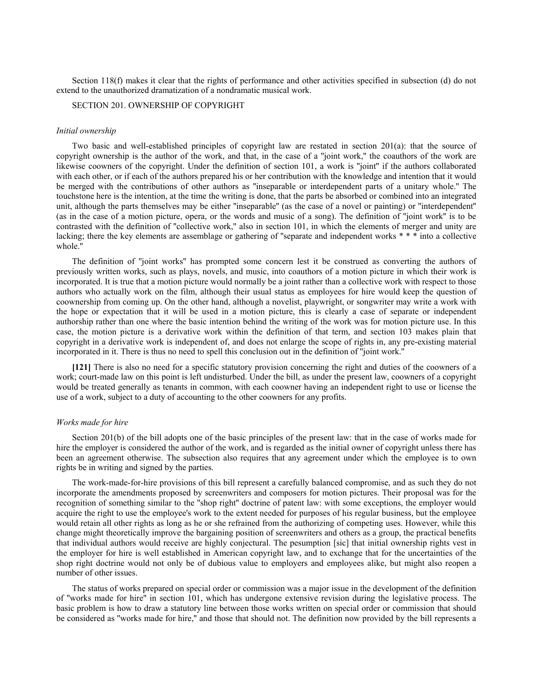Section 118(f) makes it clear that the rights of performance and other activities specified in subsection (d) do not extend to the unauthorized dramatization of a nondramatic musical work.

# SECTION 201. OWNERSHIP OF COPYRIGHT

### *Initial ownership*

Two basic and well-established principles of copyright law are restated in section 201(a): that the source of copyright ownership is the author of the work, and that, in the case of a ''joint work,'' the coauthors of the work are likewise coowners of the copyright. Under the definition of section 101, a work is ''joint'' if the authors collaborated with each other, or if each of the authors prepared his or her contribution with the knowledge and intention that it would be merged with the contributions of other authors as ''inseparable or interdependent parts of a unitary whole.'' The touchstone here is the intention, at the time the writing is done, that the parts be absorbed or combined into an integrated unit, although the parts themselves may be either ''inseparable'' (as the case of a novel or painting) or ''interdependent'' (as in the case of a motion picture, opera, or the words and music of a song). The definition of ''joint work'' is to be contrasted with the definition of ''collective work,'' also in section 101, in which the elements of merger and unity are lacking; there the key elements are assemblage or gathering of "separate and independent works \* \* \* into a collective whole.''

The definition of ''joint works'' has prompted some concern lest it be construed as converting the authors of previously written works, such as plays, novels, and music, into coauthors of a motion picture in which their work is incorporated. It is true that a motion picture would normally be a joint rather than a collective work with respect to those authors who actually work on the film, although their usual status as employees for hire would keep the question of coownership from coming up. On the other hand, although a novelist, playwright, or songwriter may write a work with the hope or expectation that it will be used in a motion picture, this is clearly a case of separate or independent authorship rather than one where the basic intention behind the writing of the work was for motion picture use. In this case, the motion picture is a derivative work within the definition of that term, and section 103 makes plain that copyright in a derivative work is independent of, and does not enlarge the scope of rights in, any pre-existing material incorporated in it. There is thus no need to spell this conclusion out in the definition of ''joint work.''

**[121]** There is also no need for a specific statutory provision concerning the right and duties of the coowners of a work; court-made law on this point is left undisturbed. Under the bill, as under the present law, coowners of a copyright would be treated generally as tenants in common, with each coowner having an independent right to use or license the use of a work, subject to a duty of accounting to the other coowners for any profits.

## *Works made for hire*

Section 201(b) of the bill adopts one of the basic principles of the present law: that in the case of works made for hire the employer is considered the author of the work, and is regarded as the initial owner of copyright unless there has been an agreement otherwise. The subsection also requires that any agreement under which the employee is to own rights be in writing and signed by the parties.

The work-made-for-hire provisions of this bill represent a carefully balanced compromise, and as such they do not incorporate the amendments proposed by screenwriters and composers for motion pictures. Their proposal was for the recognition of something similar to the ''shop right'' doctrine of patent law: with some exceptions, the employer would acquire the right to use the employee's work to the extent needed for purposes of his regular business, but the employee would retain all other rights as long as he or she refrained from the authorizing of competing uses. However, while this change might theoretically improve the bargaining position of screenwriters and others as a group, the practical benefits that individual authors would receive are highly conjectural. The pesumption [sic] that initial ownership rights vest in the employer for hire is well established in American copyright law, and to exchange that for the uncertainties of the shop right doctrine would not only be of dubious value to employers and employees alike, but might also reopen a number of other issues.

The status of works prepared on special order or commission was a major issue in the development of the definition of ''works made for hire'' in section 101, which has undergone extensive revision during the legislative process. The basic problem is how to draw a statutory line between those works written on special order or commission that should be considered as ''works made for hire,'' and those that should not. The definition now provided by the bill represents a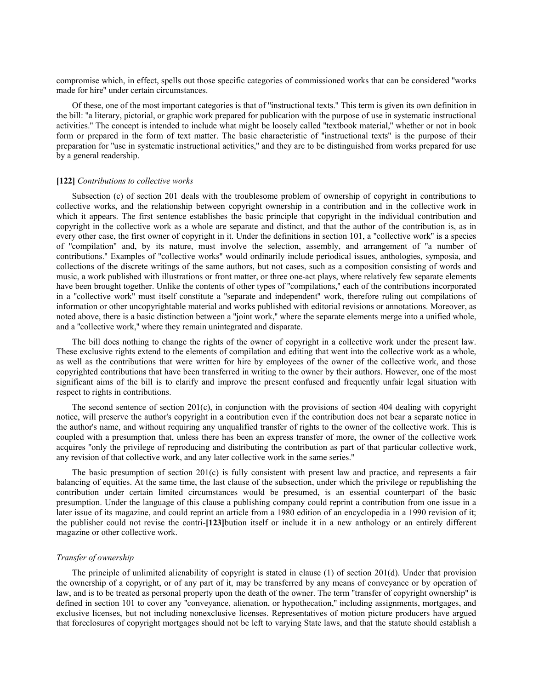compromise which, in effect, spells out those specific categories of commissioned works that can be considered ''works made for hire'' under certain circumstances.

Of these, one of the most important categories is that of ''instructional texts.'' This term is given its own definition in the bill: ''a literary, pictorial, or graphic work prepared for publication with the purpose of use in systematic instructional activities.'' The concept is intended to include what might be loosely called ''textbook material,'' whether or not in book form or prepared in the form of text matter. The basic characteristic of ''instructional texts'' is the purpose of their preparation for ''use in systematic instructional activities,'' and they are to be distinguished from works prepared for use by a general readership.

#### **[122]** *Contributions to collective works*

Subsection (c) of section 201 deals with the troublesome problem of ownership of copyright in contributions to collective works, and the relationship between copyright ownership in a contribution and in the collective work in which it appears. The first sentence establishes the basic principle that copyright in the individual contribution and copyright in the collective work as a whole are separate and distinct, and that the author of the contribution is, as in every other case, the first owner of copyright in it. Under the definitions in section 101, a ''collective work'' is a species of ''compilation'' and, by its nature, must involve the selection, assembly, and arrangement of ''a number of contributions.'' Examples of ''collective works'' would ordinarily include periodical issues, anthologies, symposia, and collections of the discrete writings of the same authors, but not cases, such as a composition consisting of words and music, a work published with illustrations or front matter, or three one-act plays, where relatively few separate elements have been brought together. Unlike the contents of other types of ''compilations,'' each of the contributions incorporated in a ''collective work'' must itself constitute a ''separate and independent'' work, therefore ruling out compilations of information or other uncopyrightable material and works published with editorial revisions or annotations. Moreover, as noted above, there is a basic distinction between a ''joint work,'' where the separate elements merge into a unified whole, and a ''collective work,'' where they remain unintegrated and disparate.

The bill does nothing to change the rights of the owner of copyright in a collective work under the present law. These exclusive rights extend to the elements of compilation and editing that went into the collective work as a whole, as well as the contributions that were written for hire by employees of the owner of the collective work, and those copyrighted contributions that have been transferred in writing to the owner by their authors. However, one of the most significant aims of the bill is to clarify and improve the present confused and frequently unfair legal situation with respect to rights in contributions.

The second sentence of section 201(c), in conjunction with the provisions of section 404 dealing with copyright notice, will preserve the author's copyright in a contribution even if the contribution does not bear a separate notice in the author's name, and without requiring any unqualified transfer of rights to the owner of the collective work. This is coupled with a presumption that, unless there has been an express transfer of more, the owner of the collective work acquires ''only the privilege of reproducing and distributing the contribution as part of that particular collective work, any revision of that collective work, and any later collective work in the same series.''

The basic presumption of section  $201(c)$  is fully consistent with present law and practice, and represents a fair balancing of equities. At the same time, the last clause of the subsection, under which the privilege or republishing the contribution under certain limited circumstances would be presumed, is an essential counterpart of the basic presumption. Under the language of this clause a publishing company could reprint a contribution from one issue in a later issue of its magazine, and could reprint an article from a 1980 edition of an encyclopedia in a 1990 revision of it; the publisher could not revise the contri-**[123]**bution itself or include it in a new anthology or an entirely different magazine or other collective work.

# *Transfer of ownership*

The principle of unlimited alienability of copyright is stated in clause (1) of section 201(d). Under that provision the ownership of a copyright, or of any part of it, may be transferred by any means of conveyance or by operation of law, and is to be treated as personal property upon the death of the owner. The term ''transfer of copyright ownership'' is defined in section 101 to cover any "conveyance, alienation, or hypothecation," including assignments, mortgages, and exclusive licenses, but not including nonexclusive licenses. Representatives of motion picture producers have argued that foreclosures of copyright mortgages should not be left to varying State laws, and that the statute should establish a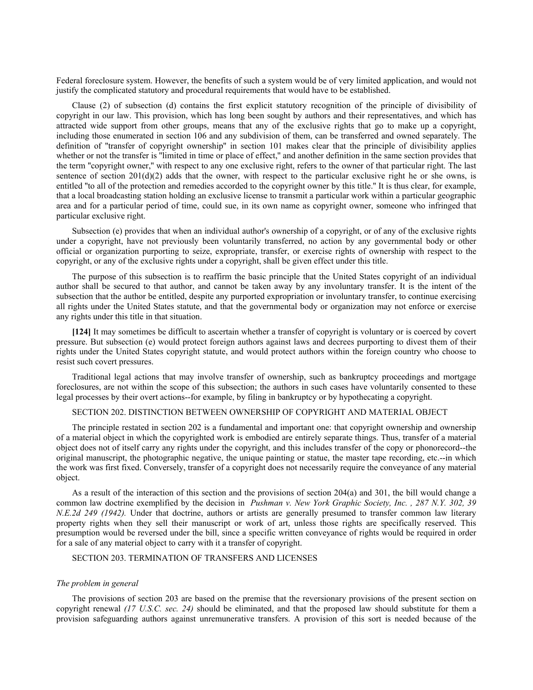Federal foreclosure system. However, the benefits of such a system would be of very limited application, and would not justify the complicated statutory and procedural requirements that would have to be established.

Clause (2) of subsection (d) contains the first explicit statutory recognition of the principle of divisibility of copyright in our law. This provision, which has long been sought by authors and their representatives, and which has attracted wide support from other groups, means that any of the exclusive rights that go to make up a copyright, including those enumerated in section 106 and any subdivision of them, can be transferred and owned separately. The definition of ''transfer of copyright ownership'' in section 101 makes clear that the principle of divisibility applies whether or not the transfer is "limited in time or place of effect," and another definition in the same section provides that the term ''copyright owner,'' with respect to any one exclusive right, refers to the owner of that particular right. The last sentence of section  $201(d)(2)$  adds that the owner, with respect to the particular exclusive right he or she owns, is entitled ''to all of the protection and remedies accorded to the copyright owner by this title.'' It is thus clear, for example, that a local broadcasting station holding an exclusive license to transmit a particular work within a particular geographic area and for a particular period of time, could sue, in its own name as copyright owner, someone who infringed that particular exclusive right.

Subsection (e) provides that when an individual author's ownership of a copyright, or of any of the exclusive rights under a copyright, have not previously been voluntarily transferred, no action by any governmental body or other official or organization purporting to seize, expropriate, transfer, or exercise rights of ownership with respect to the copyright, or any of the exclusive rights under a copyright, shall be given effect under this title.

The purpose of this subsection is to reaffirm the basic principle that the United States copyright of an individual author shall be secured to that author, and cannot be taken away by any involuntary transfer. It is the intent of the subsection that the author be entitled, despite any purported expropriation or involuntary transfer, to continue exercising all rights under the United States statute, and that the governmental body or organization may not enforce or exercise any rights under this title in that situation.

**[124]** It may sometimes be difficult to ascertain whether a transfer of copyright is voluntary or is coerced by covert pressure. But subsection (e) would protect foreign authors against laws and decrees purporting to divest them of their rights under the United States copyright statute, and would protect authors within the foreign country who choose to resist such covert pressures.

Traditional legal actions that may involve transfer of ownership, such as bankruptcy proceedings and mortgage foreclosures, are not within the scope of this subsection; the authors in such cases have voluntarily consented to these legal processes by their overt actions--for example, by filing in bankruptcy or by hypothecating a copyright.

# SECTION 202. DISTINCTION BETWEEN OWNERSHIP OF COPYRIGHT AND MATERIAL OBJECT

The principle restated in section 202 is a fundamental and important one: that copyright ownership and ownership of a material object in which the copyrighted work is embodied are entirely separate things. Thus, transfer of a material object does not of itself carry any rights under the copyright, and this includes transfer of the copy or phonorecord--the original manuscript, the photographic negative, the unique painting or statue, the master tape recording, etc.--in which the work was first fixed. Conversely, transfer of a copyright does not necessarily require the conveyance of any material object.

As a result of the interaction of this section and the provisions of section 204(a) and 301, the bill would change a common law doctrine exemplified by the decision in *Pushman v. New York Graphic Society, Inc. , 287 N.Y. 302, 39 N.E.2d 249 (1942).* Under that doctrine, authors or artists are generally presumed to transfer common law literary property rights when they sell their manuscript or work of art, unless those rights are specifically reserved. This presumption would be reversed under the bill, since a specific written conveyance of rights would be required in order for a sale of any material object to carry with it a transfer of copyright.

## SECTION 203. TERMINATION OF TRANSFERS AND LICENSES

### *The problem in general*

The provisions of section 203 are based on the premise that the reversionary provisions of the present section on copyright renewal *(17 U.S.C. sec. 24)* should be eliminated, and that the proposed law should substitute for them a provision safeguarding authors against unremunerative transfers. A provision of this sort is needed because of the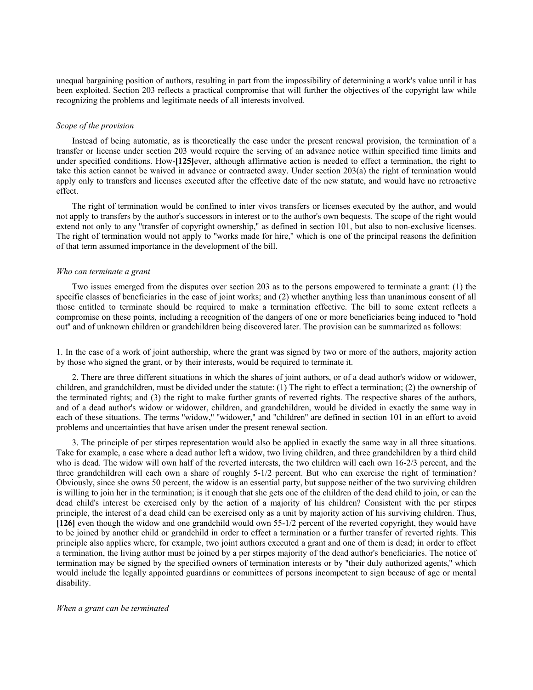unequal bargaining position of authors, resulting in part from the impossibility of determining a work's value until it has been exploited. Section 203 reflects a practical compromise that will further the objectives of the copyright law while recognizing the problems and legitimate needs of all interests involved.

## *Scope of the provision*

Instead of being automatic, as is theoretically the case under the present renewal provision, the termination of a transfer or license under section 203 would require the serving of an advance notice within specified time limits and under specified conditions. How-**[125]**ever, although affirmative action is needed to effect a termination, the right to take this action cannot be waived in advance or contracted away. Under section 203(a) the right of termination would apply only to transfers and licenses executed after the effective date of the new statute, and would have no retroactive effect.

The right of termination would be confined to inter vivos transfers or licenses executed by the author, and would not apply to transfers by the author's successors in interest or to the author's own bequests. The scope of the right would extend not only to any "transfer of copyright ownership," as defined in section 101, but also to non-exclusive licenses. The right of termination would not apply to ''works made for hire,'' which is one of the principal reasons the definition of that term assumed importance in the development of the bill.

# *Who can terminate a grant*

Two issues emerged from the disputes over section 203 as to the persons empowered to terminate a grant: (1) the specific classes of beneficiaries in the case of joint works; and (2) whether anything less than unanimous consent of all those entitled to terminate should be required to make a termination effective. The bill to some extent reflects a compromise on these points, including a recognition of the dangers of one or more beneficiaries being induced to ''hold out'' and of unknown children or grandchildren being discovered later. The provision can be summarized as follows:

1. In the case of a work of joint authorship, where the grant was signed by two or more of the authors, majority action by those who signed the grant, or by their interests, would be required to terminate it.

2. There are three different situations in which the shares of joint authors, or of a dead author's widow or widower, children, and grandchildren, must be divided under the statute: (1) The right to effect a termination; (2) the ownership of the terminated rights; and (3) the right to make further grants of reverted rights. The respective shares of the authors, and of a dead author's widow or widower, children, and grandchildren, would be divided in exactly the same way in each of these situations. The terms "widow," "widower," and "children" are defined in section 101 in an effort to avoid problems and uncertainties that have arisen under the present renewal section.

3. The principle of per stirpes representation would also be applied in exactly the same way in all three situations. Take for example, a case where a dead author left a widow, two living children, and three grandchildren by a third child who is dead. The widow will own half of the reverted interests, the two children will each own 16-2/3 percent, and the three grandchildren will each own a share of roughly 5-1/2 percent. But who can exercise the right of termination? Obviously, since she owns 50 percent, the widow is an essential party, but suppose neither of the two surviving children is willing to join her in the termination; is it enough that she gets one of the children of the dead child to join, or can the dead child's interest be exercised only by the action of a majority of his children? Consistent with the per stirpes principle, the interest of a dead child can be exercised only as a unit by majority action of his surviving children. Thus, **[126]** even though the widow and one grandchild would own 55-1/2 percent of the reverted copyright, they would have to be joined by another child or grandchild in order to effect a termination or a further transfer of reverted rights. This principle also applies where, for example, two joint authors executed a grant and one of them is dead; in order to effect a termination, the living author must be joined by a per stirpes majority of the dead author's beneficiaries. The notice of termination may be signed by the specified owners of termination interests or by ''their duly authorized agents,'' which would include the legally appointed guardians or committees of persons incompetent to sign because of age or mental disability.

### *When a grant can be terminated*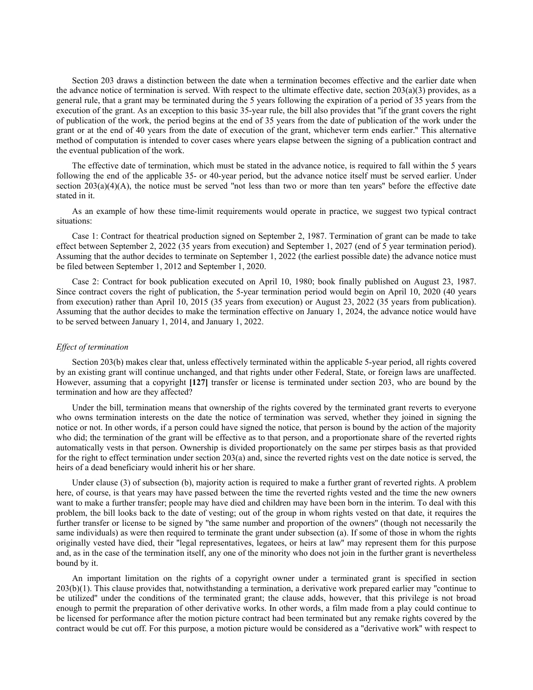Section 203 draws a distinction between the date when a termination becomes effective and the earlier date when the advance notice of termination is served. With respect to the ultimate effective date, section  $203(a)(3)$  provides, as a general rule, that a grant may be terminated during the 5 years following the expiration of a period of 35 years from the execution of the grant. As an exception to this basic 35-year rule, the bill also provides that ''if the grant covers the right of publication of the work, the period begins at the end of 35 years from the date of publication of the work under the grant or at the end of 40 years from the date of execution of the grant, whichever term ends earlier.'' This alternative method of computation is intended to cover cases where years elapse between the signing of a publication contract and the eventual publication of the work.

The effective date of termination, which must be stated in the advance notice, is required to fall within the 5 years following the end of the applicable 35- or 40-year period, but the advance notice itself must be served earlier. Under section  $203(a)(4)(A)$ , the notice must be served "not less than two or more than ten years" before the effective date stated in it.

As an example of how these time-limit requirements would operate in practice, we suggest two typical contract situations:

Case 1: Contract for theatrical production signed on September 2, 1987. Termination of grant can be made to take effect between September 2, 2022 (35 years from execution) and September 1, 2027 (end of 5 year termination period). Assuming that the author decides to terminate on September 1, 2022 (the earliest possible date) the advance notice must be filed between September 1, 2012 and September 1, 2020.

Case 2: Contract for book publication executed on April 10, 1980; book finally published on August 23, 1987. Since contract covers the right of publication, the 5-year termination period would begin on April 10, 2020 (40 years from execution) rather than April 10, 2015 (35 years from execution) or August 23, 2022 (35 years from publication). Assuming that the author decides to make the termination effective on January 1, 2024, the advance notice would have to be served between January 1, 2014, and January 1, 2022.

### *Effect of termination*

Section 203(b) makes clear that, unless effectively terminated within the applicable 5-year period, all rights covered by an existing grant will continue unchanged, and that rights under other Federal, State, or foreign laws are unaffected. However, assuming that a copyright **[127]** transfer or license is terminated under section 203, who are bound by the termination and how are they affected?

Under the bill, termination means that ownership of the rights covered by the terminated grant reverts to everyone who owns termination interests on the date the notice of termination was served, whether they joined in signing the notice or not. In other words, if a person could have signed the notice, that person is bound by the action of the majority who did; the termination of the grant will be effective as to that person, and a proportionate share of the reverted rights automatically vests in that person. Ownership is divided proportionately on the same per stirpes basis as that provided for the right to effect termination under section 203(a) and, since the reverted rights vest on the date notice is served, the heirs of a dead beneficiary would inherit his or her share.

Under clause (3) of subsection (b), majority action is required to make a further grant of reverted rights. A problem here, of course, is that years may have passed between the time the reverted rights vested and the time the new owners want to make a further transfer; people may have died and children may have been born in the interim. To deal with this problem, the bill looks back to the date of vesting; out of the group in whom rights vested on that date, it requires the further transfer or license to be signed by ''the same number and proportion of the owners'' (though not necessarily the same individuals) as were then required to terminate the grant under subsection (a). If some of those in whom the rights originally vested have died, their ''legal representatives, legatees, or heirs at law'' may represent them for this purpose and, as in the case of the termination itself, any one of the minority who does not join in the further grant is nevertheless bound by it.

An important limitation on the rights of a copyright owner under a terminated grant is specified in section 203(b)(1). This clause provides that, notwithstanding a termination, a derivative work prepared earlier may ''continue to be utilized'' under the conditions of the terminated grant; the clause adds, however, that this privilege is not broad enough to permit the preparation of other derivative works. In other words, a film made from a play could continue to be licensed for performance after the motion picture contract had been terminated but any remake rights covered by the contract would be cut off. For this purpose, a motion picture would be considered as a ''derivative work'' with respect to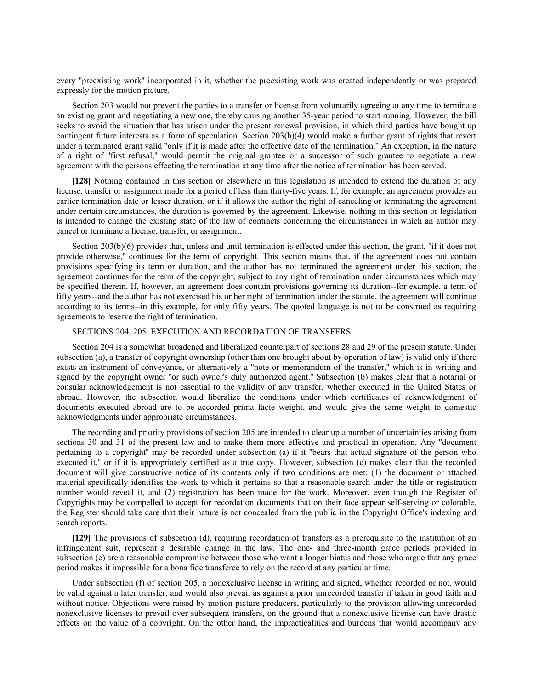every ''preexisting work'' incorporated in it, whether the preexisting work was created independently or was prepared expressly for the motion picture.

Section 203 would not prevent the parties to a transfer or license from voluntarily agreeing at any time to terminate an existing grant and negotiating a new one, thereby causing another 35-year period to start running. However, the bill seeks to avoid the situation that has arisen under the present renewal provision, in which third parties have bought up contingent future interests as a form of speculation. Section 203(b)(4) would make a further grant of rights that revert under a terminated grant valid ''only if it is made after the effective date of the termination.'' An exception, in the nature of a right of ''first refusal,'' would permit the original grantee or a successor of such grantee to negotiate a new agreement with the persons effecting the termination at any time after the notice of termination has been served.

**[128]** Nothing contained in this section or elsewhere in this legislation is intended to extend the duration of any license, transfer or assignment made for a period of less than thirty-five years. If, for example, an agreement provides an earlier termination date or lesser duration, or if it allows the author the right of canceling or terminating the agreement under certain circumstances, the duration is governed by the agreement. Likewise, nothing in this section or legislation is intended to change the existing state of the law of contracts concerning the circumstances in which an author may cancel or terminate a license, transfer, or assignment.

Section 203(b)(6) provides that, unless and until termination is effected under this section, the grant, "if it does not provide otherwise,'' continues for the term of copyright. This section means that, if the agreement does not contain provisions specifying its term or duration, and the author has not terminated the agreement under this section, the agreement continues for the term of the copyright, subject to any right of termination under circumstances which may be specified therein. If, however, an agreement does contain provisions governing its duration--for example, a term of fifty years--and the author has not exercised his or her right of termination under the statute, the agreement will continue according to its terms--in this example, for only fifty years. The quoted language is not to be construed as requiring agreements to reserve the right of termination.

# SECTIONS 204, 205. EXECUTION AND RECORDATION OF TRANSFERS

Section 204 is a somewhat broadened and liberalized counterpart of sections 28 and 29 of the present statute. Under subsection (a), a transfer of copyright ownership (other than one brought about by operation of law) is valid only if there exists an instrument of conveyance, or alternatively a ''note or memorandum of the transfer,'' which is in writing and signed by the copyright owner "or such owner's duly authorized agent." Subsection (b) makes clear that a notarial or consular acknowledgement is not essential to the validity of any transfer, whether executed in the United States or abroad. However, the subsection would liberalize the conditions under which certificates of acknowledgment of documents executed abroad are to be accorded prima facie weight, and would give the same weight to domestic acknowledgments under appropriate circumstances.

The recording and priority provisions of section 205 are intended to clear up a number of uncertainties arising from sections 30 and 31 of the present law and to make them more effective and practical in operation. Any "document pertaining to a copyright'' may be recorded under subsection (a) if it ''bears that actual signature of the person who executed it,'' or if it is appropriately certified as a true copy. However, subsection (c) makes clear that the recorded document will give constructive notice of its contents only if two conditions are met: (1) the document or attached material specifically identifies the work to which it pertains so that a reasonable search under the title or registration number would reveal it, and (2) registration has been made for the work. Moreover, even though the Register of Copyrights may be compelled to accept for recordation documents that on their face appear self-serving or colorable, the Register should take care that their nature is not concealed from the public in the Copyright Office's indexing and search reports.

**[129]** The provisions of subsection (d), requiring recordation of transfers as a prerequisite to the institution of an infringement suit, represent a desirable change in the law. The one- and three-month grace periods provided in subsection (e) are a reasonable compromise between those who want a longer hiatus and those who argue that any grace period makes it impossible for a bona fide transferee to rely on the record at any particular time.

Under subsection (f) of section 205, a nonexclusive license in writing and signed, whether recorded or not, would be valid against a later transfer, and would also prevail as against a prior unrecorded transfer if taken in good faith and without notice. Objections were raised by motion picture producers, particularly to the provision allowing unrecorded nonexclusive licenses to prevail over subsequent transfers, on the ground that a nonexclusive license can have drastic effects on the value of a copyright. On the other hand, the impracticalities and burdens that would accompany any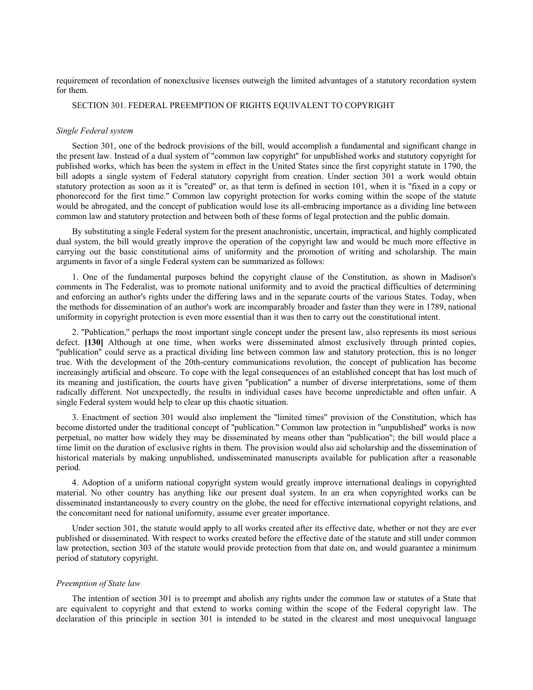requirement of recordation of nonexclusive licenses outweigh the limited advantages of a statutory recordation system for them.

# SECTION 301. FEDERAL PREEMPTION OF RIGHTS EQUIVALENT TO COPYRIGHT

### *Single Federal system*

Section 301, one of the bedrock provisions of the bill, would accomplish a fundamental and significant change in the present law. Instead of a dual system of ''common law copyright'' for unpublished works and statutory copyright for published works, which has been the system in effect in the United States since the first copyright statute in 1790, the bill adopts a single system of Federal statutory copyright from creation. Under section 301 a work would obtain statutory protection as soon as it is ''created'' or, as that term is defined in section 101, when it is ''fixed in a copy or phonorecord for the first time.'' Common law copyright protection for works coming within the scope of the statute would be abrogated, and the concept of publication would lose its all-embracing importance as a dividing line between common law and statutory protection and between both of these forms of legal protection and the public domain.

By substituting a single Federal system for the present anachronistic, uncertain, impractical, and highly complicated dual system, the bill would greatly improve the operation of the copyright law and would be much more effective in carrying out the basic constitutional aims of uniformity and the promotion of writing and scholarship. The main arguments in favor of a single Federal system can be summarized as follows:

1. One of the fundamental purposes behind the copyright clause of the Constitution, as shown in Madison's comments in The Federalist, was to promote national uniformity and to avoid the practical difficulties of determining and enforcing an author's rights under the differing laws and in the separate courts of the various States. Today, when the methods for dissemination of an author's work are incomparably broader and faster than they were in 1789, national uniformity in copyright protection is even more essential than it was then to carry out the constitutional intent.

2. ''Publication,'' perhaps the most important single concept under the present law, also represents its most serious defect. **[130]** Although at one time, when works were disseminated almost exclusively through printed copies, ''publication'' could serve as a practical dividing line between common law and statutory protection, this is no longer true. With the development of the 20th-century communications revolution, the concept of publication has become increasingly artificial and obscure. To cope with the legal consequences of an established concept that has lost much of its meaning and justification, the courts have given ''publication'' a number of diverse interpretations, some of them radically different. Not unexpectedly, the results in individual cases have become unpredictable and often unfair. A single Federal system would help to clear up this chaotic situation.

3. Enactment of section 301 would also implement the ''limited times'' provision of the Constitution, which has become distorted under the traditional concept of ''publication.'' Common law protection in ''unpublished'' works is now perpetual, no matter how widely they may be disseminated by means other than ''publication''; the bill would place a time limit on the duration of exclusive rights in them. The provision would also aid scholarship and the dissemination of historical materials by making unpublished, undisseminated manuscripts available for publication after a reasonable period.

4. Adoption of a uniform national copyright system would greatly improve international dealings in copyrighted material. No other country has anything like our present dual system. In an era when copyrighted works can be disseminated instantaneously to every country on the globe, the need for effective international copyright relations, and the concomitant need for national uniformity, assume ever greater importance.

Under section 301, the statute would apply to all works created after its effective date, whether or not they are ever published or disseminated. With respect to works created before the effective date of the statute and still under common law protection, section 303 of the statute would provide protection from that date on, and would guarantee a minimum period of statutory copyright.

### *Preemption of State law*

The intention of section 301 is to preempt and abolish any rights under the common law or statutes of a State that are equivalent to copyright and that extend to works coming within the scope of the Federal copyright law. The declaration of this principle in section 301 is intended to be stated in the clearest and most unequivocal language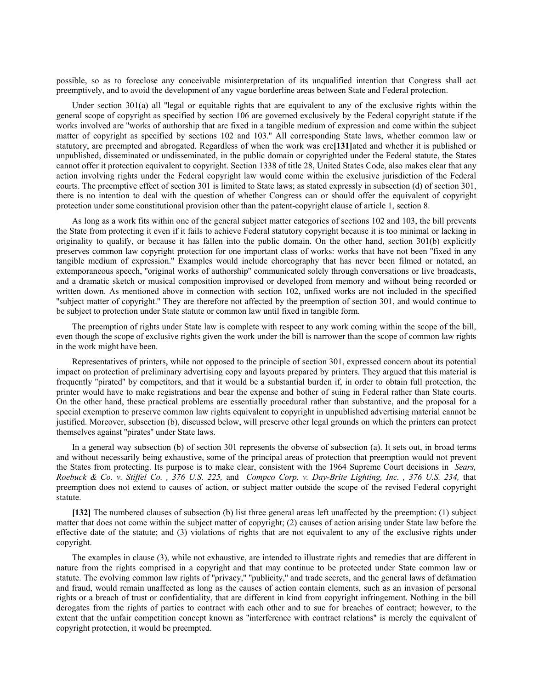possible, so as to foreclose any conceivable misinterpretation of its unqualified intention that Congress shall act preemptively, and to avoid the development of any vague borderline areas between State and Federal protection.

Under section 301(a) all "legal or equitable rights that are equivalent to any of the exclusive rights within the general scope of copyright as specified by section 106 are governed exclusively by the Federal copyright statute if the works involved are ''works of authorship that are fixed in a tangible medium of expression and come within the subject matter of copyright as specified by sections 102 and 103.'' All corresponding State laws, whether common law or statutory, are preempted and abrogated. Regardless of when the work was cre**[131]**ated and whether it is published or unpublished, disseminated or undisseminated, in the public domain or copyrighted under the Federal statute, the States cannot offer it protection equivalent to copyright. Section 1338 of title 28, United States Code, also makes clear that any action involving rights under the Federal copyright law would come within the exclusive jurisdiction of the Federal courts. The preemptive effect of section 301 is limited to State laws; as stated expressly in subsection (d) of section 301, there is no intention to deal with the question of whether Congress can or should offer the equivalent of copyright protection under some constitutional provision other than the patent-copyright clause of article 1, section 8.

As long as a work fits within one of the general subject matter categories of sections 102 and 103, the bill prevents the State from protecting it even if it fails to achieve Federal statutory copyright because it is too minimal or lacking in originality to qualify, or because it has fallen into the public domain. On the other hand, section 301(b) explicitly preserves common law copyright protection for one important class of works: works that have not been ''fixed in any tangible medium of expression.'' Examples would include choreography that has never been filmed or notated, an extemporaneous speech, ''original works of authorship'' communicated solely through conversations or live broadcasts, and a dramatic sketch or musical composition improvised or developed from memory and without being recorded or written down. As mentioned above in connection with section 102, unfixed works are not included in the specified ''subject matter of copyright.'' They are therefore not affected by the preemption of section 301, and would continue to be subject to protection under State statute or common law until fixed in tangible form.

The preemption of rights under State law is complete with respect to any work coming within the scope of the bill, even though the scope of exclusive rights given the work under the bill is narrower than the scope of common law rights in the work might have been.

Representatives of printers, while not opposed to the principle of section 301, expressed concern about its potential impact on protection of preliminary advertising copy and layouts prepared by printers. They argued that this material is frequently ''pirated'' by competitors, and that it would be a substantial burden if, in order to obtain full protection, the printer would have to make registrations and bear the expense and bother of suing in Federal rather than State courts. On the other hand, these practical problems are essentially procedural rather than substantive, and the proposal for a special exemption to preserve common law rights equivalent to copyright in unpublished advertising material cannot be justified. Moreover, subsection (b), discussed below, will preserve other legal grounds on which the printers can protect themselves against ''pirates'' under State laws.

In a general way subsection (b) of section 301 represents the obverse of subsection (a). It sets out, in broad terms and without necessarily being exhaustive, some of the principal areas of protection that preemption would not prevent the States from protecting. Its purpose is to make clear, consistent with the 1964 Supreme Court decisions in *Sears, Roebuck & Co. v. Stiffel Co. , 376 U.S. 225,* and *Compco Corp. v. Day-Brite Lighting, Inc. , 376 U.S. 234,* that preemption does not extend to causes of action, or subject matter outside the scope of the revised Federal copyright statute.

**[132]** The numbered clauses of subsection (b) list three general areas left unaffected by the preemption: (1) subject matter that does not come within the subject matter of copyright; (2) causes of action arising under State law before the effective date of the statute; and (3) violations of rights that are not equivalent to any of the exclusive rights under copyright.

The examples in clause (3), while not exhaustive, are intended to illustrate rights and remedies that are different in nature from the rights comprised in a copyright and that may continue to be protected under State common law or statute. The evolving common law rights of ''privacy,'' ''publicity,'' and trade secrets, and the general laws of defamation and fraud, would remain unaffected as long as the causes of action contain elements, such as an invasion of personal rights or a breach of trust or confidentiality, that are different in kind from copyright infringement. Nothing in the bill derogates from the rights of parties to contract with each other and to sue for breaches of contract; however, to the extent that the unfair competition concept known as ''interference with contract relations'' is merely the equivalent of copyright protection, it would be preempted.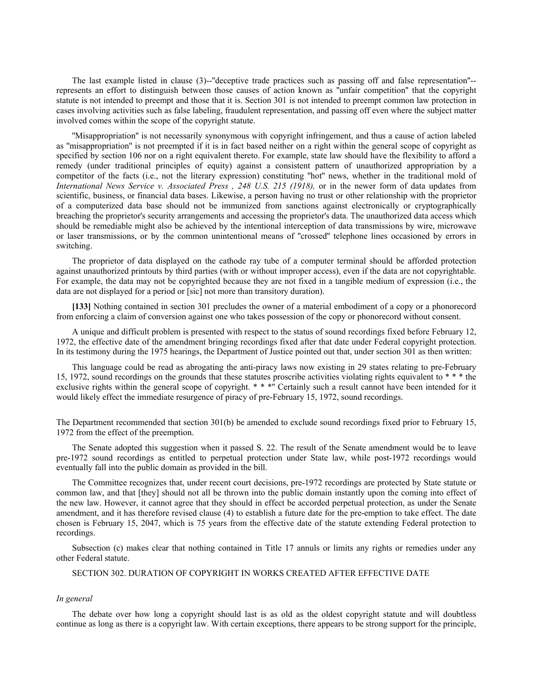The last example listed in clause (3)--''deceptive trade practices such as passing off and false representation''- represents an effort to distinguish between those causes of action known as ''unfair competition'' that the copyright statute is not intended to preempt and those that it is. Section 301 is not intended to preempt common law protection in cases involving activities such as false labeling, fraudulent representation, and passing off even where the subject matter involved comes within the scope of the copyright statute.

''Misappropriation'' is not necessarily synonymous with copyright infringement, and thus a cause of action labeled as ''misappropriation'' is not preempted if it is in fact based neither on a right within the general scope of copyright as specified by section 106 nor on a right equivalent thereto. For example, state law should have the flexibility to afford a remedy (under traditional principles of equity) against a consistent pattern of unauthorized appropriation by a competitor of the facts (i.e., not the literary expression) constituting ''hot'' news, whether in the traditional mold of *International News Service v. Associated Press , 248 U.S. 215 (1918),* or in the newer form of data updates from scientific, business, or financial data bases. Likewise, a person having no trust or other relationship with the proprietor of a computerized data base should not be immunized from sanctions against electronically or cryptographically breaching the proprietor's security arrangements and accessing the proprietor's data. The unauthorized data access which should be remediable might also be achieved by the intentional interception of data transmissions by wire, microwave or laser transmissions, or by the common unintentional means of ''crossed'' telephone lines occasioned by errors in switching.

The proprietor of data displayed on the cathode ray tube of a computer terminal should be afforded protection against unauthorized printouts by third parties (with or without improper access), even if the data are not copyrightable. For example, the data may not be copyrighted because they are not fixed in a tangible medium of expression (i.e., the data are not displayed for a period or [sic] not more than transitory duration).

**[133]** Nothing contained in section 301 precludes the owner of a material embodiment of a copy or a phonorecord from enforcing a claim of conversion against one who takes possession of the copy or phonorecord without consent.

A unique and difficult problem is presented with respect to the status of sound recordings fixed before February 12, 1972, the effective date of the amendment bringing recordings fixed after that date under Federal copyright protection. In its testimony during the 1975 hearings, the Department of Justice pointed out that, under section 301 as then written:

This language could be read as abrogating the anti-piracy laws now existing in 29 states relating to pre-February 15, 1972, sound recordings on the grounds that these statutes proscribe activities violating rights equivalent to \* \* \* the exclusive rights within the general scope of copyright. \* \* \*'' Certainly such a result cannot have been intended for it would likely effect the immediate resurgence of piracy of pre-February 15, 1972, sound recordings.

The Department recommended that section 301(b) be amended to exclude sound recordings fixed prior to February 15, 1972 from the effect of the preemption.

The Senate adopted this suggestion when it passed S. 22. The result of the Senate amendment would be to leave pre-1972 sound recordings as entitled to perpetual protection under State law, while post-1972 recordings would eventually fall into the public domain as provided in the bill.

The Committee recognizes that, under recent court decisions, pre-1972 recordings are protected by State statute or common law, and that [they] should not all be thrown into the public domain instantly upon the coming into effect of the new law. However, it cannot agree that they should in effect be accorded perpetual protection, as under the Senate amendment, and it has therefore revised clause (4) to establish a future date for the pre-emption to take effect. The date chosen is February 15, 2047, which is 75 years from the effective date of the statute extending Federal protection to recordings.

Subsection (c) makes clear that nothing contained in Title 17 annuls or limits any rights or remedies under any other Federal statute.

SECTION 302. DURATION OF COPYRIGHT IN WORKS CREATED AFTER EFFECTIVE DATE

### *In general*

The debate over how long a copyright should last is as old as the oldest copyright statute and will doubtless continue as long as there is a copyright law. With certain exceptions, there appears to be strong support for the principle,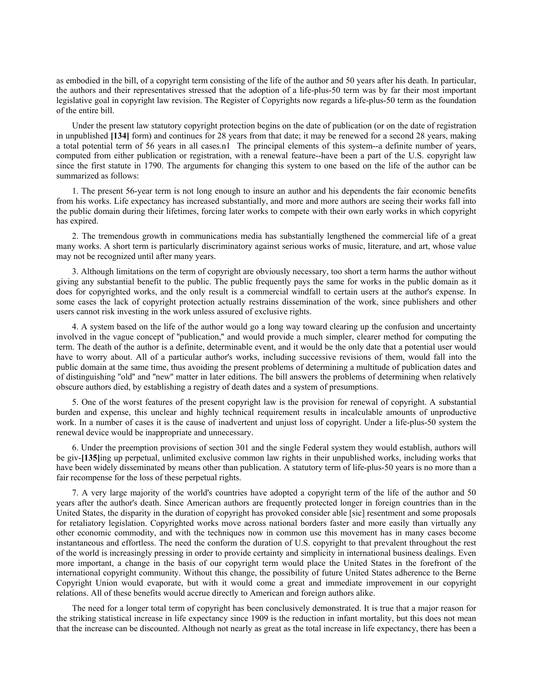as embodied in the bill, of a copyright term consisting of the life of the author and 50 years after his death. In particular, the authors and their representatives stressed that the adoption of a life-plus-50 term was by far their most important legislative goal in copyright law revision. The Register of Copyrights now regards a life-plus-50 term as the foundation of the entire bill.

Under the present law statutory copyright protection begins on the date of publication (or on the date of registration in unpublished **[134]** form) and continues for 28 years from that date; it may be renewed for a second 28 years, making a total potential term of 56 years in all cases.n1 The principal elements of this system--a definite number of years, computed from either publication or registration, with a renewal feature--have been a part of the U.S. copyright law since the first statute in 1790. The arguments for changing this system to one based on the life of the author can be summarized as follows:

1. The present 56-year term is not long enough to insure an author and his dependents the fair economic benefits from his works. Life expectancy has increased substantially, and more and more authors are seeing their works fall into the public domain during their lifetimes, forcing later works to compete with their own early works in which copyright has expired.

2. The tremendous growth in communications media has substantially lengthened the commercial life of a great many works. A short term is particularly discriminatory against serious works of music, literature, and art, whose value may not be recognized until after many years.

3. Although limitations on the term of copyright are obviously necessary, too short a term harms the author without giving any substantial benefit to the public. The public frequently pays the same for works in the public domain as it does for copyrighted works, and the only result is a commercial windfall to certain users at the author's expense. In some cases the lack of copyright protection actually restrains dissemination of the work, since publishers and other users cannot risk investing in the work unless assured of exclusive rights.

4. A system based on the life of the author would go a long way toward clearing up the confusion and uncertainty involved in the vague concept of ''publication,'' and would provide a much simpler, clearer method for computing the term. The death of the author is a definite, determinable event, and it would be the only date that a potential user would have to worry about. All of a particular author's works, including successive revisions of them, would fall into the public domain at the same time, thus avoiding the present problems of determining a multitude of publication dates and of distinguishing ''old'' and ''new'' matter in later editions. The bill answers the problems of determining when relatively obscure authors died, by establishing a registry of death dates and a system of presumptions.

5. One of the worst features of the present copyright law is the provision for renewal of copyright. A substantial burden and expense, this unclear and highly technical requirement results in incalculable amounts of unproductive work. In a number of cases it is the cause of inadvertent and unjust loss of copyright. Under a life-plus-50 system the renewal device would be inappropriate and unnecessary.

6. Under the preemption provisions of section 301 and the single Federal system they would establish, authors will be giv-**[135]**ing up perpetual, unlimited exclusive common law rights in their unpublished works, including works that have been widely disseminated by means other than publication. A statutory term of life-plus-50 years is no more than a fair recompense for the loss of these perpetual rights.

7. A very large majority of the world's countries have adopted a copyright term of the life of the author and 50 years after the author's death. Since American authors are frequently protected longer in foreign countries than in the United States, the disparity in the duration of copyright has provoked consider able [sic] resentment and some proposals for retaliatory legislation. Copyrighted works move across national borders faster and more easily than virtually any other economic commodity, and with the techniques now in common use this movement has in many cases become instantaneous and effortless. The need the conform the duration of U.S. copyright to that prevalent throughout the rest of the world is increasingly pressing in order to provide certainty and simplicity in international business dealings. Even more important, a change in the basis of our copyright term would place the United States in the forefront of the international copyright community. Without this change, the possibility of future United States adherence to the Berne Copyright Union would evaporate, but with it would come a great and immediate improvement in our copyright relations. All of these benefits would accrue directly to American and foreign authors alike.

The need for a longer total term of copyright has been conclusively demonstrated. It is true that a major reason for the striking statistical increase in life expectancy since 1909 is the reduction in infant mortality, but this does not mean that the increase can be discounted. Although not nearly as great as the total increase in life expectancy, there has been a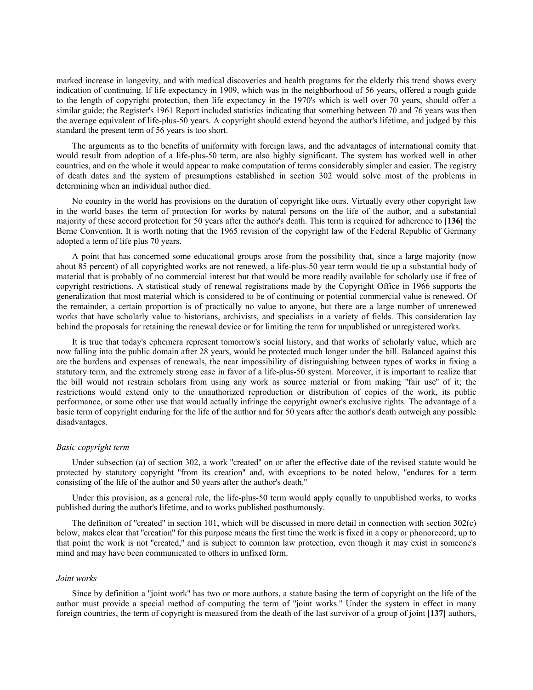marked increase in longevity, and with medical discoveries and health programs for the elderly this trend shows every indication of continuing. If life expectancy in 1909, which was in the neighborhood of 56 years, offered a rough guide to the length of copyright protection, then life expectancy in the 1970's which is well over 70 years, should offer a similar guide; the Register's 1961 Report included statistics indicating that something between 70 and 76 years was then the average equivalent of life-plus-50 years. A copyright should extend beyond the author's lifetime, and judged by this standard the present term of 56 years is too short.

The arguments as to the benefits of uniformity with foreign laws, and the advantages of international comity that would result from adoption of a life-plus-50 term, are also highly significant. The system has worked well in other countries, and on the whole it would appear to make computation of terms considerably simpler and easier. The registry of death dates and the system of presumptions established in section 302 would solve most of the problems in determining when an individual author died.

No country in the world has provisions on the duration of copyright like ours. Virtually every other copyright law in the world bases the term of protection for works by natural persons on the life of the author, and a substantial majority of these accord protection for 50 years after the author's death. This term is required for adherence to **[136]** the Berne Convention. It is worth noting that the 1965 revision of the copyright law of the Federal Republic of Germany adopted a term of life plus 70 years.

A point that has concerned some educational groups arose from the possibility that, since a large majority (now about 85 percent) of all copyrighted works are not renewed, a life-plus-50 year term would tie up a substantial body of material that is probably of no commercial interest but that would be more readily available for scholarly use if free of copyright restrictions. A statistical study of renewal registrations made by the Copyright Office in 1966 supports the generalization that most material which is considered to be of continuing or potential commercial value is renewed. Of the remainder, a certain proportion is of practically no value to anyone, but there are a large number of unrenewed works that have scholarly value to historians, archivists, and specialists in a variety of fields. This consideration lay behind the proposals for retaining the renewal device or for limiting the term for unpublished or unregistered works.

It is true that today's ephemera represent tomorrow's social history, and that works of scholarly value, which are now falling into the public domain after 28 years, would be protected much longer under the bill. Balanced against this are the burdens and expenses of renewals, the near impossibility of distinguishing between types of works in fixing a statutory term, and the extremely strong case in favor of a life-plus-50 system. Moreover, it is important to realize that the bill would not restrain scholars from using any work as source material or from making ''fair use'' of it; the restrictions would extend only to the unauthorized reproduction or distribution of copies of the work, its public performance, or some other use that would actually infringe the copyright owner's exclusive rights. The advantage of a basic term of copyright enduring for the life of the author and for 50 years after the author's death outweigh any possible disadvantages.

# *Basic copyright term*

Under subsection (a) of section 302, a work ''created'' on or after the effective date of the revised statute would be protected by statutory copyright ''from its creation'' and, with exceptions to be noted below, ''endures for a term consisting of the life of the author and 50 years after the author's death.''

Under this provision, as a general rule, the life-plus-50 term would apply equally to unpublished works, to works published during the author's lifetime, and to works published posthumously.

The definition of "created" in section 101, which will be discussed in more detail in connection with section 302(c) below, makes clear that ''creation'' for this purpose means the first time the work is fixed in a copy or phonorecord; up to that point the work is not ''created,'' and is subject to common law protection, even though it may exist in someone's mind and may have been communicated to others in unfixed form.

# *Joint works*

Since by definition a ''joint work'' has two or more authors, a statute basing the term of copyright on the life of the author must provide a special method of computing the term of ''joint works.'' Under the system in effect in many foreign countries, the term of copyright is measured from the death of the last survivor of a group of joint **[137]** authors,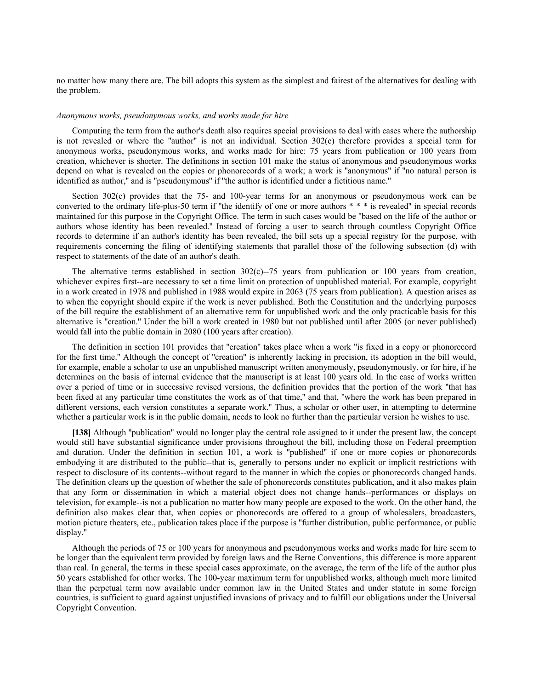no matter how many there are. The bill adopts this system as the simplest and fairest of the alternatives for dealing with the problem.

# *Anonymous works, pseudonymous works, and works made for hire*

Computing the term from the author's death also requires special provisions to deal with cases where the authorship is not revealed or where the ''author'' is not an individual. Section 302(c) therefore provides a special term for anonymous works, pseudonymous works, and works made for hire: 75 years from publication or 100 years from creation, whichever is shorter. The definitions in section 101 make the status of anonymous and pseudonymous works depend on what is revealed on the copies or phonorecords of a work; a work is "anonymous" if "no natural person is identified as author,'' and is ''pseudonymous'' if ''the author is identified under a fictitious name.''

Section 302(c) provides that the 75- and 100-year terms for an anonymous or pseudonymous work can be converted to the ordinary life-plus-50 term if ''the identify of one or more authors \* \* \* is revealed'' in special records maintained for this purpose in the Copyright Office. The term in such cases would be ''based on the life of the author or authors whose identity has been revealed.'' Instead of forcing a user to search through countless Copyright Office records to determine if an author's identity has been revealed, the bill sets up a special registry for the purpose, with requirements concerning the filing of identifying statements that parallel those of the following subsection (d) with respect to statements of the date of an author's death.

The alternative terms established in section  $302(c)$ --75 years from publication or 100 years from creation, whichever expires first--are necessary to set a time limit on protection of unpublished material. For example, copyright in a work created in 1978 and published in 1988 would expire in 2063 (75 years from publication). A question arises as to when the copyright should expire if the work is never published. Both the Constitution and the underlying purposes of the bill require the establishment of an alternative term for unpublished work and the only practicable basis for this alternative is ''creation.'' Under the bill a work created in 1980 but not published until after 2005 (or never published) would fall into the public domain in 2080 (100 years after creation).

The definition in section 101 provides that ''creation'' takes place when a work ''is fixed in a copy or phonorecord for the first time.'' Although the concept of ''creation'' is inherently lacking in precision, its adoption in the bill would, for example, enable a scholar to use an unpublished manuscript written anonymously, pseudonymously, or for hire, if he determines on the basis of internal evidence that the manuscript is at least 100 years old. In the case of works written over a period of time or in successive revised versions, the definition provides that the portion of the work ''that has been fixed at any particular time constitutes the work as of that time,'' and that, ''where the work has been prepared in different versions, each version constitutes a separate work.'' Thus, a scholar or other user, in attempting to determine whether a particular work is in the public domain, needs to look no further than the particular version he wishes to use.

**[138]** Although ''publication'' would no longer play the central role assigned to it under the present law, the concept would still have substantial significance under provisions throughout the bill, including those on Federal preemption and duration. Under the definition in section 101, a work is ''published'' if one or more copies or phonorecords embodying it are distributed to the public--that is, generally to persons under no explicit or implicit restrictions with respect to disclosure of its contents--without regard to the manner in which the copies or phonorecords changed hands. The definition clears up the question of whether the sale of phonorecords constitutes publication, and it also makes plain that any form or dissemination in which a material object does not change hands--performances or displays on television, for example--is not a publication no matter how many people are exposed to the work. On the other hand, the definition also makes clear that, when copies or phonorecords are offered to a group of wholesalers, broadcasters, motion picture theaters, etc., publication takes place if the purpose is ''further distribution, public performance, or public display.''

Although the periods of 75 or 100 years for anonymous and pseudonymous works and works made for hire seem to be longer than the equivalent term provided by foreign laws and the Berne Conventions, this difference is more apparent than real. In general, the terms in these special cases approximate, on the average, the term of the life of the author plus 50 years established for other works. The 100-year maximum term for unpublished works, although much more limited than the perpetual term now available under common law in the United States and under statute in some foreign countries, is sufficient to guard against unjustified invasions of privacy and to fulfill our obligations under the Universal Copyright Convention.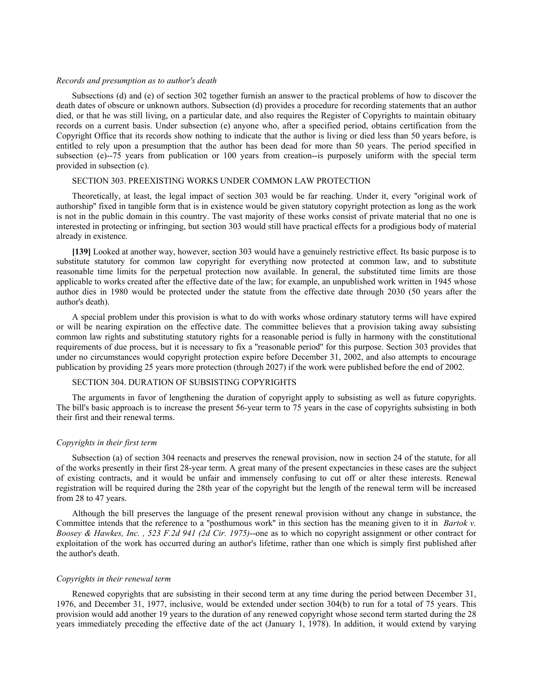## *Records and presumption as to author's death*

Subsections (d) and (e) of section 302 together furnish an answer to the practical problems of how to discover the death dates of obscure or unknown authors. Subsection (d) provides a procedure for recording statements that an author died, or that he was still living, on a particular date, and also requires the Register of Copyrights to maintain obituary records on a current basis. Under subsection (e) anyone who, after a specified period, obtains certification from the Copyright Office that its records show nothing to indicate that the author is living or died less than 50 years before, is entitled to rely upon a presumption that the author has been dead for more than 50 years. The period specified in subsection (e)--75 years from publication or 100 years from creation--is purposely uniform with the special term provided in subsection (c).

# SECTION 303. PREEXISTING WORKS UNDER COMMON LAW PROTECTION

Theoretically, at least, the legal impact of section 303 would be far reaching. Under it, every "original work of authorship'' fixed in tangible form that is in existence would be given statutory copyright protection as long as the work is not in the public domain in this country. The vast majority of these works consist of private material that no one is interested in protecting or infringing, but section 303 would still have practical effects for a prodigious body of material already in existence.

**[139]** Looked at another way, however, section 303 would have a genuinely restrictive effect. Its basic purpose is to substitute statutory for common law copyright for everything now protected at common law, and to substitute reasonable time limits for the perpetual protection now available. In general, the substituted time limits are those applicable to works created after the effective date of the law; for example, an unpublished work written in 1945 whose author dies in 1980 would be protected under the statute from the effective date through 2030 (50 years after the author's death).

A special problem under this provision is what to do with works whose ordinary statutory terms will have expired or will be nearing expiration on the effective date. The committee believes that a provision taking away subsisting common law rights and substituting statutory rights for a reasonable period is fully in harmony with the constitutional requirements of due process, but it is necessary to fix a ''reasonable period'' for this purpose. Section 303 provides that under no circumstances would copyright protection expire before December 31, 2002, and also attempts to encourage publication by providing 25 years more protection (through 2027) if the work were published before the end of 2002.

# SECTION 304. DURATION OF SUBSISTING COPYRIGHTS

The arguments in favor of lengthening the duration of copyright apply to subsisting as well as future copyrights. The bill's basic approach is to increase the present 56-year term to 75 years in the case of copyrights subsisting in both their first and their renewal terms.

## *Copyrights in their first term*

Subsection (a) of section 304 reenacts and preserves the renewal provision, now in section 24 of the statute, for all of the works presently in their first 28-year term. A great many of the present expectancies in these cases are the subject of existing contracts, and it would be unfair and immensely confusing to cut off or alter these interests. Renewal registration will be required during the 28th year of the copyright but the length of the renewal term will be increased from 28 to 47 years.

Although the bill preserves the language of the present renewal provision without any change in substance, the Committee intends that the reference to a ''posthumous work'' in this section has the meaning given to it in *Bartok v. Boosey & Hawkes, Inc. , 523 F.2d 941 (2d Cir. 1975)*--one as to which no copyright assignment or other contract for exploitation of the work has occurred during an author's lifetime, rather than one which is simply first published after the author's death.

#### *Copyrights in their renewal term*

Renewed copyrights that are subsisting in their second term at any time during the period between December 31, 1976, and December 31, 1977, inclusive, would be extended under section 304(b) to run for a total of 75 years. This provision would add another 19 years to the duration of any renewed copyright whose second term started during the 28 years immediately preceding the effective date of the act (January 1, 1978). In addition, it would extend by varying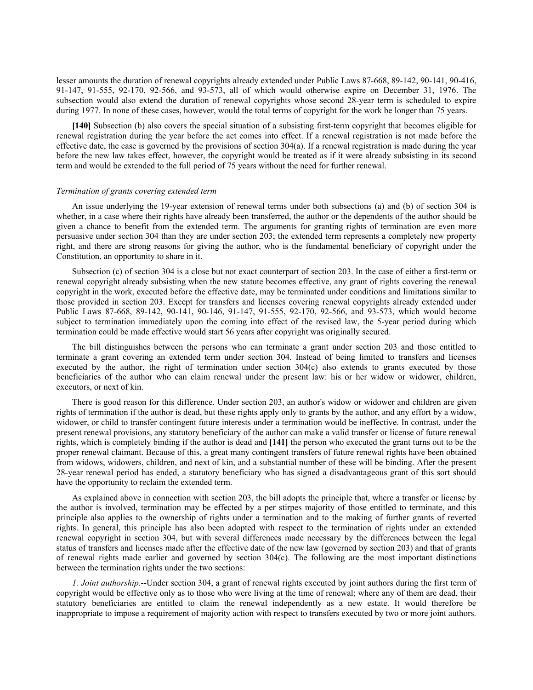lesser amounts the duration of renewal copyrights already extended under Public Laws 87-668, 89-142, 90-141, 90-416, 91-147, 91-555, 92-170, 92-566, and 93-573, all of which would otherwise expire on December 31, 1976. The subsection would also extend the duration of renewal copyrights whose second 28-year term is scheduled to expire during 1977. In none of these cases, however, would the total terms of copyright for the work be longer than 75 years.

**[140]** Subsection (b) also covers the special situation of a subsisting first-term copyright that becomes eligible for renewal registration during the year before the act comes into effect. If a renewal registration is not made before the effective date, the case is governed by the provisions of section 304(a). If a renewal registration is made during the year before the new law takes effect, however, the copyright would be treated as if it were already subsisting in its second term and would be extended to the full period of 75 years without the need for further renewal.

# *Termination of grants covering extended term*

An issue underlying the 19-year extension of renewal terms under both subsections (a) and (b) of section 304 is whether, in a case where their rights have already been transferred, the author or the dependents of the author should be given a chance to benefit from the extended term. The arguments for granting rights of termination are even more persuasive under section 304 than they are under section 203; the extended term represents a completely new property right, and there are strong reasons for giving the author, who is the fundamental beneficiary of copyright under the Constitution, an opportunity to share in it.

Subsection (c) of section 304 is a close but not exact counterpart of section 203. In the case of either a first-term or renewal copyright already subsisting when the new statute becomes effective, any grant of rights covering the renewal copyright in the work, executed before the effective date, may be terminated under conditions and limitations similar to those provided in section 203. Except for transfers and licenses covering renewal copyrights already extended under Public Laws 87-668, 89-142, 90-141, 90-146, 91-147, 91-555, 92-170, 92-566, and 93-573, which would become subject to termination immediately upon the coming into effect of the revised law, the 5-year period during which termination could be made effective would start 56 years after copyright was originally secured.

The bill distinguishes between the persons who can terminate a grant under section 203 and those entitled to terminate a grant covering an extended term under section 304. Instead of being limited to transfers and licenses executed by the author, the right of termination under section 304(c) also extends to grants executed by those beneficiaries of the author who can claim renewal under the present law: his or her widow or widower, children, executors, or next of kin.

There is good reason for this difference. Under section 203, an author's widow or widower and children are given rights of termination if the author is dead, but these rights apply only to grants by the author, and any effort by a widow, widower, or child to transfer contingent future interests under a termination would be ineffective. In contrast, under the present renewal provisions, any statutory beneficiary of the author can make a valid transfer or license of future renewal rights, which is completely binding if the author is dead and **[141]** the person who executed the grant turns out to be the proper renewal claimant. Because of this, a great many contingent transfers of future renewal rights have been obtained from widows, widowers, children, and next of kin, and a substantial number of these will be binding. After the present 28-year renewal period has ended, a statutory beneficiary who has signed a disadvantageous grant of this sort should have the opportunity to reclaim the extended term.

As explained above in connection with section 203, the bill adopts the principle that, where a transfer or license by the author is involved, termination may be effected by a per stirpes majority of those entitled to terminate, and this principle also applies to the ownership of rights under a termination and to the making of further grants of reverted rights. In general, this principle has also been adopted with respect to the termination of rights under an extended renewal copyright in section 304, but with several differences made necessary by the differences between the legal status of transfers and licenses made after the effective date of the new law (governed by section 203) and that of grants of renewal rights made earlier and governed by section 304(c). The following are the most important distinctions between the termination rights under the two sections:

*1. Joint authorship*.--Under section 304, a grant of renewal rights executed by joint authors during the first term of copyright would be effective only as to those who were living at the time of renewal; where any of them are dead, their statutory beneficiaries are entitled to claim the renewal independently as a new estate. It would therefore be inappropriate to impose a requirement of majority action with respect to transfers executed by two or more joint authors.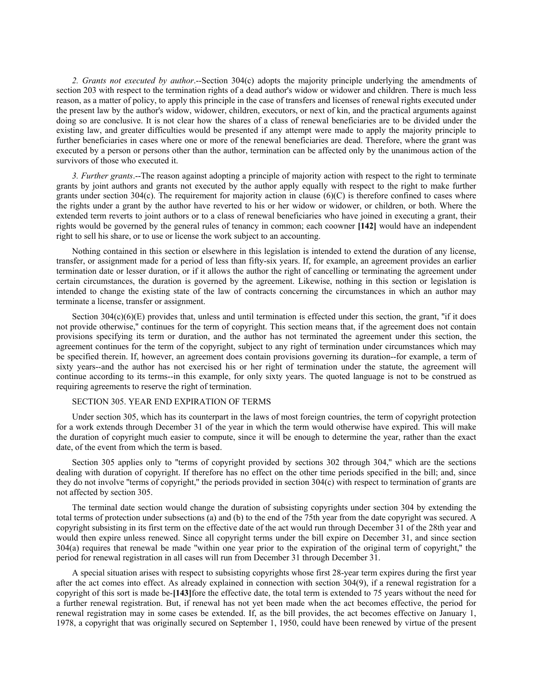*2. Grants not executed by author*.--Section 304(c) adopts the majority principle underlying the amendments of section 203 with respect to the termination rights of a dead author's widow or widower and children. There is much less reason, as a matter of policy, to apply this principle in the case of transfers and licenses of renewal rights executed under the present law by the author's widow, widower, children, executors, or next of kin, and the practical arguments against doing so are conclusive. It is not clear how the shares of a class of renewal beneficiaries are to be divided under the existing law, and greater difficulties would be presented if any attempt were made to apply the majority principle to further beneficiaries in cases where one or more of the renewal beneficiaries are dead. Therefore, where the grant was executed by a person or persons other than the author, termination can be affected only by the unanimous action of the survivors of those who executed it.

*3. Further grants*.--The reason against adopting a principle of majority action with respect to the right to terminate grants by joint authors and grants not executed by the author apply equally with respect to the right to make further grants under section 304(c). The requirement for majority action in clause  $(6)(C)$  is therefore confined to cases where the rights under a grant by the author have reverted to his or her widow or widower, or children, or both. Where the extended term reverts to joint authors or to a class of renewal beneficiaries who have joined in executing a grant, their rights would be governed by the general rules of tenancy in common; each coowner **[142]** would have an independent right to sell his share, or to use or license the work subject to an accounting.

Nothing contained in this section or elsewhere in this legislation is intended to extend the duration of any license, transfer, or assignment made for a period of less than fifty-six years. If, for example, an agreement provides an earlier termination date or lesser duration, or if it allows the author the right of cancelling or terminating the agreement under certain circumstances, the duration is governed by the agreement. Likewise, nothing in this section or legislation is intended to change the existing state of the law of contracts concerning the circumstances in which an author may terminate a license, transfer or assignment.

Section  $304(c)(6)(E)$  provides that, unless and until termination is effected under this section, the grant, "if it does not provide otherwise,'' continues for the term of copyright. This section means that, if the agreement does not contain provisions specifying its term or duration, and the author has not terminated the agreement under this section, the agreement continues for the term of the copyright, subject to any right of termination under circumstances which may be specified therein. If, however, an agreement does contain provisions governing its duration--for example, a term of sixty years--and the author has not exercised his or her right of termination under the statute, the agreement will continue according to its terms--in this example, for only sixty years. The quoted language is not to be construed as requiring agreements to reserve the right of termination.

# SECTION 305. YEAR END EXPIRATION OF TERMS

Under section 305, which has its counterpart in the laws of most foreign countries, the term of copyright protection for a work extends through December 31 of the year in which the term would otherwise have expired. This will make the duration of copyright much easier to compute, since it will be enough to determine the year, rather than the exact date, of the event from which the term is based.

Section 305 applies only to "terms of copyright provided by sections 302 through 304," which are the sections dealing with duration of copyright. If therefore has no effect on the other time periods specified in the bill; and, since they do not involve ''terms of copyright,'' the periods provided in section 304(c) with respect to termination of grants are not affected by section 305.

The terminal date section would change the duration of subsisting copyrights under section 304 by extending the total terms of protection under subsections (a) and (b) to the end of the 75th year from the date copyright was secured. A copyright subsisting in its first term on the effective date of the act would run through December 31 of the 28th year and would then expire unless renewed. Since all copyright terms under the bill expire on December 31, and since section 304(a) requires that renewal be made ''within one year prior to the expiration of the original term of copyright,'' the period for renewal registration in all cases will run from December 31 through December 31.

A special situation arises with respect to subsisting copyrights whose first 28-year term expires during the first year after the act comes into effect. As already explained in connection with section 304(9), if a renewal registration for a copyright of this sort is made be-**[143]**fore the effective date, the total term is extended to 75 years without the need for a further renewal registration. But, if renewal has not yet been made when the act becomes effective, the period for renewal registration may in some cases be extended. If, as the bill provides, the act becomes effective on January 1, 1978, a copyright that was originally secured on September 1, 1950, could have been renewed by virtue of the present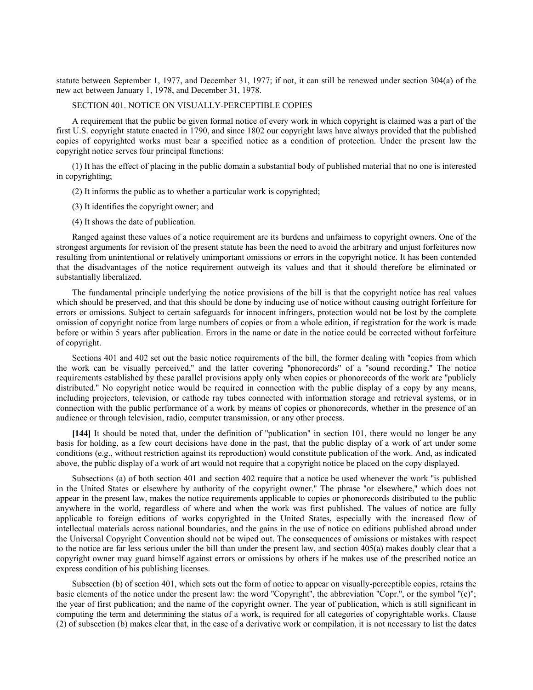statute between September 1, 1977, and December 31, 1977; if not, it can still be renewed under section 304(a) of the new act between January 1, 1978, and December 31, 1978.

# SECTION 401. NOTICE ON VISUALLY-PERCEPTIBLE COPIES

A requirement that the public be given formal notice of every work in which copyright is claimed was a part of the first U.S. copyright statute enacted in 1790, and since 1802 our copyright laws have always provided that the published copies of copyrighted works must bear a specified notice as a condition of protection. Under the present law the copyright notice serves four principal functions:

(1) It has the effect of placing in the public domain a substantial body of published material that no one is interested in copyrighting;

- (2) It informs the public as to whether a particular work is copyrighted;
- (3) It identifies the copyright owner; and
- (4) It shows the date of publication.

Ranged against these values of a notice requirement are its burdens and unfairness to copyright owners. One of the strongest arguments for revision of the present statute has been the need to avoid the arbitrary and unjust forfeitures now resulting from unintentional or relatively unimportant omissions or errors in the copyright notice. It has been contended that the disadvantages of the notice requirement outweigh its values and that it should therefore be eliminated or substantially liberalized.

The fundamental principle underlying the notice provisions of the bill is that the copyright notice has real values which should be preserved, and that this should be done by inducing use of notice without causing outright forfeiture for errors or omissions. Subject to certain safeguards for innocent infringers, protection would not be lost by the complete omission of copyright notice from large numbers of copies or from a whole edition, if registration for the work is made before or within 5 years after publication. Errors in the name or date in the notice could be corrected without forfeiture of copyright.

Sections 401 and 402 set out the basic notice requirements of the bill, the former dealing with ''copies from which the work can be visually perceived,'' and the latter covering ''phonorecords'' of a ''sound recording.'' The notice requirements established by these parallel provisions apply only when copies or phonorecords of the work are ''publicly distributed." No copyright notice would be required in connection with the public display of a copy by any means, including projectors, television, or cathode ray tubes connected with information storage and retrieval systems, or in connection with the public performance of a work by means of copies or phonorecords, whether in the presence of an audience or through television, radio, computer transmission, or any other process.

**[144]** It should be noted that, under the definition of ''publication'' in section 101, there would no longer be any basis for holding, as a few court decisions have done in the past, that the public display of a work of art under some conditions (e.g., without restriction against its reproduction) would constitute publication of the work. And, as indicated above, the public display of a work of art would not require that a copyright notice be placed on the copy displayed.

Subsections (a) of both section 401 and section 402 require that a notice be used whenever the work ''is published in the United States or elsewhere by authority of the copyright owner.'' The phrase ''or elsewhere,'' which does not appear in the present law, makes the notice requirements applicable to copies or phonorecords distributed to the public anywhere in the world, regardless of where and when the work was first published. The values of notice are fully applicable to foreign editions of works copyrighted in the United States, especially with the increased flow of intellectual materials across national boundaries, and the gains in the use of notice on editions published abroad under the Universal Copyright Convention should not be wiped out. The consequences of omissions or mistakes with respect to the notice are far less serious under the bill than under the present law, and section 405(a) makes doubly clear that a copyright owner may guard himself against errors or omissions by others if he makes use of the prescribed notice an express condition of his publishing licenses.

Subsection (b) of section 401, which sets out the form of notice to appear on visually-perceptible copies, retains the basic elements of the notice under the present law: the word ''Copyright'', the abbreviation ''Copr.'', or the symbol ''(c)''; the year of first publication; and the name of the copyright owner. The year of publication, which is still significant in computing the term and determining the status of a work, is required for all categories of copyrightable works. Clause (2) of subsection (b) makes clear that, in the case of a derivative work or compilation, it is not necessary to list the dates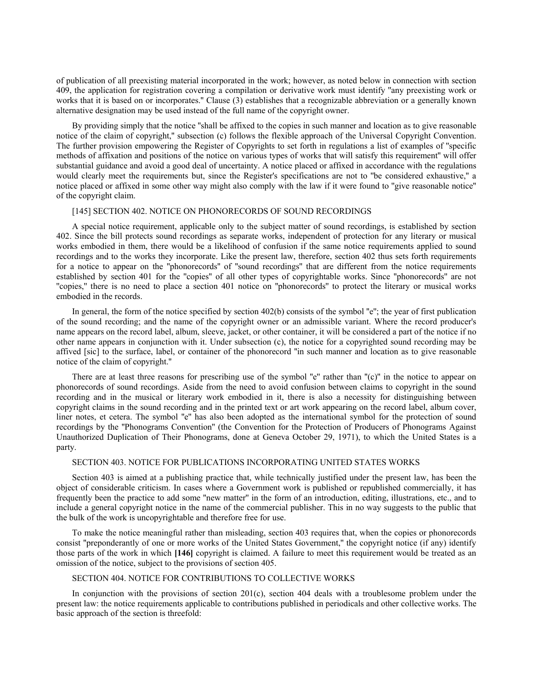of publication of all preexisting material incorporated in the work; however, as noted below in connection with section 409, the application for registration covering a compilation or derivative work must identify ''any preexisting work or works that it is based on or incorporates." Clause (3) establishes that a recognizable abbreviation or a generally known alternative designation may be used instead of the full name of the copyright owner.

By providing simply that the notice ''shall be affixed to the copies in such manner and location as to give reasonable notice of the claim of copyright,'' subsection (c) follows the flexible approach of the Universal Copyright Convention. The further provision empowering the Register of Copyrights to set forth in regulations a list of examples of ''specific methods of affixation and positions of the notice on various types of works that will satisfy this requirement'' will offer substantial guidance and avoid a good deal of uncertainty. A notice placed or affixed in accordance with the regulations would clearly meet the requirements but, since the Register's specifications are not to ''be considered exhaustive,'' a notice placed or affixed in some other way might also comply with the law if it were found to ''give reasonable notice'' of the copyright claim.

# [145] SECTION 402. NOTICE ON PHONORECORDS OF SOUND RECORDINGS

A special notice requirement, applicable only to the subject matter of sound recordings, is established by section 402. Since the bill protects sound recordings as separate works, independent of protection for any literary or musical works embodied in them, there would be a likelihood of confusion if the same notice requirements applied to sound recordings and to the works they incorporate. Like the present law, therefore, section 402 thus sets forth requirements for a notice to appear on the ''phonorecords'' of ''sound recordings'' that are different from the notice requirements established by section 401 for the ''copies'' of all other types of copyrightable works. Since ''phonorecords'' are not ''copies,'' there is no need to place a section 401 notice on ''phonorecords'' to protect the literary or musical works embodied in the records.

In general, the form of the notice specified by section 402(b) consists of the symbol "e"; the year of first publication of the sound recording; and the name of the copyright owner or an admissible variant. Where the record producer's name appears on the record label, album, sleeve, jacket, or other container, it will be considered a part of the notice if no other name appears in conjunction with it. Under subsection (c), the notice for a copyrighted sound recording may be affived [sic] to the surface, label, or container of the phonorecord ''in such manner and location as to give reasonable notice of the claim of copyright.''

There are at least three reasons for prescribing use of the symbol "e" rather than " $(c)$ " in the notice to appear on phonorecords of sound recordings. Aside from the need to avoid confusion between claims to copyright in the sound recording and in the musical or literary work embodied in it, there is also a necessity for distinguishing between copyright claims in the sound recording and in the printed text or art work appearing on the record label, album cover, liner notes, et cetera. The symbol "e" has also been adopted as the international symbol for the protection of sound recordings by the ''Phonograms Convention'' (the Convention for the Protection of Producers of Phonograms Against Unauthorized Duplication of Their Phonograms, done at Geneva October 29, 1971), to which the United States is a party.

# SECTION 403. NOTICE FOR PUBLICATIONS INCORPORATING UNITED STATES WORKS

Section 403 is aimed at a publishing practice that, while technically justified under the present law, has been the object of considerable criticism. In cases where a Government work is published or republished commercially, it has frequently been the practice to add some ''new matter'' in the form of an introduction, editing, illustrations, etc., and to include a general copyright notice in the name of the commercial publisher. This in no way suggests to the public that the bulk of the work is uncopyrightable and therefore free for use.

To make the notice meaningful rather than misleading, section 403 requires that, when the copies or phonorecords consist ''preponderantly of one or more works of the United States Government,'' the copyright notice (if any) identify those parts of the work in which **[146]** copyright is claimed. A failure to meet this requirement would be treated as an omission of the notice, subject to the provisions of section 405.

# SECTION 404. NOTICE FOR CONTRIBUTIONS TO COLLECTIVE WORKS

In conjunction with the provisions of section  $201(c)$ , section 404 deals with a troublesome problem under the present law: the notice requirements applicable to contributions published in periodicals and other collective works. The basic approach of the section is threefold: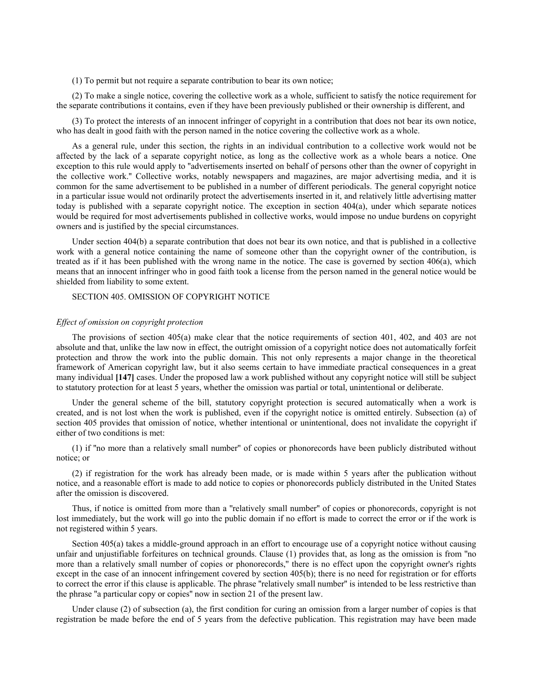(1) To permit but not require a separate contribution to bear its own notice;

(2) To make a single notice, covering the collective work as a whole, sufficient to satisfy the notice requirement for the separate contributions it contains, even if they have been previously published or their ownership is different, and

(3) To protect the interests of an innocent infringer of copyright in a contribution that does not bear its own notice, who has dealt in good faith with the person named in the notice covering the collective work as a whole.

As a general rule, under this section, the rights in an individual contribution to a collective work would not be affected by the lack of a separate copyright notice, as long as the collective work as a whole bears a notice. One exception to this rule would apply to ''advertisements inserted on behalf of persons other than the owner of copyright in the collective work.'' Collective works, notably newspapers and magazines, are major advertising media, and it is common for the same advertisement to be published in a number of different periodicals. The general copyright notice in a particular issue would not ordinarily protect the advertisements inserted in it, and relatively little advertising matter today is published with a separate copyright notice. The exception in section 404(a), under which separate notices would be required for most advertisements published in collective works, would impose no undue burdens on copyright owners and is justified by the special circumstances.

Under section 404(b) a separate contribution that does not bear its own notice, and that is published in a collective work with a general notice containing the name of someone other than the copyright owner of the contribution, is treated as if it has been published with the wrong name in the notice. The case is governed by section 406(a), which means that an innocent infringer who in good faith took a license from the person named in the general notice would be shielded from liability to some extent.

# SECTION 405. OMISSION OF COPYRIGHT NOTICE

## *Effect of omission on copyright protection*

The provisions of section 405(a) make clear that the notice requirements of section 401, 402, and 403 are not absolute and that, unlike the law now in effect, the outright omission of a copyright notice does not automatically forfeit protection and throw the work into the public domain. This not only represents a major change in the theoretical framework of American copyright law, but it also seems certain to have immediate practical consequences in a great many individual **[147]** cases. Under the proposed law a work published without any copyright notice will still be subject to statutory protection for at least 5 years, whether the omission was partial or total, unintentional or deliberate.

Under the general scheme of the bill, statutory copyright protection is secured automatically when a work is created, and is not lost when the work is published, even if the copyright notice is omitted entirely. Subsection (a) of section 405 provides that omission of notice, whether intentional or unintentional, does not invalidate the copyright if either of two conditions is met:

(1) if ''no more than a relatively small number'' of copies or phonorecords have been publicly distributed without notice; or

(2) if registration for the work has already been made, or is made within 5 years after the publication without notice, and a reasonable effort is made to add notice to copies or phonorecords publicly distributed in the United States after the omission is discovered.

Thus, if notice is omitted from more than a ''relatively small number'' of copies or phonorecords, copyright is not lost immediately, but the work will go into the public domain if no effort is made to correct the error or if the work is not registered within 5 years.

Section 405(a) takes a middle-ground approach in an effort to encourage use of a copyright notice without causing unfair and unjustifiable forfeitures on technical grounds. Clause (1) provides that, as long as the omission is from ''no more than a relatively small number of copies or phonorecords,'' there is no effect upon the copyright owner's rights except in the case of an innocent infringement covered by section 405(b); there is no need for registration or for efforts to correct the error if this clause is applicable. The phrase ''relatively small number'' is intended to be less restrictive than the phrase ''a particular copy or copies'' now in section 21 of the present law.

Under clause (2) of subsection (a), the first condition for curing an omission from a larger number of copies is that registration be made before the end of 5 years from the defective publication. This registration may have been made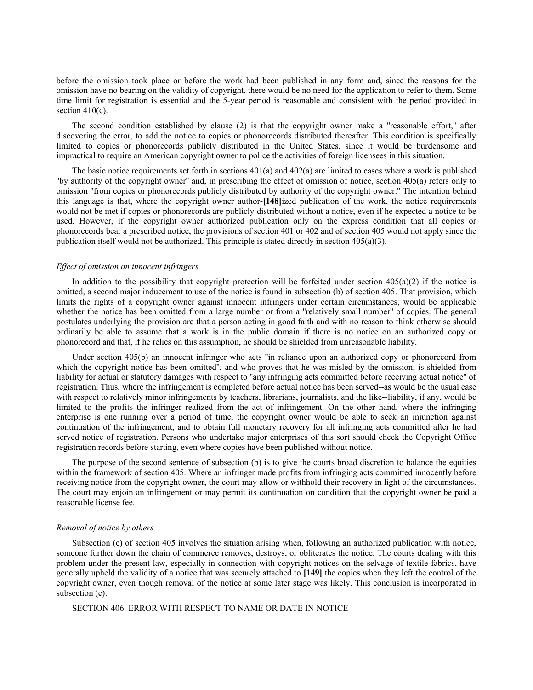before the omission took place or before the work had been published in any form and, since the reasons for the omission have no bearing on the validity of copyright, there would be no need for the application to refer to them. Some time limit for registration is essential and the 5-year period is reasonable and consistent with the period provided in section  $410(c)$ .

The second condition established by clause (2) is that the copyright owner make a ''reasonable effort,'' after discovering the error, to add the notice to copies or phonorecords distributed thereafter. This condition is specifically limited to copies or phonorecords publicly distributed in the United States, since it would be burdensome and impractical to require an American copyright owner to police the activities of foreign licensees in this situation.

The basic notice requirements set forth in sections  $401(a)$  and  $402(a)$  are limited to cases where a work is published ''by authority of the copyright owner'' and, in prescribing the effect of omission of notice, section 405(a) refers only to omission ''from copies or phonorecords publicly distributed by authority of the copyright owner.'' The intention behind this language is that, where the copyright owner author-**[148]**ized publication of the work, the notice requirements would not be met if copies or phonorecords are publicly distributed without a notice, even if he expected a notice to be used. However, if the copyright owner authorized publication only on the express condition that all copies or phonorecords bear a prescribed notice, the provisions of section 401 or 402 and of section 405 would not apply since the publication itself would not be authorized. This principle is stated directly in section  $405(a)(3)$ .

#### *Effect of omission on innocent infringers*

In addition to the possibility that copyright protection will be forfeited under section  $405(a)(2)$  if the notice is omitted, a second major inducement to use of the notice is found in subsection (b) of section 405. That provision, which limits the rights of a copyright owner against innocent infringers under certain circumstances, would be applicable whether the notice has been omitted from a large number or from a "relatively small number" of copies. The general postulates underlying the provision are that a person acting in good faith and with no reason to think otherwise should ordinarily be able to assume that a work is in the public domain if there is no notice on an authorized copy or phonorecord and that, if he relies on this assumption, he should be shielded from unreasonable liability.

Under section 405(b) an innocent infringer who acts ''in reliance upon an authorized copy or phonorecord from which the copyright notice has been omitted'', and who proves that he was misled by the omission, is shielded from liability for actual or statutory damages with respect to ''any infringing acts committed before receiving actual notice'' of registration. Thus, where the infringement is completed before actual notice has been served--as would be the usual case with respect to relatively minor infringements by teachers, librarians, journalists, and the like--liability, if any, would be limited to the profits the infringer realized from the act of infringement. On the other hand, where the infringing enterprise is one running over a period of time, the copyright owner would be able to seek an injunction against continuation of the infringement, and to obtain full monetary recovery for all infringing acts committed after he had served notice of registration. Persons who undertake major enterprises of this sort should check the Copyright Office registration records before starting, even where copies have been published without notice.

The purpose of the second sentence of subsection (b) is to give the courts broad discretion to balance the equities within the framework of section 405. Where an infringer made profits from infringing acts committed innocently before receiving notice from the copyright owner, the court may allow or withhold their recovery in light of the circumstances. The court may enjoin an infringement or may permit its continuation on condition that the copyright owner be paid a reasonable license fee.

# *Removal of notice by others*

Subsection (c) of section 405 involves the situation arising when, following an authorized publication with notice, someone further down the chain of commerce removes, destroys, or obliterates the notice. The courts dealing with this problem under the present law, especially in connection with copyright notices on the selvage of textile fabrics, have generally upheld the validity of a notice that was securely attached to **[149]** the copies when they left the control of the copyright owner, even though removal of the notice at some later stage was likely. This conclusion is incorporated in subsection (c).

SECTION 406. ERROR WITH RESPECT TO NAME OR DATE IN NOTICE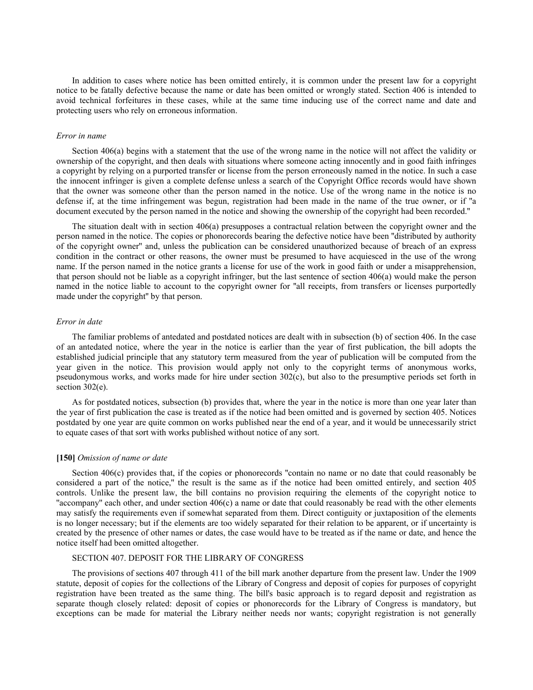In addition to cases where notice has been omitted entirely, it is common under the present law for a copyright notice to be fatally defective because the name or date has been omitted or wrongly stated. Section 406 is intended to avoid technical forfeitures in these cases, while at the same time inducing use of the correct name and date and protecting users who rely on erroneous information.

### *Error in name*

Section 406(a) begins with a statement that the use of the wrong name in the notice will not affect the validity or ownership of the copyright, and then deals with situations where someone acting innocently and in good faith infringes a copyright by relying on a purported transfer or license from the person erroneously named in the notice. In such a case the innocent infringer is given a complete defense unless a search of the Copyright Office records would have shown that the owner was someone other than the person named in the notice. Use of the wrong name in the notice is no defense if, at the time infringement was begun, registration had been made in the name of the true owner, or if ''a document executed by the person named in the notice and showing the ownership of the copyright had been recorded.''

The situation dealt with in section 406(a) presupposes a contractual relation between the copyright owner and the person named in the notice. The copies or phonorecords bearing the defective notice have been ''distributed by authority of the copyright owner'' and, unless the publication can be considered unauthorized because of breach of an express condition in the contract or other reasons, the owner must be presumed to have acquiesced in the use of the wrong name. If the person named in the notice grants a license for use of the work in good faith or under a misapprehension, that person should not be liable as a copyright infringer, but the last sentence of section 406(a) would make the person named in the notice liable to account to the copyright owner for ''all receipts, from transfers or licenses purportedly made under the copyright'' by that person.

#### *Error in date*

The familiar problems of antedated and postdated notices are dealt with in subsection (b) of section 406. In the case of an antedated notice, where the year in the notice is earlier than the year of first publication, the bill adopts the established judicial principle that any statutory term measured from the year of publication will be computed from the year given in the notice. This provision would apply not only to the copyright terms of anonymous works, pseudonymous works, and works made for hire under section 302(c), but also to the presumptive periods set forth in section 302(e).

As for postdated notices, subsection (b) provides that, where the year in the notice is more than one year later than the year of first publication the case is treated as if the notice had been omitted and is governed by section 405. Notices postdated by one year are quite common on works published near the end of a year, and it would be unnecessarily strict to equate cases of that sort with works published without notice of any sort.

### **[150]** *Omission of name or date*

Section 406(c) provides that, if the copies or phonorecords "contain no name or no date that could reasonably be considered a part of the notice,'' the result is the same as if the notice had been omitted entirely, and section 405 controls. Unlike the present law, the bill contains no provision requiring the elements of the copyright notice to "accompany" each other, and under section 406(c) a name or date that could reasonably be read with the other elements may satisfy the requirements even if somewhat separated from them. Direct contiguity or juxtaposition of the elements is no longer necessary; but if the elements are too widely separated for their relation to be apparent, or if uncertainty is created by the presence of other names or dates, the case would have to be treated as if the name or date, and hence the notice itself had been omitted altogether.

# SECTION 407. DEPOSIT FOR THE LIBRARY OF CONGRESS

The provisions of sections 407 through 411 of the bill mark another departure from the present law. Under the 1909 statute, deposit of copies for the collections of the Library of Congress and deposit of copies for purposes of copyright registration have been treated as the same thing. The bill's basic approach is to regard deposit and registration as separate though closely related: deposit of copies or phonorecords for the Library of Congress is mandatory, but exceptions can be made for material the Library neither needs nor wants; copyright registration is not generally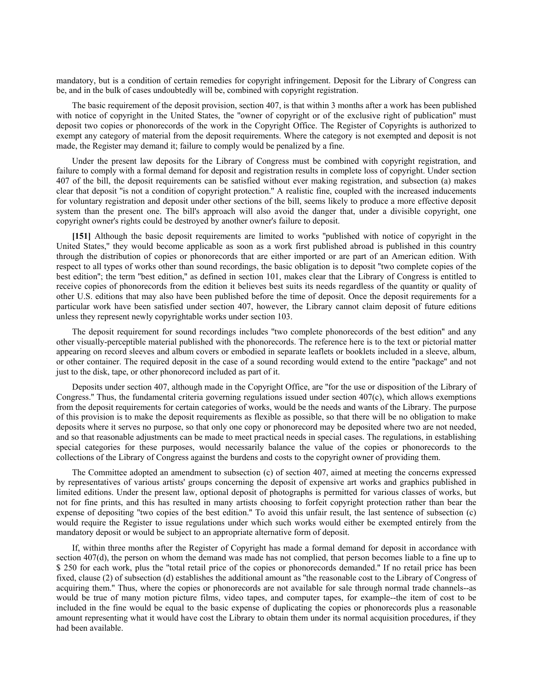mandatory, but is a condition of certain remedies for copyright infringement. Deposit for the Library of Congress can be, and in the bulk of cases undoubtedly will be, combined with copyright registration.

The basic requirement of the deposit provision, section 407, is that within 3 months after a work has been published with notice of copyright in the United States, the "owner of copyright or of the exclusive right of publication" must deposit two copies or phonorecords of the work in the Copyright Office. The Register of Copyrights is authorized to exempt any category of material from the deposit requirements. Where the category is not exempted and deposit is not made, the Register may demand it; failure to comply would be penalized by a fine.

Under the present law deposits for the Library of Congress must be combined with copyright registration, and failure to comply with a formal demand for deposit and registration results in complete loss of copyright. Under section 407 of the bill, the deposit requirements can be satisfied without ever making registration, and subsection (a) makes clear that deposit ''is not a condition of copyright protection.'' A realistic fine, coupled with the increased inducements for voluntary registration and deposit under other sections of the bill, seems likely to produce a more effective deposit system than the present one. The bill's approach will also avoid the danger that, under a divisible copyright, one copyright owner's rights could be destroyed by another owner's failure to deposit.

**[151]** Although the basic deposit requirements are limited to works ''published with notice of copyright in the United States,'' they would become applicable as soon as a work first published abroad is published in this country through the distribution of copies or phonorecords that are either imported or are part of an American edition. With respect to all types of works other than sound recordings, the basic obligation is to deposit ''two complete copies of the best edition''; the term ''best edition,'' as defined in section 101, makes clear that the Library of Congress is entitled to receive copies of phonorecords from the edition it believes best suits its needs regardless of the quantity or quality of other U.S. editions that may also have been published before the time of deposit. Once the deposit requirements for a particular work have been satisfied under section 407, however, the Library cannot claim deposit of future editions unless they represent newly copyrightable works under section 103.

The deposit requirement for sound recordings includes ''two complete phonorecords of the best edition'' and any other visually-perceptible material published with the phonorecords. The reference here is to the text or pictorial matter appearing on record sleeves and album covers or embodied in separate leaflets or booklets included in a sleeve, album, or other container. The required deposit in the case of a sound recording would extend to the entire ''package'' and not just to the disk, tape, or other phonorecord included as part of it.

Deposits under section 407, although made in the Copyright Office, are ''for the use or disposition of the Library of Congress.'' Thus, the fundamental criteria governing regulations issued under section 407(c), which allows exemptions from the deposit requirements for certain categories of works, would be the needs and wants of the Library. The purpose of this provision is to make the deposit requirements as flexible as possible, so that there will be no obligation to make deposits where it serves no purpose, so that only one copy or phonorecord may be deposited where two are not needed, and so that reasonable adjustments can be made to meet practical needs in special cases. The regulations, in establishing special categories for these purposes, would necessarily balance the value of the copies or phonorecords to the collections of the Library of Congress against the burdens and costs to the copyright owner of providing them.

The Committee adopted an amendment to subsection (c) of section 407, aimed at meeting the concerns expressed by representatives of various artists' groups concerning the deposit of expensive art works and graphics published in limited editions. Under the present law, optional deposit of photographs is permitted for various classes of works, but not for fine prints, and this has resulted in many artists choosing to forfeit copyright protection rather than bear the expense of depositing ''two copies of the best edition.'' To avoid this unfair result, the last sentence of subsection (c) would require the Register to issue regulations under which such works would either be exempted entirely from the mandatory deposit or would be subject to an appropriate alternative form of deposit.

If, within three months after the Register of Copyright has made a formal demand for deposit in accordance with section 407(d), the person on whom the demand was made has not complied, that person becomes liable to a fine up to \$ 250 for each work, plus the ''total retail price of the copies or phonorecords demanded.'' If no retail price has been fixed, clause (2) of subsection (d) establishes the additional amount as ''the reasonable cost to the Library of Congress of acquiring them.'' Thus, where the copies or phonorecords are not available for sale through normal trade channels--as would be true of many motion picture films, video tapes, and computer tapes, for example--the item of cost to be included in the fine would be equal to the basic expense of duplicating the copies or phonorecords plus a reasonable amount representing what it would have cost the Library to obtain them under its normal acquisition procedures, if they had been available.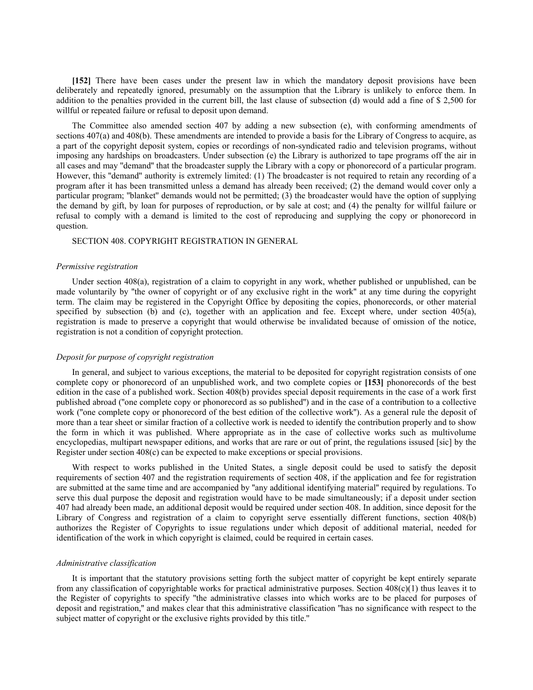**[152]** There have been cases under the present law in which the mandatory deposit provisions have been deliberately and repeatedly ignored, presumably on the assumption that the Library is unlikely to enforce them. In addition to the penalties provided in the current bill, the last clause of subsection (d) would add a fine of \$ 2,500 for willful or repeated failure or refusal to deposit upon demand.

The Committee also amended section 407 by adding a new subsection (e), with conforming amendments of sections 407(a) and 408(b). These amendments are intended to provide a basis for the Library of Congress to acquire, as a part of the copyright deposit system, copies or recordings of non-syndicated radio and television programs, without imposing any hardships on broadcasters. Under subsection (e) the Library is authorized to tape programs off the air in all cases and may ''demand'' that the broadcaster supply the Library with a copy or phonorecord of a particular program. However, this ''demand'' authority is extremely limited: (1) The broadcaster is not required to retain any recording of a program after it has been transmitted unless a demand has already been received; (2) the demand would cover only a particular program; ''blanket'' demands would not be permitted; (3) the broadcaster would have the option of supplying the demand by gift, by loan for purposes of reproduction, or by sale at cost; and (4) the penalty for willful failure or refusal to comply with a demand is limited to the cost of reproducing and supplying the copy or phonorecord in question.

SECTION 408. COPYRIGHT REGISTRATION IN GENERAL

#### *Permissive registration*

Under section 408(a), registration of a claim to copyright in any work, whether published or unpublished, can be made voluntarily by ''the owner of copyright or of any exclusive right in the work'' at any time during the copyright term. The claim may be registered in the Copyright Office by depositing the copies, phonorecords, or other material specified by subsection (b) and (c), together with an application and fee. Except where, under section 405(a), registration is made to preserve a copyright that would otherwise be invalidated because of omission of the notice, registration is not a condition of copyright protection.

#### *Deposit for purpose of copyright registration*

In general, and subject to various exceptions, the material to be deposited for copyright registration consists of one complete copy or phonorecord of an unpublished work, and two complete copies or **[153]** phonorecords of the best edition in the case of a published work. Section 408(b) provides special deposit requirements in the case of a work first published abroad (''one complete copy or phonorecord as so published'') and in the case of a contribution to a collective work (''one complete copy or phonorecord of the best edition of the collective work''). As a general rule the deposit of more than a tear sheet or similar fraction of a collective work is needed to identify the contribution properly and to show the form in which it was published. Where appropriate as in the case of collective works such as multivolume encyclopedias, multipart newspaper editions, and works that are rare or out of print, the regulations issused [sic] by the Register under section 408(c) can be expected to make exceptions or special provisions.

With respect to works published in the United States, a single deposit could be used to satisfy the deposit requirements of section 407 and the registration requirements of section 408, if the application and fee for registration are submitted at the same time and are accompanied by ''any additional identifying material'' required by regulations. To serve this dual purpose the deposit and registration would have to be made simultaneously; if a deposit under section 407 had already been made, an additional deposit would be required under section 408. In addition, since deposit for the Library of Congress and registration of a claim to copyright serve essentially different functions, section 408(b) authorizes the Register of Copyrights to issue regulations under which deposit of additional material, needed for identification of the work in which copyright is claimed, could be required in certain cases.

#### *Administrative classification*

It is important that the statutory provisions setting forth the subject matter of copyright be kept entirely separate from any classification of copyrightable works for practical administrative purposes. Section  $408(c)(1)$  thus leaves it to the Register of copyrights to specify ''the administrative classes into which works are to be placed for purposes of deposit and registration,'' and makes clear that this administrative classification ''has no significance with respect to the subject matter of copyright or the exclusive rights provided by this title.''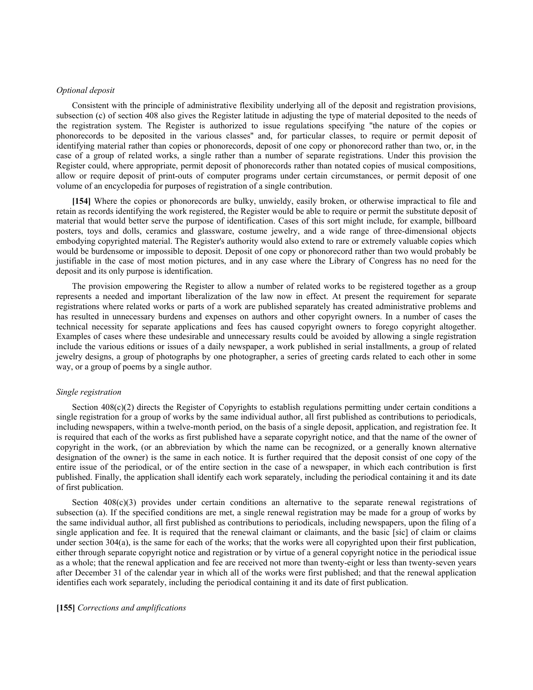## *Optional deposit*

Consistent with the principle of administrative flexibility underlying all of the deposit and registration provisions, subsection (c) of section 408 also gives the Register latitude in adjusting the type of material deposited to the needs of the registration system. The Register is authorized to issue regulations specifying ''the nature of the copies or phonorecords to be deposited in the various classes'' and, for particular classes, to require or permit deposit of identifying material rather than copies or phonorecords, deposit of one copy or phonorecord rather than two, or, in the case of a group of related works, a single rather than a number of separate registrations. Under this provision the Register could, where appropriate, permit deposit of phonorecords rather than notated copies of musical compositions, allow or require deposit of print-outs of computer programs under certain circumstances, or permit deposit of one volume of an encyclopedia for purposes of registration of a single contribution.

**[154]** Where the copies or phonorecords are bulky, unwieldy, easily broken, or otherwise impractical to file and retain as records identifying the work registered, the Register would be able to require or permit the substitute deposit of material that would better serve the purpose of identification. Cases of this sort might include, for example, billboard posters, toys and dolls, ceramics and glassware, costume jewelry, and a wide range of three-dimensional objects embodying copyrighted material. The Register's authority would also extend to rare or extremely valuable copies which would be burdensome or impossible to deposit. Deposit of one copy or phonorecord rather than two would probably be justifiable in the case of most motion pictures, and in any case where the Library of Congress has no need for the deposit and its only purpose is identification.

The provision empowering the Register to allow a number of related works to be registered together as a group represents a needed and important liberalization of the law now in effect. At present the requirement for separate registrations where related works or parts of a work are published separately has created administrative problems and has resulted in unnecessary burdens and expenses on authors and other copyright owners. In a number of cases the technical necessity for separate applications and fees has caused copyright owners to forego copyright altogether. Examples of cases where these undesirable and unnecessary results could be avoided by allowing a single registration include the various editions or issues of a daily newspaper, a work published in serial installments, a group of related jewelry designs, a group of photographs by one photographer, a series of greeting cards related to each other in some way, or a group of poems by a single author.

## *Single registration*

Section 408(c)(2) directs the Register of Copyrights to establish regulations permitting under certain conditions a single registration for a group of works by the same individual author, all first published as contributions to periodicals, including newspapers, within a twelve-month period, on the basis of a single deposit, application, and registration fee. It is required that each of the works as first published have a separate copyright notice, and that the name of the owner of copyright in the work, (or an abbreviation by which the name can be recognized, or a generally known alternative designation of the owner) is the same in each notice. It is further required that the deposit consist of one copy of the entire issue of the periodical, or of the entire section in the case of a newspaper, in which each contribution is first published. Finally, the application shall identify each work separately, including the periodical containing it and its date of first publication.

Section  $408(c)(3)$  provides under certain conditions an alternative to the separate renewal registrations of subsection (a). If the specified conditions are met, a single renewal registration may be made for a group of works by the same individual author, all first published as contributions to periodicals, including newspapers, upon the filing of a single application and fee. It is required that the renewal claimant or claimants, and the basic [sic] of claim or claims under section 304(a), is the same for each of the works; that the works were all copyrighted upon their first publication, either through separate copyright notice and registration or by virtue of a general copyright notice in the periodical issue as a whole; that the renewal application and fee are received not more than twenty-eight or less than twenty-seven years after December 31 of the calendar year in which all of the works were first published; and that the renewal application identifies each work separately, including the periodical containing it and its date of first publication.

### **[155]** *Corrections and amplifications*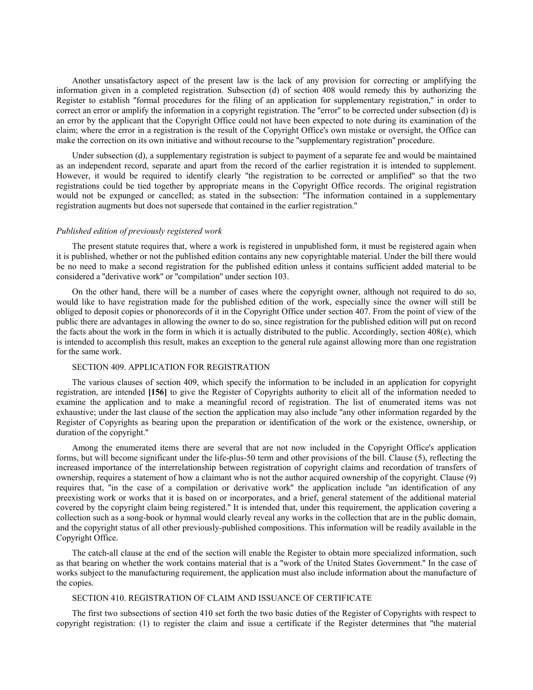Another unsatisfactory aspect of the present law is the lack of any provision for correcting or amplifying the information given in a completed registration. Subsection (d) of section 408 would remedy this by authorizing the Register to establish ''formal procedures for the filing of an application for supplementary registration,'' in order to correct an error or amplify the information in a copyright registration. The "error" to be corrected under subsection (d) is an error by the applicant that the Copyright Office could not have been expected to note during its examination of the claim; where the error in a registration is the result of the Copyright Office's own mistake or oversight, the Office can make the correction on its own initiative and without recourse to the ''supplementary registration'' procedure.

Under subsection (d), a supplementary registration is subject to payment of a separate fee and would be maintained as an independent record, separate and apart from the record of the earlier registration it is intended to supplement. However, it would be required to identify clearly ''the registration to be corrected or amplified'' so that the two registrations could be tied together by appropriate means in the Copyright Office records. The original registration would not be expunged or cancelled; as stated in the subsection: ''The information contained in a supplementary registration augments but does not supersede that contained in the earlier registration.''

### *Published edition of previously registered work*

The present statute requires that, where a work is registered in unpublished form, it must be registered again when it is published, whether or not the published edition contains any new copyrightable material. Under the bill there would be no need to make a second registration for the published edition unless it contains sufficient added material to be considered a ''derivative work'' or ''compilation'' under section 103.

On the other hand, there will be a number of cases where the copyright owner, although not required to do so, would like to have registration made for the published edition of the work, especially since the owner will still be obliged to deposit copies or phonorecords of it in the Copyright Office under section 407. From the point of view of the public there are advantages in allowing the owner to do so, since registration for the published edition will put on record the facts about the work in the form in which it is actually distributed to the public. Accordingly, section 408(e), which is intended to accomplish this result, makes an exception to the general rule against allowing more than one registration for the same work.

# SECTION 409. APPLICATION FOR REGISTRATION

The various clauses of section 409, which specify the information to be included in an application for copyright registration, are intended **[156]** to give the Register of Copyrights authority to elicit all of the information needed to examine the application and to make a meaningful record of registration. The list of enumerated items was not exhaustive; under the last clause of the section the application may also include ''any other information regarded by the Register of Copyrights as bearing upon the preparation or identification of the work or the existence, ownership, or duration of the copyright.''

Among the enumerated items there are several that are not now included in the Copyright Office's application forms, but will become significant under the life-plus-50 term and other provisions of the bill. Clause (5), reflecting the increased importance of the interrelationship between registration of copyright claims and recordation of transfers of ownership, requires a statement of how a claimant who is not the author acquired ownership of the copyright. Clause (9) requires that, ''in the case of a compilation or derivative work'' the application include ''an identification of any preexisting work or works that it is based on or incorporates, and a brief, general statement of the additional material covered by the copyright claim being registered.'' It is intended that, under this requirement, the application covering a collection such as a song-book or hymnal would clearly reveal any works in the collection that are in the public domain, and the copyright status of all other previously-published compositions. This information will be readily available in the Copyright Office.

The catch-all clause at the end of the section will enable the Register to obtain more specialized information, such as that bearing on whether the work contains material that is a ''work of the United States Government.'' In the case of works subject to the manufacturing requirement, the application must also include information about the manufacture of the copies.

## SECTION 410. REGISTRATION OF CLAIM AND ISSUANCE OF CERTIFICATE

The first two subsections of section 410 set forth the two basic duties of the Register of Copyrights with respect to copyright registration: (1) to register the claim and issue a certificate if the Register determines that ''the material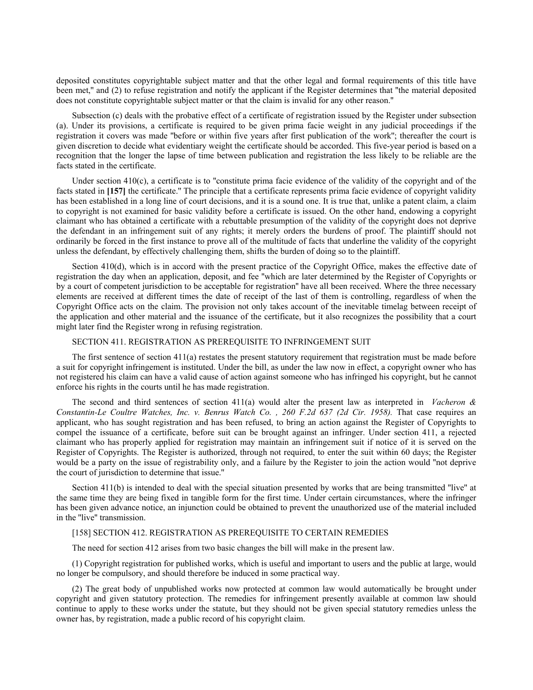deposited constitutes copyrightable subject matter and that the other legal and formal requirements of this title have been met,'' and (2) to refuse registration and notify the applicant if the Register determines that ''the material deposited does not constitute copyrightable subject matter or that the claim is invalid for any other reason.''

Subsection (c) deals with the probative effect of a certificate of registration issued by the Register under subsection (a). Under its provisions, a certificate is required to be given prima facie weight in any judicial proceedings if the registration it covers was made ''before or within five years after first publication of the work''; thereafter the court is given discretion to decide what evidentiary weight the certificate should be accorded. This five-year period is based on a recognition that the longer the lapse of time between publication and registration the less likely to be reliable are the facts stated in the certificate.

Under section  $410(c)$ , a certificate is to "constitute prima facie evidence of the validity of the copyright and of the facts stated in **[157]** the certificate.'' The principle that a certificate represents prima facie evidence of copyright validity has been established in a long line of court decisions, and it is a sound one. It is true that, unlike a patent claim, a claim to copyright is not examined for basic validity before a certificate is issued. On the other hand, endowing a copyright claimant who has obtained a certificate with a rebuttable presumption of the validity of the copyright does not deprive the defendant in an infringement suit of any rights; it merely orders the burdens of proof. The plaintiff should not ordinarily be forced in the first instance to prove all of the multitude of facts that underline the validity of the copyright unless the defendant, by effectively challenging them, shifts the burden of doing so to the plaintiff.

Section 410(d), which is in accord with the present practice of the Copyright Office, makes the effective date of registration the day when an application, deposit, and fee ''which are later determined by the Register of Copyrights or by a court of competent jurisdiction to be acceptable for registration'' have all been received. Where the three necessary elements are received at different times the date of receipt of the last of them is controlling, regardless of when the Copyright Office acts on the claim. The provision not only takes account of the inevitable timelag between receipt of the application and other material and the issuance of the certificate, but it also recognizes the possibility that a court might later find the Register wrong in refusing registration.

## SECTION 411. REGISTRATION AS PREREQUISITE TO INFRINGEMENT SUIT

The first sentence of section 411(a) restates the present statutory requirement that registration must be made before a suit for copyright infringement is instituted. Under the bill, as under the law now in effect, a copyright owner who has not registered his claim can have a valid cause of action against someone who has infringed his copyright, but he cannot enforce his rights in the courts until he has made registration.

The second and third sentences of section  $411(a)$  would alter the present law as interpreted in *Vacheron & Constantin-Le Coultre Watches, Inc. v. Benrus Watch Co. , 260 F.2d 637 (2d Cir. 1958).* That case requires an applicant, who has sought registration and has been refused, to bring an action against the Register of Copyrights to compel the issuance of a certificate, before suit can be brought against an infringer. Under section 411, a rejected claimant who has properly applied for registration may maintain an infringement suit if notice of it is served on the Register of Copyrights. The Register is authorized, through not required, to enter the suit within 60 days; the Register would be a party on the issue of registrability only, and a failure by the Register to join the action would ''not deprive the court of jurisdiction to determine that issue.''

Section 411(b) is intended to deal with the special situation presented by works that are being transmitted ''live'' at the same time they are being fixed in tangible form for the first time. Under certain circumstances, where the infringer has been given advance notice, an injunction could be obtained to prevent the unauthorized use of the material included in the "live" transmission.

## [158] SECTION 412. REGISTRATION AS PREREQUISITE TO CERTAIN REMEDIES

The need for section 412 arises from two basic changes the bill will make in the present law.

(1) Copyright registration for published works, which is useful and important to users and the public at large, would no longer be compulsory, and should therefore be induced in some practical way.

(2) The great body of unpublished works now protected at common law would automatically be brought under copyright and given statutory protection. The remedies for infringement presently available at common law should continue to apply to these works under the statute, but they should not be given special statutory remedies unless the owner has, by registration, made a public record of his copyright claim.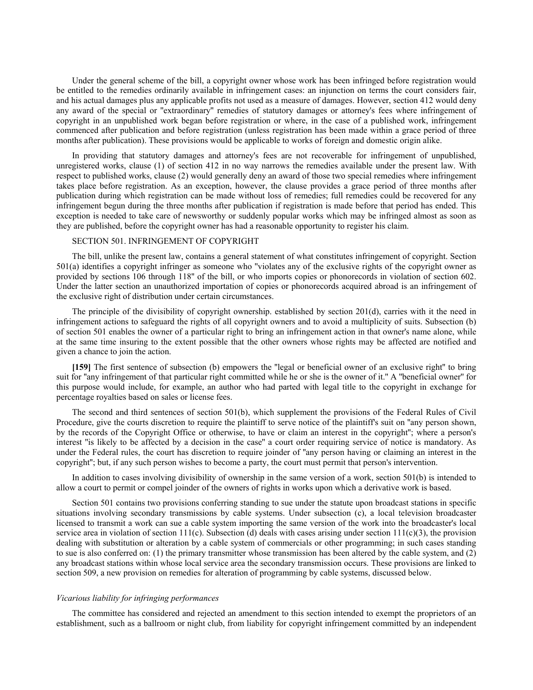Under the general scheme of the bill, a copyright owner whose work has been infringed before registration would be entitled to the remedies ordinarily available in infringement cases: an injunction on terms the court considers fair, and his actual damages plus any applicable profits not used as a measure of damages. However, section 412 would deny any award of the special or ''extraordinary'' remedies of statutory damages or attorney's fees where infringement of copyright in an unpublished work began before registration or where, in the case of a published work, infringement commenced after publication and before registration (unless registration has been made within a grace period of three months after publication). These provisions would be applicable to works of foreign and domestic origin alike.

In providing that statutory damages and attorney's fees are not recoverable for infringement of unpublished, unregistered works, clause (1) of section 412 in no way narrows the remedies available under the present law. With respect to published works, clause (2) would generally deny an award of those two special remedies where infringement takes place before registration. As an exception, however, the clause provides a grace period of three months after publication during which registration can be made without loss of remedies; full remedies could be recovered for any infringement begun during the three months after publication if registration is made before that period has ended. This exception is needed to take care of newsworthy or suddenly popular works which may be infringed almost as soon as they are published, before the copyright owner has had a reasonable opportunity to register his claim.

# SECTION 501. INFRINGEMENT OF COPYRIGHT

The bill, unlike the present law, contains a general statement of what constitutes infringement of copyright. Section 501(a) identifies a copyright infringer as someone who ''violates any of the exclusive rights of the copyright owner as provided by sections 106 through 118'' of the bill, or who imports copies or phonorecords in violation of section 602. Under the latter section an unauthorized importation of copies or phonorecords acquired abroad is an infringement of the exclusive right of distribution under certain circumstances.

The principle of the divisibility of copyright ownership. established by section 201(d), carries with it the need in infringement actions to safeguard the rights of all copyright owners and to avoid a multiplicity of suits. Subsection (b) of section 501 enables the owner of a particular right to bring an infringement action in that owner's name alone, while at the same time insuring to the extent possible that the other owners whose rights may be affected are notified and given a chance to join the action.

**[159]** The first sentence of subsection (b) empowers the ''legal or beneficial owner of an exclusive right'' to bring suit for "any infringement of that particular right committed while he or she is the owner of it." A "beneficial owner" for this purpose would include, for example, an author who had parted with legal title to the copyright in exchange for percentage royalties based on sales or license fees.

The second and third sentences of section 501(b), which supplement the provisions of the Federal Rules of Civil Procedure, give the courts discretion to require the plaintiff to serve notice of the plaintiff's suit on "any person shown, by the records of the Copyright Office or otherwise, to have or claim an interest in the copyright''; where a person's interest ''is likely to be affected by a decision in the case'' a court order requiring service of notice is mandatory. As under the Federal rules, the court has discretion to require joinder of ''any person having or claiming an interest in the copyright''; but, if any such person wishes to become a party, the court must permit that person's intervention.

In addition to cases involving divisibility of ownership in the same version of a work, section 501(b) is intended to allow a court to permit or compel joinder of the owners of rights in works upon which a derivative work is based.

Section 501 contains two provisions conferring standing to sue under the statute upon broadcast stations in specific situations involving secondary transmissions by cable systems. Under subsection (c), a local television broadcaster licensed to transmit a work can sue a cable system importing the same version of the work into the broadcaster's local service area in violation of section 111(c). Subsection (d) deals with cases arising under section 111(c)(3), the provision dealing with substitution or alteration by a cable system of commercials or other programming; in such cases standing to sue is also conferred on: (1) the primary transmitter whose transmission has been altered by the cable system, and (2) any broadcast stations within whose local service area the secondary transmission occurs. These provisions are linked to section 509, a new provision on remedies for alteration of programming by cable systems, discussed below.

## *Vicarious liability for infringing performances*

The committee has considered and rejected an amendment to this section intended to exempt the proprietors of an establishment, such as a ballroom or night club, from liability for copyright infringement committed by an independent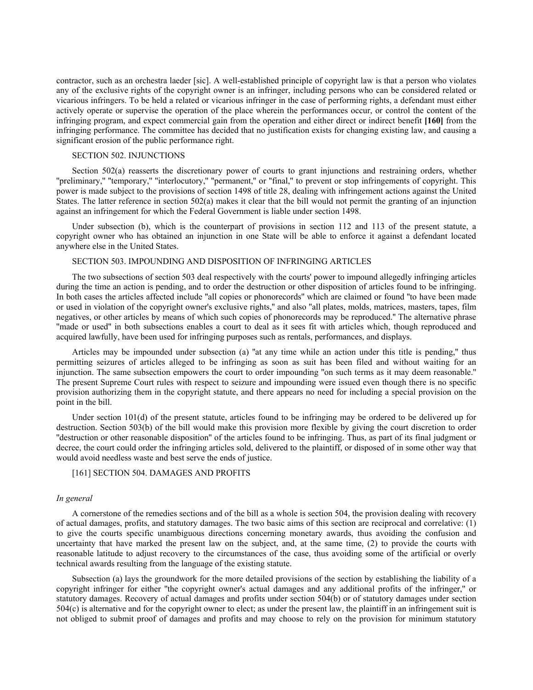contractor, such as an orchestra laeder [sic]. A well-established principle of copyright law is that a person who violates any of the exclusive rights of the copyright owner is an infringer, including persons who can be considered related or vicarious infringers. To be held a related or vicarious infringer in the case of performing rights, a defendant must either actively operate or supervise the operation of the place wherein the performances occur, or control the content of the infringing program, and expect commercial gain from the operation and either direct or indirect benefit **[160]** from the infringing performance. The committee has decided that no justification exists for changing existing law, and causing a significant erosion of the public performance right.

## SECTION 502. INJUNCTIONS

Section 502(a) reasserts the discretionary power of courts to grant injunctions and restraining orders, whether "preliminary," "temporary," "interlocutory," "permanent," or "final," to prevent or stop infringements of copyright. This power is made subject to the provisions of section 1498 of title 28, dealing with infringement actions against the United States. The latter reference in section 502(a) makes it clear that the bill would not permit the granting of an injunction against an infringement for which the Federal Government is liable under section 1498.

Under subsection (b), which is the counterpart of provisions in section 112 and 113 of the present statute, a copyright owner who has obtained an injunction in one State will be able to enforce it against a defendant located anywhere else in the United States.

### SECTION 503. IMPOUNDING AND DISPOSITION OF INFRINGING ARTICLES

The two subsections of section 503 deal respectively with the courts' power to impound allegedly infringing articles during the time an action is pending, and to order the destruction or other disposition of articles found to be infringing. In both cases the articles affected include ''all copies or phonorecords'' which are claimed or found ''to have been made or used in violation of the copyright owner's exclusive rights,'' and also ''all plates, molds, matrices, masters, tapes, film negatives, or other articles by means of which such copies of phonorecords may be reproduced.'' The alternative phrase ''made or used'' in both subsections enables a court to deal as it sees fit with articles which, though reproduced and acquired lawfully, have been used for infringing purposes such as rentals, performances, and displays.

Articles may be impounded under subsection (a) "at any time while an action under this title is pending," thus permitting seizures of articles alleged to be infringing as soon as suit has been filed and without waiting for an injunction. The same subsection empowers the court to order impounding ''on such terms as it may deem reasonable.'' The present Supreme Court rules with respect to seizure and impounding were issued even though there is no specific provision authorizing them in the copyright statute, and there appears no need for including a special provision on the point in the bill.

Under section 101(d) of the present statute, articles found to be infringing may be ordered to be delivered up for destruction. Section 503(b) of the bill would make this provision more flexible by giving the court discretion to order "destruction or other reasonable disposition" of the articles found to be infringing. Thus, as part of its final judgment or decree, the court could order the infringing articles sold, delivered to the plaintiff, or disposed of in some other way that would avoid needless waste and best serve the ends of justice.

# [161] SECTION 504. DAMAGES AND PROFITS

### *In general*

A cornerstone of the remedies sections and of the bill as a whole is section 504, the provision dealing with recovery of actual damages, profits, and statutory damages. The two basic aims of this section are reciprocal and correlative: (1) to give the courts specific unambiguous directions concerning monetary awards, thus avoiding the confusion and uncertainty that have marked the present law on the subject, and, at the same time, (2) to provide the courts with reasonable latitude to adjust recovery to the circumstances of the case, thus avoiding some of the artificial or overly technical awards resulting from the language of the existing statute.

Subsection (a) lays the groundwork for the more detailed provisions of the section by establishing the liability of a copyright infringer for either ''the copyright owner's actual damages and any additional profits of the infringer,'' or statutory damages. Recovery of actual damages and profits under section 504(b) or of statutory damages under section 504(c) is alternative and for the copyright owner to elect; as under the present law, the plaintiff in an infringement suit is not obliged to submit proof of damages and profits and may choose to rely on the provision for minimum statutory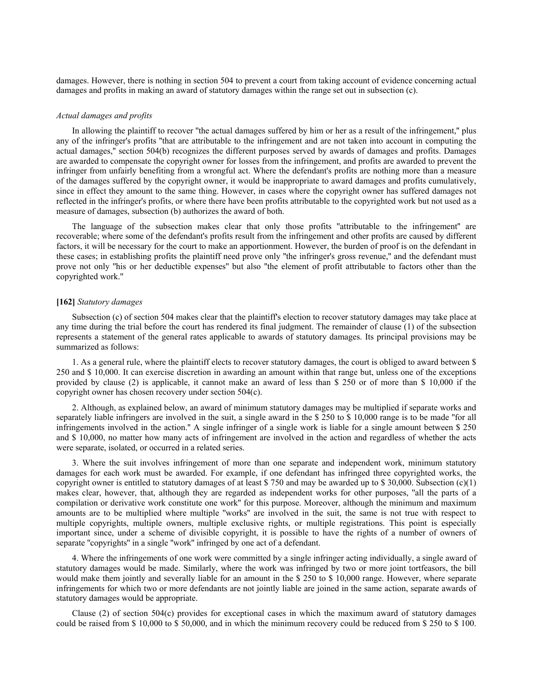damages. However, there is nothing in section 504 to prevent a court from taking account of evidence concerning actual damages and profits in making an award of statutory damages within the range set out in subsection (c).

## *Actual damages and profits*

In allowing the plaintiff to recover ''the actual damages suffered by him or her as a result of the infringement,'' plus any of the infringer's profits ''that are attributable to the infringement and are not taken into account in computing the actual damages,'' section 504(b) recognizes the different purposes served by awards of damages and profits. Damages are awarded to compensate the copyright owner for losses from the infringement, and profits are awarded to prevent the infringer from unfairly benefiting from a wrongful act. Where the defendant's profits are nothing more than a measure of the damages suffered by the copyright owner, it would be inappropriate to award damages and profits cumulatively, since in effect they amount to the same thing. However, in cases where the copyright owner has suffered damages not reflected in the infringer's profits, or where there have been profits attributable to the copyrighted work but not used as a measure of damages, subsection (b) authorizes the award of both.

The language of the subsection makes clear that only those profits ''attributable to the infringement'' are recoverable; where some of the defendant's profits result from the infringement and other profits are caused by different factors, it will be necessary for the court to make an apportionment. However, the burden of proof is on the defendant in these cases; in establishing profits the plaintiff need prove only ''the infringer's gross revenue,'' and the defendant must prove not only ''his or her deductible expenses'' but also ''the element of profit attributable to factors other than the copyrighted work.''

# **[162]** *Statutory damages*

Subsection (c) of section 504 makes clear that the plaintiff's election to recover statutory damages may take place at any time during the trial before the court has rendered its final judgment. The remainder of clause (1) of the subsection represents a statement of the general rates applicable to awards of statutory damages. Its principal provisions may be summarized as follows:

1. As a general rule, where the plaintiff elects to recover statutory damages, the court is obliged to award between \$ 250 and \$ 10,000. It can exercise discretion in awarding an amount within that range but, unless one of the exceptions provided by clause (2) is applicable, it cannot make an award of less than \$ 250 or of more than \$ 10,000 if the copyright owner has chosen recovery under section 504(c).

2. Although, as explained below, an award of minimum statutory damages may be multiplied if separate works and separately liable infringers are involved in the suit, a single award in the \$ 250 to \$ 10,000 range is to be made ''for all infringements involved in the action.'' A single infringer of a single work is liable for a single amount between \$ 250 and \$ 10,000, no matter how many acts of infringement are involved in the action and regardless of whether the acts were separate, isolated, or occurred in a related series.

3. Where the suit involves infringement of more than one separate and independent work, minimum statutory damages for each work must be awarded. For example, if one defendant has infringed three copyrighted works, the copyright owner is entitled to statutory damages of at least \$750 and may be awarded up to \$30,000. Subsection  $(c)(1)$ makes clear, however, that, although they are regarded as independent works for other purposes, ''all the parts of a compilation or derivative work constitute one work'' for this purpose. Moreover, although the minimum and maximum amounts are to be multiplied where multiple ''works'' are involved in the suit, the same is not true with respect to multiple copyrights, multiple owners, multiple exclusive rights, or multiple registrations. This point is especially important since, under a scheme of divisible copyright, it is possible to have the rights of a number of owners of separate ''copyrights'' in a single ''work'' infringed by one act of a defendant.

4. Where the infringements of one work were committed by a single infringer acting individually, a single award of statutory damages would be made. Similarly, where the work was infringed by two or more joint tortfeasors, the bill would make them jointly and severally liable for an amount in the \$ 250 to \$ 10,000 range. However, where separate infringements for which two or more defendants are not jointly liable are joined in the same action, separate awards of statutory damages would be appropriate.

Clause (2) of section 504(c) provides for exceptional cases in which the maximum award of statutory damages could be raised from \$ 10,000 to \$ 50,000, and in which the minimum recovery could be reduced from \$ 250 to \$ 100.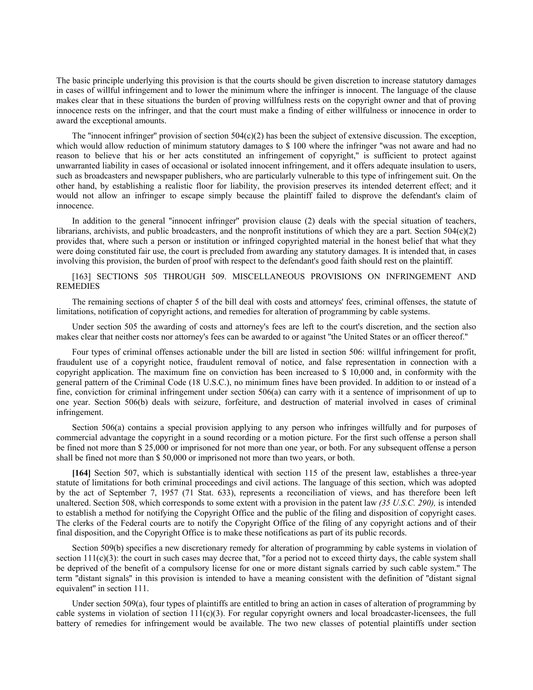The basic principle underlying this provision is that the courts should be given discretion to increase statutory damages in cases of willful infringement and to lower the minimum where the infringer is innocent. The language of the clause makes clear that in these situations the burden of proving willfulness rests on the copyright owner and that of proving innocence rests on the infringer, and that the court must make a finding of either willfulness or innocence in order to award the exceptional amounts.

The "innocent infringer" provision of section  $504(c)(2)$  has been the subject of extensive discussion. The exception, which would allow reduction of minimum statutory damages to \$ 100 where the infringer "was not aware and had no reason to believe that his or her acts constituted an infringement of copyright,'' is sufficient to protect against unwarranted liability in cases of occasional or isolated innocent infringement, and it offers adequate insulation to users, such as broadcasters and newspaper publishers, who are particularly vulnerable to this type of infringement suit. On the other hand, by establishing a realistic floor for liability, the provision preserves its intended deterrent effect; and it would not allow an infringer to escape simply because the plaintiff failed to disprove the defendant's claim of innocence.

In addition to the general ''innocent infringer'' provision clause (2) deals with the special situation of teachers, librarians, archivists, and public broadcasters, and the nonprofit institutions of which they are a part. Section  $504(c)(2)$ provides that, where such a person or institution or infringed copyrighted material in the honest belief that what they were doing constituted fair use, the court is precluded from awarding any statutory damages. It is intended that, in cases involving this provision, the burden of proof with respect to the defendant's good faith should rest on the plaintiff.

# [163] SECTIONS 505 THROUGH 509. MISCELLANEOUS PROVISIONS ON INFRINGEMENT AND REMEDIES

The remaining sections of chapter 5 of the bill deal with costs and attorneys' fees, criminal offenses, the statute of limitations, notification of copyright actions, and remedies for alteration of programming by cable systems.

Under section 505 the awarding of costs and attorney's fees are left to the court's discretion, and the section also makes clear that neither costs nor attorney's fees can be awarded to or against ''the United States or an officer thereof.''

Four types of criminal offenses actionable under the bill are listed in section 506: willful infringement for profit, fraudulent use of a copyright notice, fraudulent removal of notice, and false representation in connection with a copyright application. The maximum fine on conviction has been increased to \$ 10,000 and, in conformity with the general pattern of the Criminal Code (18 U.S.C.), no minimum fines have been provided. In addition to or instead of a fine, conviction for criminal infringement under section 506(a) can carry with it a sentence of imprisonment of up to one year. Section 506(b) deals with seizure, forfeiture, and destruction of material involved in cases of criminal infringement.

Section 506(a) contains a special provision applying to any person who infringes willfully and for purposes of commercial advantage the copyright in a sound recording or a motion picture. For the first such offense a person shall be fined not more than \$ 25,000 or imprisoned for not more than one year, or both. For any subsequent offense a person shall be fined not more than \$ 50,000 or imprisoned not more than two years, or both.

**[164]** Section 507, which is substantially identical with section 115 of the present law, establishes a three-year statute of limitations for both criminal proceedings and civil actions. The language of this section, which was adopted by the act of September 7, 1957 (71 Stat. 633), represents a reconciliation of views, and has therefore been left unaltered. Section 508, which corresponds to some extent with a provision in the patent law *(35 U.S.C. 290),* is intended to establish a method for notifying the Copyright Office and the public of the filing and disposition of copyright cases. The clerks of the Federal courts are to notify the Copyright Office of the filing of any copyright actions and of their final disposition, and the Copyright Office is to make these notifications as part of its public records.

Section 509(b) specifies a new discretionary remedy for alteration of programming by cable systems in violation of section  $111(c)(3)$ : the court in such cases may decree that, "for a period not to exceed thirty days, the cable system shall be deprived of the benefit of a compulsory license for one or more distant signals carried by such cable system.'' The term ''distant signals'' in this provision is intended to have a meaning consistent with the definition of ''distant signal equivalent'' in section 111.

Under section 509(a), four types of plaintiffs are entitled to bring an action in cases of alteration of programming by cable systems in violation of section  $111(c)(3)$ . For regular copyright owners and local broadcaster-licensees, the full battery of remedies for infringement would be available. The two new classes of potential plaintiffs under section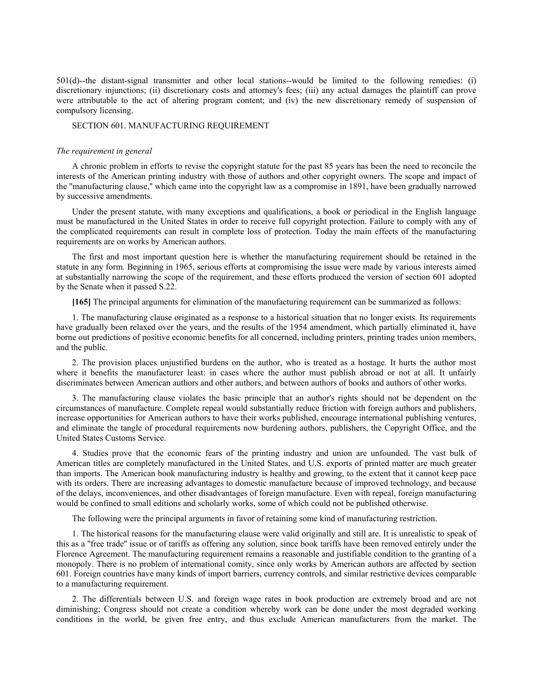501(d)--the distant-signal transmitter and other local stations--would be limited to the following remedies: (i) discretionary injunctions; (ii) discretionary costs and attorney's fees; (iii) any actual damages the plaintiff can prove were attributable to the act of altering program content; and (iv) the new discretionary remedy of suspension of compulsory licensing.

# SECTION 601. MANUFACTURING REQUIREMENT

#### *The requirement in general*

A chronic problem in efforts to revise the copyright statute for the past 85 years has been the need to reconcile the interests of the American printing industry with those of authors and other copyright owners. The scope and impact of the ''manufacturing clause,'' which came into the copyright law as a compromise in 1891, have been gradually narrowed by successive amendments.

Under the present statute, with many exceptions and qualifications, a book or periodical in the English language must be manufactured in the United States in order to receive full copyright protection. Failure to comply with any of the complicated requirements can result in complete loss of protection. Today the main effects of the manufacturing requirements are on works by American authors.

The first and most important question here is whether the manufacturing requirement should be retained in the statute in any form. Beginning in 1965, serious efforts at compromising the issue were made by various interests aimed at substantially narrowing the scope of the requirement, and these efforts produced the version of section 601 adopted by the Senate when it passed S.22.

**[165]** The principal arguments for elimination of the manufacturing requirement can be summarized as follows:

1. The manufacturing clause originated as a response to a historical situation that no longer exists. Its requirements have gradually been relaxed over the years, and the results of the 1954 amendment, which partially eliminated it, have borne out predictions of positive economic benefits for all concerned, including printers, printing trades union members, and the public.

2. The provision places unjustified burdens on the author, who is treated as a hostage. It hurts the author most where it benefits the manufacturer least: in cases where the author must publish abroad or not at all. It unfairly discriminates between American authors and other authors, and between authors of books and authors of other works.

3. The manufacturing clause violates the basic principle that an author's rights should not be dependent on the circumstances of manufacture. Complete repeal would substantially reduce friction with foreign authors and publishers, increase opportunities for American authors to have their works published, encourage international publishing ventures, and eliminate the tangle of procedural requirements now burdening authors, publishers, the Copyright Office, and the United States Customs Service.

4. Studies prove that the economic fears of the printing industry and union are unfounded. The vast bulk of American titles are completely manufactured in the United States, and U.S. exports of printed matter are much greater than imports. The American book manufacturing industry is healthy and growing, to the extent that it cannot keep pace with its orders. There are increasing advantages to domestic manufacture because of improved technology, and because of the delays, inconveniences, and other disadvantages of foreign manufacture. Even with repeal, foreign manufacturing would be confined to small editions and scholarly works, some of which could not be published otherwise.

The following were the principal arguments in favor of retaining some kind of manufacturing restriction.

1. The historical reasons for the manufacturing clause were valid originally and still are. It is unrealistic to speak of this as a ''free trade'' issue or of tariffs as offering any solution, since book tariffs have been removed entirely under the Florence Agreement. The manufacturing requirement remains a reasonable and justifiable condition to the granting of a monopoly. There is no problem of international comity, since only works by American authors are affected by section 601. Foreign countries have many kinds of import barriers, currency controls, and similar restrictive devices comparable to a manufacturing requirement.

2. The differentials between U.S. and foreign wage rates in book production are extremely broad and are not diminishing; Congress should not create a condition whereby work can be done under the most degraded working conditions in the world, be given free entry, and thus exclude American manufacturers from the market. The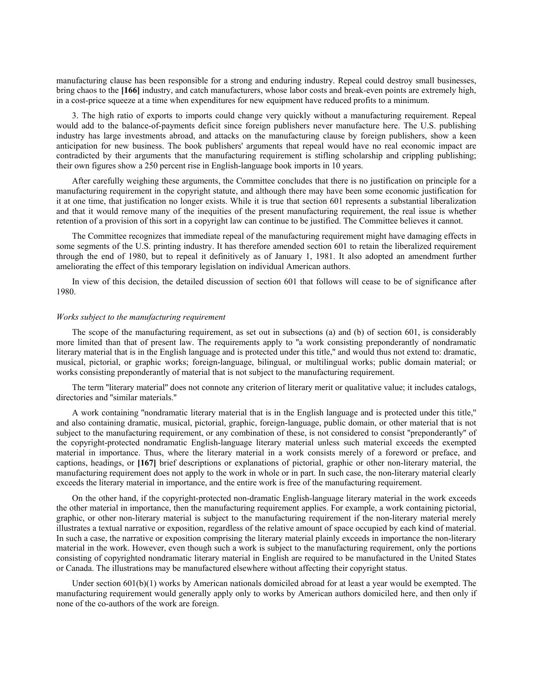manufacturing clause has been responsible for a strong and enduring industry. Repeal could destroy small businesses, bring chaos to the **[166]** industry, and catch manufacturers, whose labor costs and break-even points are extremely high, in a cost-price squeeze at a time when expenditures for new equipment have reduced profits to a minimum.

3. The high ratio of exports to imports could change very quickly without a manufacturing requirement. Repeal would add to the balance-of-payments deficit since foreign publishers never manufacture here. The U.S. publishing industry has large investments abroad, and attacks on the manufacturing clause by foreign publishers, show a keen anticipation for new business. The book publishers' arguments that repeal would have no real economic impact are contradicted by their arguments that the manufacturing requirement is stifling scholarship and crippling publishing; their own figures show a 250 percent rise in English-language book imports in 10 years.

After carefully weighing these arguments, the Committee concludes that there is no justification on principle for a manufacturing requirement in the copyright statute, and although there may have been some economic justification for it at one time, that justification no longer exists. While it is true that section 601 represents a substantial liberalization and that it would remove many of the inequities of the present manufacturing requirement, the real issue is whether retention of a provision of this sort in a copyright law can continue to be justified. The Committee believes it cannot.

The Committee recognizes that immediate repeal of the manufacturing requirement might have damaging effects in some segments of the U.S. printing industry. It has therefore amended section 601 to retain the liberalized requirement through the end of 1980, but to repeal it definitively as of January 1, 1981. It also adopted an amendment further ameliorating the effect of this temporary legislation on individual American authors.

In view of this decision, the detailed discussion of section 601 that follows will cease to be of significance after 1980.

## *Works subject to the manufacturing requirement*

The scope of the manufacturing requirement, as set out in subsections (a) and (b) of section 601, is considerably more limited than that of present law. The requirements apply to ''a work consisting preponderantly of nondramatic literary material that is in the English language and is protected under this title," and would thus not extend to: dramatic, musical, pictorial, or graphic works; foreign-language, bilingual, or multilingual works; public domain material; or works consisting preponderantly of material that is not subject to the manufacturing requirement.

The term ''literary material'' does not connote any criterion of literary merit or qualitative value; it includes catalogs, directories and ''similar materials.''

A work containing ''nondramatic literary material that is in the English language and is protected under this title,'' and also containing dramatic, musical, pictorial, graphic, foreign-language, public domain, or other material that is not subject to the manufacturing requirement, or any combination of these, is not considered to consist ''preponderantly'' of the copyright-protected nondramatic English-language literary material unless such material exceeds the exempted material in importance. Thus, where the literary material in a work consists merely of a foreword or preface, and captions, headings, or **[167]** brief descriptions or explanations of pictorial, graphic or other non-literary material, the manufacturing requirement does not apply to the work in whole or in part. In such case, the non-literary material clearly exceeds the literary material in importance, and the entire work is free of the manufacturing requirement.

On the other hand, if the copyright-protected non-dramatic English-language literary material in the work exceeds the other material in importance, then the manufacturing requirement applies. For example, a work containing pictorial, graphic, or other non-literary material is subject to the manufacturing requirement if the non-literary material merely illustrates a textual narrative or exposition, regardless of the relative amount of space occupied by each kind of material. In such a case, the narrative or exposition comprising the literary material plainly exceeds in importance the non-literary material in the work. However, even though such a work is subject to the manufacturing requirement, only the portions consisting of copyrighted nondramatic literary material in English are required to be manufactured in the United States or Canada. The illustrations may be manufactured elsewhere without affecting their copyright status.

Under section 601(b)(1) works by American nationals domiciled abroad for at least a year would be exempted. The manufacturing requirement would generally apply only to works by American authors domiciled here, and then only if none of the co-authors of the work are foreign.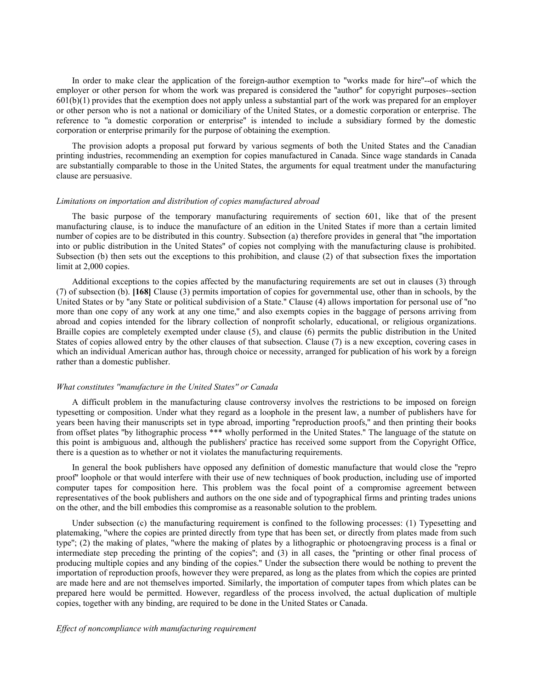In order to make clear the application of the foreign-author exemption to "works made for hire"--of which the employer or other person for whom the work was prepared is considered the ''author'' for copyright purposes--section  $601(b)(1)$  provides that the exemption does not apply unless a substantial part of the work was prepared for an employer or other person who is not a national or domiciliary of the United States, or a domestic corporation or enterprise. The reference to ''a domestic corporation or enterprise'' is intended to include a subsidiary formed by the domestic corporation or enterprise primarily for the purpose of obtaining the exemption.

The provision adopts a proposal put forward by various segments of both the United States and the Canadian printing industries, recommending an exemption for copies manufactured in Canada. Since wage standards in Canada are substantially comparable to those in the United States, the arguments for equal treatment under the manufacturing clause are persuasive.

## *Limitations on importation and distribution of copies manufactured abroad*

The basic purpose of the temporary manufacturing requirements of section 601, like that of the present manufacturing clause, is to induce the manufacture of an edition in the United States if more than a certain limited number of copies are to be distributed in this country. Subsection (a) therefore provides in general that ''the importation into or public distribution in the United States'' of copies not complying with the manufacturing clause is prohibited. Subsection (b) then sets out the exceptions to this prohibition, and clause (2) of that subsection fixes the importation limit at 2,000 copies.

Additional exceptions to the copies affected by the manufacturing requirements are set out in clauses (3) through (7) of subsection (b). **[168]** Clause (3) permits importation of copies for governmental use, other than in schools, by the United States or by ''any State or political subdivision of a State.'' Clause (4) allows importation for personal use of ''no more than one copy of any work at any one time,'' and also exempts copies in the baggage of persons arriving from abroad and copies intended for the library collection of nonprofit scholarly, educational, or religious organizations. Braille copies are completely exempted under clause (5), and clause (6) permits the public distribution in the United States of copies allowed entry by the other clauses of that subsection. Clause (7) is a new exception, covering cases in which an individual American author has, through choice or necessity, arranged for publication of his work by a foreign rather than a domestic publisher.

# *What constitutes ''manufacture in the United States'' or Canada*

A difficult problem in the manufacturing clause controversy involves the restrictions to be imposed on foreign typesetting or composition. Under what they regard as a loophole in the present law, a number of publishers have for years been having their manuscripts set in type abroad, importing ''reproduction proofs,'' and then printing their books from offset plates ''by lithographic process \*\*\* wholly performed in the United States.'' The language of the statute on this point is ambiguous and, although the publishers' practice has received some support from the Copyright Office, there is a question as to whether or not it violates the manufacturing requirements.

In general the book publishers have opposed any definition of domestic manufacture that would close the ''repro proof'' loophole or that would interfere with their use of new techniques of book production, including use of imported computer tapes for composition here. This problem was the focal point of a compromise agreement between representatives of the book publishers and authors on the one side and of typographical firms and printing trades unions on the other, and the bill embodies this compromise as a reasonable solution to the problem.

Under subsection (c) the manufacturing requirement is confined to the following processes: (1) Typesetting and platemaking, ''where the copies are printed directly from type that has been set, or directly from plates made from such type''; (2) the making of plates, ''where the making of plates by a lithographic or photoengraving process is a final or intermediate step preceding the printing of the copies''; and (3) in all cases, the ''printing or other final process of producing multiple copies and any binding of the copies.'' Under the subsection there would be nothing to prevent the importation of reproduction proofs, however they were prepared, as long as the plates from which the copies are printed are made here and are not themselves imported. Similarly, the importation of computer tapes from which plates can be prepared here would be permitted. However, regardless of the process involved, the actual duplication of multiple copies, together with any binding, are required to be done in the United States or Canada.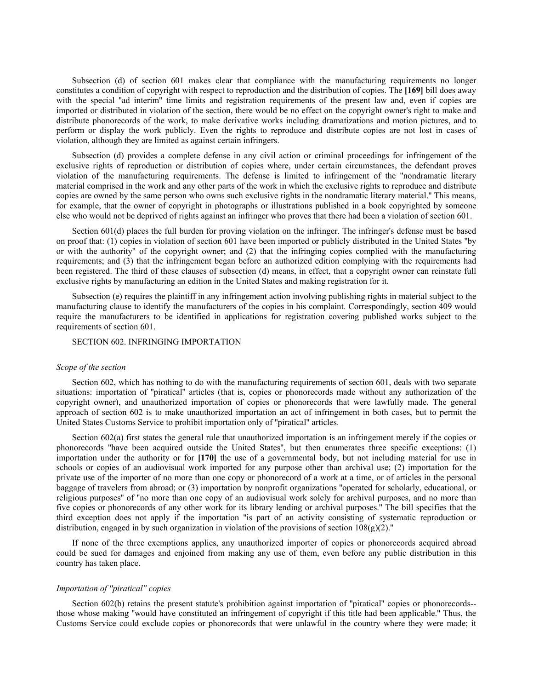Subsection (d) of section 601 makes clear that compliance with the manufacturing requirements no longer constitutes a condition of copyright with respect to reproduction and the distribution of copies. The **[169]** bill does away with the special "ad interim" time limits and registration requirements of the present law and, even if copies are imported or distributed in violation of the section, there would be no effect on the copyright owner's right to make and distribute phonorecords of the work, to make derivative works including dramatizations and motion pictures, and to perform or display the work publicly. Even the rights to reproduce and distribute copies are not lost in cases of violation, although they are limited as against certain infringers.

Subsection (d) provides a complete defense in any civil action or criminal proceedings for infringement of the exclusive rights of reproduction or distribution of copies where, under certain circumstances, the defendant proves violation of the manufacturing requirements. The defense is limited to infringement of the ''nondramatic literary material comprised in the work and any other parts of the work in which the exclusive rights to reproduce and distribute copies are owned by the same person who owns such exclusive rights in the nondramatic literary material.'' This means, for example, that the owner of copyright in photographs or illustrations published in a book copyrighted by someone else who would not be deprived of rights against an infringer who proves that there had been a violation of section 601.

Section 601(d) places the full burden for proving violation on the infringer. The infringer's defense must be based on proof that: (1) copies in violation of section 601 have been imported or publicly distributed in the United States ''by or with the authority'' of the copyright owner; and (2) that the infringing copies complied with the manufacturing requirements; and (3) that the infringement began before an authorized edition complying with the requirements had been registered. The third of these clauses of subsection (d) means, in effect, that a copyright owner can reinstate full exclusive rights by manufacturing an edition in the United States and making registration for it.

Subsection (e) requires the plaintiff in any infringement action involving publishing rights in material subject to the manufacturing clause to identify the manufacturers of the copies in his complaint. Correspondingly, section 409 would require the manufacturers to be identified in applications for registration covering published works subject to the requirements of section 601.

## SECTION 602. INFRINGING IMPORTATION

#### *Scope of the section*

Section 602, which has nothing to do with the manufacturing requirements of section 601, deals with two separate situations: importation of ''piratical'' articles (that is, copies or phonorecords made without any authorization of the copyright owner), and unauthorized importation of copies or phonorecords that were lawfully made. The general approach of section 602 is to make unauthorized importation an act of infringement in both cases, but to permit the United States Customs Service to prohibit importation only of ''piratical'' articles.

Section 602(a) first states the general rule that unauthorized importation is an infringement merely if the copies or phonorecords ''have been acquired outside the United States'', but then enumerates three specific exceptions: (1) importation under the authority or for **[170]** the use of a governmental body, but not including material for use in schools or copies of an audiovisual work imported for any purpose other than archival use; (2) importation for the private use of the importer of no more than one copy or phonorecord of a work at a time, or of articles in the personal baggage of travelers from abroad; or (3) importation by nonprofit organizations ''operated for scholarly, educational, or religious purposes'' of ''no more than one copy of an audiovisual work solely for archival purposes, and no more than five copies or phonorecords of any other work for its library lending or archival purposes.'' The bill specifies that the third exception does not apply if the importation ''is part of an activity consisting of systematic reproduction or distribution, engaged in by such organization in violation of the provisions of section  $108(g)(2)$ ."

If none of the three exemptions applies, any unauthorized importer of copies or phonorecords acquired abroad could be sued for damages and enjoined from making any use of them, even before any public distribution in this country has taken place.

## *Importation of ''piratical'' copies*

Section 602(b) retains the present statute's prohibition against importation of "piratical" copies or phonorecords-those whose making ''would have constituted an infringement of copyright if this title had been applicable.'' Thus, the Customs Service could exclude copies or phonorecords that were unlawful in the country where they were made; it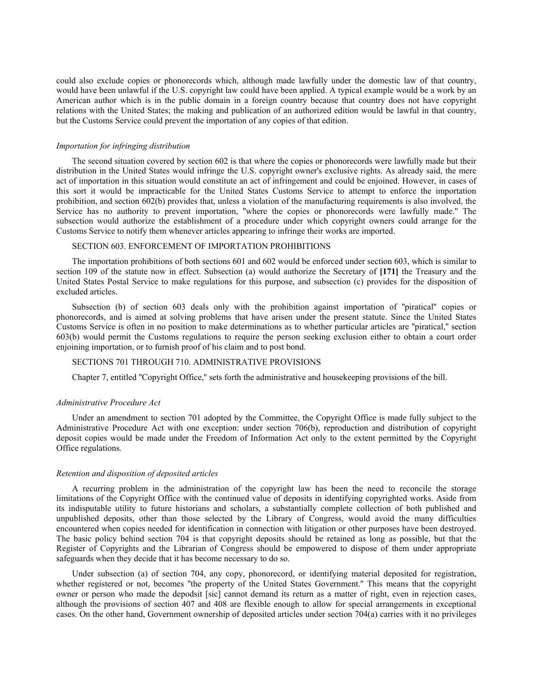could also exclude copies or phonorecords which, although made lawfully under the domestic law of that country, would have been unlawful if the U.S. copyright law could have been applied. A typical example would be a work by an American author which is in the public domain in a foreign country because that country does not have copyright relations with the United States; the making and publication of an authorized edition would be lawful in that country, but the Customs Service could prevent the importation of any copies of that edition.

# *Importation for infringing distribution*

The second situation covered by section 602 is that where the copies or phonorecords were lawfully made but their distribution in the United States would infringe the U.S. copyright owner's exclusive rights. As already said, the mere act of importation in this situation would constitute an act of infringement and could be enjoined. However, in cases of this sort it would be impracticable for the United States Customs Service to attempt to enforce the importation prohibition, and section 602(b) provides that, unless a violation of the manufacturing requirements is also involved, the Service has no authority to prevent importation, ''where the copies or phonorecords were lawfully made.'' The subsection would authorize the establishment of a procedure under which copyright owners could arrange for the Customs Service to notify them whenever articles appearing to infringe their works are imported.

### SECTION 603. ENFORCEMENT OF IMPORTATION PROHIBITIONS

The importation prohibitions of both sections 601 and 602 would be enforced under section 603, which is similar to section 109 of the statute now in effect. Subsection (a) would authorize the Secretary of **[171]** the Treasury and the United States Postal Service to make regulations for this purpose, and subsection (c) provides for the disposition of excluded articles.

Subsection (b) of section 603 deals only with the prohibition against importation of "piratical" copies or phonorecords, and is aimed at solving problems that have arisen under the present statute. Since the United States Customs Service is often in no position to make determinations as to whether particular articles are ''piratical,'' section 603(b) would permit the Customs regulations to require the person seeking exclusion either to obtain a court order enjoining importation, or to furnish proof of his claim and to post bond.

## SECTIONS 701 THROUGH 710. ADMINISTRATIVE PROVISIONS

Chapter 7, entitled ''Copyright Office,'' sets forth the administrative and housekeeping provisions of the bill.

## *Administrative Procedure Act*

Under an amendment to section 701 adopted by the Committee, the Copyright Office is made fully subject to the Administrative Procedure Act with one exception: under section 706(b), reproduction and distribution of copyright deposit copies would be made under the Freedom of Information Act only to the extent permitted by the Copyright Office regulations.

# *Retention and disposition of deposited articles*

A recurring problem in the administration of the copyright law has been the need to reconcile the storage limitations of the Copyright Office with the continued value of deposits in identifying copyrighted works. Aside from its indisputable utility to future historians and scholars, a substantially complete collection of both published and unpublished deposits, other than those selected by the Library of Congress, would avoid the many difficulties encountered when copies needed for identification in connection with litigation or other purposes have been destroyed. The basic policy behind section 704 is that copyright deposits should be retained as long as possible, but that the Register of Copyrights and the Librarian of Congress should be empowered to dispose of them under appropriate safeguards when they decide that it has become necessary to do so.

Under subsection (a) of section 704, any copy, phonorecord, or identifying material deposited for registration, whether registered or not, becomes ''the property of the United States Government.'' This means that the copyright owner or person who made the depodsit [sic] cannot demand its return as a matter of right, even in rejection cases, although the provisions of section 407 and 408 are flexible enough to allow for special arrangements in exceptional cases. On the other hand, Government ownership of deposited articles under section 704(a) carries with it no privileges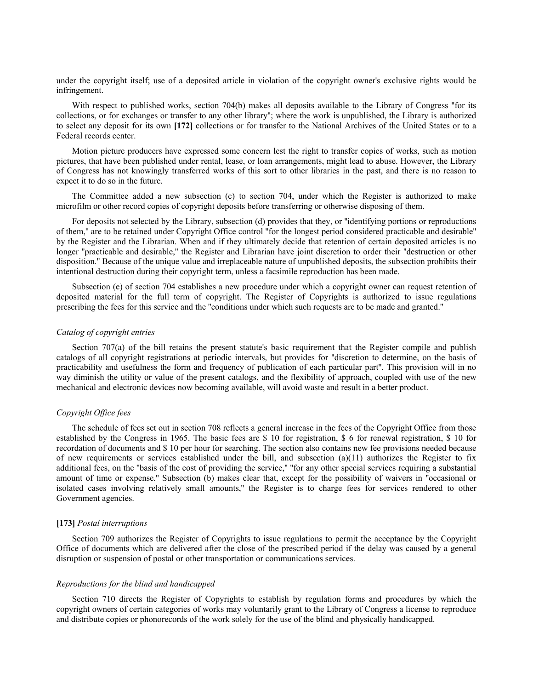under the copyright itself; use of a deposited article in violation of the copyright owner's exclusive rights would be infringement.

With respect to published works, section 704(b) makes all deposits available to the Library of Congress "for its collections, or for exchanges or transfer to any other library''; where the work is unpublished, the Library is authorized to select any deposit for its own **[172]** collections or for transfer to the National Archives of the United States or to a Federal records center.

Motion picture producers have expressed some concern lest the right to transfer copies of works, such as motion pictures, that have been published under rental, lease, or loan arrangements, might lead to abuse. However, the Library of Congress has not knowingly transferred works of this sort to other libraries in the past, and there is no reason to expect it to do so in the future.

The Committee added a new subsection (c) to section 704, under which the Register is authorized to make microfilm or other record copies of copyright deposits before transferring or otherwise disposing of them.

For deposits not selected by the Library, subsection (d) provides that they, or ''identifying portions or reproductions of them,'' are to be retained under Copyright Office control ''for the longest period considered practicable and desirable'' by the Register and the Librarian. When and if they ultimately decide that retention of certain deposited articles is no longer "practicable and desirable," the Register and Librarian have joint discretion to order their "destruction or other disposition.'' Because of the unique value and irreplaceable nature of unpublished deposits, the subsection prohibits their intentional destruction during their copyright term, unless a facsimile reproduction has been made.

Subsection (e) of section 704 establishes a new procedure under which a copyright owner can request retention of deposited material for the full term of copyright. The Register of Copyrights is authorized to issue regulations prescribing the fees for this service and the ''conditions under which such requests are to be made and granted.''

## *Catalog of copyright entries*

Section 707(a) of the bill retains the present statute's basic requirement that the Register compile and publish catalogs of all copyright registrations at periodic intervals, but provides for ''discretion to determine, on the basis of practicability and usefulness the form and frequency of publication of each particular part''. This provision will in no way diminish the utility or value of the present catalogs, and the flexibility of approach, coupled with use of the new mechanical and electronic devices now becoming available, will avoid waste and result in a better product.

# *Copyright Office fees*

The schedule of fees set out in section 708 reflects a general increase in the fees of the Copyright Office from those established by the Congress in 1965. The basic fees are \$ 10 for registration, \$ 6 for renewal registration, \$ 10 for recordation of documents and \$ 10 per hour for searching. The section also contains new fee provisions needed because of new requirements or services established under the bill, and subsection  $(a)(11)$  authorizes the Register to fix additional fees, on the ''basis of the cost of providing the service,'' ''for any other special services requiring a substantial amount of time or expense.'' Subsection (b) makes clear that, except for the possibility of waivers in ''occasional or isolated cases involving relatively small amounts,'' the Register is to charge fees for services rendered to other Government agencies.

### **[173]** *Postal interruptions*

Section 709 authorizes the Register of Copyrights to issue regulations to permit the acceptance by the Copyright Office of documents which are delivered after the close of the prescribed period if the delay was caused by a general disruption or suspension of postal or other transportation or communications services.

#### *Reproductions for the blind and handicapped*

Section 710 directs the Register of Copyrights to establish by regulation forms and procedures by which the copyright owners of certain categories of works may voluntarily grant to the Library of Congress a license to reproduce and distribute copies or phonorecords of the work solely for the use of the blind and physically handicapped.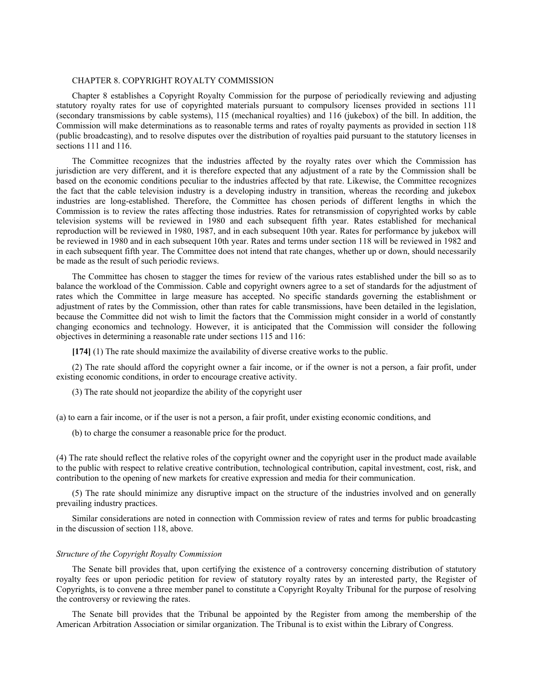### CHAPTER 8. COPYRIGHT ROYALTY COMMISSION

Chapter 8 establishes a Copyright Royalty Commission for the purpose of periodically reviewing and adjusting statutory royalty rates for use of copyrighted materials pursuant to compulsory licenses provided in sections 111 (secondary transmissions by cable systems), 115 (mechanical royalties) and 116 (jukebox) of the bill. In addition, the Commission will make determinations as to reasonable terms and rates of royalty payments as provided in section 118 (public broadcasting), and to resolve disputes over the distribution of royalties paid pursuant to the statutory licenses in sections 111 and 116.

The Committee recognizes that the industries affected by the royalty rates over which the Commission has jurisdiction are very different, and it is therefore expected that any adjustment of a rate by the Commission shall be based on the economic conditions peculiar to the industries affected by that rate. Likewise, the Committee recognizes the fact that the cable television industry is a developing industry in transition, whereas the recording and jukebox industries are long-established. Therefore, the Committee has chosen periods of different lengths in which the Commission is to review the rates affecting those industries. Rates for retransmission of copyrighted works by cable television systems will be reviewed in 1980 and each subsequent fifth year. Rates established for mechanical reproduction will be reviewed in 1980, 1987, and in each subsequent 10th year. Rates for performance by jukebox will be reviewed in 1980 and in each subsequent 10th year. Rates and terms under section 118 will be reviewed in 1982 and in each subsequent fifth year. The Committee does not intend that rate changes, whether up or down, should necessarily be made as the result of such periodic reviews.

The Committee has chosen to stagger the times for review of the various rates established under the bill so as to balance the workload of the Commission. Cable and copyright owners agree to a set of standards for the adjustment of rates which the Committee in large measure has accepted. No specific standards governing the establishment or adjustment of rates by the Commission, other than rates for cable transmissions, have been detailed in the legislation, because the Committee did not wish to limit the factors that the Commission might consider in a world of constantly changing economics and technology. However, it is anticipated that the Commission will consider the following objectives in determining a reasonable rate under sections 115 and 116:

**[174]** (1) The rate should maximize the availability of diverse creative works to the public.

(2) The rate should afford the copyright owner a fair income, or if the owner is not a person, a fair profit, under existing economic conditions, in order to encourage creative activity.

(3) The rate should not jeopardize the ability of the copyright user

(a) to earn a fair income, or if the user is not a person, a fair profit, under existing economic conditions, and

(b) to charge the consumer a reasonable price for the product.

(4) The rate should reflect the relative roles of the copyright owner and the copyright user in the product made available to the public with respect to relative creative contribution, technological contribution, capital investment, cost, risk, and contribution to the opening of new markets for creative expression and media for their communication.

(5) The rate should minimize any disruptive impact on the structure of the industries involved and on generally prevailing industry practices.

Similar considerations are noted in connection with Commission review of rates and terms for public broadcasting in the discussion of section 118, above.

## *Structure of the Copyright Royalty Commission*

The Senate bill provides that, upon certifying the existence of a controversy concerning distribution of statutory royalty fees or upon periodic petition for review of statutory royalty rates by an interested party, the Register of Copyrights, is to convene a three member panel to constitute a Copyright Royalty Tribunal for the purpose of resolving the controversy or reviewing the rates.

The Senate bill provides that the Tribunal be appointed by the Register from among the membership of the American Arbitration Association or similar organization. The Tribunal is to exist within the Library of Congress.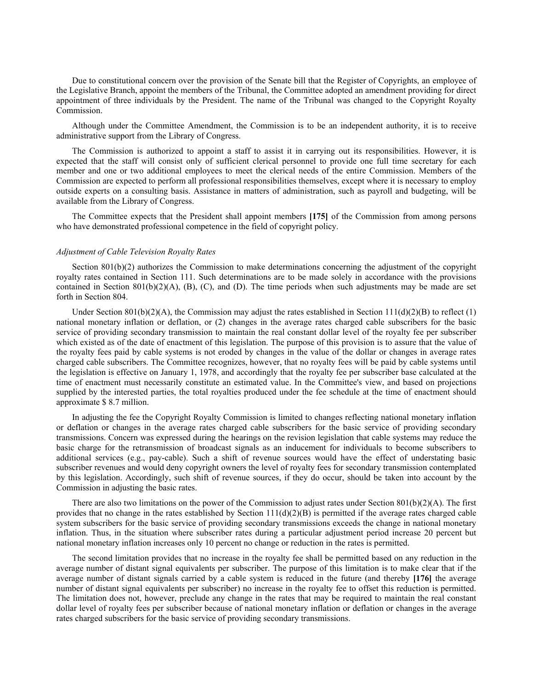Due to constitutional concern over the provision of the Senate bill that the Register of Copyrights, an employee of the Legislative Branch, appoint the members of the Tribunal, the Committee adopted an amendment providing for direct appointment of three individuals by the President. The name of the Tribunal was changed to the Copyright Royalty Commission.

Although under the Committee Amendment, the Commission is to be an independent authority, it is to receive administrative support from the Library of Congress.

The Commission is authorized to appoint a staff to assist it in carrying out its responsibilities. However, it is expected that the staff will consist only of sufficient clerical personnel to provide one full time secretary for each member and one or two additional employees to meet the clerical needs of the entire Commission. Members of the Commission are expected to perform all professional responsibilities themselves, except where it is necessary to employ outside experts on a consulting basis. Assistance in matters of administration, such as payroll and budgeting, will be available from the Library of Congress.

The Committee expects that the President shall appoint members **[175]** of the Commission from among persons who have demonstrated professional competence in the field of copyright policy.

### *Adjustment of Cable Television Royalty Rates*

Section 801(b)(2) authorizes the Commission to make determinations concerning the adjustment of the copyright royalty rates contained in Section 111. Such determinations are to be made solely in accordance with the provisions contained in Section 801(b)(2)(A), (B), (C), and (D). The time periods when such adjustments may be made are set forth in Section 804.

Under Section 801(b)(2)(A), the Commission may adjust the rates established in Section 111(d)(2)(B) to reflect (1) national monetary inflation or deflation, or (2) changes in the average rates charged cable subscribers for the basic service of providing secondary transmission to maintain the real constant dollar level of the royalty fee per subscriber which existed as of the date of enactment of this legislation. The purpose of this provision is to assure that the value of the royalty fees paid by cable systems is not eroded by changes in the value of the dollar or changes in average rates charged cable subscribers. The Committee recognizes, however, that no royalty fees will be paid by cable systems until the legislation is effective on January 1, 1978, and accordingly that the royalty fee per subscriber base calculated at the time of enactment must necessarily constitute an estimated value. In the Committee's view, and based on projections supplied by the interested parties, the total royalties produced under the fee schedule at the time of enactment should approximate \$ 8.7 million.

In adjusting the fee the Copyright Royalty Commission is limited to changes reflecting national monetary inflation or deflation or changes in the average rates charged cable subscribers for the basic service of providing secondary transmissions. Concern was expressed during the hearings on the revision legislation that cable systems may reduce the basic charge for the retransmission of broadcast signals as an inducement for individuals to become subscribers to additional services (e.g., pay-cable). Such a shift of revenue sources would have the effect of understating basic subscriber revenues and would deny copyright owners the level of royalty fees for secondary transmission contemplated by this legislation. Accordingly, such shift of revenue sources, if they do occur, should be taken into account by the Commission in adjusting the basic rates.

There are also two limitations on the power of the Commission to adjust rates under Section 801(b)(2)(A). The first provides that no change in the rates established by Section  $111(d)(2)(B)$  is permitted if the average rates charged cable system subscribers for the basic service of providing secondary transmissions exceeds the change in national monetary inflation. Thus, in the situation where subscriber rates during a particular adjustment period increase 20 percent but national monetary inflation increases only 10 percent no change or reduction in the rates is permitted.

The second limitation provides that no increase in the royalty fee shall be permitted based on any reduction in the average number of distant signal equivalents per subscriber. The purpose of this limitation is to make clear that if the average number of distant signals carried by a cable system is reduced in the future (and thereby **[176]** the average number of distant signal equivalents per subscriber) no increase in the royalty fee to offset this reduction is permitted. The limitation does not, however, preclude any change in the rates that may be required to maintain the real constant dollar level of royalty fees per subscriber because of national monetary inflation or deflation or changes in the average rates charged subscribers for the basic service of providing secondary transmissions.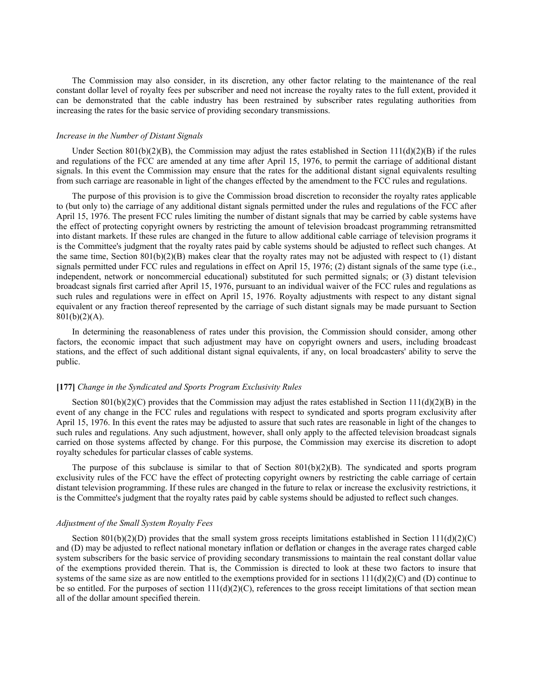The Commission may also consider, in its discretion, any other factor relating to the maintenance of the real constant dollar level of royalty fees per subscriber and need not increase the royalty rates to the full extent, provided it can be demonstrated that the cable industry has been restrained by subscriber rates regulating authorities from increasing the rates for the basic service of providing secondary transmissions.

### *Increase in the Number of Distant Signals*

Under Section 801(b)(2)(B), the Commission may adjust the rates established in Section 111(d)(2)(B) if the rules and regulations of the FCC are amended at any time after April 15, 1976, to permit the carriage of additional distant signals. In this event the Commission may ensure that the rates for the additional distant signal equivalents resulting from such carriage are reasonable in light of the changes effected by the amendment to the FCC rules and regulations.

The purpose of this provision is to give the Commission broad discretion to reconsider the royalty rates applicable to (but only to) the carriage of any additional distant signals permitted under the rules and regulations of the FCC after April 15, 1976. The present FCC rules limiting the number of distant signals that may be carried by cable systems have the effect of protecting copyright owners by restricting the amount of television broadcast programming retransmitted into distant markets. If these rules are changed in the future to allow additional cable carriage of television programs it is the Committee's judgment that the royalty rates paid by cable systems should be adjusted to reflect such changes. At the same time, Section  $801(b)(2)(B)$  makes clear that the royalty rates may not be adjusted with respect to (1) distant signals permitted under FCC rules and regulations in effect on April 15, 1976; (2) distant signals of the same type (i.e., independent, network or noncommercial educational) substituted for such permitted signals; or (3) distant television broadcast signals first carried after April 15, 1976, pursuant to an individual waiver of the FCC rules and regulations as such rules and regulations were in effect on April 15, 1976. Royalty adjustments with respect to any distant signal equivalent or any fraction thereof represented by the carriage of such distant signals may be made pursuant to Section  $801(b)(2)(A)$ .

In determining the reasonableness of rates under this provision, the Commission should consider, among other factors, the economic impact that such adjustment may have on copyright owners and users, including broadcast stations, and the effect of such additional distant signal equivalents, if any, on local broadcasters' ability to serve the public.

# **[177]** *Change in the Syndicated and Sports Program Exclusivity Rules*

Section 801(b)(2)(C) provides that the Commission may adjust the rates established in Section 111(d)(2)(B) in the event of any change in the FCC rules and regulations with respect to syndicated and sports program exclusivity after April 15, 1976. In this event the rates may be adjusted to assure that such rates are reasonable in light of the changes to such rules and regulations. Any such adjustment, however, shall only apply to the affected television broadcast signals carried on those systems affected by change. For this purpose, the Commission may exercise its discretion to adopt royalty schedules for particular classes of cable systems.

The purpose of this subclause is similar to that of Section  $801(b)(2)(B)$ . The syndicated and sports program exclusivity rules of the FCC have the effect of protecting copyright owners by restricting the cable carriage of certain distant television programming. If these rules are changed in the future to relax or increase the exclusivity restrictions, it is the Committee's judgment that the royalty rates paid by cable systems should be adjusted to reflect such changes.

#### *Adjustment of the Small System Royalty Fees*

Section 801(b)(2)(D) provides that the small system gross receipts limitations established in Section 111(d)(2)(C) and (D) may be adjusted to reflect national monetary inflation or deflation or changes in the average rates charged cable system subscribers for the basic service of providing secondary transmissions to maintain the real constant dollar value of the exemptions provided therein. That is, the Commission is directed to look at these two factors to insure that systems of the same size as are now entitled to the exemptions provided for in sections  $111(d)(2)(C)$  and (D) continue to be so entitled. For the purposes of section  $11(d)(2)(C)$ , references to the gross receipt limitations of that section mean all of the dollar amount specified therein.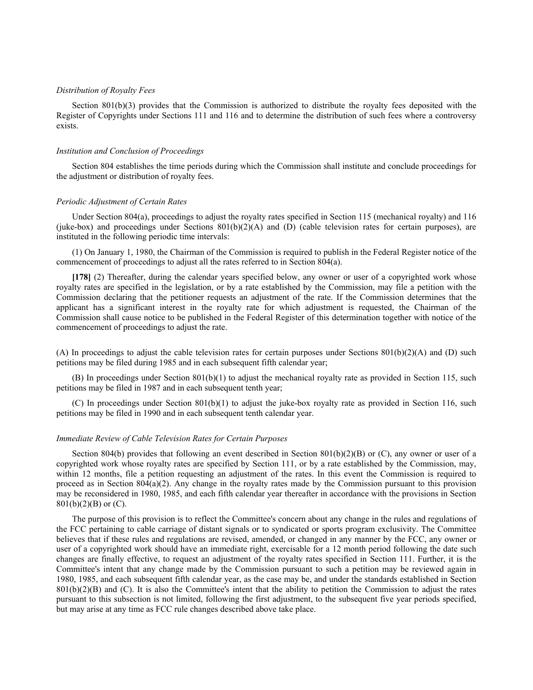## *Distribution of Royalty Fees*

Section 801(b)(3) provides that the Commission is authorized to distribute the royalty fees deposited with the Register of Copyrights under Sections 111 and 116 and to determine the distribution of such fees where a controversy exists.

#### *Institution and Conclusion of Proceedings*

Section 804 establishes the time periods during which the Commission shall institute and conclude proceedings for the adjustment or distribution of royalty fees.

### *Periodic Adjustment of Certain Rates*

Under Section 804(a), proceedings to adjust the royalty rates specified in Section 115 (mechanical royalty) and 116 (juke-box) and proceedings under Sections  $801(b)(2)(A)$  and (D) (cable television rates for certain purposes), are instituted in the following periodic time intervals:

(1) On January 1, 1980, the Chairman of the Commission is required to publish in the Federal Register notice of the commencement of proceedings to adjust all the rates referred to in Section 804(a).

**[178]** (2) Thereafter, during the calendar years specified below, any owner or user of a copyrighted work whose royalty rates are specified in the legislation, or by a rate established by the Commission, may file a petition with the Commission declaring that the petitioner requests an adjustment of the rate. If the Commission determines that the applicant has a significant interest in the royalty rate for which adjustment is requested, the Chairman of the Commission shall cause notice to be published in the Federal Register of this determination together with notice of the commencement of proceedings to adjust the rate.

(A) In proceedings to adjust the cable television rates for certain purposes under Sections  $801(b)(2)(A)$  and (D) such petitions may be filed during 1985 and in each subsequent fifth calendar year;

(B) In proceedings under Section 801(b)(1) to adjust the mechanical royalty rate as provided in Section 115, such petitions may be filed in 1987 and in each subsequent tenth year;

(C) In proceedings under Section 801(b)(1) to adjust the juke-box royalty rate as provided in Section 116, such petitions may be filed in 1990 and in each subsequent tenth calendar year.

## *Immediate Review of Cable Television Rates for Certain Purposes*

Section 804(b) provides that following an event described in Section 801(b)(2)(B) or (C), any owner or user of a copyrighted work whose royalty rates are specified by Section 111, or by a rate established by the Commission, may, within 12 months, file a petition requesting an adjustment of the rates. In this event the Commission is required to proceed as in Section 804(a)(2). Any change in the royalty rates made by the Commission pursuant to this provision may be reconsidered in 1980, 1985, and each fifth calendar year thereafter in accordance with the provisions in Section  $801(b)(2)(B)$  or  $(C)$ .

The purpose of this provision is to reflect the Committee's concern about any change in the rules and regulations of the FCC pertaining to cable carriage of distant signals or to syndicated or sports program exclusivity. The Committee believes that if these rules and regulations are revised, amended, or changed in any manner by the FCC, any owner or user of a copyrighted work should have an immediate right, exercisable for a 12 month period following the date such changes are finally effective, to request an adjustment of the royalty rates specified in Section 111. Further, it is the Committee's intent that any change made by the Commission pursuant to such a petition may be reviewed again in 1980, 1985, and each subsequent fifth calendar year, as the case may be, and under the standards established in Section 801(b)(2)(B) and (C). It is also the Committee's intent that the ability to petition the Commission to adjust the rates pursuant to this subsection is not limited, following the first adjustment, to the subsequent five year periods specified, but may arise at any time as FCC rule changes described above take place.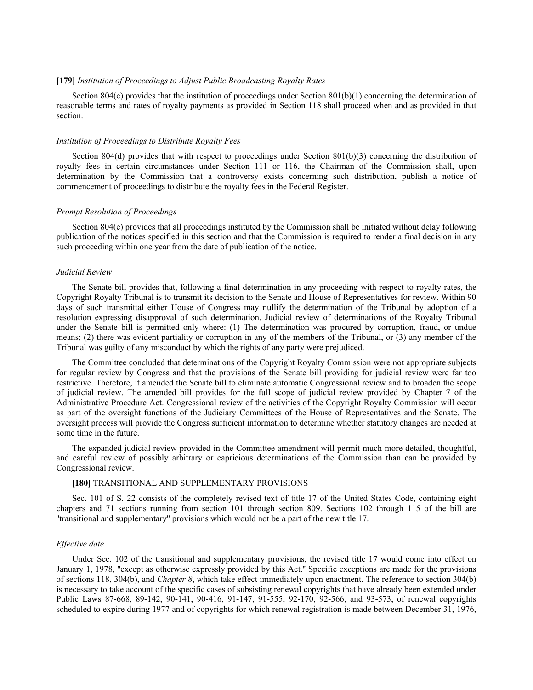## **[179]** *Institution of Proceedings to Adjust Public Broadcasting Royalty Rates*

Section 804(c) provides that the institution of proceedings under Section 801(b)(1) concerning the determination of reasonable terms and rates of royalty payments as provided in Section 118 shall proceed when and as provided in that section.

#### *Institution of Proceedings to Distribute Royalty Fees*

Section 804(d) provides that with respect to proceedings under Section 801(b)(3) concerning the distribution of royalty fees in certain circumstances under Section 111 or 116, the Chairman of the Commission shall, upon determination by the Commission that a controversy exists concerning such distribution, publish a notice of commencement of proceedings to distribute the royalty fees in the Federal Register.

### *Prompt Resolution of Proceedings*

Section 804(e) provides that all proceedings instituted by the Commission shall be initiated without delay following publication of the notices specified in this section and that the Commission is required to render a final decision in any such proceeding within one year from the date of publication of the notice.

## *Judicial Review*

The Senate bill provides that, following a final determination in any proceeding with respect to royalty rates, the Copyright Royalty Tribunal is to transmit its decision to the Senate and House of Representatives for review. Within 90 days of such transmittal either House of Congress may nullify the determination of the Tribunal by adoption of a resolution expressing disapproval of such determination. Judicial review of determinations of the Royalty Tribunal under the Senate bill is permitted only where: (1) The determination was procured by corruption, fraud, or undue means; (2) there was evident partiality or corruption in any of the members of the Tribunal, or (3) any member of the Tribunal was guilty of any misconduct by which the rights of any party were prejudiced.

The Committee concluded that determinations of the Copyright Royalty Commission were not appropriate subjects for regular review by Congress and that the provisions of the Senate bill providing for judicial review were far too restrictive. Therefore, it amended the Senate bill to eliminate automatic Congressional review and to broaden the scope of judicial review. The amended bill provides for the full scope of judicial review provided by Chapter 7 of the Administrative Procedure Act. Congressional review of the activities of the Copyright Royalty Commission will occur as part of the oversight functions of the Judiciary Committees of the House of Representatives and the Senate. The oversight process will provide the Congress sufficient information to determine whether statutory changes are needed at some time in the future.

The expanded judicial review provided in the Committee amendment will permit much more detailed, thoughtful, and careful review of possibly arbitrary or capricious determinations of the Commission than can be provided by Congressional review.

# **[180]** TRANSITIONAL AND SUPPLEMENTARY PROVISIONS

Sec. 101 of S. 22 consists of the completely revised text of title 17 of the United States Code, containing eight chapters and 71 sections running from section 101 through section 809. Sections 102 through 115 of the bill are ''transitional and supplementary'' provisions which would not be a part of the new title 17.

### *Effective date*

Under Sec. 102 of the transitional and supplementary provisions, the revised title 17 would come into effect on January 1, 1978, "except as otherwise expressly provided by this Act." Specific exceptions are made for the provisions of sections 118, 304(b), and *Chapter 8*, which take effect immediately upon enactment. The reference to section 304(b) is necessary to take account of the specific cases of subsisting renewal copyrights that have already been extended under Public Laws 87-668, 89-142, 90-141, 90-416, 91-147, 91-555, 92-170, 92-566, and 93-573, of renewal copyrights scheduled to expire during 1977 and of copyrights for which renewal registration is made between December 31, 1976,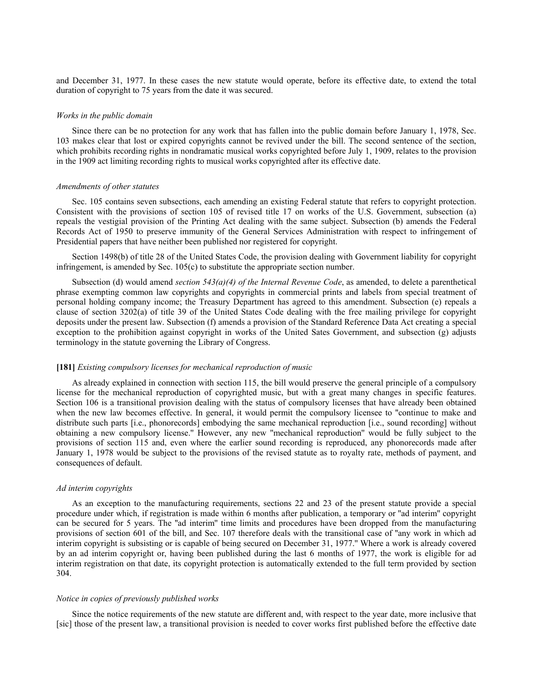and December 31, 1977. In these cases the new statute would operate, before its effective date, to extend the total duration of copyright to 75 years from the date it was secured.

### *Works in the public domain*

Since there can be no protection for any work that has fallen into the public domain before January 1, 1978, Sec. 103 makes clear that lost or expired copyrights cannot be revived under the bill. The second sentence of the section, which prohibits recording rights in nondramatic musical works copyrighted before July 1, 1909, relates to the provision in the 1909 act limiting recording rights to musical works copyrighted after its effective date.

#### *Amendments of other statutes*

Sec. 105 contains seven subsections, each amending an existing Federal statute that refers to copyright protection. Consistent with the provisions of section 105 of revised title 17 on works of the U.S. Government, subsection (a) repeals the vestigial provision of the Printing Act dealing with the same subject. Subsection (b) amends the Federal Records Act of 1950 to preserve immunity of the General Services Administration with respect to infringement of Presidential papers that have neither been published nor registered for copyright.

Section 1498(b) of title 28 of the United States Code, the provision dealing with Government liability for copyright infringement, is amended by Sec. 105(c) to substitute the appropriate section number.

Subsection (d) would amend *section 543(a)(4) of the Internal Revenue Code*, as amended, to delete a parenthetical phrase exempting common law copyrights and copyrights in commercial prints and labels from special treatment of personal holding company income; the Treasury Department has agreed to this amendment. Subsection (e) repeals a clause of section 3202(a) of title 39 of the United States Code dealing with the free mailing privilege for copyright deposits under the present law. Subsection (f) amends a provision of the Standard Reference Data Act creating a special exception to the prohibition against copyright in works of the United Sates Government, and subsection (g) adjusts terminology in the statute governing the Library of Congress.

#### **[181]** *Existing compulsory licenses for mechanical reproduction of music*

As already explained in connection with section 115, the bill would preserve the general principle of a compulsory license for the mechanical reproduction of copyrighted music, but with a great many changes in specific features. Section 106 is a transitional provision dealing with the status of compulsory licenses that have already been obtained when the new law becomes effective. In general, it would permit the compulsory licensee to ''continue to make and distribute such parts [i.e., phonorecords] embodying the same mechanical reproduction [i.e., sound recording] without obtaining a new compulsory license.'' However, any new ''mechanical reproduction'' would be fully subject to the provisions of section 115 and, even where the earlier sound recording is reproduced, any phonorecords made after January 1, 1978 would be subject to the provisions of the revised statute as to royalty rate, methods of payment, and consequences of default.

# *Ad interim copyrights*

As an exception to the manufacturing requirements, sections 22 and 23 of the present statute provide a special procedure under which, if registration is made within 6 months after publication, a temporary or ''ad interim'' copyright can be secured for 5 years. The ''ad interim'' time limits and procedures have been dropped from the manufacturing provisions of section 601 of the bill, and Sec. 107 therefore deals with the transitional case of ''any work in which ad interim copyright is subsisting or is capable of being secured on December 31, 1977.'' Where a work is already covered by an ad interim copyright or, having been published during the last 6 months of 1977, the work is eligible for ad interim registration on that date, its copyright protection is automatically extended to the full term provided by section 304.

## *Notice in copies of previously published works*

Since the notice requirements of the new statute are different and, with respect to the year date, more inclusive that [sic] those of the present law, a transitional provision is needed to cover works first published before the effective date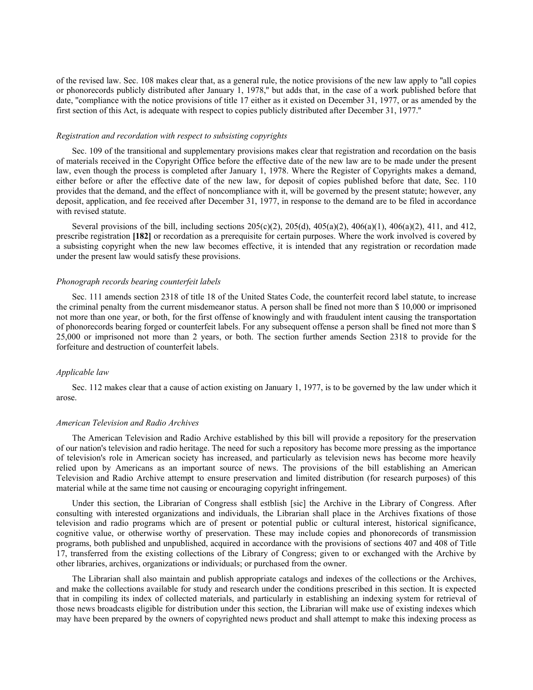of the revised law. Sec. 108 makes clear that, as a general rule, the notice provisions of the new law apply to ''all copies or phonorecords publicly distributed after January 1, 1978,'' but adds that, in the case of a work published before that date, ''compliance with the notice provisions of title 17 either as it existed on December 31, 1977, or as amended by the first section of this Act, is adequate with respect to copies publicly distributed after December 31, 1977.''

#### *Registration and recordation with respect to subsisting copyrights*

Sec. 109 of the transitional and supplementary provisions makes clear that registration and recordation on the basis of materials received in the Copyright Office before the effective date of the new law are to be made under the present law, even though the process is completed after January 1, 1978. Where the Register of Copyrights makes a demand, either before or after the effective date of the new law, for deposit of copies published before that date, Sec. 110 provides that the demand, and the effect of noncompliance with it, will be governed by the present statute; however, any deposit, application, and fee received after December 31, 1977, in response to the demand are to be filed in accordance with revised statute.

Several provisions of the bill, including sections  $205(c)(2)$ ,  $205(d)$ ,  $405(a)(2)$ ,  $406(a)(1)$ ,  $406(a)(2)$ ,  $411$ , and  $412$ , prescribe registration **[182]** or recordation as a prerequisite for certain purposes. Where the work involved is covered by a subsisting copyright when the new law becomes effective, it is intended that any registration or recordation made under the present law would satisfy these provisions.

#### *Phonograph records bearing counterfeit labels*

Sec. 111 amends section 2318 of title 18 of the United States Code, the counterfeit record label statute, to increase the criminal penalty from the current misdemeanor status. A person shall be fined not more than \$ 10,000 or imprisoned not more than one year, or both, for the first offense of knowingly and with fraudulent intent causing the transportation of phonorecords bearing forged or counterfeit labels. For any subsequent offense a person shall be fined not more than \$ 25,000 or imprisoned not more than 2 years, or both. The section further amends Section 2318 to provide for the forfeiture and destruction of counterfeit labels.

### *Applicable law*

Sec. 112 makes clear that a cause of action existing on January 1, 1977, is to be governed by the law under which it arose.

### *American Television and Radio Archives*

The American Television and Radio Archive established by this bill will provide a repository for the preservation of our nation's television and radio heritage. The need for such a repository has become more pressing as the importance of television's role in American society has increased, and particularly as television news has become more heavily relied upon by Americans as an important source of news. The provisions of the bill establishing an American Television and Radio Archive attempt to ensure preservation and limited distribution (for research purposes) of this material while at the same time not causing or encouraging copyright infringement.

Under this section, the Librarian of Congress shall estblish [sic] the Archive in the Library of Congress. After consulting with interested organizations and individuals, the Librarian shall place in the Archives fixations of those television and radio programs which are of present or potential public or cultural interest, historical significance, cognitive value, or otherwise worthy of preservation. These may include copies and phonorecords of transmission programs, both published and unpublished, acquired in accordance with the provisions of sections 407 and 408 of Title 17, transferred from the existing collections of the Library of Congress; given to or exchanged with the Archive by other libraries, archives, organizations or individuals; or purchased from the owner.

The Librarian shall also maintain and publish appropriate catalogs and indexes of the collections or the Archives, and make the collections available for study and research under the conditions prescribed in this section. It is expected that in compiling its index of collected materials, and particularly in establishing an indexing system for retrieval of those news broadcasts eligible for distribution under this section, the Librarian will make use of existing indexes which may have been prepared by the owners of copyrighted news product and shall attempt to make this indexing process as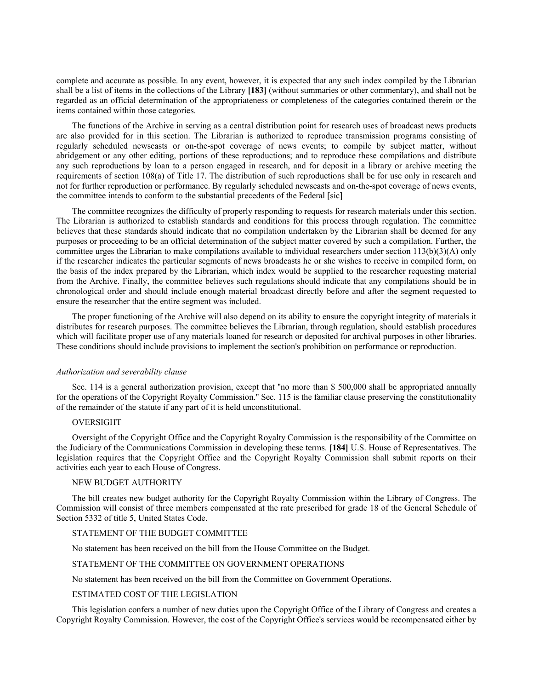complete and accurate as possible. In any event, however, it is expected that any such index compiled by the Librarian shall be a list of items in the collections of the Library **[183]** (without summaries or other commentary), and shall not be regarded as an official determination of the appropriateness or completeness of the categories contained therein or the items contained within those categories.

The functions of the Archive in serving as a central distribution point for research uses of broadcast news products are also provided for in this section. The Librarian is authorized to reproduce transmission programs consisting of regularly scheduled newscasts or on-the-spot coverage of news events; to compile by subject matter, without abridgement or any other editing, portions of these reproductions; and to reproduce these compilations and distribute any such reproductions by loan to a person engaged in research, and for deposit in a library or archive meeting the requirements of section 108(a) of Title 17. The distribution of such reproductions shall be for use only in research and not for further reproduction or performance. By regularly scheduled newscasts and on-the-spot coverage of news events, the committee intends to conform to the substantial precedents of the Federal [sic]

The committee recognizes the difficulty of properly responding to requests for research materials under this section. The Librarian is authorized to establish standards and conditions for this process through regulation. The committee believes that these standards should indicate that no compilation undertaken by the Librarian shall be deemed for any purposes or proceeding to be an official determination of the subject matter covered by such a compilation. Further, the committee urges the Librarian to make compilations available to individual researchers under section 113(b)(3)(A) only if the researcher indicates the particular segments of news broadcasts he or she wishes to receive in compiled form, on the basis of the index prepared by the Librarian, which index would be supplied to the researcher requesting material from the Archive. Finally, the committee believes such regulations should indicate that any compilations should be in chronological order and should include enough material broadcast directly before and after the segment requested to ensure the researcher that the entire segment was included.

The proper functioning of the Archive will also depend on its ability to ensure the copyright integrity of materials it distributes for research purposes. The committee believes the Librarian, through regulation, should establish procedures which will facilitate proper use of any materials loaned for research or deposited for archival purposes in other libraries. These conditions should include provisions to implement the section's prohibition on performance or reproduction.

#### *Authorization and severability clause*

Sec. 114 is a general authorization provision, except that ''no more than \$ 500,000 shall be appropriated annually for the operations of the Copyright Royalty Commission.'' Sec. 115 is the familiar clause preserving the constitutionality of the remainder of the statute if any part of it is held unconstitutional.

# OVERSIGHT

Oversight of the Copyright Office and the Copyright Royalty Commission is the responsibility of the Committee on the Judiciary of the Communications Commission in developing these terms. **[184]** U.S. House of Representatives. The legislation requires that the Copyright Office and the Copyright Royalty Commission shall submit reports on their activities each year to each House of Congress.

### NEW BUDGET AUTHORITY

The bill creates new budget authority for the Copyright Royalty Commission within the Library of Congress. The Commission will consist of three members compensated at the rate prescribed for grade 18 of the General Schedule of Section 5332 of title 5, United States Code.

### STATEMENT OF THE BUDGET COMMITTEE

No statement has been received on the bill from the House Committee on the Budget.

# STATEMENT OF THE COMMITTEE ON GOVERNMENT OPERATIONS

No statement has been received on the bill from the Committee on Government Operations.

# ESTIMATED COST OF THE LEGISLATION

This legislation confers a number of new duties upon the Copyright Office of the Library of Congress and creates a Copyright Royalty Commission. However, the cost of the Copyright Office's services would be recompensated either by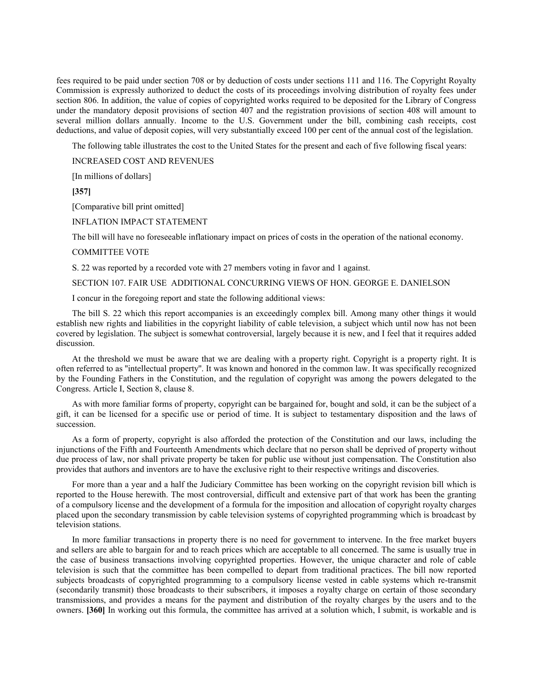fees required to be paid under section 708 or by deduction of costs under sections 111 and 116. The Copyright Royalty Commission is expressly authorized to deduct the costs of its proceedings involving distribution of royalty fees under section 806. In addition, the value of copies of copyrighted works required to be deposited for the Library of Congress under the mandatory deposit provisions of section 407 and the registration provisions of section 408 will amount to several million dollars annually. Income to the U.S. Government under the bill, combining cash receipts, cost deductions, and value of deposit copies, will very substantially exceed 100 per cent of the annual cost of the legislation.

The following table illustrates the cost to the United States for the present and each of five following fiscal years:

INCREASED COST AND REVENUES

[In millions of dollars]

**[357]**

[Comparative bill print omitted]

INFLATION IMPACT STATEMENT

The bill will have no foreseeable inflationary impact on prices of costs in the operation of the national economy.

#### COMMITTEE VOTE

S. 22 was reported by a recorded vote with 27 members voting in favor and 1 against.

# SECTION 107. FAIR USE ADDITIONAL CONCURRING VIEWS OF HON. GEORGE E. DANIELSON

I concur in the foregoing report and state the following additional views:

The bill S. 22 which this report accompanies is an exceedingly complex bill. Among many other things it would establish new rights and liabilities in the copyright liability of cable television, a subject which until now has not been covered by legislation. The subject is somewhat controversial, largely because it is new, and I feel that it requires added discussion.

At the threshold we must be aware that we are dealing with a property right. Copyright is a property right. It is often referred to as ''intellectual property''. It was known and honored in the common law. It was specifically recognized by the Founding Fathers in the Constitution, and the regulation of copyright was among the powers delegated to the Congress. Article I, Section 8, clause 8.

As with more familiar forms of property, copyright can be bargained for, bought and sold, it can be the subject of a gift, it can be licensed for a specific use or period of time. It is subject to testamentary disposition and the laws of succession.

As a form of property, copyright is also afforded the protection of the Constitution and our laws, including the injunctions of the Fifth and Fourteenth Amendments which declare that no person shall be deprived of property without due process of law, nor shall private property be taken for public use without just compensation. The Constitution also provides that authors and inventors are to have the exclusive right to their respective writings and discoveries.

For more than a year and a half the Judiciary Committee has been working on the copyright revision bill which is reported to the House herewith. The most controversial, difficult and extensive part of that work has been the granting of a compulsory license and the development of a formula for the imposition and allocation of copyright royalty charges placed upon the secondary transmission by cable television systems of copyrighted programming which is broadcast by television stations.

In more familiar transactions in property there is no need for government to intervene. In the free market buyers and sellers are able to bargain for and to reach prices which are acceptable to all concerned. The same is usually true in the case of business transactions involving copyrighted properties. However, the unique character and role of cable television is such that the committee has been compelled to depart from traditional practices. The bill now reported subjects broadcasts of copyrighted programming to a compulsory license vested in cable systems which re-transmit (secondarily transmit) those broadcasts to their subscribers, it imposes a royalty charge on certain of those secondary transmissions, and provides a means for the payment and distribution of the royalty charges by the users and to the owners. **[360]** In working out this formula, the committee has arrived at a solution which, I submit, is workable and is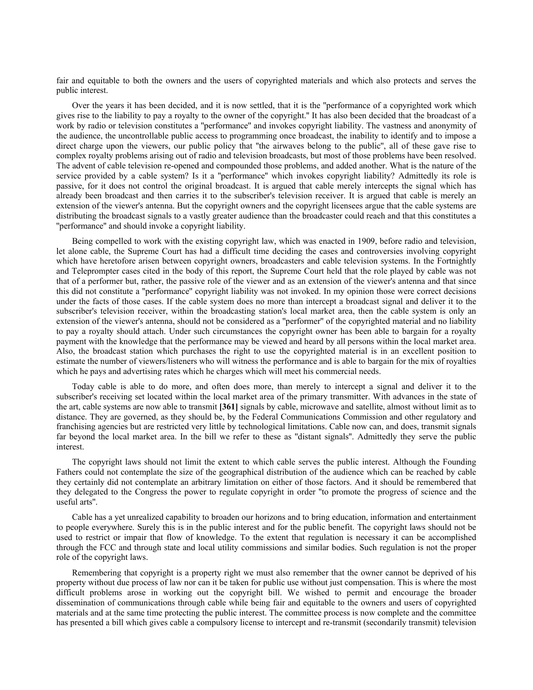fair and equitable to both the owners and the users of copyrighted materials and which also protects and serves the public interest.

Over the years it has been decided, and it is now settled, that it is the ''performance of a copyrighted work which gives rise to the liability to pay a royalty to the owner of the copyright.'' It has also been decided that the broadcast of a work by radio or television constitutes a ''performance'' and invokes copyright liability. The vastness and anonymity of the audience, the uncontrollable public access to programming once broadcast, the inability to identify and to impose a direct charge upon the viewers, our public policy that ''the airwaves belong to the public'', all of these gave rise to complex royalty problems arising out of radio and television broadcasts, but most of those problems have been resolved. The advent of cable television re-opened and compounded those problems, and added another. What is the nature of the service provided by a cable system? Is it a ''performance'' which invokes copyright liability? Admittedly its role is passive, for it does not control the original broadcast. It is argued that cable merely intercepts the signal which has already been broadcast and then carries it to the subscriber's television receiver. It is argued that cable is merely an extension of the viewer's antenna. But the copyright owners and the copyright licensees argue that the cable systems are distributing the broadcast signals to a vastly greater audience than the broadcaster could reach and that this constitutes a ''performance'' and should invoke a copyright liability.

Being compelled to work with the existing copyright law, which was enacted in 1909, before radio and television, let alone cable, the Supreme Court has had a difficult time deciding the cases and controversies involving copyright which have heretofore arisen between copyright owners, broadcasters and cable television systems. In the Fortnightly and Teleprompter cases cited in the body of this report, the Supreme Court held that the role played by cable was not that of a performer but, rather, the passive role of the viewer and as an extension of the viewer's antenna and that since this did not constitute a ''performance'' copyright liability was not invoked. In my opinion those were correct decisions under the facts of those cases. If the cable system does no more than intercept a broadcast signal and deliver it to the subscriber's television receiver, within the broadcasting station's local market area, then the cable system is only an extension of the viewer's antenna, should not be considered as a ''performer'' of the copyrighted material and no liability to pay a royalty should attach. Under such circumstances the copyright owner has been able to bargain for a royalty payment with the knowledge that the performance may be viewed and heard by all persons within the local market area. Also, the broadcast station which purchases the right to use the copyrighted material is in an excellent position to estimate the number of viewers/listeners who will witness the performance and is able to bargain for the mix of royalties which he pays and advertising rates which he charges which will meet his commercial needs.

Today cable is able to do more, and often does more, than merely to intercept a signal and deliver it to the subscriber's receiving set located within the local market area of the primary transmitter. With advances in the state of the art, cable systems are now able to transmit **[361]** signals by cable, microwave and satellite, almost without limit as to distance. They are governed, as they should be, by the Federal Communications Commission and other regulatory and franchising agencies but are restricted very little by technological limitations. Cable now can, and does, transmit signals far beyond the local market area. In the bill we refer to these as ''distant signals''. Admittedly they serve the public interest.

The copyright laws should not limit the extent to which cable serves the public interest. Although the Founding Fathers could not contemplate the size of the geographical distribution of the audience which can be reached by cable they certainly did not contemplate an arbitrary limitation on either of those factors. And it should be remembered that they delegated to the Congress the power to regulate copyright in order ''to promote the progress of science and the useful arts''.

Cable has a yet unrealized capability to broaden our horizons and to bring education, information and entertainment to people everywhere. Surely this is in the public interest and for the public benefit. The copyright laws should not be used to restrict or impair that flow of knowledge. To the extent that regulation is necessary it can be accomplished through the FCC and through state and local utility commissions and similar bodies. Such regulation is not the proper role of the copyright laws.

Remembering that copyright is a property right we must also remember that the owner cannot be deprived of his property without due process of law nor can it be taken for public use without just compensation. This is where the most difficult problems arose in working out the copyright bill. We wished to permit and encourage the broader dissemination of communications through cable while being fair and equitable to the owners and users of copyrighted materials and at the same time protecting the public interest. The committee process is now complete and the committee has presented a bill which gives cable a compulsory license to intercept and re-transmit (secondarily transmit) television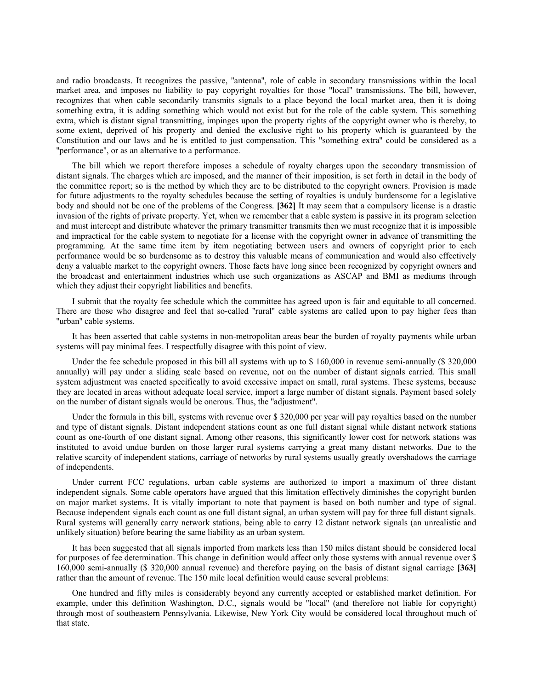and radio broadcasts. It recognizes the passive, ''antenna'', role of cable in secondary transmissions within the local market area, and imposes no liability to pay copyright royalties for those ''local'' transmissions. The bill, however, recognizes that when cable secondarily transmits signals to a place beyond the local market area, then it is doing something extra, it is adding something which would not exist but for the role of the cable system. This something extra, which is distant signal transmitting, impinges upon the property rights of the copyright owner who is thereby, to some extent, deprived of his property and denied the exclusive right to his property which is guaranteed by the Constitution and our laws and he is entitled to just compensation. This ''something extra'' could be considered as a ''performance'', or as an alternative to a performance.

The bill which we report therefore imposes a schedule of royalty charges upon the secondary transmission of distant signals. The charges which are imposed, and the manner of their imposition, is set forth in detail in the body of the committee report; so is the method by which they are to be distributed to the copyright owners. Provision is made for future adjustments to the royalty schedules because the setting of royalties is unduly burdensome for a legislative body and should not be one of the problems of the Congress. **[362]** It may seem that a compulsory license is a drastic invasion of the rights of private property. Yet, when we remember that a cable system is passive in its program selection and must intercept and distribute whatever the primary transmitter transmits then we must recognize that it is impossible and impractical for the cable system to negotiate for a license with the copyright owner in advance of transmitting the programming. At the same time item by item negotiating between users and owners of copyright prior to each performance would be so burdensome as to destroy this valuable means of communication and would also effectively deny a valuable market to the copyright owners. Those facts have long since been recognized by copyright owners and the broadcast and entertainment industries which use such organizations as ASCAP and BMI as mediums through which they adjust their copyright liabilities and benefits.

I submit that the royalty fee schedule which the committee has agreed upon is fair and equitable to all concerned. There are those who disagree and feel that so-called "rural" cable systems are called upon to pay higher fees than "urban" cable systems.

It has been asserted that cable systems in non-metropolitan areas bear the burden of royalty payments while urban systems will pay minimal fees. I respectfully disagree with this point of view.

Under the fee schedule proposed in this bill all systems with up to \$160,000 in revenue semi-annually (\$320,000 annually) will pay under a sliding scale based on revenue, not on the number of distant signals carried. This small system adjustment was enacted specifically to avoid excessive impact on small, rural systems. These systems, because they are located in areas without adequate local service, import a large number of distant signals. Payment based solely on the number of distant signals would be onerous. Thus, the ''adjustment''.

Under the formula in this bill, systems with revenue over \$ 320,000 per year will pay royalties based on the number and type of distant signals. Distant independent stations count as one full distant signal while distant network stations count as one-fourth of one distant signal. Among other reasons, this significantly lower cost for network stations was instituted to avoid undue burden on those larger rural systems carrying a great many distant networks. Due to the relative scarcity of independent stations, carriage of networks by rural systems usually greatly overshadows the carriage of independents.

Under current FCC regulations, urban cable systems are authorized to import a maximum of three distant independent signals. Some cable operators have argued that this limitation effectively diminishes the copyright burden on major market systems. It is vitally important to note that payment is based on both number and type of signal. Because independent signals each count as one full distant signal, an urban system will pay for three full distant signals. Rural systems will generally carry network stations, being able to carry 12 distant network signals (an unrealistic and unlikely situation) before bearing the same liability as an urban system.

It has been suggested that all signals imported from markets less than 150 miles distant should be considered local for purposes of fee determination. This change in definition would affect only those systems with annual revenue over \$ 160,000 semi-annually (\$ 320,000 annual revenue) and therefore paying on the basis of distant signal carriage **[363]** rather than the amount of revenue. The 150 mile local definition would cause several problems:

One hundred and fifty miles is considerably beyond any currently accepted or established market definition. For example, under this definition Washington, D.C., signals would be ''local'' (and therefore not liable for copyright) through most of southeastern Pennsylvania. Likewise, New York City would be considered local throughout much of that state.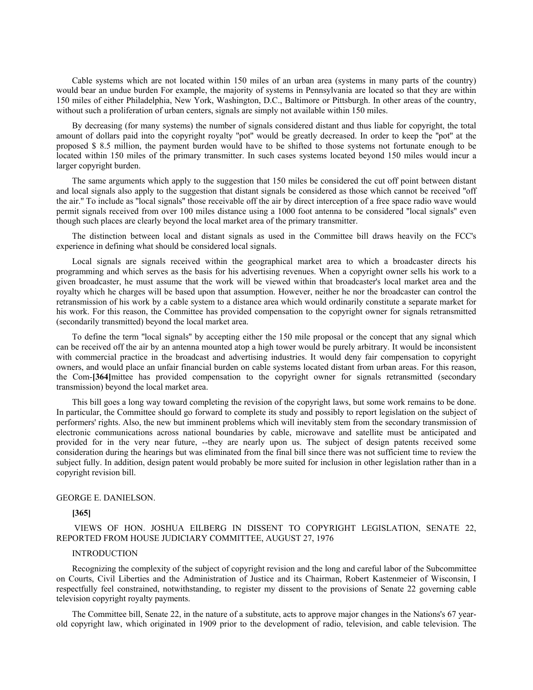Cable systems which are not located within 150 miles of an urban area (systems in many parts of the country) would bear an undue burden For example, the majority of systems in Pennsylvania are located so that they are within 150 miles of either Philadelphia, New York, Washington, D.C., Baltimore or Pittsburgh. In other areas of the country, without such a proliferation of urban centers, signals are simply not available within 150 miles.

By decreasing (for many systems) the number of signals considered distant and thus liable for copyright, the total amount of dollars paid into the copyright royalty ''pot'' would be greatly decreased. In order to keep the ''pot'' at the proposed \$ 8.5 million, the payment burden would have to be shifted to those systems not fortunate enough to be located within 150 miles of the primary transmitter. In such cases systems located beyond 150 miles would incur a larger copyright burden.

The same arguments which apply to the suggestion that 150 miles be considered the cut off point between distant and local signals also apply to the suggestion that distant signals be considered as those which cannot be received ''off the air.'' To include as ''local signals'' those receivable off the air by direct interception of a free space radio wave would permit signals received from over 100 miles distance using a 1000 foot antenna to be considered ''local signals'' even though such places are clearly beyond the local market area of the primary transmitter.

The distinction between local and distant signals as used in the Committee bill draws heavily on the FCC's experience in defining what should be considered local signals.

Local signals are signals received within the geographical market area to which a broadcaster directs his programming and which serves as the basis for his advertising revenues. When a copyright owner sells his work to a given broadcaster, he must assume that the work will be viewed within that broadcaster's local market area and the royalty which he charges will be based upon that assumption. However, neither he nor the broadcaster can control the retransmission of his work by a cable system to a distance area which would ordinarily constitute a separate market for his work. For this reason, the Committee has provided compensation to the copyright owner for signals retransmitted (secondarily transmitted) beyond the local market area.

To define the term ''local signals'' by accepting either the 150 mile proposal or the concept that any signal which can be received off the air by an antenna mounted atop a high tower would be purely arbitrary. It would be inconsistent with commercial practice in the broadcast and advertising industries. It would deny fair compensation to copyright owners, and would place an unfair financial burden on cable systems located distant from urban areas. For this reason, the Com-**[364]**mittee has provided compensation to the copyright owner for signals retransmitted (secondary transmission) beyond the local market area.

This bill goes a long way toward completing the revision of the copyright laws, but some work remains to be done. In particular, the Committee should go forward to complete its study and possibly to report legislation on the subject of performers' rights. Also, the new but imminent problems which will inevitably stem from the secondary transmission of electronic communications across national boundaries by cable, microwave and satellite must be anticipated and provided for in the very near future, --they are nearly upon us. The subject of design patents received some consideration during the hearings but was eliminated from the final bill since there was not sufficient time to review the subject fully. In addition, design patent would probably be more suited for inclusion in other legislation rather than in a copyright revision bill.

### GEORGE E. DANIELSON.

**[365]**

 VIEWS OF HON. JOSHUA EILBERG IN DISSENT TO COPYRIGHT LEGISLATION, SENATE 22, REPORTED FROM HOUSE JUDICIARY COMMITTEE, AUGUST 27, 1976

## **INTRODUCTION**

Recognizing the complexity of the subject of copyright revision and the long and careful labor of the Subcommittee on Courts, Civil Liberties and the Administration of Justice and its Chairman, Robert Kastenmeier of Wisconsin, I respectfully feel constrained, notwithstanding, to register my dissent to the provisions of Senate 22 governing cable television copyright royalty payments.

The Committee bill, Senate 22, in the nature of a substitute, acts to approve major changes in the Nations's 67 yearold copyright law, which originated in 1909 prior to the development of radio, television, and cable television. The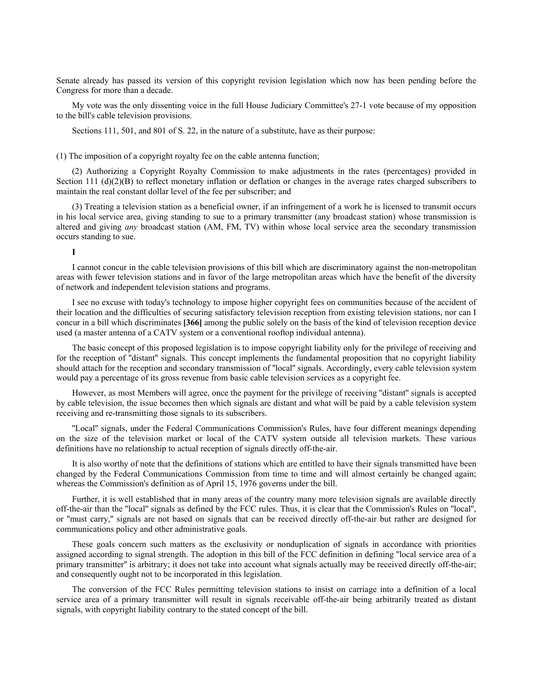Senate already has passed its version of this copyright revision legislation which now has been pending before the Congress for more than a decade.

My vote was the only dissenting voice in the full House Judiciary Committee's 27-1 vote because of my opposition to the bill's cable television provisions.

Sections 111, 501, and 801 of S. 22, in the nature of a substitute, have as their purpose:

(1) The imposition of a copyright royalty fee on the cable antenna function;

(2) Authorizing a Copyright Royalty Commission to make adjustments in the rates (percentages) provided in Section 111  $(d)(2)(B)$  to reflect monetary inflation or deflation or changes in the average rates charged subscribers to maintain the real constant dollar level of the fee per subscriber; and

(3) Treating a television station as a beneficial owner, if an infringement of a work he is licensed to transmit occurs in his local service area, giving standing to sue to a primary transmitter (any broadcast station) whose transmission is altered and giving *any* broadcast station (AM, FM, TV) within whose local service area the secondary transmission occurs standing to sue.

**I**

I cannot concur in the cable television provisions of this bill which are discriminatory against the non-metropolitan areas with fewer television stations and in favor of the large metropolitan areas which have the benefit of the diversity of network and independent television stations and programs.

I see no excuse with today's technology to impose higher copyright fees on communities because of the accident of their location and the difficulties of securing satisfactory television reception from existing television stations, nor can I concur in a bill which discriminates **[366]** among the public solely on the basis of the kind of television reception device used (a master antenna of a CATV system or a conventional rooftop individual antenna).

The basic concept of this proposed legislation is to impose copyright liability only for the privilege of receiving and for the reception of ''distant'' signals. This concept implements the fundamental proposition that no copyright liability should attach for the reception and secondary transmission of ''local'' signals. Accordingly, every cable television system would pay a percentage of its gross revenue from basic cable television services as a copyright fee.

However, as most Members will agree, once the payment for the privilege of receiving ''distant'' signals is accepted by cable television, the issue becomes then which signals are distant and what will be paid by a cable television system receiving and re-transmitting those signals to its subscribers.

''Local'' signals, under the Federal Communications Commission's Rules, have four different meanings depending on the size of the television market or local of the CATV system outside all television markets. These various definitions have no relationship to actual reception of signals directly off-the-air.

It is also worthy of note that the definitions of stations which are entitled to have their signals transmitted have been changed by the Federal Communications Commission from time to time and will almost certainly be changed again; whereas the Commission's definition as of April 15, 1976 governs under the bill.

Further, it is well established that in many areas of the country many more television signals are available directly off-the-air than the ''local'' signals as defined by the FCC rules. Thus, it is clear that the Commission's Rules on ''local'', or ''must carry,'' signals are not based on signals that can be received directly off-the-air but rather are designed for communications policy and other administrative goals.

These goals concern such matters as the exclusivity or nonduplication of signals in accordance with priorities assigned according to signal strength. The adoption in this bill of the FCC definition in defining ''local service area of a primary transmitter'' is arbitrary; it does not take into account what signals actually may be received directly off-the-air; and consequently ought not to be incorporated in this legislation.

The conversion of the FCC Rules permitting television stations to insist on carriage into a definition of a local service area of a primary transmitter will result in signals receivable off-the-air being arbitrarily treated as distant signals, with copyright liability contrary to the stated concept of the bill.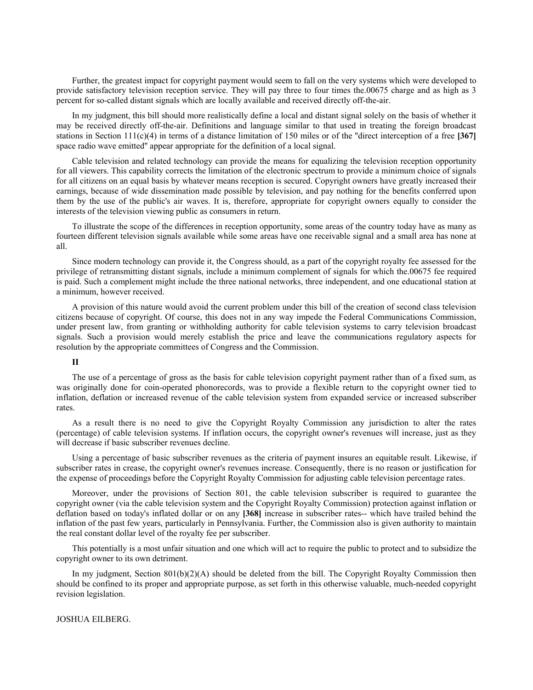Further, the greatest impact for copyright payment would seem to fall on the very systems which were developed to provide satisfactory television reception service. They will pay three to four times the.00675 charge and as high as 3 percent for so-called distant signals which are locally available and received directly off-the-air.

In my judgment, this bill should more realistically define a local and distant signal solely on the basis of whether it may be received directly off-the-air. Definitions and language similar to that used in treating the foreign broadcast stations in Section 111(c)(4) in terms of a distance limitation of 150 miles or of the ''direct interception of a free **[367]**  space radio wave emitted'' appear appropriate for the definition of a local signal.

Cable television and related technology can provide the means for equalizing the television reception opportunity for all viewers. This capability corrects the limitation of the electronic spectrum to provide a minimum choice of signals for all citizens on an equal basis by whatever means reception is secured. Copyright owners have greatly increased their earnings, because of wide dissemination made possible by television, and pay nothing for the benefits conferred upon them by the use of the public's air waves. It is, therefore, appropriate for copyright owners equally to consider the interests of the television viewing public as consumers in return.

To illustrate the scope of the differences in reception opportunity, some areas of the country today have as many as fourteen different television signals available while some areas have one receivable signal and a small area has none at all.

Since modern technology can provide it, the Congress should, as a part of the copyright royalty fee assessed for the privilege of retransmitting distant signals, include a minimum complement of signals for which the.00675 fee required is paid. Such a complement might include the three national networks, three independent, and one educational station at a minimum, however received.

A provision of this nature would avoid the current problem under this bill of the creation of second class television citizens because of copyright. Of course, this does not in any way impede the Federal Communications Commission, under present law, from granting or withholding authority for cable television systems to carry television broadcast signals. Such a provision would merely establish the price and leave the communications regulatory aspects for resolution by the appropriate committees of Congress and the Commission.

## **II**

The use of a percentage of gross as the basis for cable television copyright payment rather than of a fixed sum, as was originally done for coin-operated phonorecords, was to provide a flexible return to the copyright owner tied to inflation, deflation or increased revenue of the cable television system from expanded service or increased subscriber rates.

As a result there is no need to give the Copyright Royalty Commission any jurisdiction to alter the rates (percentage) of cable television systems. If inflation occurs, the copyright owner's revenues will increase, just as they will decrease if basic subscriber revenues decline.

Using a percentage of basic subscriber revenues as the criteria of payment insures an equitable result. Likewise, if subscriber rates in crease, the copyright owner's revenues increase. Consequently, there is no reason or justification for the expense of proceedings before the Copyright Royalty Commission for adjusting cable television percentage rates.

Moreover, under the provisions of Section 801, the cable television subscriber is required to guarantee the copyright owner (via the cable television system and the Copyright Royalty Commission) protection against inflation or deflation based on today's inflated dollar or on any **[368]** increase in subscriber rates-- which have trailed behind the inflation of the past few years, particularly in Pennsylvania. Further, the Commission also is given authority to maintain the real constant dollar level of the royalty fee per subscriber.

This potentially is a most unfair situation and one which will act to require the public to protect and to subsidize the copyright owner to its own detriment.

In my judgment, Section 801(b)(2)(A) should be deleted from the bill. The Copyright Royalty Commission then should be confined to its proper and appropriate purpose, as set forth in this otherwise valuable, much-needed copyright revision legislation.

## JOSHUA EILBERG.